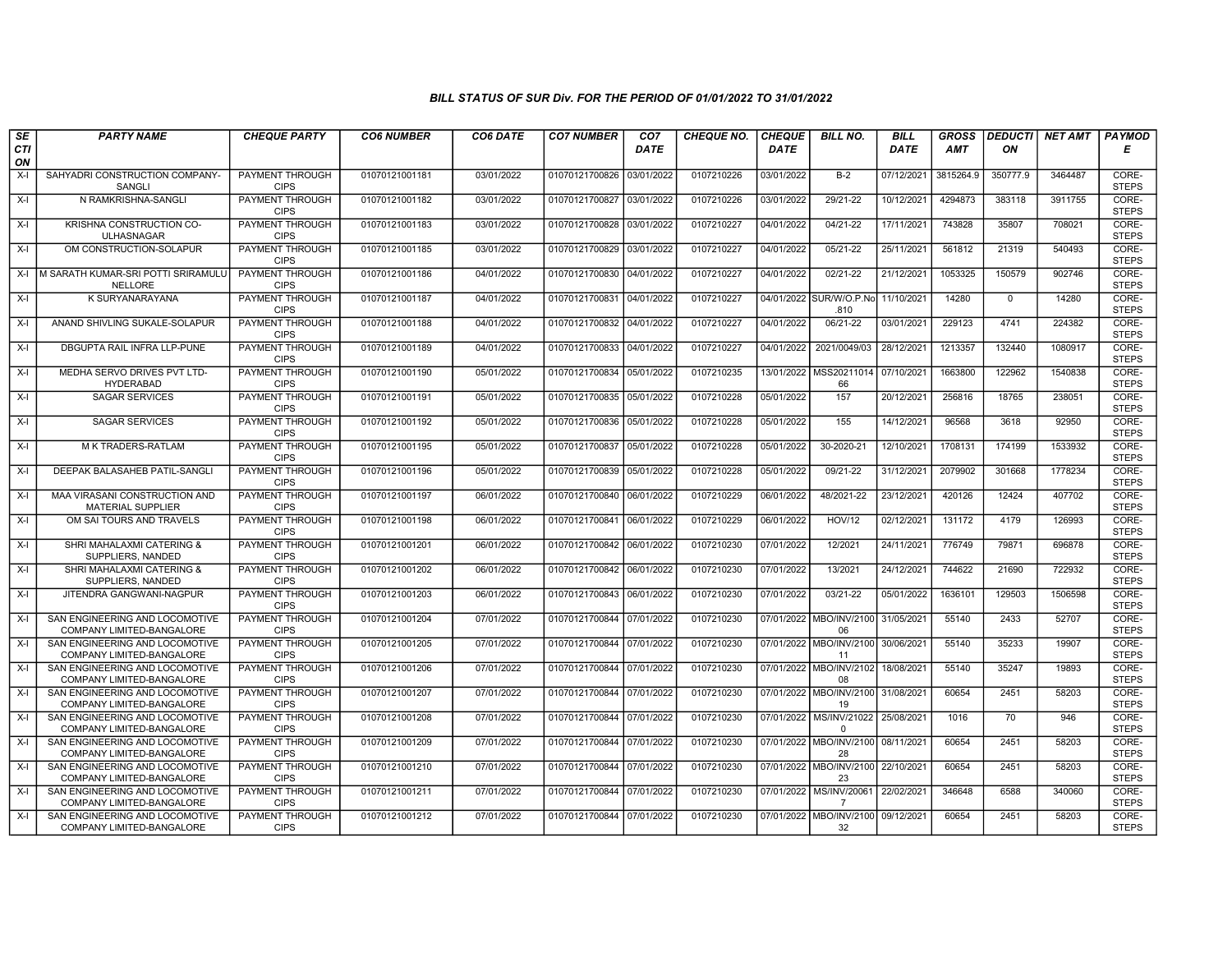| SE        | <b>PARTY NAME</b>                                           | <b>CHEQUE PARTY</b>                   | <b>CO6 NUMBER</b> | CO6 DATE   | <b>CO7 NUMBER</b>         | CO <sub>7</sub> | <b>CHEQUE NO.</b> | <b>CHEQUE</b> | <b>BILL NO.</b>                              | <b>BILL</b> | <b>GROSS</b> | <b>DEDUCTI</b> | NET AMT | <b>PAYMOD</b>         |
|-----------|-------------------------------------------------------------|---------------------------------------|-------------------|------------|---------------------------|-----------------|-------------------|---------------|----------------------------------------------|-------------|--------------|----------------|---------|-----------------------|
| CTI<br>ON |                                                             |                                       |                   |            |                           | <b>DATE</b>     |                   | <b>DATE</b>   |                                              | <b>DATE</b> | <b>AMT</b>   | ON             |         | Е                     |
| X-I       | SAHYADRI CONSTRUCTION COMPANY-<br>SANGLI                    | PAYMENT THROUGH<br><b>CIPS</b>        | 01070121001181    | 03/01/2022 | 01070121700826            | 03/01/2022      | 0107210226        | 03/01/2022    | $B-2$                                        | 07/12/2021  | 3815264.9    | 350777.9       | 3464487 | CORE-<br><b>STEPS</b> |
| $X-I$     | N RAMKRISHNA-SANGLI                                         | PAYMENT THROUGH<br><b>CIPS</b>        | 01070121001182    | 03/01/2022 | 01070121700827            | 03/01/2022      | 0107210226        | 03/01/2022    | 29/21-22                                     | 10/12/2021  | 4294873      | 383118         | 3911755 | CORE-<br><b>STEPS</b> |
| $X-I$     | KRISHNA CONSTRUCTION CO-<br><b>ULHASNAGAR</b>               | PAYMENT THROUGH<br><b>CIPS</b>        | 01070121001183    | 03/01/2022 | 01070121700828            | 03/01/2022      | 0107210227        | 04/01/2022    | 04/21-22                                     | 17/11/2021  | 743828       | 35807          | 708021  | CORE-<br><b>STEPS</b> |
| $X-I$     | OM CONSTRUCTION-SOLAPUR                                     | PAYMENT THROUGH<br><b>CIPS</b>        | 01070121001185    | 03/01/2022 | 01070121700829            | 03/01/2022      | 0107210227        | 04/01/2022    | 05/21-22                                     | 25/11/2021  | 561812       | 21319          | 540493  | CORE-<br><b>STEPS</b> |
|           | X-I IM SARATH KUMAR-SRI POTTI SRIRAMULU<br><b>NELLORE</b>   | PAYMENT THROUGH<br><b>CIPS</b>        | 01070121001186    | 04/01/2022 | 01070121700830 04/01/2022 |                 | 0107210227        | 04/01/2022    | 02/21-22                                     | 21/12/2021  | 1053325      | 150579         | 902746  | CORE-<br><b>STEPS</b> |
| X-I       | K SURYANARAYANA                                             | <b>PAYMENT THROUGH</b><br><b>CIPS</b> | 01070121001187    | 04/01/2022 | 01070121700831            | 04/01/2022      | 0107210227        |               | 04/01/2022 SUR/W/O.P.No 11/10/2021<br>.810   |             | 14280        | $\mathbf 0$    | 14280   | CORE-<br><b>STEPS</b> |
| X-I       | ANAND SHIVLING SUKALE-SOLAPUR                               | PAYMENT THROUGH<br><b>CIPS</b>        | 01070121001188    | 04/01/2022 | 01070121700832            | 04/01/2022      | 0107210227        | 04/01/2022    | 06/21-22                                     | 03/01/2021  | 229123       | 4741           | 224382  | CORE-<br><b>STEPS</b> |
| $X-I$     | DBGUPTA RAIL INFRA LLP-PUNE                                 | PAYMENT THROUGH<br><b>CIPS</b>        | 01070121001189    | 04/01/2022 | 01070121700833            | 04/01/2022      | 0107210227        | 04/01/2022    | 2021/0049/03                                 | 28/12/2021  | 1213357      | 132440         | 1080917 | CORE-<br><b>STEPS</b> |
| $X-I$     | MEDHA SERVO DRIVES PVT LTD-<br><b>HYDERABAD</b>             | PAYMENT THROUGH<br><b>CIPS</b>        | 01070121001190    | 05/01/2022 | 01070121700834            | 05/01/2022      | 0107210235        |               | 13/01/2022   MSS20211014<br>66               | 07/10/2021  | 1663800      | 122962         | 1540838 | CORE-<br><b>STEPS</b> |
| $X-I$     | <b>SAGAR SERVICES</b>                                       | PAYMENT THROUGH<br><b>CIPS</b>        | 01070121001191    | 05/01/2022 | 01070121700835 05/01/2022 |                 | 0107210228        | 05/01/2022    | 157                                          | 20/12/2021  | 256816       | 18765          | 238051  | CORE-<br><b>STEPS</b> |
| $X-I$     | <b>SAGAR SERVICES</b>                                       | PAYMENT THROUGH<br><b>CIPS</b>        | 01070121001192    | 05/01/2022 | 01070121700836            | 05/01/2022      | 0107210228        | 05/01/2022    | 155                                          | 14/12/2021  | 96568        | 3618           | 92950   | CORE-<br><b>STEPS</b> |
| X-I       | M K TRADERS-RATLAM                                          | PAYMENT THROUGH<br><b>CIPS</b>        | 01070121001195    | 05/01/2022 | 01070121700837            | 05/01/2022      | 0107210228        | 05/01/2022    | 30-2020-21                                   | 12/10/2021  | 1708131      | 174199         | 1533932 | CORE-<br><b>STEPS</b> |
| $X-I$     | DEEPAK BALASAHEB PATIL-SANGLI                               | PAYMENT THROUGH<br><b>CIPS</b>        | 01070121001196    | 05/01/2022 | 01070121700839            | 05/01/2022      | 0107210228        | 05/01/2022    | 09/21-22                                     | 31/12/2021  | 2079902      | 301668         | 1778234 | CORE-<br><b>STEPS</b> |
| X-I       | MAA VIRASANI CONSTRUCTION AND<br><b>MATERIAL SUPPLIER</b>   | <b>PAYMENT THROUGH</b><br><b>CIPS</b> | 01070121001197    | 06/01/2022 | 01070121700840 06/01/2022 |                 | 0107210229        | 06/01/2022    | 48/2021-22                                   | 23/12/2021  | 420126       | 12424          | 407702  | CORE-<br><b>STEPS</b> |
| $X-I$     | OM SAI TOURS AND TRAVELS                                    | PAYMENT THROUGH<br><b>CIPS</b>        | 01070121001198    | 06/01/2022 | 01070121700841            | 06/01/2022      | 0107210229        | 06/01/2022    | <b>HOV/12</b>                                | 02/12/2021  | 131172       | 4179           | 126993  | CORE-<br><b>STEPS</b> |
| $X-I$     | SHRI MAHALAXMI CATERING &<br>SUPPLIERS, NANDED              | PAYMENT THROUGH<br><b>CIPS</b>        | 01070121001201    | 06/01/2022 | 01070121700842 06/01/2022 |                 | 0107210230        | 07/01/2022    | 12/2021                                      | 24/11/2021  | 776749       | 79871          | 696878  | CORE-<br><b>STEPS</b> |
| $X-I$     | SHRI MAHALAXMI CATERING &<br>SUPPLIERS, NANDED              | PAYMENT THROUGH<br><b>CIPS</b>        | 01070121001202    | 06/01/2022 | 01070121700842            | 06/01/2022      | 0107210230        | 07/01/2022    | 13/2021                                      | 24/12/2021  | 744622       | 21690          | 722932  | CORE-<br><b>STEPS</b> |
| $X-I$     | JITENDRA GANGWANI-NAGPUR                                    | <b>PAYMENT THROUGH</b><br><b>CIPS</b> | 01070121001203    | 06/01/2022 | 01070121700843 06/01/2022 |                 | 0107210230        | 07/01/2022    | $03/21 - 22$                                 | 05/01/2022  | 1636101      | 129503         | 1506598 | CORE-<br><b>STEPS</b> |
| X-I       | SAN ENGINEERING AND LOCOMOTIVE<br>COMPANY LIMITED-BANGALORE | PAYMENT THROUGH<br><b>CIPS</b>        | 01070121001204    | 07/01/2022 | 01070121700844 07/01/2022 |                 | 0107210230        |               | 07/01/2022   MBO/INV/2100   31/05/2021<br>06 |             | 55140        | 2433           | 52707   | CORE-<br><b>STEPS</b> |
| $X-I$     | SAN ENGINEERING AND LOCOMOTIVE<br>COMPANY LIMITED-BANGALORE | PAYMENT THROUGH<br><b>CIPS</b>        | 01070121001205    | 07/01/2022 | 01070121700844            | 07/01/2022      | 0107210230        | 07/01/2022    | MBO/INV/2100<br>11                           | 30/06/2021  | 55140        | 35233          | 19907   | CORE-<br><b>STEPS</b> |
| X-I       | SAN ENGINEERING AND LOCOMOTIVE<br>COMPANY LIMITED-BANGALORE | PAYMENT THROUGH<br><b>CIPS</b>        | 01070121001206    | 07/01/2022 | 01070121700844            | 07/01/2022      | 0107210230        | 07/01/2022    | MBO/INV/2102 18/08/2021<br>08                |             | 55140        | 35247          | 19893   | CORE-<br><b>STEPS</b> |
| $X-I$     | SAN ENGINEERING AND LOCOMOTIVE<br>COMPANY LIMITED-BANGALORE | PAYMENT THROUGH<br><b>CIPS</b>        | 01070121001207    | 07/01/2022 | 01070121700844            | 07/01/2022      | 0107210230        | 07/01/2022    | MBO/INV/2100 31/08/2021<br>19                |             | 60654        | 2451           | 58203   | CORE-<br><b>STEPS</b> |
| $X-I$     | SAN ENGINEERING AND LOCOMOTIVE<br>COMPANY LIMITED-BANGALORE | PAYMENT THROUGH<br><b>CIPS</b>        | 01070121001208    | 07/01/2022 | 01070121700844            | 07/01/2022      | 0107210230        |               | 07/01/2022 MS/INV/21022<br>$\mathbf 0$       | 25/08/2021  | 1016         | 70             | 946     | CORE-<br><b>STEPS</b> |
| $X-I$     | SAN ENGINEERING AND LOCOMOTIVE<br>COMPANY LIMITED-BANGALORE | PAYMENT THROUGH<br><b>CIPS</b>        | 01070121001209    | 07/01/2022 | 01070121700844            | 07/01/2022      | 0107210230        |               | 07/01/2022 MBO/INV/2100 08/11/2021<br>28     |             | 60654        | 2451           | 58203   | CORE-<br><b>STEPS</b> |
| X-I       | SAN ENGINEERING AND LOCOMOTIVE<br>COMPANY LIMITED-BANGALORE | PAYMENT THROUGH<br><b>CIPS</b>        | 01070121001210    | 07/01/2022 | 01070121700844 07/01/2022 |                 | 0107210230        |               | 07/01/2022 MBO/INV/2100 22/10/2021<br>23     |             | 60654        | 2451           | 58203   | CORE-<br><b>STEPS</b> |
| X-I       | SAN ENGINEERING AND LOCOMOTIVE<br>COMPANY LIMITED-BANGALORE | <b>PAYMENT THROUGH</b><br><b>CIPS</b> | 01070121001211    | 07/01/2022 | 01070121700844            | 07/01/2022      | 0107210230        |               | 07/01/2022 MS/INV/20061<br>$\overline{7}$    | 22/02/2021  | 346648       | 6588           | 340060  | CORE-<br><b>STEPS</b> |
| $X-I$     | SAN ENGINEERING AND LOCOMOTIVE<br>COMPANY LIMITED-BANGALORE | PAYMENT THROUGH<br><b>CIPS</b>        | 01070121001212    | 07/01/2022 | 01070121700844 07/01/2022 |                 | 0107210230        | 07/01/2022    | MBO/INV/2100 09/12/2021<br>32                |             | 60654        | 2451           | 58203   | CORE-<br><b>STEPS</b> |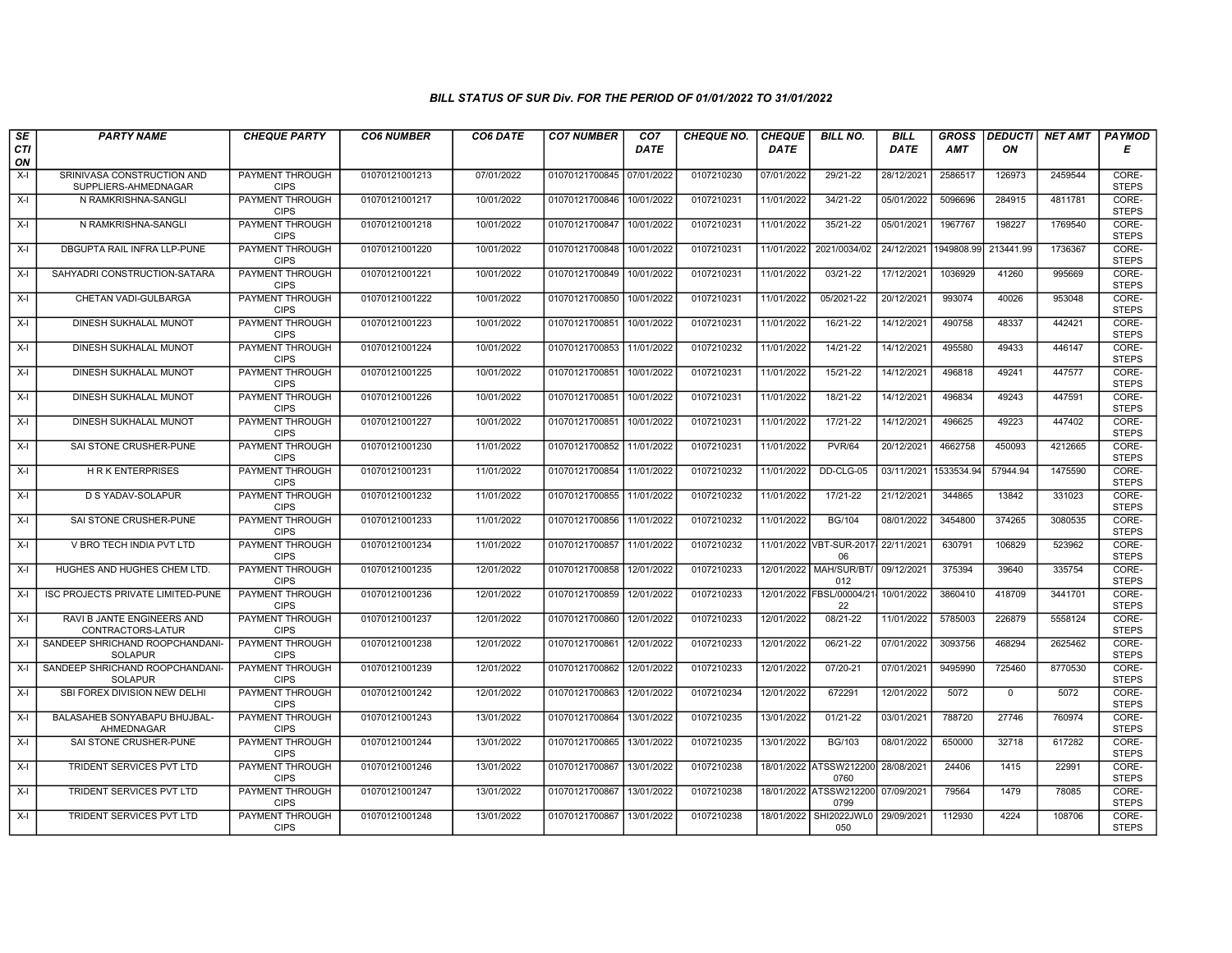| SE        | <b>PARTY NAME</b>                                  | <b>CHEQUE PARTY</b>                   | <b>CO6 NUMBER</b> | CO6 DATE   | <b>CO7 NUMBER</b>         | CO <sub>7</sub> | <b>CHEQUE NO.</b> | <b>CHEQUE</b> | <b>BILL NO.</b>                           | <b>BILL</b> | <b>GROSS</b> |              | DEDUCTI NET AMT | <b>PAYMOD</b>         |
|-----------|----------------------------------------------------|---------------------------------------|-------------------|------------|---------------------------|-----------------|-------------------|---------------|-------------------------------------------|-------------|--------------|--------------|-----------------|-----------------------|
| CTI<br>ON |                                                    |                                       |                   |            |                           | <b>DATE</b>     |                   | <b>DATE</b>   |                                           | <b>DATE</b> | <b>AMT</b>   | ON           |                 | Е                     |
| $X-I$     | SRINIVASA CONSTRUCTION AND<br>SUPPLIERS-AHMEDNAGAR | PAYMENT THROUGH<br><b>CIPS</b>        | 01070121001213    | 07/01/2022 | 01070121700845            | 07/01/2022      | 0107210230        | 07/01/2022    | 29/21-22                                  | 28/12/2021  | 2586517      | 126973       | 2459544         | CORE-<br><b>STEPS</b> |
| $X-I$     | N RAMKRISHNA-SANGLI                                | <b>PAYMENT THROUGH</b><br><b>CIPS</b> | 01070121001217    | 10/01/2022 | 01070121700846            | 10/01/2022      | 0107210231        | 11/01/2022    | 34/21-22                                  | 05/01/2022  | 5096696      | 284915       | 4811781         | CORE-<br><b>STEPS</b> |
| $X-I$     | N RAMKRISHNA-SANGLI                                | PAYMENT THROUGH<br><b>CIPS</b>        | 01070121001218    | 10/01/2022 | 01070121700847            | 10/01/2022      | 0107210231        | 11/01/2022    | 35/21-22                                  | 05/01/2021  | 1967767      | 198227       | 1769540         | CORE-<br><b>STEPS</b> |
| $X-I$     | DBGUPTA RAIL INFRA LLP-PUNE                        | <b>PAYMENT THROUGH</b><br><b>CIPS</b> | 01070121001220    | 10/01/2022 | 01070121700848            | 10/01/2022      | 0107210231        | 11/01/2022    | 2021/0034/02                              | 24/12/2021  | 1949808.99   | 213441.99    | 1736367         | CORE-<br><b>STEPS</b> |
| $X-I$     | SAHYADRI CONSTRUCTION-SATARA                       | <b>PAYMENT THROUGH</b><br><b>CIPS</b> | 01070121001221    | 10/01/2022 | 01070121700849            | 10/01/2022      | 0107210231        | 11/01/2022    | $03/21 - 22$                              | 17/12/2021  | 1036929      | 41260        | 995669          | CORE-<br><b>STEPS</b> |
| $X-I$     | CHETAN VADI-GULBARGA                               | <b>PAYMENT THROUGH</b><br><b>CIPS</b> | 01070121001222    | 10/01/2022 | 01070121700850            | 10/01/2022      | 0107210231        | 11/01/2022    | 05/2021-22                                | 20/12/2021  | 993074       | 40026        | 953048          | CORE-<br><b>STEPS</b> |
| $X-I$     | DINESH SUKHALAL MUNOT                              | PAYMENT THROUGH<br><b>CIPS</b>        | 01070121001223    | 10/01/2022 | 01070121700851            | 10/01/2022      | 0107210231        | 11/01/2022    | 16/21-22                                  | 14/12/2021  | 490758       | 48337        | 442421          | CORE-<br><b>STEPS</b> |
| $X-I$     | DINESH SUKHALAL MUNOT                              | PAYMENT THROUGH<br><b>CIPS</b>        | 01070121001224    | 10/01/2022 | 01070121700853            | 11/01/2022      | 0107210232        | 11/01/2022    | 14/21-22                                  | 14/12/2021  | 495580       | 49433        | 446147          | CORE-<br><b>STEPS</b> |
| $X-I$     | DINESH SUKHALAL MUNOT                              | <b>PAYMENT THROUGH</b><br><b>CIPS</b> | 01070121001225    | 10/01/2022 | 01070121700851            | 10/01/2022      | 0107210231        | 11/01/2022    | 15/21-22                                  | 14/12/2021  | 496818       | 49241        | 447577          | CORE-<br><b>STEPS</b> |
| $X-I$     | DINESH SUKHALAL MUNOT                              | <b>PAYMENT THROUGH</b><br><b>CIPS</b> | 01070121001226    | 10/01/2022 | 01070121700851            | 10/01/2022      | 0107210231        | 11/01/2022    | 18/21-22                                  | 14/12/2021  | 496834       | 49243        | 447591          | CORE-<br><b>STEPS</b> |
| $X-I$     | DINESH SUKHALAL MUNOT                              | PAYMENT THROUGH<br><b>CIPS</b>        | 01070121001227    | 10/01/2022 | 01070121700851            | 10/01/2022      | 0107210231        | 11/01/2022    | 17/21-22                                  | 14/12/2021  | 496625       | 49223        | 447402          | CORE-<br><b>STEPS</b> |
| $X-I$     | SAI STONE CRUSHER-PUNE                             | PAYMENT THROUGH<br><b>CIPS</b>        | 01070121001230    | 11/01/2022 | 01070121700852 11/01/2022 |                 | 0107210231        | 11/01/2022    | <b>PVR/64</b>                             | 20/12/2021  | 4662758      | 450093       | 4212665         | CORE-<br><b>STEPS</b> |
| $X-I$     | <b>HRK ENTERPRISES</b>                             | <b>PAYMENT THROUGH</b><br><b>CIPS</b> | 01070121001231    | 11/01/2022 | 01070121700854 11/01/2022 |                 | 0107210232        | 11/01/2022    | DD-CLG-05                                 | 03/11/2021  | 1533534.94   | 57944.94     | 1475590         | CORE-<br><b>STEPS</b> |
| $X-I$     | <b>D S YADAV-SOLAPUR</b>                           | <b>PAYMENT THROUGH</b><br><b>CIPS</b> | 01070121001232    | 11/01/2022 | 01070121700855 11/01/2022 |                 | 0107210232        | 11/01/2022    | $17/21 - 22$                              | 21/12/2021  | 344865       | 13842        | 331023          | CORE-<br><b>STEPS</b> |
| $X-I$     | SAI STONE CRUSHER-PUNE                             | PAYMENT THROUGH<br><b>CIPS</b>        | 01070121001233    | 11/01/2022 | 01070121700856            | 11/01/2022      | 0107210232        | 11/01/2022    | <b>BG/104</b>                             | 08/01/2022  | 3454800      | 374265       | 3080535         | CORE-<br><b>STEPS</b> |
| $X-I$     | V BRO TECH INDIA PVT LTD                           | PAYMENT THROUGH<br><b>CIPS</b>        | 01070121001234    | 11/01/2022 | 01070121700857            | 11/01/2022      | 0107210232        |               | 11/01/2022 VBT-SUR-2017-<br>06            | 22/11/2021  | 630791       | 106829       | 523962          | CORE-<br><b>STEPS</b> |
| $X-I$     | HUGHES AND HUGHES CHEM LTD.                        | <b>PAYMENT THROUGH</b><br><b>CIPS</b> | 01070121001235    | 12/01/2022 | 01070121700858 12/01/2022 |                 | 0107210233        |               | 12/01/2022 MAH/SUR/BT/<br>012             | 09/12/2021  | 375394       | 39640        | 335754          | CORE-<br><b>STEPS</b> |
| $X-I$     | ISC PROJECTS PRIVATE LIMITED-PUNE                  | <b>PAYMENT THROUGH</b><br><b>CIPS</b> | 01070121001236    | 12/01/2022 | 01070121700859            | 12/01/2022      | 0107210233        |               | 12/01/2022 FBSL/00004/21<br>22            | 10/01/2022  | 3860410      | 418709       | 3441701         | CORE-<br><b>STEPS</b> |
| $X-I$     | RAVI B JANTE ENGINEERS AND<br>CONTRACTORS-LATUR    | PAYMENT THROUGH<br><b>CIPS</b>        | 01070121001237    | 12/01/2022 | 01070121700860            | 12/01/2022      | 0107210233        | 12/01/2022    | 08/21-22                                  | 11/01/2022  | 5785003      | 226879       | 5558124         | CORE-<br><b>STEPS</b> |
| $X-I$     | SANDEEP SHRICHAND ROOPCHANDANI-<br><b>SOLAPUR</b>  | PAYMENT THROUGH<br><b>CIPS</b>        | 01070121001238    | 12/01/2022 | 01070121700861            | 12/01/2022      | 0107210233        | 12/01/2022    | 06/21-22                                  | 07/01/2022  | 3093756      | 468294       | 2625462         | CORE-<br><b>STEPS</b> |
| $X-I$     | SANDEEP SHRICHAND ROOPCHANDANI-<br><b>SOLAPUR</b>  | <b>PAYMENT THROUGH</b><br><b>CIPS</b> | 01070121001239    | 12/01/2022 | 01070121700862            | 12/01/2022      | 0107210233        | 12/01/2022    | 07/20-21                                  | 07/01/2021  | 9495990      | 725460       | 8770530         | CORE-<br><b>STEPS</b> |
| $X-I$     | SBI FOREX DIVISION NEW DELHI                       | PAYMENT THROUGH<br><b>CIPS</b>        | 01070121001242    | 12/01/2022 | 01070121700863 12/01/2022 |                 | 0107210234        | 12/01/2022    | 672291                                    | 12/01/2022  | 5072         | $\mathbf{0}$ | 5072            | CORE-<br><b>STEPS</b> |
| $X-I$     | BALASAHEB SONYABAPU BHUJBAL-<br>AHMEDNAGAR         | PAYMENT THROUGH<br><b>CIPS</b>        | 01070121001243    | 13/01/2022 | 01070121700864            | 13/01/2022      | 0107210235        | 13/01/2022    | 01/21-22                                  | 03/01/2021  | 788720       | 27746        | 760974          | CORE-<br><b>STEPS</b> |
| $X-I$     | SAI STONE CRUSHER-PUNE                             | PAYMENT THROUGH<br><b>CIPS</b>        | 01070121001244    | 13/01/2022 | 01070121700865            | 13/01/2022      | 0107210235        | 13/01/2022    | <b>BG/103</b>                             | 08/01/2022  | 650000       | 32718        | 617282          | CORE-<br><b>STEPS</b> |
| $X-I$     | TRIDENT SERVICES PVT LTD                           | PAYMENT THROUGH<br><b>CIPS</b>        | 01070121001246    | 13/01/2022 | 01070121700867            | 13/01/2022      | 0107210238        |               | 18/01/2022 ATSSW212200<br>0760            | 28/08/2021  | 24406        | 1415         | 22991           | CORE-<br><b>STEPS</b> |
| $X-I$     | TRIDENT SERVICES PVT LTD                           | <b>PAYMENT THROUGH</b><br><b>CIPS</b> | 01070121001247    | 13/01/2022 | 01070121700867            | 13/01/2022      | 0107210238        |               | 18/01/2022 ATSSW212200 07/09/2021<br>0799 |             | 79564        | 1479         | 78085           | CORE-<br><b>STEPS</b> |
| $X-I$     | TRIDENT SERVICES PVT LTD                           | PAYMENT THROUGH<br><b>CIPS</b>        | 01070121001248    | 13/01/2022 | 01070121700867            | 13/01/2022      | 0107210238        | 18/01/2022    | SHI2022JWL0<br>050                        | 29/09/2021  | 112930       | 4224         | 108706          | CORE-<br><b>STEPS</b> |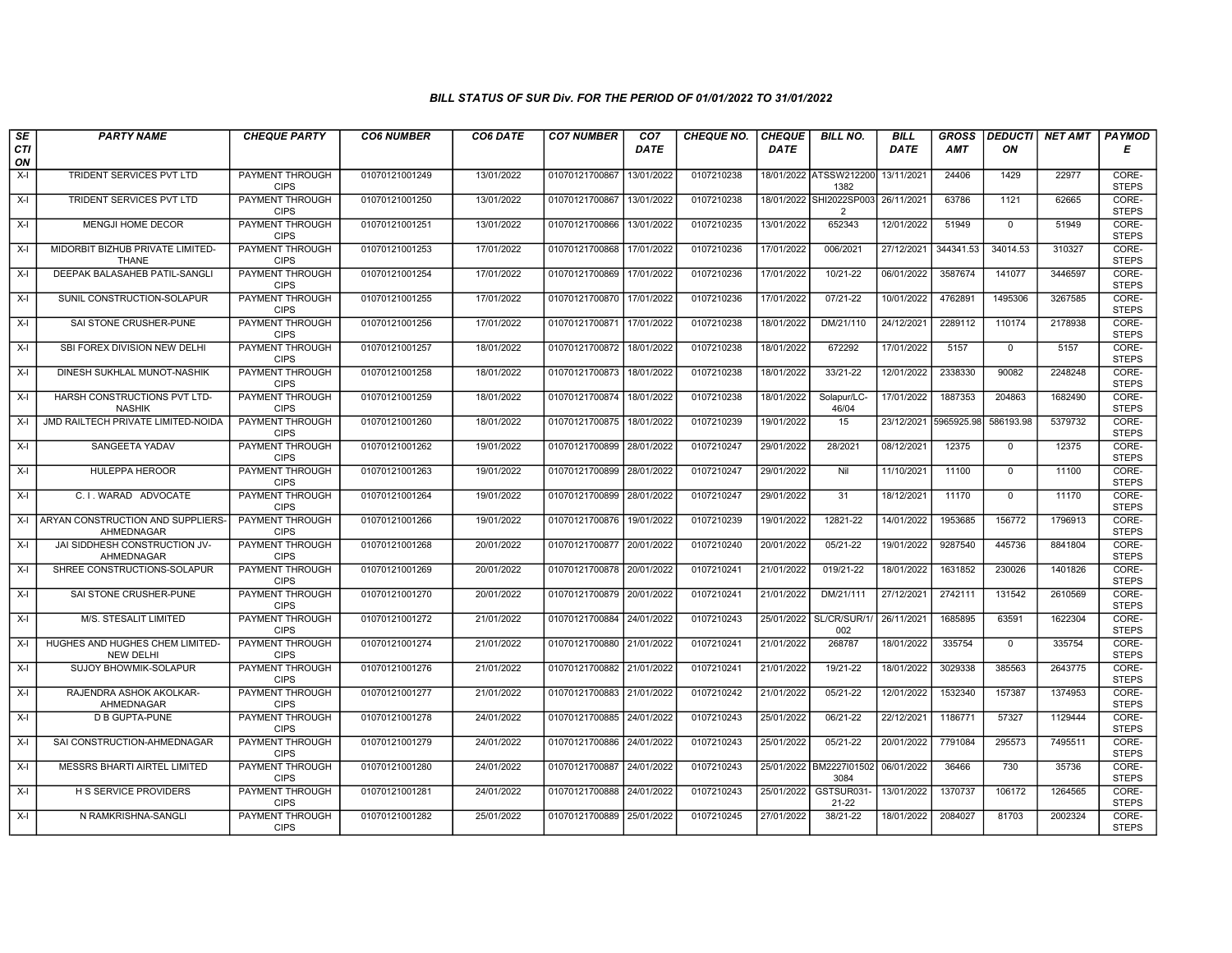| SE        | <b>PARTY NAME</b>                                   | <b>CHEQUE PARTY</b>                   | <b>CO6 NUMBER</b> | CO6 DATE   | <b>CO7 NUMBER</b>         | CO <sub>7</sub> | <b>CHEQUE NO.</b> | <b>CHEQUE</b> | <b>BILL NO.</b>                 | <b>BILL</b> | <b>GROSS</b> | <b>DEDUCTI</b> | <b>NET AMT</b> | <b>PAYMOD</b>         |
|-----------|-----------------------------------------------------|---------------------------------------|-------------------|------------|---------------------------|-----------------|-------------------|---------------|---------------------------------|-------------|--------------|----------------|----------------|-----------------------|
| CTI<br>ON |                                                     |                                       |                   |            |                           | <b>DATE</b>     |                   | <b>DATE</b>   |                                 | <b>DATE</b> | <b>AMT</b>   | ON             |                | Е                     |
| $X-I$     | TRIDENT SERVICES PVT LTD                            | <b>PAYMENT THROUGH</b><br><b>CIPS</b> | 01070121001249    | 13/01/2022 | 01070121700867            | 13/01/2022      | 0107210238        |               | 18/01/2022 ATSSW212200<br>1382  | 13/11/2021  | 24406        | 1429           | 22977          | CORE-<br><b>STEPS</b> |
| $X-I$     | <b>TRIDENT SERVICES PVT LTD</b>                     | <b>PAYMENT THROUGH</b><br><b>CIPS</b> | 01070121001250    | 13/01/2022 | 01070121700867            | 13/01/2022      | 0107210238        |               | 18/01/2022 SHI2022SP003<br>2    | 26/11/2021  | 63786        | 1121           | 62665          | CORE-<br><b>STEPS</b> |
| $X-I$     | MENGJI HOME DECOR                                   | <b>PAYMENT THROUGH</b><br><b>CIPS</b> | 01070121001251    | 13/01/2022 | 01070121700866            | 13/01/2022      | 0107210235        | 13/01/2022    | 652343                          | 12/01/2022  | 51949        | $\mathbf 0$    | 51949          | CORE-<br><b>STEPS</b> |
| $X-I$     | MIDORBIT BIZHUB PRIVATE LIMITED-<br>THANE           | <b>PAYMENT THROUGH</b><br><b>CIPS</b> | 01070121001253    | 17/01/2022 | 01070121700868            | 17/01/2022      | 0107210236        | 17/01/2022    | 006/2021                        | 27/12/2021  | 344341.53    | 34014.53       | 310327         | CORE-<br><b>STEPS</b> |
| $X-I$     | DEEPAK BALASAHEB PATIL-SANGLI                       | <b>PAYMENT THROUGH</b><br><b>CIPS</b> | 01070121001254    | 17/01/2022 | 01070121700869 17/01/2022 |                 | 0107210236        | 17/01/2022    | $10/21 - 22$                    | 06/01/2022  | 3587674      | 141077         | 3446597        | CORE-<br><b>STEPS</b> |
| $X-I$     | SUNIL CONSTRUCTION-SOLAPUR                          | <b>PAYMENT THROUGH</b><br><b>CIPS</b> | 01070121001255    | 17/01/2022 | 01070121700870 17/01/2022 |                 | 0107210236        | 17/01/2022    | $07/21 - 22$                    | 10/01/2022  | 4762891      | 1495306        | 3267585        | CORE-<br><b>STEPS</b> |
| $X-I$     | SAI STONE CRUSHER-PUNE                              | PAYMENT THROUGH<br><b>CIPS</b>        | 01070121001256    | 17/01/2022 | 01070121700871 17/01/2022 |                 | 0107210238        | 18/01/2022    | DM/21/110                       | 24/12/2021  | 2289112      | 110174         | 2178938        | CORE-<br><b>STEPS</b> |
| $X-I$     | SBI FOREX DIVISION NEW DELHI                        | <b>PAYMENT THROUGH</b><br><b>CIPS</b> | 01070121001257    | 18/01/2022 | 01070121700872 18/01/2022 |                 | 0107210238        | 18/01/2022    | 672292                          | 17/01/2022  | 5157         | $\mathsf{O}$   | 5157           | CORE-<br><b>STEPS</b> |
| $X-I$     | DINESH SUKHLAL MUNOT-NASHIK                         | <b>PAYMENT THROUGH</b><br><b>CIPS</b> | 01070121001258    | 18/01/2022 | 01070121700873            | 18/01/2022      | 0107210238        | 18/01/2022    | 33/21-22                        | 12/01/2022  | 2338330      | 90082          | 2248248        | CORE-<br><b>STEPS</b> |
| $X-I$     | HARSH CONSTRUCTIONS PVT LTD-<br><b>NASHIK</b>       | <b>PAYMENT THROUGH</b><br><b>CIPS</b> | 01070121001259    | 18/01/2022 | 01070121700874 18/01/2022 |                 | 0107210238        | 18/01/2022    | Solapur/LC-<br>46/04            | 17/01/2022  | 1887353      | 204863         | 1682490        | CORE-<br><b>STEPS</b> |
| $X-I$     | JMD RAILTECH PRIVATE LIMITED-NOIDA                  | <b>PAYMENT THROUGH</b><br><b>CIPS</b> | 01070121001260    | 18/01/2022 | 01070121700875            | 18/01/2022      | 0107210239        | 19/01/2022    | 15                              | 23/12/2021  | 5965925.98   | 586193.98      | 5379732        | CORE-<br><b>STEPS</b> |
| $X-I$     | <b>SANGEETA YADAV</b>                               | PAYMENT THROUGH<br><b>CIPS</b>        | 01070121001262    | 19/01/2022 | 01070121700899            | 28/01/2022      | 0107210247        | 29/01/2022    | 28/2021                         | 08/12/2021  | 12375        | 0              | 12375          | CORE-<br><b>STEPS</b> |
| $X-I$     | <b>HULEPPA HEROOR</b>                               | PAYMENT THROUGH<br><b>CIPS</b>        | 01070121001263    | 19/01/2022 | 01070121700899            | 28/01/2022      | 0107210247        | 29/01/2022    | Nil                             | 11/10/2021  | 11100        | $\Omega$       | 11100          | CORE-<br><b>STEPS</b> |
| $X-I$     | C. I. WARAD ADVOCATE                                | <b>PAYMENT THROUGH</b><br><b>CIPS</b> | 01070121001264    | 19/01/2022 | 01070121700899 28/01/2022 |                 | 0107210247        | 29/01/2022    | $\overline{31}$                 | 18/12/2021  | 11170        | $\mathbf 0$    | 11170          | CORE-<br><b>STEPS</b> |
| $X-I$     | ARYAN CONSTRUCTION AND SUPPLIERS-<br>AHMEDNAGAR     | <b>PAYMENT THROUGH</b><br><b>CIPS</b> | 01070121001266    | 19/01/2022 | 01070121700876            | 19/01/2022      | 0107210239        | 19/01/2022    | 12821-22                        | 14/01/2022  | 1953685      | 156772         | 1796913        | CORE-<br><b>STEPS</b> |
| $X-I$     | JAI SIDDHESH CONSTRUCTION JV-<br>AHMEDNAGAR         | PAYMENT THROUGH<br><b>CIPS</b>        | 01070121001268    | 20/01/2022 | 01070121700877 20/01/2022 |                 | 0107210240        | 20/01/2022    | 05/21-22                        | 19/01/2022  | 9287540      | 445736         | 8841804        | CORE-<br><b>STEPS</b> |
| $X-I$     | SHREE CONSTRUCTIONS-SOLAPUR                         | PAYMENT THROUGH<br><b>CIPS</b>        | 01070121001269    | 20/01/2022 | 01070121700878 20/01/2022 |                 | 0107210241        | 21/01/2022    | 019/21-22                       | 18/01/2022  | 1631852      | 230026         | 1401826        | CORE-<br><b>STEPS</b> |
| $X-I$     | SAI STONE CRUSHER-PUNE                              | <b>PAYMENT THROUGH</b><br><b>CIPS</b> | 01070121001270    | 20/01/2022 | 01070121700879            | 20/01/2022      | 0107210241        | 21/01/2022    | DM/21/111                       | 27/12/2021  | 2742111      | 131542         | 2610569        | CORE-<br><b>STEPS</b> |
| X-I       | M/S. STESALIT LIMITED                               | <b>PAYMENT THROUGH</b><br><b>CIPS</b> | 01070121001272    | 21/01/2022 | 01070121700884            | 24/01/2022      | 0107210243        |               | 25/01/2022 SL/CR/SUR/1/<br>002  | 26/11/2021  | 1685895      | 63591          | 1622304        | CORE-<br><b>STEPS</b> |
| $X-I$     | HUGHES AND HUGHES CHEM LIMITED-<br><b>NEW DELHI</b> | PAYMENT THROUGH<br><b>CIPS</b>        | 01070121001274    | 21/01/2022 | 01070121700880 21/01/2022 |                 | 0107210241        | 21/01/2022    | 268787                          | 18/01/2022  | 335754       | $\mathbf 0$    | 335754         | CORE-<br><b>STEPS</b> |
| $X-I$     | SUJOY BHOWMIK-SOLAPUR                               | PAYMENT THROUGH<br><b>CIPS</b>        | 01070121001276    | 21/01/2022 | 01070121700882 21/01/2022 |                 | 0107210241        | 21/01/2022    | 19/21-22                        | 18/01/2022  | 3029338      | 385563         | 2643775        | CORE-<br><b>STEPS</b> |
| $X-I$     | RAJENDRA ASHOK AKOLKAR-<br>AHMEDNAGAR               | <b>PAYMENT THROUGH</b><br><b>CIPS</b> | 01070121001277    | 21/01/2022 | 01070121700883            | 21/01/2022      | 0107210242        | 21/01/2022    | $05/21-22$                      | 12/01/2022  | 1532340      | 157387         | 1374953        | CORE-<br><b>STEPS</b> |
| $X-I$     | <b>D B GUPTA-PUNE</b>                               | PAYMENT THROUGH<br><b>CIPS</b>        | 01070121001278    | 24/01/2022 | 01070121700885            | 24/01/2022      | 0107210243        | 25/01/2022    | 06/21-22                        | 22/12/2021  | 1186771      | 57327          | 1129444        | CORE-<br><b>STEPS</b> |
| $X-I$     | SAI CONSTRUCTION-AHMEDNAGAR                         | PAYMENT THROUGH<br><b>CIPS</b>        | 01070121001279    | 24/01/2022 | 01070121700886            | 24/01/2022      | 0107210243        | 25/01/2022    | $05/21-22$                      | 20/01/2022  | 7791084      | 295573         | 7495511        | CORE-<br><b>STEPS</b> |
| $X-I$     | <b>MESSRS BHARTI AIRTEL LIMITED</b>                 | <b>PAYMENT THROUGH</b><br><b>CIPS</b> | 01070121001280    | 24/01/2022 | 01070121700887            | 24/01/2022      | 0107210243        |               | 25/01/2022 BM2227101502<br>3084 | 06/01/2022  | 36466        | 730            | 35736          | CORE-<br><b>STEPS</b> |
| $X-I$     | <b>H S SERVICE PROVIDERS</b>                        | <b>PAYMENT THROUGH</b><br><b>CIPS</b> | 01070121001281    | 24/01/2022 | 01070121700888 24/01/2022 |                 | 0107210243        | 25/01/2022    | GSTSUR031-<br>$21 - 22$         | 13/01/2022  | 1370737      | 106172         | 1264565        | CORE-<br><b>STEPS</b> |
| $X-I$     | N RAMKRISHNA-SANGLI                                 | PAYMENT THROUGH<br><b>CIPS</b>        | 01070121001282    | 25/01/2022 | 01070121700889            | 25/01/2022      | 0107210245        | 27/01/2022    | 38/21-22                        | 18/01/2022  | 2084027      | 81703          | 2002324        | CORE-<br><b>STEPS</b> |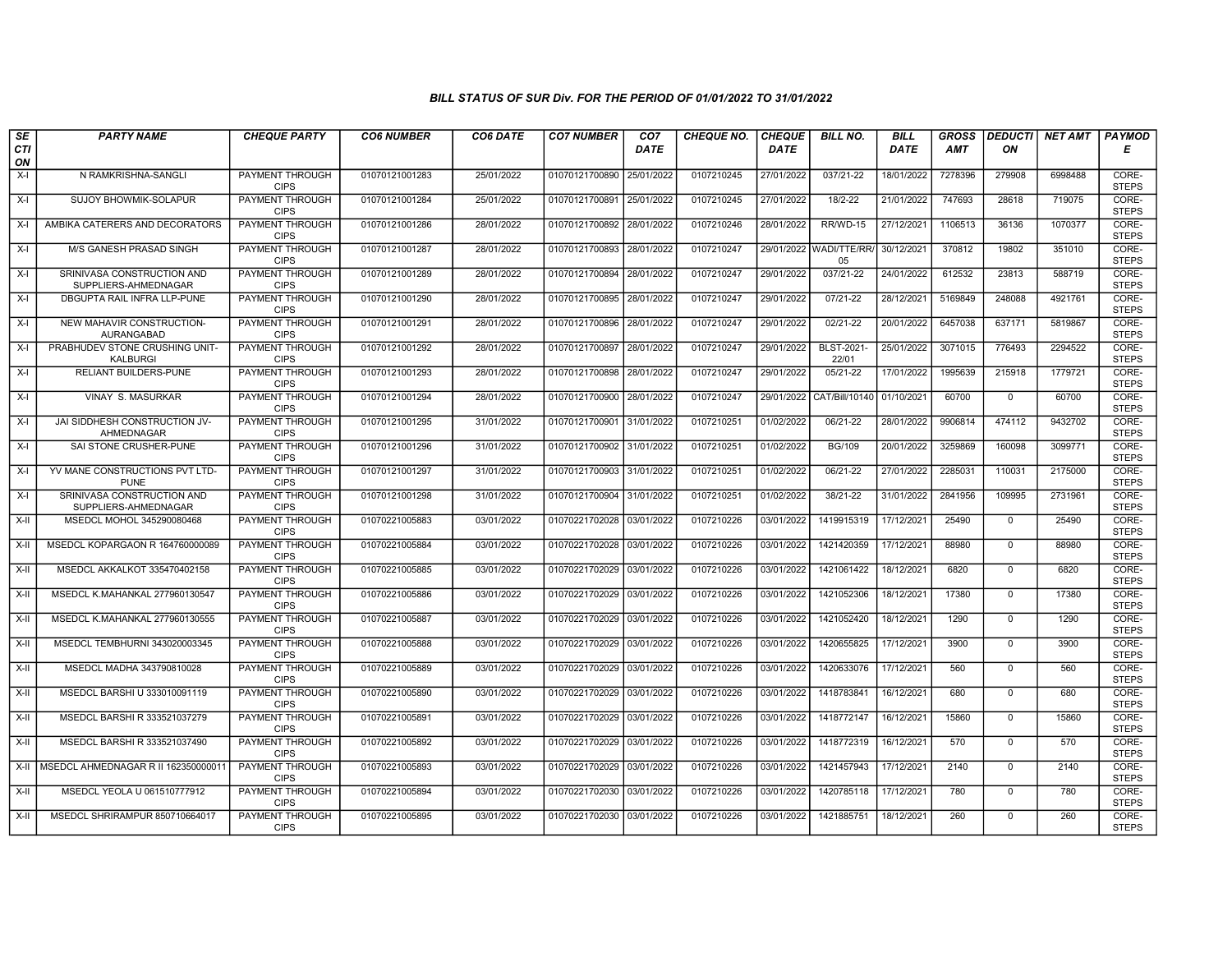| SE        | <b>PARTY NAME</b>                                  | <b>CHEQUE PARTY</b>                   | <b>CO6 NUMBER</b> | CO6 DATE   | <b>CO7 NUMBER</b>         | CO <sub>7</sub> | <b>CHEQUE NO.</b> | <b>CHEQUE</b> | <b>BILL NO.</b>           | <b>BILL</b> | <b>GROSS</b> |                | DEDUCTI NET AMT | <b>PAYMOD</b>         |
|-----------|----------------------------------------------------|---------------------------------------|-------------------|------------|---------------------------|-----------------|-------------------|---------------|---------------------------|-------------|--------------|----------------|-----------------|-----------------------|
| CTI<br>ON |                                                    |                                       |                   |            |                           | <b>DATE</b>     |                   | <b>DATE</b>   |                           | <b>DATE</b> | <b>AMT</b>   | ON             |                 | Е                     |
| $X-I$     | N RAMKRISHNA-SANGLI                                | PAYMENT THROUGH<br><b>CIPS</b>        | 01070121001283    | 25/01/2022 | 01070121700890            | 25/01/2022      | 0107210245        | 27/01/2022    | 037/21-22                 | 18/01/2022  | 7278396      | 279908         | 6998488         | CORE-<br><b>STEPS</b> |
| $X-I$     | <b>SUJOY BHOWMIK-SOLAPUR</b>                       | <b>PAYMENT THROUGH</b><br><b>CIPS</b> | 01070121001284    | 25/01/2022 | 01070121700891            | 25/01/2022      | 0107210245        | 27/01/2022    | $18/2 - 22$               | 21/01/2022  | 747693       | 28618          | 719075          | CORE-<br><b>STEPS</b> |
| $X-I$     | AMBIKA CATERERS AND DECORATORS                     | PAYMENT THROUGH<br><b>CIPS</b>        | 01070121001286    | 28/01/2022 | 01070121700892            | 28/01/2022      | 0107210246        | 28/01/2022    | RR/WD-15                  | 27/12/2021  | 1106513      | 36136          | 1070377         | CORE-<br><b>STEPS</b> |
| $X-I$     | M/S GANESH PRASAD SINGH                            | <b>PAYMENT THROUGH</b><br><b>CIPS</b> | 01070121001287    | 28/01/2022 | 01070121700893            | 28/01/2022      | 0107210247        | 29/01/2022    | WADI/TTE/RR/<br>05        | 30/12/2021  | 370812       | 19802          | 351010          | CORE-<br><b>STEPS</b> |
| $X-I$     | SRINIVASA CONSTRUCTION AND<br>SUPPLIERS-AHMEDNAGAR | <b>PAYMENT THROUGH</b><br><b>CIPS</b> | 01070121001289    | 28/01/2022 | 01070121700894            | 28/01/2022      | 0107210247        | 29/01/2022    | 037/21-22                 | 24/01/2022  | 612532       | 23813          | 588719          | CORE-<br><b>STEPS</b> |
| $X-I$     | <b>DBGUPTA RAIL INFRA LLP-PUNE</b>                 | <b>PAYMENT THROUGH</b><br><b>CIPS</b> | 01070121001290    | 28/01/2022 | 01070121700895            | 28/01/2022      | 0107210247        | 29/01/2022    | $07/21 - 22$              | 28/12/2021  | 5169849      | 248088         | 4921761         | CORE-<br><b>STEPS</b> |
| $X-I$     | NEW MAHAVIR CONSTRUCTION-<br>AURANGABAD            | PAYMENT THROUGH<br><b>CIPS</b>        | 01070121001291    | 28/01/2022 | 01070121700896            | 28/01/2022      | 0107210247        | 29/01/2022    | $02/21-22$                | 20/01/2022  | 6457038      | 637171         | 5819867         | CORE-<br><b>STEPS</b> |
| $X-I$     | PRABHUDEV STONE CRUSHING UNIT-<br><b>KALBURGI</b>  | PAYMENT THROUGH<br><b>CIPS</b>        | 01070121001292    | 28/01/2022 | 01070121700897            | 28/01/2022      | 0107210247        | 29/01/2022    | BLST-2021-<br>22/01       | 25/01/2022  | 3071015      | 776493         | 2294522         | CORE-<br><b>STEPS</b> |
| $X-I$     | <b>RELIANT BUILDERS-PUNE</b>                       | <b>PAYMENT THROUGH</b><br><b>CIPS</b> | 01070121001293    | 28/01/2022 | 01070121700898            | 28/01/2022      | 0107210247        | 29/01/2022    | $05/21-22$                | 17/01/2022  | 1995639      | 215918         | 1779721         | CORE-<br><b>STEPS</b> |
| X-I       | VINAY S. MASURKAR                                  | <b>PAYMENT THROUGH</b><br><b>CIPS</b> | 01070121001294    | 28/01/2022 | 01070121700900 28/01/2022 |                 | 0107210247        |               | 29/01/2022 CAT/Bill/10140 | 01/10/2021  | 60700        | $\mathbf 0$    | 60700           | CORE-<br><b>STEPS</b> |
| $X-I$     | JAI SIDDHESH CONSTRUCTION JV-<br>AHMEDNAGAR        | PAYMENT THROUGH<br><b>CIPS</b>        | 01070121001295    | 31/01/2022 | 01070121700901            | 31/01/2022      | 0107210251        | 01/02/2022    | 06/21-22                  | 28/01/2022  | 9906814      | 474112         | 9432702         | CORE-<br><b>STEPS</b> |
| $X-I$     | SAI STONE CRUSHER-PUNE                             | PAYMENT THROUGH<br><b>CIPS</b>        | 01070121001296    | 31/01/2022 | 01070121700902            | 31/01/2022      | 0107210251        | 01/02/2022    | <b>BG/109</b>             | 20/01/2022  | 3259869      | 160098         | 3099771         | CORE-<br><b>STEPS</b> |
| $X-I$     | YV MANE CONSTRUCTIONS PVT LTD-<br><b>PUNE</b>      | <b>PAYMENT THROUGH</b><br><b>CIPS</b> | 01070121001297    | 31/01/2022 | 01070121700903 31/01/2022 |                 | 0107210251        | 01/02/2022    | 06/21-22                  | 27/01/2022  | 2285031      | 110031         | 2175000         | CORE-<br><b>STEPS</b> |
| $X-I$     | SRINIVASA CONSTRUCTION AND<br>SUPPLIERS-AHMEDNAGAR | <b>PAYMENT THROUGH</b><br><b>CIPS</b> | 01070121001298    | 31/01/2022 | 01070121700904            | 31/01/2022      | 0107210251        | 01/02/2022    | 38/21-22                  | 31/01/2022  | 2841956      | 109995         | 2731961         | CORE-<br><b>STEPS</b> |
| X-II      | MSEDCL MOHOL 345290080468                          | PAYMENT THROUGH<br><b>CIPS</b>        | 01070221005883    | 03/01/2022 | 01070221702028            | 03/01/2022      | 0107210226        | 03/01/2022    | 1419915319                | 17/12/2021  | 25490        | $\mathbf{0}$   | 25490           | CORE-<br><b>STEPS</b> |
| $X-II$    | MSEDCL KOPARGAON R 164760000089                    | PAYMENT THROUGH<br><b>CIPS</b>        | 01070221005884    | 03/01/2022 | 01070221702028            | 03/01/2022      | 0107210226        | 03/01/2022    | 1421420359                | 17/12/2021  | 88980        | $\overline{0}$ | 88980           | CORE-<br><b>STEPS</b> |
| X-II      | MSEDCL AKKALKOT 335470402158                       | <b>PAYMENT THROUGH</b><br><b>CIPS</b> | 01070221005885    | 03/01/2022 | 01070221702029            | 03/01/2022      | 0107210226        | 03/01/2022    | 1421061422                | 18/12/2021  | 6820         | $\mathbf{0}$   | 6820            | CORE-<br><b>STEPS</b> |
| X-II      | MSEDCL K.MAHANKAL 277960130547                     | <b>PAYMENT THROUGH</b><br><b>CIPS</b> | 01070221005886    | 03/01/2022 | 01070221702029            | 03/01/2022      | 0107210226        | 03/01/2022    | 1421052306                | 18/12/2021  | 17380        | $\mathbf 0$    | 17380           | CORE-<br><b>STEPS</b> |
| X-II      | MSEDCL K.MAHANKAL 277960130555                     | PAYMENT THROUGH<br><b>CIPS</b>        | 01070221005887    | 03/01/2022 | 01070221702029            | 03/01/2022      | 0107210226        | 03/01/2022    | 1421052420                | 18/12/2021  | 1290         | $\mathbf 0$    | 1290            | CORE-<br><b>STEPS</b> |
| X-II      | MSEDCL TEMBHURNI 343020003345                      | <b>PAYMENT THROUGH</b><br><b>CIPS</b> | 01070221005888    | 03/01/2022 | 01070221702029            | 03/01/2022      | 0107210226        | 03/01/2022    | 1420655825                | 17/12/2021  | 3900         | $\mathbf{0}$   | 3900            | CORE-<br><b>STEPS</b> |
| X-II      | MSEDCL MADHA 343790810028                          | <b>PAYMENT THROUGH</b><br><b>CIPS</b> | 01070221005889    | 03/01/2022 | 01070221702029            | 03/01/2022      | 0107210226        | 03/01/2022    | 1420633076                | 17/12/2021  | 560          | $\mathbf 0$    | 560             | CORE-<br><b>STEPS</b> |
| X-II      | MSEDCL BARSHI U 333010091119                       | <b>PAYMENT THROUGH</b><br><b>CIPS</b> | 01070221005890    | 03/01/2022 | 01070221702029            | 03/01/2022      | 0107210226        | 03/01/2022    | 1418783841                | 16/12/2021  | 680          | $\mathbf 0$    | 680             | CORE-<br><b>STEPS</b> |
| X-II      | MSEDCL BARSHI R 333521037279                       | PAYMENT THROUGH<br><b>CIPS</b>        | 01070221005891    | 03/01/2022 | 01070221702029            | 03/01/2022      | 0107210226        | 03/01/2022    | 1418772147                | 16/12/2021  | 15860        | $\mathbf 0$    | 15860           | CORE-<br><b>STEPS</b> |
| X-II      | MSEDCL BARSHI R 333521037490                       | PAYMENT THROUGH<br><b>CIPS</b>        | 01070221005892    | 03/01/2022 | 01070221702029            | 03/01/2022      | 0107210226        | 03/01/2022    | 1418772319                | 16/12/2021  | 570          | $\mathbf 0$    | 570             | CORE-<br><b>STEPS</b> |
|           | X-II   MSEDCL AHMEDNAGAR R II 16235000001          | <b>PAYMENT THROUGH</b><br><b>CIPS</b> | 01070221005893    | 03/01/2022 | 01070221702029            | 03/01/2022      | 0107210226        | 03/01/2022    | 1421457943                | 17/12/2021  | 2140         | $\mathbf 0$    | 2140            | CORE-<br><b>STEPS</b> |
| X-II      | MSEDCL YEOLA U 061510777912                        | PAYMENT THROUGH<br><b>CIPS</b>        | 01070221005894    | 03/01/2022 | 01070221702030 03/01/2022 |                 | 0107210226        | 03/01/2022    | 1420785118                | 17/12/2021  | 780          | $\mathbf 0$    | 780             | CORE-<br><b>STEPS</b> |
| X-II      | MSEDCL SHRIRAMPUR 850710664017                     | PAYMENT THROUGH<br><b>CIPS</b>        | 01070221005895    | 03/01/2022 | 01070221702030 03/01/2022 |                 | 0107210226        | 03/01/2022    | 1421885751                | 18/12/2021  | 260          | $\mathbf{0}$   | 260             | CORE-<br><b>STEPS</b> |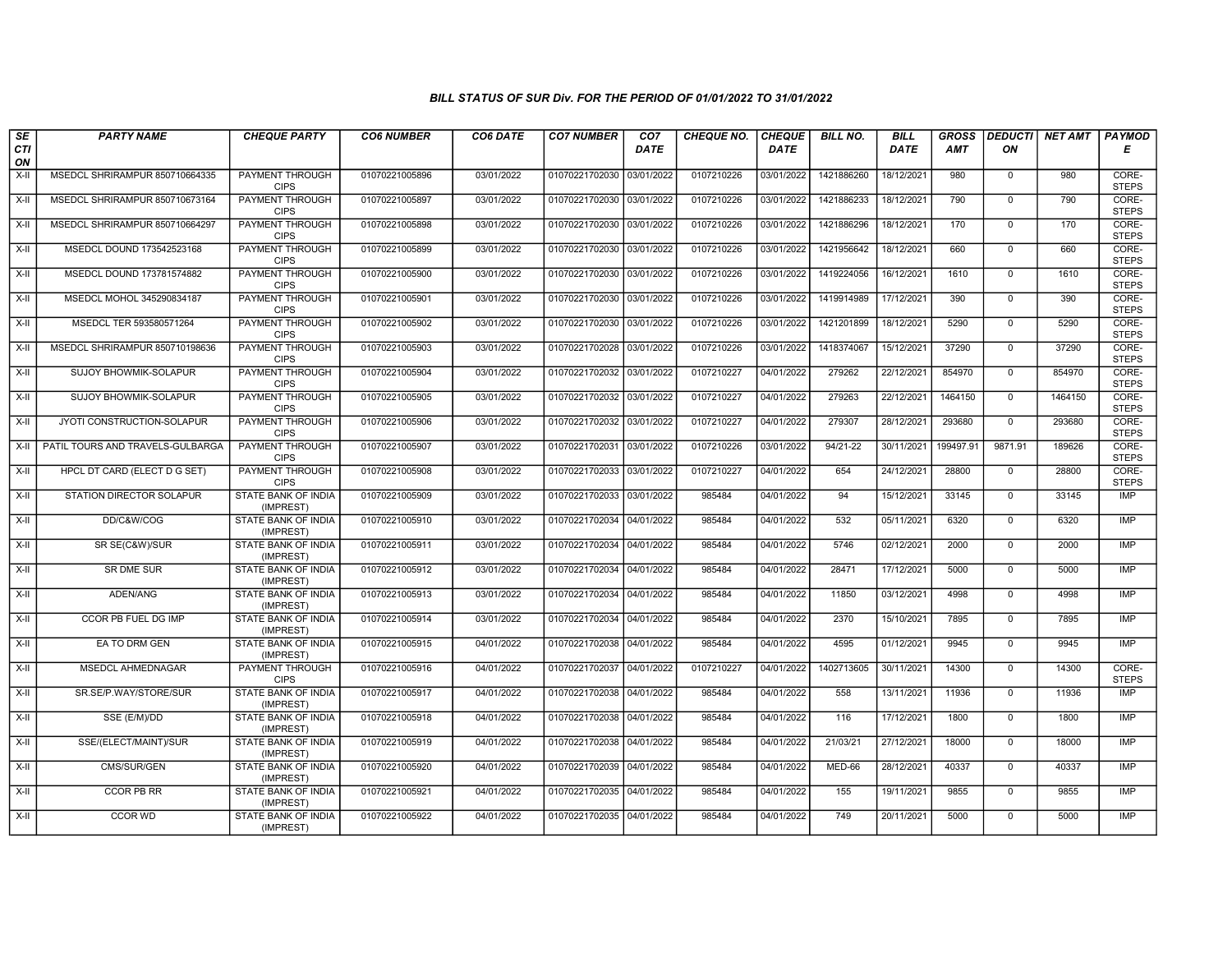| SE               | <b>PARTY NAME</b>                | <b>CHEQUE PARTY</b>                     | <b>CO6 NUMBER</b> | CO6 DATE   | <b>CO7 NUMBER</b>         | CO <sub>7</sub> | <b>CHEQUE NO.</b> | <b>CHEQUE</b> | <b>BILL NO.</b> | <b>BILL</b> | <b>GROSS</b> | <b>DEDUCTI</b> | NET AMT | <b>PAYMOD</b>         |
|------------------|----------------------------------|-----------------------------------------|-------------------|------------|---------------------------|-----------------|-------------------|---------------|-----------------|-------------|--------------|----------------|---------|-----------------------|
| <b>CTI</b><br>ON |                                  |                                         |                   |            |                           | <b>DATE</b>     |                   | <b>DATE</b>   |                 | <b>DATE</b> | <b>AMT</b>   | ON             |         | Е                     |
| $X-H$            | MSEDCL SHRIRAMPUR 850710664335   | PAYMENT THROUGH<br><b>CIPS</b>          | 01070221005896    | 03/01/2022 | 01070221702030 03/01/2022 |                 | 0107210226        | 03/01/2022    | 1421886260      | 18/12/2021  | 980          | $\mathbf 0$    | 980     | CORE-<br><b>STEPS</b> |
| $X-H$            | MSEDCL SHRIRAMPUR 850710673164   | PAYMENT THROUGH<br><b>CIPS</b>          | 01070221005897    | 03/01/2022 | 01070221702030 03/01/2022 |                 | 0107210226        | 03/01/2022    | 1421886233      | 18/12/2021  | 790          | $\Omega$       | 790     | CORE-<br><b>STEPS</b> |
| X-II             | MSEDCL SHRIRAMPUR 850710664297   | PAYMENT THROUGH<br><b>CIPS</b>          | 01070221005898    | 03/01/2022 | 01070221702030 03/01/2022 |                 | 0107210226        | 03/01/2022    | 1421886296      | 18/12/2021  | 170          | $\mathbf 0$    | 170     | CORE-<br><b>STEPS</b> |
| X-II             | MSEDCL DOUND 173542523168        | PAYMENT THROUGH<br><b>CIPS</b>          | 01070221005899    | 03/01/2022 | 01070221702030 03/01/2022 |                 | 0107210226        | 03/01/2022    | 1421956642      | 18/12/2021  | 660          | $\mathbf 0$    | 660     | CORE-<br><b>STEPS</b> |
| $X-H$            | MSEDCL DOUND 173781574882        | <b>PAYMENT THROUGH</b><br><b>CIPS</b>   | 01070221005900    | 03/01/2022 | 01070221702030 03/01/2022 |                 | 0107210226        | 03/01/2022    | 1419224056      | 16/12/2021  | 1610         | $\mathbf 0$    | 1610    | CORE-<br><b>STEPS</b> |
| $X-H$            | MSEDCL MOHOL 345290834187        | <b>PAYMENT THROUGH</b><br><b>CIPS</b>   | 01070221005901    | 03/01/2022 | 01070221702030 03/01/2022 |                 | 0107210226        | 03/01/2022    | 1419914989      | 17/12/2021  | 390          | $\Omega$       | 390     | CORE-<br><b>STEPS</b> |
| X-II             | MSEDCL TER 593580571264          | PAYMENT THROUGH<br><b>CIPS</b>          | 01070221005902    | 03/01/2022 | 01070221702030 03/01/2022 |                 | 0107210226        | 03/01/2022    | 1421201899      | 18/12/2021  | 5290         | $\mathbf{0}$   | 5290    | CORE-<br><b>STEPS</b> |
| $X-H$            | MSEDCL SHRIRAMPUR 850710198636   | PAYMENT THROUGH<br><b>CIPS</b>          | 01070221005903    | 03/01/2022 | 01070221702028 03/01/2022 |                 | 0107210226        | 03/01/2022    | 1418374067      | 15/12/2021  | 37290        | $\overline{0}$ | 37290   | CORE-<br><b>STEPS</b> |
| X-II             | SUJOY BHOWMIK-SOLAPUR            | <b>PAYMENT THROUGH</b><br><b>CIPS</b>   | 01070221005904    | 03/01/2022 | 01070221702032 03/01/2022 |                 | 0107210227        | 04/01/2022    | 279262          | 22/12/2021  | 854970       | $\mathbf 0$    | 854970  | CORE-<br><b>STEPS</b> |
| $X-H$            | <b>SUJOY BHOWMIK-SOLAPUR</b>     | <b>PAYMENT THROUGH</b><br><b>CIPS</b>   | 01070221005905    | 03/01/2022 | 01070221702032 03/01/2022 |                 | 0107210227        | 04/01/2022    | 279263          | 22/12/2021  | 1464150      | $\mathbf 0$    | 1464150 | CORE-<br><b>STEPS</b> |
| X-II             | JYOTI CONSTRUCTION-SOLAPUR       | PAYMENT THROUGH<br><b>CIPS</b>          | 01070221005906    | 03/01/2022 | 01070221702032 03/01/2022 |                 | 0107210227        | 04/01/2022    | 279307          | 28/12/2021  | 293680       | $\mathbf 0$    | 293680  | CORE-<br><b>STEPS</b> |
| X-II             | PATIL TOURS AND TRAVELS-GULBARGA | PAYMENT THROUGH<br><b>CIPS</b>          | 01070221005907    | 03/01/2022 | 01070221702031 03/01/2022 |                 | 0107210226        | 03/01/2022    | 94/21-22        | 30/11/2021  | 199497.91    | 9871.91        | 189626  | CORE-<br><b>STEPS</b> |
| $X-H$            | HPCL DT CARD (ELECT D G SET)     | PAYMENT THROUGH<br><b>CIPS</b>          | 01070221005908    | 03/01/2022 | 01070221702033 03/01/2022 |                 | 0107210227        | 04/01/2022    | 654             | 24/12/2021  | 28800        | $\mathbf 0$    | 28800   | CORE-<br><b>STEPS</b> |
| $X-H$            | STATION DIRECTOR SOLAPUR         | STATE BANK OF INDIA<br>(IMPREST)        | 01070221005909    | 03/01/2022 | 01070221702033 03/01/2022 |                 | 985484            | 04/01/2022    | 94              | 15/12/2021  | 33145        | $\mathbf 0$    | 33145   | <b>IMP</b>            |
| $X-II$           | DD/C&W/COG                       | STATE BANK OF INDIA<br>(IMPREST)        | 01070221005910    | 03/01/2022 | 01070221702034 04/01/2022 |                 | 985484            | 04/01/2022    | 532             | 05/11/2021  | 6320         | $\Omega$       | 6320    | IMP                   |
| X-II             | SR SE(C&W)/SUR                   | STATE BANK OF INDIA<br>(IMPREST)        | 01070221005911    | 03/01/2022 | 01070221702034 04/01/2022 |                 | 985484            | 04/01/2022    | 5746            | 02/12/2021  | 2000         | $\mathbf{0}$   | 2000    | <b>IMP</b>            |
| X-II             | <b>SR DME SUR</b>                | STATE BANK OF INDIA<br>(IMPREST)        | 01070221005912    | 03/01/2022 | 01070221702034 04/01/2022 |                 | 985484            | 04/01/2022    | 28471           | 17/12/2021  | 5000         | $\mathbf 0$    | 5000    | <b>IMP</b>            |
| X-II             | ADEN/ANG                         | <b>STATE BANK OF INDIA</b><br>(IMPREST) | 01070221005913    | 03/01/2022 | 01070221702034            | 04/01/2022      | 985484            | 04/01/2022    | 11850           | 03/12/2021  | 4998         | $\mathbf 0$    | 4998    | <b>IMP</b>            |
| X-II             | CCOR PB FUEL DG IMP              | STATE BANK OF INDIA<br>(IMPREST)        | 01070221005914    | 03/01/2022 | 01070221702034 04/01/2022 |                 | 985484            | 04/01/2022    | 2370            | 15/10/2021  | 7895         | $\mathbf 0$    | 7895    | IMP                   |
| $X-H$            | EA TO DRM GEN                    | STATE BANK OF INDIA<br>(IMPREST)        | 01070221005915    | 04/01/2022 | 01070221702038 04/01/2022 |                 | 985484            | 04/01/2022    | 4595            | 01/12/2021  | 9945         | $\Omega$       | 9945    | <b>IMP</b>            |
| X-II             | MSEDCL AHMEDNAGAR                | PAYMENT THROUGH<br><b>CIPS</b>          | 01070221005916    | 04/01/2022 | 01070221702037 04/01/2022 |                 | 0107210227        | 04/01/2022    | 1402713605      | 30/11/2021  | 14300        | $\mathbf{0}$   | 14300   | CORE-<br><b>STEPS</b> |
| X-II             | SR.SE/P.WAY/STORE/SUR            | <b>STATE BANK OF INDIA</b><br>(IMPREST) | 01070221005917    | 04/01/2022 | 01070221702038 04/01/2022 |                 | 985484            | 04/01/2022    | 558             | 13/11/2021  | 11936        | $\Omega$       | 11936   | <b>IMP</b>            |
| X-II             | SSE (E/M)/DD                     | STATE BANK OF INDIA<br>(IMPREST)        | 01070221005918    | 04/01/2022 | 01070221702038 04/01/2022 |                 | 985484            | 04/01/2022    | 116             | 17/12/2021  | 1800         | $\mathbf 0$    | 1800    | <b>IMP</b>            |
| $X-II$           | SSE/(ELECT/MAINT)/SUR            | STATE BANK OF INDIA<br>(IMPREST)        | 01070221005919    | 04/01/2022 | 01070221702038 04/01/2022 |                 | 985484            | 04/01/2022    | 21/03/21        | 27/12/2021  | 18000        | $\Omega$       | 18000   | IMP                   |
| X-II             | CMS/SUR/GEN                      | STATE BANK OF INDIA<br>(IMPREST)        | 01070221005920    | 04/01/2022 | 01070221702039 04/01/2022 |                 | 985484            | 04/01/2022    | MED-66          | 28/12/2021  | 40337        | $\Omega$       | 40337   | <b>IMP</b>            |
| $X-H$            | <b>CCOR PB RR</b>                | <b>STATE BANK OF INDIA</b><br>(IMPREST) | 01070221005921    | 04/01/2022 | 01070221702035 04/01/2022 |                 | 985484            | 04/01/2022    | 155             | 19/11/2021  | 9855         | $\mathbf 0$    | 9855    | <b>IMP</b>            |
| X-II             | <b>CCOR WD</b>                   | STATE BANK OF INDIA<br>(IMPREST)        | 01070221005922    | 04/01/2022 | 01070221702035 04/01/2022 |                 | 985484            | 04/01/2022    | 749             | 20/11/2021  | 5000         | $\mathbf{0}$   | 5000    | IMP                   |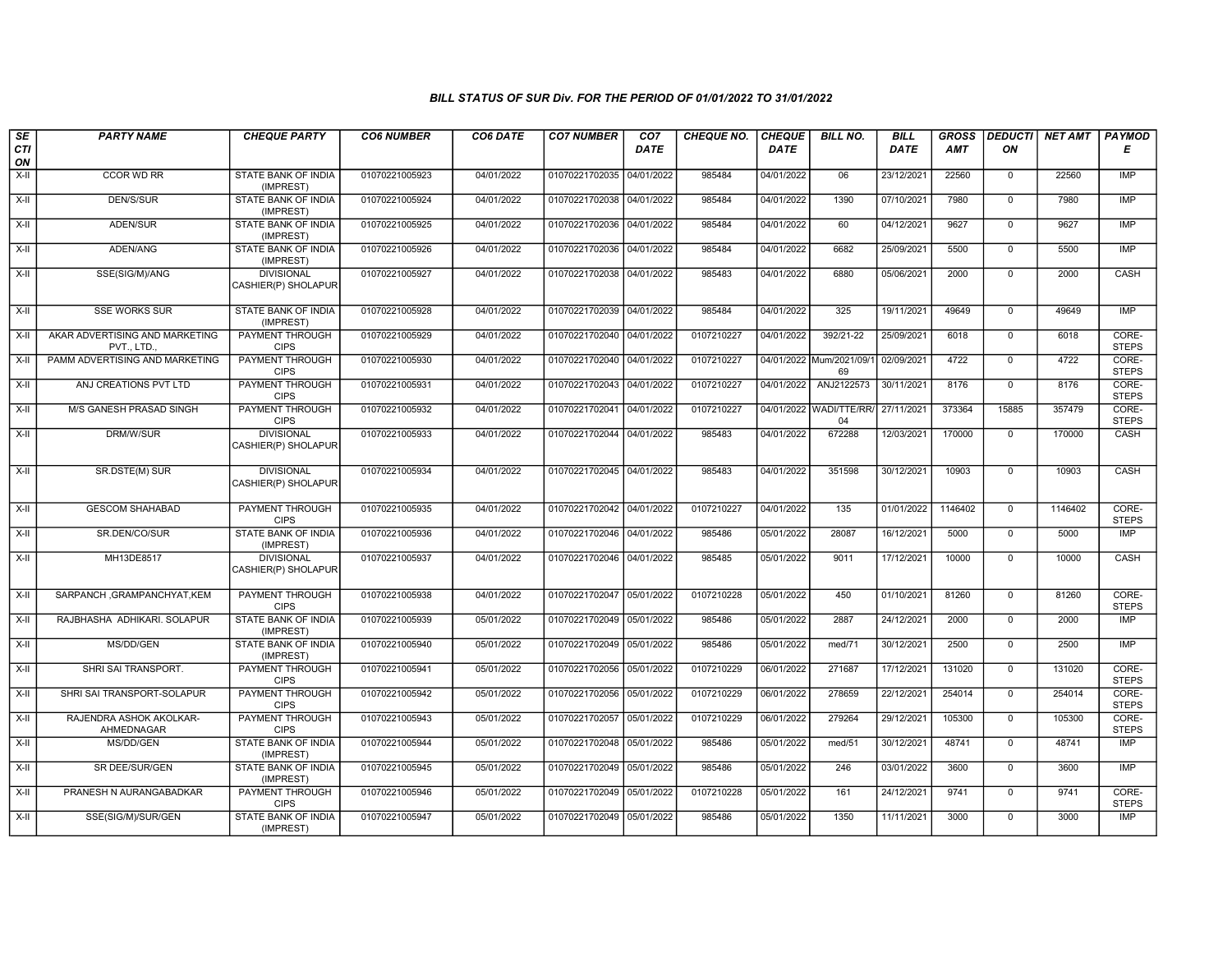| SE<br>CTI   | <b>PARTY NAME</b>                            | <b>CHEQUE PARTY</b>                                  | <b>CO6 NUMBER</b> | CO6 DATE   | <b>CO7 NUMBER</b>         | CO <sub>7</sub><br><b>DATE</b> | CHEQUE NO. | <b>CHEQUE</b><br><b>DATE</b> | <b>BILL NO.</b>               | <b>BILL</b><br>DATE | <b>GROSS</b><br><b>AMT</b> | <b>DEDUCTI</b><br>ΟN | <b>NET AMT</b> | <b>PAYMOD</b><br>Е    |
|-------------|----------------------------------------------|------------------------------------------------------|-------------------|------------|---------------------------|--------------------------------|------------|------------------------------|-------------------------------|---------------------|----------------------------|----------------------|----------------|-----------------------|
| ON<br>$X-H$ | CCOR WD RR                                   | <b>STATE BANK OF INDIA</b>                           | 01070221005923    | 04/01/2022 | 01070221702035 04/01/2022 |                                | 985484     | 04/01/2022                   | 06                            | 23/12/2021          | 22560                      | $\mathbf{0}$         | 22560          | IMP                   |
| $X-H$       | <b>DEN/S/SUR</b>                             | (IMPREST)<br><b>STATE BANK OF INDIA</b><br>(IMPREST) | 01070221005924    | 04/01/2022 | 01070221702038 04/01/2022 |                                | 985484     | 04/01/2022                   | 1390                          | 07/10/2021          | 7980                       | $\overline{0}$       | 7980           | IMP                   |
| X-II        | ADEN/SUR                                     | STATE BANK OF INDIA<br>(IMPREST)                     | 01070221005925    | 04/01/2022 | 01070221702036            | 04/01/2022                     | 985484     | 04/01/2022                   | 60                            | 04/12/2021          | 9627                       | $\mathbf 0$          | 9627           | <b>IMP</b>            |
| $X-H$       | ADEN/ANG                                     | STATE BANK OF INDIA<br>(IMPREST)                     | 01070221005926    | 04/01/2022 | 01070221702036            | 04/01/2022                     | 985484     | 04/01/2022                   | 6682                          | 25/09/2021          | 5500                       | $\mathbf 0$          | 5500           | <b>IMP</b>            |
| $X-H$       | SSE(SIG/M)/ANG                               | <b>DIVISIONAL</b><br>CASHIER(P) SHOLAPUR             | 01070221005927    | 04/01/2022 | 01070221702038 04/01/2022 |                                | 985483     | 04/01/2022                   | 6880                          | 05/06/2021          | 2000                       | $\overline{0}$       | 2000           | CASH                  |
| $X-H$       | <b>SSE WORKS SUR</b>                         | <b>STATE BANK OF INDIA</b><br>(IMPREST)              | 01070221005928    | 04/01/2022 | 01070221702039            | 04/01/2022                     | 985484     | 04/01/2022                   | 325                           | 19/11/2021          | 49649                      | $\overline{0}$       | 49649          | IMP                   |
| X-II        | AKAR ADVERTISING AND MARKETING<br>PVT., LTD. | PAYMENT THROUGH<br><b>CIPS</b>                       | 01070221005929    | 04/01/2022 | 01070221702040 04/01/2022 |                                | 0107210227 | 04/01/2022                   | 392/21-22                     | 25/09/2021          | 6018                       | $\mathbf 0$          | 6018           | CORE-<br><b>STEPS</b> |
| $X-II$      | PAMM ADVERTISING AND MARKETING               | <b>PAYMENT THROUGH</b><br><b>CIPS</b>                | 01070221005930    | 04/01/2022 | 01070221702040 04/01/2022 |                                | 0107210227 |                              | 04/01/2022 Mum/2021/09/<br>69 | 02/09/2021          | 4722                       | $\mathbf 0$          | 4722           | CORE-<br><b>STEPS</b> |
| $X-II$      | ANJ CREATIONS PVT LTD                        | PAYMENT THROUGH<br><b>CIPS</b>                       | 01070221005931    | 04/01/2022 | 01070221702043            | 04/01/2022                     | 0107210227 | 04/01/2022                   | ANJ2122573                    | 30/11/2021          | 8176                       | $\mathbf{0}$         | 8176           | CORE-<br><b>STEPS</b> |
| X-II        | <b>M/S GANESH PRASAD SINGH</b>               | PAYMENT THROUGH<br><b>CIPS</b>                       | 01070221005932    | 04/01/2022 | 01070221702041            | 04/01/2022                     | 0107210227 |                              | 04/01/2022 WADI/TTE/RR/<br>04 | 27/11/2021          | 373364                     | 15885                | 357479         | CORE-<br><b>STEPS</b> |
| X-II        | DRM/W/SUR                                    | <b>DIVISIONAL</b><br>CASHIER(P) SHOLAPUR             | 01070221005933    | 04/01/2022 | 01070221702044            | 04/01/2022                     | 985483     | 04/01/2022                   | 672288                        | 12/03/2021          | 170000                     | 0                    | 170000         | CASH                  |
| X-II        | SR.DSTE(M) SUR                               | <b>DIVISIONAL</b><br>CASHIER(P) SHOLAPUR             | 01070221005934    | 04/01/2022 | 01070221702045 04/01/2022 |                                | 985483     | 04/01/2022                   | 351598                        | 30/12/2021          | 10903                      | $\mathbf 0$          | 10903          | CASH                  |
| X-II        | <b>GESCOM SHAHABAD</b>                       | <b>PAYMENT THROUGH</b><br><b>CIPS</b>                | 01070221005935    | 04/01/2022 | 01070221702042 04/01/2022 |                                | 0107210227 | 04/01/2022                   | 135                           | 01/01/2022          | 1146402                    | $\mathbf{0}$         | 1146402        | CORE-<br><b>STEPS</b> |
| X-II        | SR.DEN/CO/SUR                                | STATE BANK OF INDIA<br>(IMPREST)                     | 01070221005936    | 04/01/2022 | 01070221702046 04/01/2022 |                                | 985486     | 05/01/2022                   | 28087                         | 16/12/2021          | 5000                       | $\mathbf{0}$         | 5000           | <b>IMP</b>            |
| $X-II$      | MH13DE8517                                   | <b>DIVISIONAL</b><br>CASHIER(P) SHOLAPUR             | 01070221005937    | 04/01/2022 | 01070221702046 04/01/2022 |                                | 985485     | 05/01/2022                   | 9011                          | 17/12/2021          | 10000                      | $\overline{0}$       | 10000          | CASH                  |
| $X-H$       | SARPANCH, GRAMPANCHYAT, KEM                  | PAYMENT THROUGH<br><b>CIPS</b>                       | 01070221005938    | 04/01/2022 | 01070221702047            | 05/01/2022                     | 0107210228 | 05/01/2022                   | 450                           | 01/10/2021          | 81260                      | $\mathbf 0$          | 81260          | CORE-<br><b>STEPS</b> |
| X-II        | RAJBHASHA ADHIKARI. SOLAPUR                  | STATE BANK OF INDIA<br>(IMPREST)                     | 01070221005939    | 05/01/2022 | 01070221702049 05/01/2022 |                                | 985486     | 05/01/2022                   | 2887                          | 24/12/2021          | 2000                       | $\mathbf 0$          | 2000           | IMP                   |
| $X-II$      | MS/DD/GEN                                    | <b>STATE BANK OF INDIA</b><br>(IMPREST)              | 01070221005940    | 05/01/2022 | 01070221702049 05/01/2022 |                                | 985486     | 05/01/2022                   | med/71                        | 30/12/2021          | 2500                       | $\overline{0}$       | 2500           | IMP                   |
| X-II        | SHRI SAI TRANSPORT.                          | <b>PAYMENT THROUGH</b><br><b>CIPS</b>                | 01070221005941    | 05/01/2022 | 01070221702056 05/01/2022 |                                | 0107210229 | 06/01/2022                   | 271687                        | 17/12/2021          | 131020                     | $\mathbf{0}$         | 131020         | CORE-<br><b>STEPS</b> |
| X-II        | SHRI SAI TRANSPORT-SOLAPUR                   | PAYMENT THROUGH<br><b>CIPS</b>                       | 01070221005942    | 05/01/2022 | 01070221702056 05/01/2022 |                                | 0107210229 | 06/01/2022                   | 278659                        | 22/12/2021          | 254014                     | $\mathbf 0$          | 254014         | CORE-<br><b>STEPS</b> |
| X-II        | RAJENDRA ASHOK AKOLKAR-<br>AHMEDNAGAR        | PAYMENT THROUGH<br><b>CIPS</b>                       | 01070221005943    | 05/01/2022 | 01070221702057            | 05/01/2022                     | 0107210229 | 06/01/2022                   | 279264                        | 29/12/2021          | 105300                     | $\overline{0}$       | 105300         | CORE-<br><b>STEPS</b> |
| $X-II$      | MS/DD/GEN                                    | STATE BANK OF INDIA<br>(IMPREST)                     | 01070221005944    | 05/01/2022 | 01070221702048            | 05/01/2022                     | 985486     | 05/01/2022                   | med/51                        | 30/12/2021          | 48741                      | $\mathbf{0}$         | 48741          | <b>IMP</b>            |
| $X-H$       | SR DEE/SUR/GEN                               | <b>STATE BANK OF INDIA</b><br>(IMPREST)              | 01070221005945    | 05/01/2022 | 01070221702049 05/01/2022 |                                | 985486     | 05/01/2022                   | 246                           | 03/01/2022          | 3600                       | 0                    | 3600           | <b>IMP</b>            |
| X-II        | PRANESH N AURANGABADKAR                      | PAYMENT THROUGH<br><b>CIPS</b>                       | 01070221005946    | 05/01/2022 | 01070221702049            | 05/01/2022                     | 0107210228 | 05/01/2022                   | 161                           | 24/12/2021          | 9741                       | $\mathbf 0$          | 9741           | CORE-<br><b>STEPS</b> |
| X-II        | SSE(SIG/M)/SUR/GEN                           | STATE BANK OF INDIA<br>(IMPREST)                     | 01070221005947    | 05/01/2022 | 01070221702049 05/01/2022 |                                | 985486     | 05/01/2022                   | 1350                          | 11/11/2021          | 3000                       | $\overline{0}$       | 3000           | IMP                   |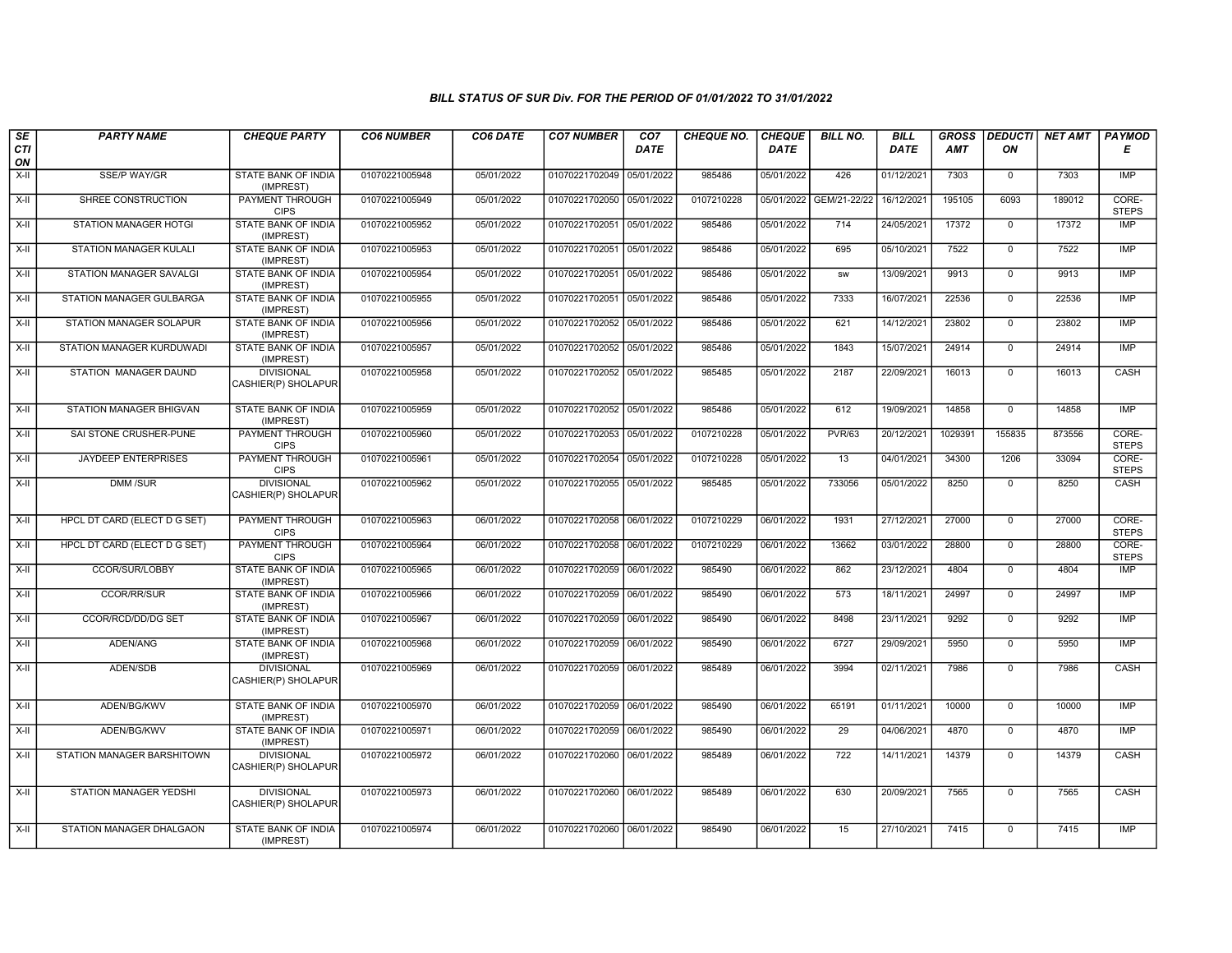| SE               | <b>PARTY NAME</b>                   | <b>CHEQUE PARTY</b>                      | <b>CO6 NUMBER</b> | CO6 DATE   | <b>CO7 NUMBER</b>         | CO7         | <b>CHEQUE NO.</b> | <b>CHEQUE</b> | <b>BILL NO.</b> | <b>BILL</b> | <b>GROSS</b> | <b>DEDUCTI</b> | <b>NET AMT</b> | PAYMOD                |
|------------------|-------------------------------------|------------------------------------------|-------------------|------------|---------------------------|-------------|-------------------|---------------|-----------------|-------------|--------------|----------------|----------------|-----------------------|
| <b>CTI</b><br>ON |                                     |                                          |                   |            |                           | <b>DATE</b> |                   | <b>DATE</b>   |                 | DATE        | AMT          | ON             |                | Е                     |
| $X-H$            | <b>SSE/P WAY/GR</b>                 | <b>STATE BANK OF INDIA</b><br>(IMPREST)  | 01070221005948    | 05/01/2022 | 01070221702049 05/01/2022 |             | 985486            | 05/01/2022    | 426             | 01/12/2021  | 7303         | $\mathbf 0$    | 7303           | <b>IMP</b>            |
| X-II             | SHREE CONSTRUCTION                  | <b>PAYMENT THROUGH</b><br><b>CIPS</b>    | 01070221005949    | 05/01/2022 | 01070221702050 05/01/2022 |             | 0107210228        | 05/01/2022    | GEM/21-22/22    | 16/12/2021  | 195105       | 6093           | 189012         | CORE-<br><b>STEPS</b> |
| X-II             | STATION MANAGER HOTGI               | <b>STATE BANK OF INDIA</b><br>(IMPREST)  | 01070221005952    | 05/01/2022 | 01070221702051 05/01/2022 |             | 985486            | 05/01/2022    | 714             | 24/05/2021  | 17372        | $\mathbf 0$    | 17372          | IMP                   |
| X-II             | <b>STATION MANAGER KULALI</b>       | <b>STATE BANK OF INDIA</b><br>(IMPREST)  | 01070221005953    | 05/01/2022 | 01070221702051            | 05/01/2022  | 985486            | 05/01/2022    | 695             | 05/10/2021  | 7522         | $\overline{0}$ | 7522           | <b>IMP</b>            |
| X-II             | <b>STATION MANAGER SAVALGI</b>      | <b>STATE BANK OF INDIA</b><br>(IMPREST)  | 01070221005954    | 05/01/2022 | 01070221702051 05/01/2022 |             | 985486            | 05/01/2022    | sw              | 13/09/2021  | 9913         | $\mathbf 0$    | 9913           | <b>IMP</b>            |
| X-II             | <b>STATION MANAGER GULBARGA</b>     | <b>STATE BANK OF INDIA</b><br>(IMPREST)  | 01070221005955    | 05/01/2022 | 01070221702051            | 05/01/2022  | 985486            | 05/01/2022    | 7333            | 16/07/2021  | 22536        | $\overline{0}$ | 22536          | <b>IMP</b>            |
| $X-I$            | STATION MANAGER SOLAPUR             | <b>STATE BANK OF INDIA</b><br>(IMPREST)  | 01070221005956    | 05/01/2022 | 01070221702052            | 05/01/2022  | 985486            | 05/01/2022    | 621             | 14/12/2021  | 23802        | $\overline{0}$ | 23802          | IMP                   |
| X-II             | STATION MANAGER KURDUWADI           | STATE BANK OF INDIA<br>(IMPREST)         | 01070221005957    | 05/01/2022 | 01070221702052 05/01/2022 |             | 985486            | 05/01/2022    | 1843            | 15/07/2021  | 24914        | $\mathbf 0$    | 24914          | <b>IMP</b>            |
| $X-H$            | STATION MANAGER DAUND               | <b>DIVISIONAL</b><br>CASHIER(P) SHOLAPUR | 01070221005958    | 05/01/2022 | 01070221702052 05/01/2022 |             | 985485            | 05/01/2022    | 2187            | 22/09/2021  | 16013        | $\Omega$       | 16013          | CASH                  |
| X-II             | STATION MANAGER BHIGVAN             | STATE BANK OF INDIA<br>(IMPREST)         | 01070221005959    | 05/01/2022 | 01070221702052 05/01/2022 |             | 985486            | 05/01/2022    | 612             | 19/09/2021  | 14858        | $\overline{0}$ | 14858          | <b>IMP</b>            |
| $X-H$            | SAI STONE CRUSHER-PUNE              | <b>PAYMENT THROUGH</b><br><b>CIPS</b>    | 01070221005960    | 05/01/2022 | 01070221702053 05/01/2022 |             | 0107210228        | 05/01/2022    | <b>PVR/63</b>   | 20/12/2021  | 1029391      | 155835         | 873556         | CORE-<br><b>STEPS</b> |
| $X-H$            | <b>JAYDEEP ENTERPRISES</b>          | <b>PAYMENT THROUGH</b><br><b>CIPS</b>    | 01070221005961    | 05/01/2022 | 01070221702054 05/01/2022 |             | 0107210228        | 05/01/2022    | 13              | 04/01/2021  | 34300        | 1206           | 33094          | CORE-<br><b>STEPS</b> |
| $X-II$           | <b>DMM/SUR</b>                      | <b>DIVISIONAL</b><br>CASHIER(P) SHOLAPUR | 01070221005962    | 05/01/2022 | 01070221702055 05/01/2022 |             | 985485            | 05/01/2022    | 733056          | 05/01/2022  | 8250         | $\mathbf 0$    | 8250           | CASH                  |
| $X-H$            | <b>HPCL DT CARD (ELECT D G SET)</b> | <b>PAYMENT THROUGH</b><br><b>CIPS</b>    | 01070221005963    | 06/01/2022 | 01070221702058 06/01/2022 |             | 0107210229        | 06/01/2022    | 1931            | 27/12/2021  | 27000        | $\overline{0}$ | 27000          | CORE-<br><b>STEPS</b> |
| $X-H$            | HPCL DT CARD (ELECT D G SET)        | <b>PAYMENT THROUGH</b><br><b>CIPS</b>    | 01070221005964    | 06/01/2022 | 01070221702058 06/01/2022 |             | 0107210229        | 06/01/2022    | 13662           | 03/01/2022  | 28800        | $\overline{0}$ | 28800          | CORE-<br><b>STEPS</b> |
| X-II             | CCOR/SUR/LOBBY                      | <b>STATE BANK OF INDIA</b><br>(IMPREST)  | 01070221005965    | 06/01/2022 | 01070221702059 06/01/2022 |             | 985490            | 06/01/2022    | 862             | 23/12/2021  | 4804         | $\mathbf 0$    | 4804           | <b>IMP</b>            |
| $X-H$            | <b>CCOR/RR/SUR</b>                  | STATE BANK OF INDIA<br>(IMPREST)         | 01070221005966    | 06/01/2022 | 01070221702059 06/01/2022 |             | 985490            | 06/01/2022    | 573             | 18/11/2021  | 24997        | $\overline{0}$ | 24997          | <b>IMP</b>            |
| X-II             | <b>CCOR/RCD/DD/DG SET</b>           | <b>STATE BANK OF INDIA</b><br>(IMPREST)  | 01070221005967    | 06/01/2022 | 01070221702059 06/01/2022 |             | 985490            | 06/01/2022    | 8498            | 23/11/2021  | 9292         | $\mathbf 0$    | 9292           | <b>IMP</b>            |
| X-II             | ADEN/ANG                            | STATE BANK OF INDIA<br>(IMPREST)         | 01070221005968    | 06/01/2022 | 01070221702059 06/01/2022 |             | 985490            | 06/01/2022    | 6727            | 29/09/2021  | 5950         | $\mathbf 0$    | 5950           | <b>IMP</b>            |
| X-II             | ADEN/SDB                            | <b>DIVISIONAL</b><br>CASHIER(P) SHOLAPUR | 01070221005969    | 06/01/2022 | 01070221702059 06/01/2022 |             | 985489            | 06/01/2022    | 3994            | 02/11/2021  | 7986         | $\Omega$       | 7986           | CASH                  |
| $X-H$            | ADEN/BG/KWV                         | <b>STATE BANK OF INDIA</b><br>(IMPREST)  | 01070221005970    | 06/01/2022 | 01070221702059 06/01/2022 |             | 985490            | 06/01/2022    | 65191           | 01/11/2021  | 10000        | $\overline{0}$ | 10000          | <b>IMP</b>            |
| X-II             | ADEN/BG/KWV                         | STATE BANK OF INDIA<br>(IMPREST)         | 01070221005971    | 06/01/2022 | 01070221702059 06/01/2022 |             | 985490            | 06/01/2022    | 29              | 04/06/2021  | 4870         | $\mathbf 0$    | 4870           | <b>IMP</b>            |
| X-II             | STATION MANAGER BARSHITOWN          | <b>DIVISIONAL</b><br>CASHIER(P) SHOLAPUR | 01070221005972    | 06/01/2022 | 01070221702060 06/01/2022 |             | 985489            | 06/01/2022    | 722             | 14/11/2021  | 14379        | $\mathbf 0$    | 14379          | CASH                  |
| $X-II$           | STATION MANAGER YEDSHI              | <b>DIVISIONAL</b><br>CASHIER(P) SHOLAPUR | 01070221005973    | 06/01/2022 | 01070221702060 06/01/2022 |             | 985489            | 06/01/2022    | 630             | 20/09/2021  | 7565         | $\mathbf 0$    | 7565           | CASH                  |
| $X-II$           | STATION MANAGER DHALGAON            | STATE BANK OF INDIA<br>(IMPREST)         | 01070221005974    | 06/01/2022 | 01070221702060 06/01/2022 |             | 985490            | 06/01/2022    | 15              | 27/10/2021  | 7415         | $\mathbf 0$    | 7415           | <b>IMP</b>            |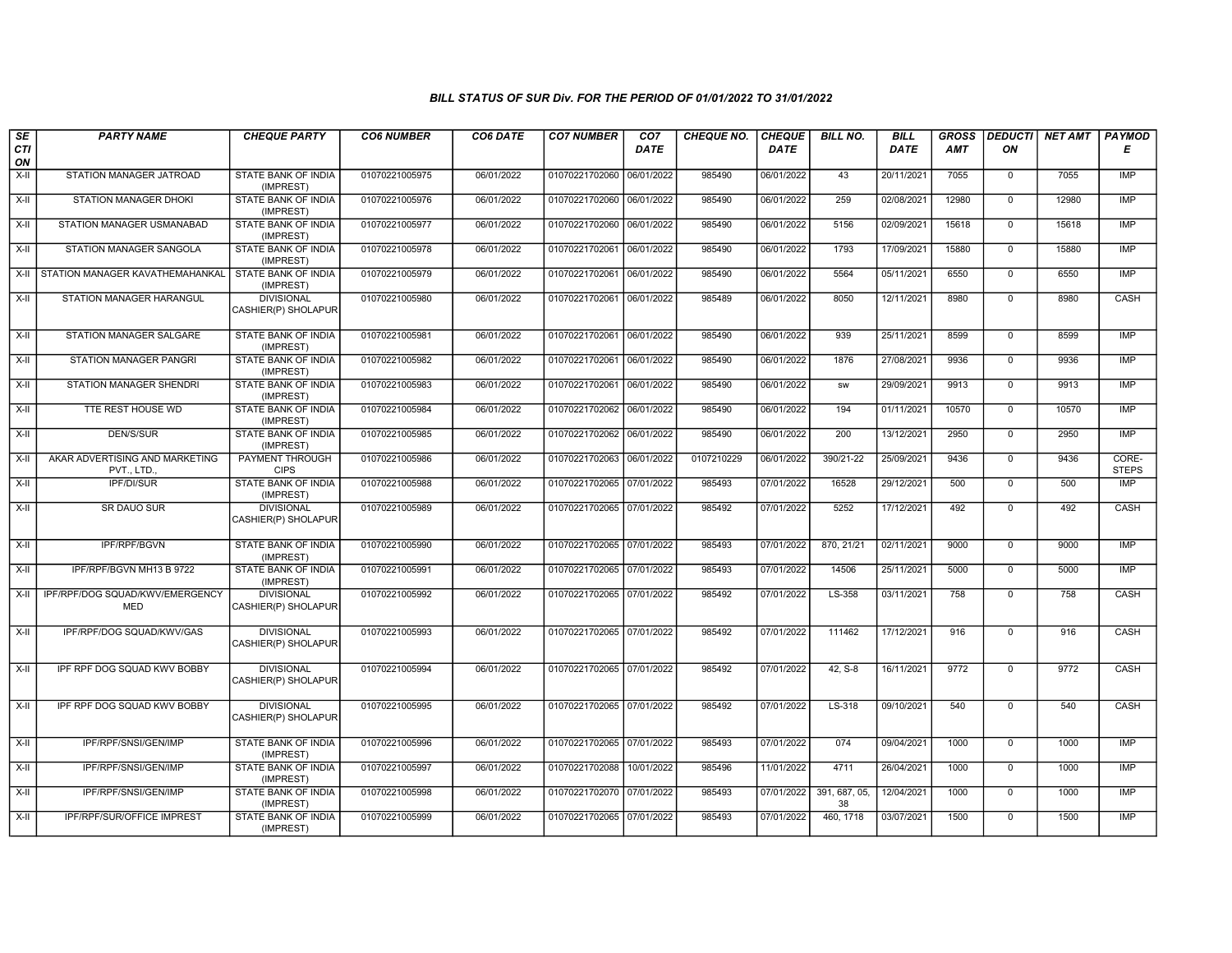| SE               | <b>PARTY NAME</b>                             | <b>CHEQUE PARTY</b>                      | <b>CO6 NUMBER</b> | CO6 DATE   | <b>CO7 NUMBER</b>         | CO7         | <b>CHEQUE NO.</b> | <b>CHEQUE</b> | <b>BILL NO.</b>     | <b>BILL</b> | <b>GROSS</b> |                | DEDUCTI NET AMT | <b>PAYMOD</b>         |
|------------------|-----------------------------------------------|------------------------------------------|-------------------|------------|---------------------------|-------------|-------------------|---------------|---------------------|-------------|--------------|----------------|-----------------|-----------------------|
| <b>CTI</b><br>ON |                                               |                                          |                   |            |                           | <b>DATE</b> |                   | <b>DATE</b>   |                     | DATE        | AMT          | ON             |                 | Е                     |
| $X-H$            | STATION MANAGER JATROAD                       | <b>STATE BANK OF INDIA</b><br>(IMPREST)  | 01070221005975    | 06/01/2022 | 01070221702060            | 06/01/2022  | 985490            | 06/01/2022    | 43                  | 20/11/2021  | 7055         | $\mathbf 0$    | 7055            | IMP                   |
| $X-H$            | <b>STATION MANAGER DHOKI</b>                  | <b>STATE BANK OF INDIA</b><br>(IMPREST)  | 01070221005976    | 06/01/2022 | 01070221702060 06/01/2022 |             | 985490            | 06/01/2022    | 259                 | 02/08/2021  | 12980        | $\mathbf 0$    | 12980           | IMP                   |
| X-II             | STATION MANAGER USMANABAD                     | STATE BANK OF INDIA<br>(IMPREST)         | 01070221005977    | 06/01/2022 | 01070221702060 06/01/2022 |             | 985490            | 06/01/2022    | 5156                | 02/09/2021  | 15618        | $\mathbf 0$    | 15618           | <b>IMP</b>            |
| $X-H$            | STATION MANAGER SANGOLA                       | <b>STATE BANK OF INDIA</b><br>(IMPREST)  | 01070221005978    | 06/01/2022 | 01070221702061            | 06/01/2022  | 985490            | 06/01/2022    | 1793                | 17/09/2021  | 15880        | $\overline{0}$ | 15880           | IMP                   |
|                  | X-II STATION MANAGER KAVATHEMAHANKAL          | STATE BANK OF INDIA<br>(IMPREST)         | 01070221005979    | 06/01/2022 | 01070221702061 06/01/2022 |             | 985490            | 06/01/2022    | 5564                | 05/11/2021  | 6550         | $\mathbf 0$    | 6550            | <b>IMP</b>            |
| X-II             | STATION MANAGER HARANGUL                      | <b>DIVISIONAL</b><br>CASHIER(P) SHOLAPUR | 01070221005980    | 06/01/2022 | 01070221702061 06/01/2022 |             | 985489            | 06/01/2022    | 8050                | 12/11/2021  | 8980         | $\mathbf 0$    | 8980            | CASH                  |
| $X-II$           | <b>STATION MANAGER SALGARE</b>                | STATE BANK OF INDIA<br>(IMPREST)         | 01070221005981    | 06/01/2022 | 01070221702061 06/01/2022 |             | 985490            | 06/01/2022    | 939                 | 25/11/2021  | 8599         | $\overline{0}$ | 8599            | <b>IMP</b>            |
| $X-H$            | <b>STATION MANAGER PANGRI</b>                 | <b>STATE BANK OF INDIA</b><br>(IMPREST)  | 01070221005982    | 06/01/2022 | 01070221702061 06/01/2022 |             | 985490            | 06/01/2022    | 1876                | 27/08/2021  | 9936         | $\overline{0}$ | 9936            | IMP                   |
| X-II             | <b>STATION MANAGER SHENDRI</b>                | STATE BANK OF INDIA<br>(IMPREST)         | 01070221005983    | 06/01/2022 | 01070221702061            | 06/01/2022  | 985490            | 06/01/2022    | <b>SW</b>           | 29/09/2021  | 9913         | $\mathbf 0$    | 9913            | IMP                   |
| $X-II$           | TTE REST HOUSE WD                             | <b>STATE BANK OF INDIA</b><br>(IMPREST)  | 01070221005984    | 06/01/2022 | 01070221702062 06/01/2022 |             | 985490            | 06/01/2022    | 194                 | 01/11/2021  | 10570        | $\overline{0}$ | 10570           | <b>IMP</b>            |
| $X-II$           | <b>DEN/S/SUR</b>                              | <b>STATE BANK OF INDIA</b><br>(IMPREST)  | 01070221005985    | 06/01/2022 | 01070221702062 06/01/2022 |             | 985490            | 06/01/2022    | 200                 | 13/12/2021  | 2950         | $\mathbf 0$    | 2950            | <b>IMP</b>            |
| $X-H$            | AKAR ADVERTISING AND MARKETING<br>PVT., LTD.  | <b>PAYMENT THROUGH</b><br><b>CIPS</b>    | 01070221005986    | 06/01/2022 | 01070221702063 06/01/2022 |             | 0107210229        | 06/01/2022    | 390/21-22           | 25/09/2021  | 9436         | $\overline{0}$ | 9436            | CORE-<br><b>STEPS</b> |
| X-II             | <b>IPF/DI/SUR</b>                             | STATE BANK OF INDIA<br>(IMPREST)         | 01070221005988    | 06/01/2022 | 01070221702065 07/01/2022 |             | 985493            | 07/01/2022    | 16528               | 29/12/2021  | 500          | $\mathbf 0$    | 500             | IMP                   |
| X-II             | SR DAUO SUR                                   | <b>DIVISIONAL</b><br>CASHIER(P) SHOLAPUR | 01070221005989    | 06/01/2022 | 01070221702065 07/01/2022 |             | 985492            | 07/01/2022    | 5252                | 17/12/2021  | 492          | $\mathbf 0$    | 492             | CASH                  |
| $X-H$            | <b>IPF/RPF/BGVN</b>                           | <b>STATE BANK OF INDIA</b><br>(IMPREST)  | 01070221005990    | 06/01/2022 | 01070221702065 07/01/2022 |             | 985493            | 07/01/2022    | 870, 21/21          | 02/11/2021  | 9000         | $\overline{0}$ | 9000            | IMP                   |
| X-II             | IPF/RPF/BGVN MH13 B 9722                      | STATE BANK OF INDIA<br>(IMPREST)         | 01070221005991    | 06/01/2022 | 01070221702065 07/01/2022 |             | 985493            | 07/01/2022    | 14506               | 25/11/2021  | 5000         | $\Omega$       | 5000            | <b>IMP</b>            |
| $X-II$           | IPF/RPF/DOG SQUAD/KWV/EMERGENCY<br><b>MED</b> | <b>DIVISIONAL</b><br>CASHIER(P) SHOLAPUR | 01070221005992    | 06/01/2022 | 01070221702065 07/01/2022 |             | 985492            | 07/01/2022    | LS-358              | 03/11/2021  | 758          | $\mathbf 0$    | 758             | CASH                  |
| $X-II$           | IPF/RPF/DOG SQUAD/KWV/GAS                     | <b>DIVISIONAL</b><br>CASHIER(P) SHOLAPUR | 01070221005993    | 06/01/2022 | 01070221702065 07/01/2022 |             | 985492            | 07/01/2022    | 111462              | 17/12/2021  | 916          | $\mathbf 0$    | 916             | CASH                  |
| X-II             | IPF RPF DOG SQUAD KWV BOBBY                   | <b>DIVISIONAL</b><br>CASHIER(P) SHOLAPUR | 01070221005994    | 06/01/2022 | 01070221702065 07/01/2022 |             | 985492            | 07/01/2022    | $42, S-8$           | 16/11/2021  | 9772         | $\mathbf 0$    | 9772            | <b>CASH</b>           |
| $X-H$            | IPF RPF DOG SQUAD KWV BOBBY                   | <b>DIVISIONAL</b><br>CASHIER(P) SHOLAPUR | 01070221005995    | 06/01/2022 | 01070221702065 07/01/2022 |             | 985492            | 07/01/2022    | LS-318              | 09/10/2021  | 540          | $\Omega$       | 540             | CASH                  |
| X-II             | IPF/RPF/SNSI/GEN/IMP                          | STATE BANK OF INDIA<br>(IMPREST)         | 01070221005996    | 06/01/2022 | 01070221702065 07/01/2022 |             | 985493            | 07/01/2022    | 074                 | 09/04/2021  | 1000         | $\mathbf 0$    | 1000            | <b>IMP</b>            |
| X-II             | IPF/RPF/SNSI/GEN/IMP                          | STATE BANK OF INDIA<br>(IMPREST)         | 01070221005997    | 06/01/2022 | 01070221702088            | 10/01/2022  | 985496            | 11/01/2022    | 4711                | 26/04/2021  | 1000         | $\mathbf 0$    | 1000            | IMP                   |
| $X-H$            | IPF/RPF/SNSI/GEN/IMP                          | STATE BANK OF INDIA<br>(IMPREST)         | 01070221005998    | 06/01/2022 | 01070221702070 07/01/2022 |             | 985493            | 07/01/2022    | 391, 687, 05,<br>38 | 12/04/2021  | 1000         | $\overline{0}$ | 1000            | <b>IMP</b>            |
| $X-H$            | IPF/RPF/SUR/OFFICE IMPREST                    | <b>STATE BANK OF INDIA</b><br>(IMPREST)  | 01070221005999    | 06/01/2022 | 01070221702065 07/01/2022 |             | 985493            | 07/01/2022    | 460, 1718           | 03/07/2021  | 1500         | $\mathbf 0$    | 1500            | IMP                   |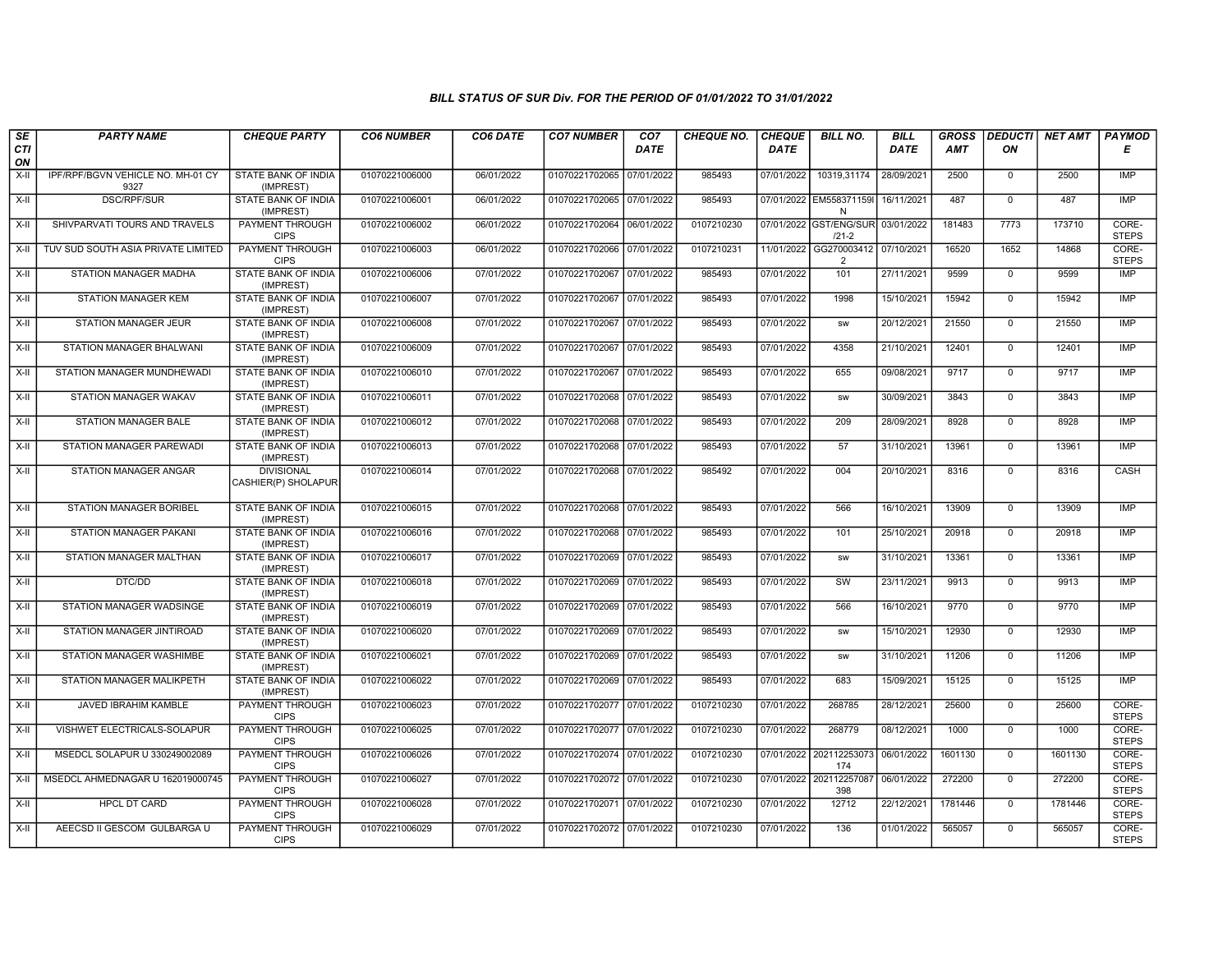| SE        | <b>PARTY NAME</b>                         | <b>CHEQUE PARTY</b>                      | <b>CO6 NUMBER</b> | CO6 DATE   | <b>CO7 NUMBER</b>         | CO <sub>7</sub> | <b>CHEQUE NO.</b> | <b>CHEQUE</b> | <b>BILL NO.</b>                         | <b>BILL</b> | <b>GROSS</b> |              | <b>DEDUCTI NET AMT</b> | <b>PAYMOD</b>         |
|-----------|-------------------------------------------|------------------------------------------|-------------------|------------|---------------------------|-----------------|-------------------|---------------|-----------------------------------------|-------------|--------------|--------------|------------------------|-----------------------|
| CTI<br>ON |                                           |                                          |                   |            |                           | <b>DATE</b>     |                   | <b>DATE</b>   |                                         | <b>DATE</b> | AMT          | ON           |                        | Е                     |
| X-II      | IPF/RPF/BGVN VEHICLE NO. MH-01 CY<br>9327 | <b>STATE BANK OF INDIA</b><br>(IMPREST)  | 01070221006000    | 06/01/2022 | 01070221702065 07/01/2022 |                 | 985493            | 07/01/2022    | 10319,31174                             | 28/09/2021  | 2500         | $\mathbf 0$  | 2500                   | IMP                   |
| $X-H$     | <b>DSC/RPF/SUR</b>                        | <b>STATE BANK OF INDIA</b><br>(IMPREST)  | 01070221006001    | 06/01/2022 | 01070221702065 07/01/2022 |                 | 985493            |               | 07/01/2022 EM558371159I 16/11/2021<br>N |             | 487          | $\Omega$     | 487                    | <b>IMP</b>            |
| X-II      | SHIVPARVATI TOURS AND TRAVELS             | PAYMENT THROUGH<br><b>CIPS</b>           | 01070221006002    | 06/01/2022 | 01070221702064 06/01/2022 |                 | 0107210230        | 07/01/2022    | GST/ENG/SUR<br>$/21-2$                  | 03/01/2022  | 181483       | 7773         | 173710                 | CORE-<br><b>STEPS</b> |
| X-II      | TUV SUD SOUTH ASIA PRIVATE LIMITED        | PAYMENT THROUGH<br><b>CIPS</b>           | 01070221006003    | 06/01/2022 | 01070221702066 07/01/2022 |                 | 0107210231        | 11/01/2022    | GG270003412<br>2                        | 07/10/2021  | 16520        | 1652         | 14868                  | CORE-<br><b>STEPS</b> |
| $X-H$     | STATION MANAGER MADHA                     | <b>STATE BANK OF INDIA</b><br>(IMPREST)  | 01070221006006    | 07/01/2022 | 01070221702067 07/01/2022 |                 | 985493            | 07/01/2022    | 101                                     | 27/11/2021  | 9599         | $\mathbf 0$  | 9599                   | <b>IMP</b>            |
| X-II      | <b>STATION MANAGER KEM</b>                | STATE BANK OF INDIA<br>(IMPREST)         | 01070221006007    | 07/01/2022 | 01070221702067 07/01/2022 |                 | 985493            | 07/01/2022    | 1998                                    | 15/10/2021  | 15942        | $\mathbf 0$  | 15942                  | <b>IMP</b>            |
| X-II      | <b>STATION MANAGER JEUR</b>               | STATE BANK OF INDIA<br>(IMPREST)         | 01070221006008    | 07/01/2022 | 01070221702067            | 07/01/2022      | 985493            | 07/01/2022    | <b>SW</b>                               | 20/12/2021  | 21550        | $\mathbf 0$  | 21550                  | IMP                   |
| $X-II$    | STATION MANAGER BHALWANI                  | STATE BANK OF INDIA<br>(IMPREST)         | 01070221006009    | 07/01/2022 | 01070221702067            | 07/01/2022      | 985493            | 07/01/2022    | 4358                                    | 21/10/2021  | 12401        | $\mathbf{0}$ | 12401                  | <b>IMP</b>            |
| $X-H$     | STATION MANAGER MUNDHEWAD                 | <b>STATE BANK OF INDIA</b><br>(IMPREST)  | 01070221006010    | 07/01/2022 | 01070221702067            | 07/01/2022      | 985493            | 07/01/2022    | 655                                     | 09/08/2021  | 9717         | $\mathbf 0$  | 9717                   | <b>IMP</b>            |
| $X-H$     | <b>STATION MANAGER WAKAV</b>              | <b>STATE BANK OF INDIA</b><br>(IMPREST)  | 01070221006011    | 07/01/2022 | 01070221702068 07/01/2022 |                 | 985493            | 07/01/2022    | <b>SW</b>                               | 30/09/2021  | 3843         | $\mathbf 0$  | 3843                   | IMP                   |
| X-II      | <b>STATION MANAGER BALE</b>               | STATE BANK OF INDIA<br>(IMPREST)         | 01070221006012    | 07/01/2022 | 01070221702068 07/01/2022 |                 | 985493            | 07/01/2022    | 209                                     | 28/09/2021  | 8928         | $\mathbf 0$  | 8928                   | <b>IMP</b>            |
| $X-II$    | STATION MANAGER PAREWADI                  | STATE BANK OF INDIA<br>(IMPREST)         | 01070221006013    | 07/01/2022 | 01070221702068 07/01/2022 |                 | 985493            | 07/01/2022    | 57                                      | 31/10/2021  | 13961        | $\mathbf 0$  | 13961                  | IMP                   |
| $X-H$     | STATION MANAGER ANGAR                     | <b>DIVISIONAL</b><br>CASHIER(P) SHOLAPUR | 01070221006014    | 07/01/2022 | 01070221702068 07/01/2022 |                 | 985492            | 07/01/2022    | 004                                     | 20/10/2021  | 8316         | $\mathbf 0$  | 8316                   | <b>CASH</b>           |
| X-II      | <b>STATION MANAGER BORIBEL</b>            | STATE BANK OF INDIA<br>(IMPREST)         | 01070221006015    | 07/01/2022 | 01070221702068 07/01/2022 |                 | 985493            | 07/01/2022    | 566                                     | 16/10/2021  | 13909        | $\mathbf 0$  | 13909                  | <b>IMP</b>            |
| X-II      | STATION MANAGER PAKANI                    | STATE BANK OF INDIA<br>(IMPREST)         | 01070221006016    | 07/01/2022 | 01070221702068 07/01/2022 |                 | 985493            | 07/01/2022    | 101                                     | 25/10/2021  | 20918        | $\mathbf 0$  | 20918                  | IMP                   |
| $X-H$     | STATION MANAGER MALTHAN                   | <b>STATE BANK OF INDIA</b><br>(IMPREST)  | 01070221006017    | 07/01/2022 | 01070221702069 07/01/2022 |                 | 985493            | 07/01/2022    | <b>SW</b>                               | 31/10/2021  | 13361        | $\mathbf{0}$ | 13361                  | IMP                   |
| X-II      | DTC/DD                                    | STATE BANK OF INDIA<br>(IMPREST)         | 01070221006018    | 07/01/2022 | 01070221702069 07/01/2022 |                 | 985493            | 07/01/2022    | SW                                      | 23/11/2021  | 9913         | $\mathbf 0$  | 9913                   | <b>IMP</b>            |
| X-II      | STATION MANAGER WADSINGE                  | STATE BANK OF INDIA<br>(IMPREST)         | 01070221006019    | 07/01/2022 | 01070221702069 07/01/2022 |                 | 985493            | 07/01/2022    | 566                                     | 16/10/2021  | 9770         | $\mathbf 0$  | 9770                   | IMP                   |
| $X-II$    | STATION MANAGER JINTIROAD                 | STATE BANK OF INDIA<br>(IMPREST)         | 01070221006020    | 07/01/2022 | 01070221702069 07/01/2022 |                 | 985493            | 07/01/2022    | <b>SW</b>                               | 15/10/2021  | 12930        | $\mathbf 0$  | 12930                  | <b>IMP</b>            |
| $X-H$     | STATION MANAGER WASHIMBE                  | STATE BANK OF INDIA<br>(IMPREST)         | 01070221006021    | 07/01/2022 | 01070221702069 07/01/2022 |                 | 985493            | 07/01/2022    | <b>SW</b>                               | 31/10/2021  | 11206        | $\mathbf 0$  | 11206                  | <b>IMP</b>            |
| $X-H$     | STATION MANAGER MALIKPETH                 | <b>STATE BANK OF INDIA</b><br>(IMPREST)  | 01070221006022    | 07/01/2022 | 01070221702069 07/01/2022 |                 | 985493            | 07/01/2022    | 683                                     | 15/09/2021  | 15125        | $\mathbf 0$  | 15125                  | IMP                   |
| X-II      | JAVED IBRAHIM KAMBLE                      | PAYMENT THROUGH<br><b>CIPS</b>           | 01070221006023    | 07/01/2022 | 01070221702077 07/01/2022 |                 | 0107210230        | 07/01/2022    | 268785                                  | 28/12/2021  | 25600        | $\mathbf 0$  | 25600                  | CORE-<br><b>STEPS</b> |
| $X-II$    | VISHWET ELECTRICALS-SOLAPUR               | <b>PAYMENT THROUGH</b><br><b>CIPS</b>    | 01070221006025    | 07/01/2022 | 01070221702077            | 07/01/2022      | 0107210230        | 07/01/2022    | 268779                                  | 08/12/2021  | 1000         | $\Omega$     | 1000                   | CORE-<br><b>STEPS</b> |
| $X-H$     | MSEDCL SOLAPUR U 330249002089             | <b>PAYMENT THROUGH</b><br><b>CIPS</b>    | 01070221006026    | 07/01/2022 | 01070221702074 07/01/2022 |                 | 0107210230        |               | 07/01/2022 202112253073<br>174          | 06/01/2022  | 1601130      | $\mathbf 0$  | 1601130                | CORE-<br><b>STEPS</b> |
| $X-H$     | MSEDCL AHMEDNAGAR U 162019000745          | <b>PAYMENT THROUGH</b><br><b>CIPS</b>    | 01070221006027    | 07/01/2022 | 01070221702072 07/01/2022 |                 | 0107210230        |               | 07/01/2022 202112257087<br>398          | 06/01/2022  | 272200       | $\mathbf 0$  | 272200                 | CORE-<br><b>STEPS</b> |
| X-II      | <b>HPCL DT CARD</b>                       | PAYMENT THROUGH<br><b>CIPS</b>           | 01070221006028    | 07/01/2022 | 01070221702071 07/01/2022 |                 | 0107210230        | 07/01/2022    | 12712                                   | 22/12/2021  | 1781446      | $\Omega$     | 1781446                | CORE-<br><b>STEPS</b> |
| $X-II$    | AEECSD II GESCOM GULBARGA U               | <b>PAYMENT THROUGH</b><br><b>CIPS</b>    | 01070221006029    | 07/01/2022 | 01070221702072 07/01/2022 |                 | 0107210230        | 07/01/2022    | 136                                     | 01/01/2022  | 565057       | $\mathbf 0$  | 565057                 | CORE-<br><b>STEPS</b> |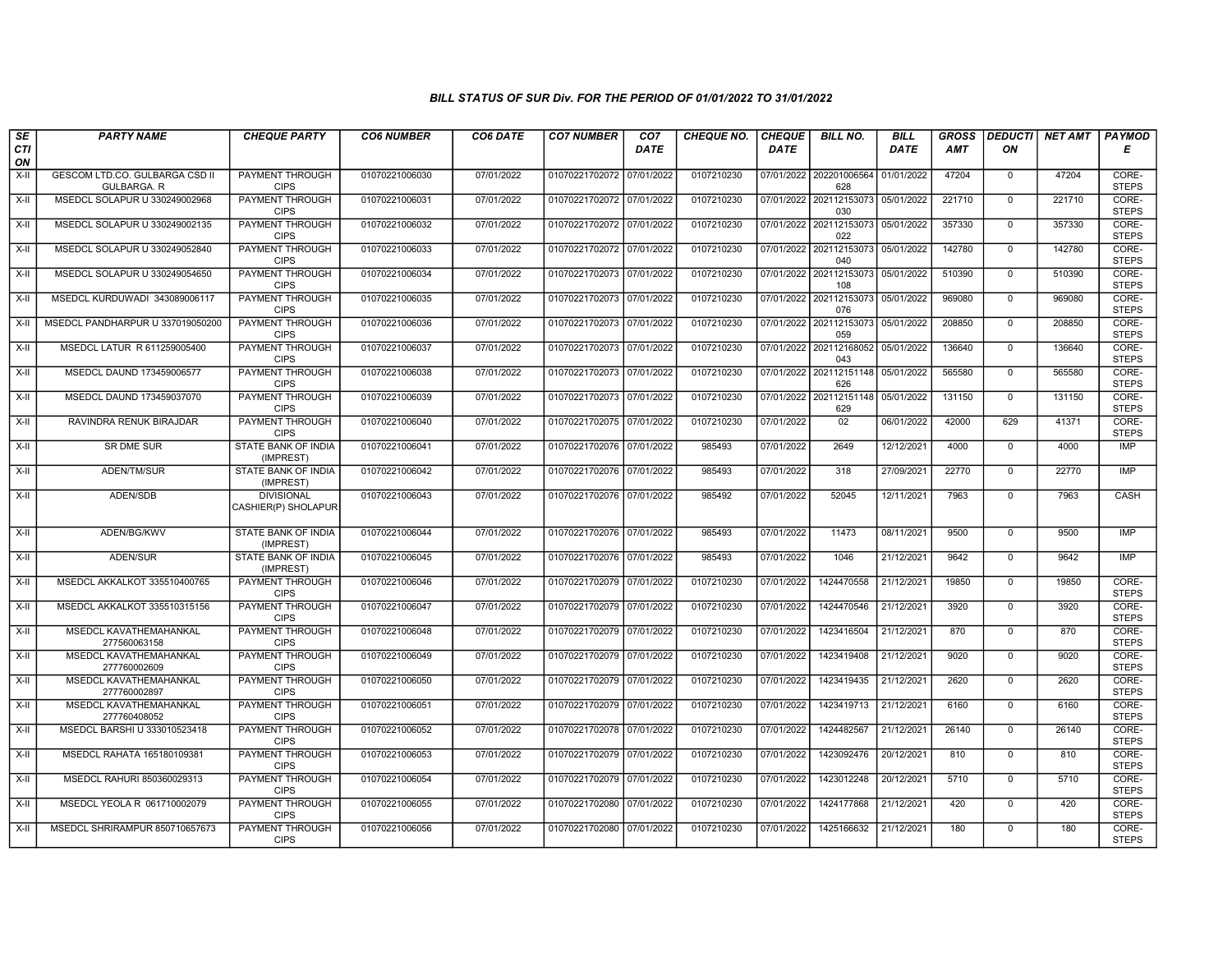| SE        | <b>PARTY NAME</b>                             | <b>CHEQUE PARTY</b>                      | <b>CO6 NUMBER</b> | CO6 DATE   | <b>CO7 NUMBER</b>         | CO <sub>7</sub> | <b>CHEQUE NO.</b> | <b>CHEQUE</b> | <b>BILL NO.</b>                           | <b>BILL</b> | <b>GROSS</b> |                | DEDUCTI NET AMT | <b>PAYMOD</b>         |
|-----------|-----------------------------------------------|------------------------------------------|-------------------|------------|---------------------------|-----------------|-------------------|---------------|-------------------------------------------|-------------|--------------|----------------|-----------------|-----------------------|
| CTI<br>ON |                                               |                                          |                   |            |                           | <b>DATE</b>     |                   | <b>DATE</b>   |                                           | DATE        | AMT          | ON             |                 | Е                     |
| $X-H$     | GESCOM LTD.CO. GULBARGA CSD II<br>GULBARGA. R | <b>PAYMENT THROUGH</b><br><b>CIPS</b>    | 01070221006030    | 07/01/2022 | 01070221702072 07/01/2022 |                 | 0107210230        |               | 07/01/2022 202201006564<br>628            | 01/01/2022  | 47204        | $^{\circ}$     | 47204           | CORE-<br><b>STEPS</b> |
| $X-H$     | MSEDCL SOLAPUR U 330249002968                 | <b>PAYMENT THROUGH</b><br><b>CIPS</b>    | 01070221006031    | 07/01/2022 | 01070221702072 07/01/2022 |                 | 0107210230        |               | 07/01/2022 202112153073<br>030            | 05/01/2022  | 221710       | $\mathbf 0$    | 221710          | CORE-<br><b>STEPS</b> |
| $X-H$     | MSEDCL SOLAPUR U 330249002135                 | PAYMENT THROUGH<br><b>CIPS</b>           | 01070221006032    | 07/01/2022 | 01070221702072 07/01/2022 |                 | 0107210230        | 07/01/2022    | 202112153073<br>022                       | 05/01/2022  | 357330       | $\mathbf 0$    | 357330          | CORE-<br><b>STEPS</b> |
| X-II      | MSEDCL SOLAPUR U 330249052840                 | <b>PAYMENT THROUGH</b><br><b>CIPS</b>    | 01070221006033    | 07/01/2022 | 01070221702072 07/01/2022 |                 | 0107210230        |               | 07/01/2022 202112153073<br>040            | 05/01/2022  | 142780       | $\mathbf{0}$   | 142780          | CORE-<br><b>STEPS</b> |
| X-II      | MSEDCL SOLAPUR U 330249054650                 | <b>PAYMENT THROUGH</b><br><b>CIPS</b>    | 01070221006034    | 07/01/2022 | 01070221702073 07/01/2022 |                 | 0107210230        |               | 07/01/2022 202112153073<br>108            | 05/01/2022  | 510390       | $\mathbf 0$    | 510390          | CORE-<br><b>STEPS</b> |
| X-II      | MSEDCL KURDUWADI 343089006117                 | <b>PAYMENT THROUGH</b><br><b>CIPS</b>    | 01070221006035    | 07/01/2022 | 01070221702073 07/01/2022 |                 | 0107210230        |               | 07/01/2022 202112153073<br>076            | 05/01/2022  | 969080       | $\Omega$       | 969080          | CORE-<br><b>STEPS</b> |
| X-II      | MSEDCL PANDHARPUR U 337019050200              | <b>PAYMENT THROUGH</b><br><b>CIPS</b>    | 01070221006036    | 07/01/2022 | 01070221702073 07/01/2022 |                 | 0107210230        | 07/01/2022    | 202112153073<br>059                       | 05/01/2022  | 208850       | $\mathbf 0$    | 208850          | CORE-<br><b>STEPS</b> |
| X-II      | MSEDCL LATUR R 611259005400                   | PAYMENT THROUGH<br><b>CIPS</b>           | 01070221006037    | 07/01/2022 | 01070221702073 07/01/2022 |                 | 0107210230        |               | 07/01/2022 202112168052<br>043            | 05/01/2022  | 136640       | $\mathbf 0$    | 136640          | CORE-<br><b>STEPS</b> |
| $X-H$     | MSEDCL DAUND 173459006577                     | <b>PAYMENT THROUGH</b><br><b>CIPS</b>    | 01070221006038    | 07/01/2022 | 01070221702073 07/01/2022 |                 | 0107210230        |               | 07/01/2022 202112151148<br>626            | 05/01/2022  | 565580       | $\overline{0}$ | 565580          | CORE-<br><b>STEPS</b> |
| X-II      | MSEDCL DAUND 173459037070                     | <b>PAYMENT THROUGH</b><br><b>CIPS</b>    | 01070221006039    | 07/01/2022 | 01070221702073 07/01/2022 |                 | 0107210230        |               | 07/01/2022 202112151148 05/01/2022<br>629 |             | 131150       | $\Omega$       | 131150          | CORE-<br><b>STEPS</b> |
| $X-H$     | RAVINDRA RENUK BIRAJDAR                       | <b>PAYMENT THROUGH</b><br><b>CIPS</b>    | 01070221006040    | 07/01/2022 | 01070221702075 07/01/2022 |                 | 0107210230        | 07/01/2022    | 02                                        | 06/01/2022  | 42000        | 629            | 41371           | CORE-<br><b>STEPS</b> |
| $X-II$    | SR DME SUR                                    | <b>STATE BANK OF INDIA</b><br>(IMPREST)  | 01070221006041    | 07/01/2022 | 01070221702076 07/01/2022 |                 | 985493            | 07/01/2022    | 2649                                      | 12/12/2021  | 4000         | $\mathbf 0$    | 4000            | <b>IMP</b>            |
| X-II      | ADEN/TM/SUR                                   | STATE BANK OF INDIA<br>(IMPREST)         | 01070221006042    | 07/01/2022 | 01070221702076 07/01/2022 |                 | 985493            | 07/01/2022    | 318                                       | 27/09/2021  | 22770        | $\mathbf{0}$   | 22770           | <b>IMP</b>            |
| X-II      | ADEN/SDB                                      | <b>DIVISIONAL</b><br>CASHIER(P) SHOLAPUR | 01070221006043    | 07/01/2022 | 01070221702076 07/01/2022 |                 | 985492            | 07/01/2022    | 52045                                     | 12/11/2021  | 7963         | $\mathbf 0$    | 7963            | CASH                  |
| $X-H$     | ADEN/BG/KWV                                   | STATE BANK OF INDIA<br>(IMPREST)         | 01070221006044    | 07/01/2022 | 01070221702076 07/01/2022 |                 | 985493            | 07/01/2022    | 11473                                     | 08/11/2021  | 9500         | $\mathbf 0$    | 9500            | <b>IMP</b>            |
| $X-H$     | ADEN/SUR                                      | <b>STATE BANK OF INDIA</b><br>(IMPREST)  | 01070221006045    | 07/01/2022 | 01070221702076 07/01/2022 |                 | 985493            | 07/01/2022    | 1046                                      | 21/12/2021  | 9642         | $\overline{0}$ | 9642            | IMP                   |
| X-II      | MSEDCL AKKALKOT 335510400765                  | PAYMENT THROUGH<br><b>CIPS</b>           | 01070221006046    | 07/01/2022 | 01070221702079 07/01/2022 |                 | 0107210230        | 07/01/2022    | 1424470558                                | 21/12/2021  | 19850        | $\mathbf 0$    | 19850           | CORE-<br><b>STEPS</b> |
| X-II      | MSEDCL AKKALKOT 335510315156                  | PAYMENT THROUGH<br><b>CIPS</b>           | 01070221006047    | 07/01/2022 | 01070221702079 07/01/2022 |                 | 0107210230        | 07/01/2022    | 1424470546                                | 21/12/2021  | 3920         | $\mathbf 0$    | 3920            | CORE-<br><b>STEPS</b> |
| $X-H$     | MSEDCL KAVATHEMAHANKAL<br>277560063158        | PAYMENT THROUGH<br><b>CIPS</b>           | 01070221006048    | 07/01/2022 | 01070221702079 07/01/2022 |                 | 0107210230        | 07/01/2022    | 1423416504                                | 21/12/2021  | 870          | $\overline{0}$ | 870             | CORE-<br><b>STEPS</b> |
| $X-H$     | MSEDCL KAVATHEMAHANKAL<br>277760002609        | <b>PAYMENT THROUGH</b><br><b>CIPS</b>    | 01070221006049    | 07/01/2022 | 01070221702079 07/01/2022 |                 | 0107210230        | 07/01/2022    | 1423419408                                | 21/12/2021  | 9020         | $\overline{0}$ | 9020            | CORE-<br><b>STEPS</b> |
| $X-H$     | MSEDCL KAVATHEMAHANKAL<br>277760002897        | <b>PAYMENT THROUGH</b><br><b>CIPS</b>    | 01070221006050    | 07/01/2022 | 01070221702079 07/01/2022 |                 | 0107210230        | 07/01/2022    | 1423419435                                | 21/12/2021  | 2620         | $\mathbf{0}$   | 2620            | CORE-<br><b>STEPS</b> |
| X-II      | MSEDCL KAVATHEMAHANKAL<br>277760408052        | PAYMENT THROUGH<br><b>CIPS</b>           | 01070221006051    | 07/01/2022 | 01070221702079 07/01/2022 |                 | 0107210230        | 07/01/2022    | 1423419713                                | 21/12/2021  | 6160         | $\Omega$       | 6160            | CORE-<br><b>STEPS</b> |
| $X-H$     | MSEDCL BARSHI U 333010523418                  | PAYMENT THROUGH<br><b>CIPS</b>           | 01070221006052    | 07/01/2022 | 01070221702078 07/01/2022 |                 | 0107210230        | 07/01/2022    | 1424482567                                | 21/12/2021  | 26140        | $\overline{0}$ | 26140           | CORE-<br><b>STEPS</b> |
| $X-H$     | MSEDCL RAHATA 165180109381                    | <b>PAYMENT THROUGH</b><br><b>CIPS</b>    | 01070221006053    | 07/01/2022 | 01070221702079 07/01/2022 |                 | 0107210230        | 07/01/2022    | 1423092476                                | 20/12/2021  | 810          | $\overline{0}$ | 810             | CORE-<br><b>STEPS</b> |
| X-II      | MSEDCL RAHURI 850360029313                    | <b>PAYMENT THROUGH</b><br><b>CIPS</b>    | 01070221006054    | 07/01/2022 | 01070221702079 07/01/2022 |                 | 0107210230        | 07/01/2022    | 1423012248                                | 20/12/2021  | 5710         | $\mathbf 0$    | 5710            | CORE-<br><b>STEPS</b> |
| X-II      | MSEDCL YEOLA R 061710002079                   | PAYMENT THROUGH<br><b>CIPS</b>           | 01070221006055    | 07/01/2022 | 01070221702080 07/01/2022 |                 | 0107210230        | 07/01/2022    | 1424177868                                | 21/12/2021  | 420          | $\mathbf 0$    | 420             | CORE-<br><b>STEPS</b> |
| $X-H$     | MSEDCL SHRIRAMPUR 850710657673                | <b>PAYMENT THROUGH</b><br><b>CIPS</b>    | 01070221006056    | 07/01/2022 | 01070221702080 07/01/2022 |                 | 0107210230        | 07/01/2022    | 1425166632                                | 21/12/2021  | 180          | $\mathbf 0$    | 180             | CORE-<br><b>STEPS</b> |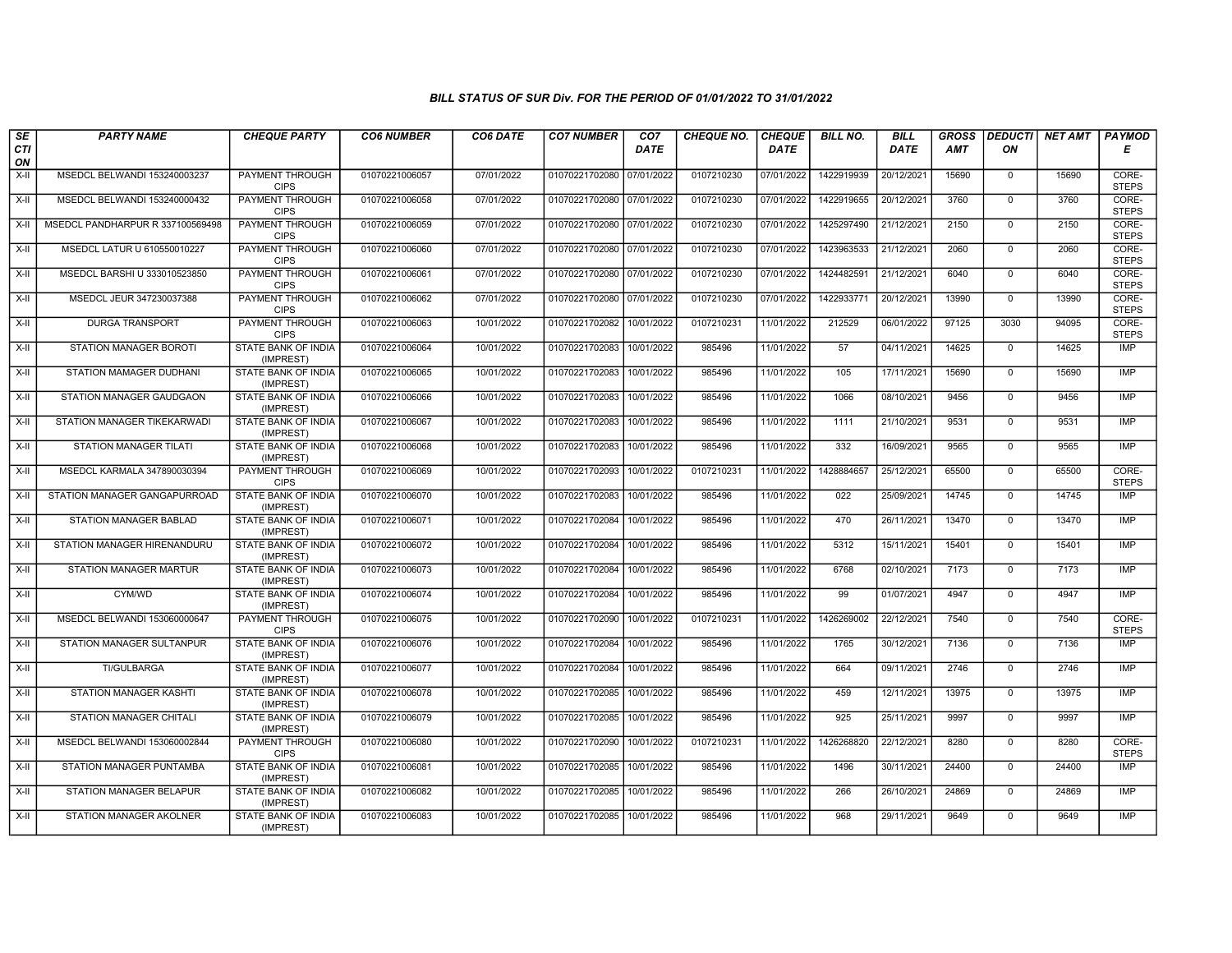| SE               | <b>PARTY NAME</b>                | <b>CHEQUE PARTY</b>                     | <b>CO6 NUMBER</b> | CO6 DATE   | <b>CO7 NUMBER</b>         | CO <sub>7</sub> | <b>CHEQUE NO.</b> | <b>CHEQUE</b> | <b>BILL NO.</b> | <b>BILL</b> | <b>GROSS</b> | <b>DEDUCTI</b> | NET AMT | <b>PAYMOD</b>         |
|------------------|----------------------------------|-----------------------------------------|-------------------|------------|---------------------------|-----------------|-------------------|---------------|-----------------|-------------|--------------|----------------|---------|-----------------------|
| <b>CTI</b><br>ON |                                  |                                         |                   |            |                           | <b>DATE</b>     |                   | <b>DATE</b>   |                 | <b>DATE</b> | <b>AMT</b>   | ON             |         | Е                     |
| $X-H$            | MSEDCL BELWANDI 153240003237     | <b>PAYMENT THROUGH</b><br><b>CIPS</b>   | 01070221006057    | 07/01/2022 | 01070221702080 07/01/2022 |                 | 0107210230        | 07/01/2022    | 1422919939      | 20/12/2021  | 15690        | $\mathbf 0$    | 15690   | CORE-<br><b>STEPS</b> |
| $X-H$            | MSEDCL BELWANDI 153240000432     | PAYMENT THROUGH<br><b>CIPS</b>          | 01070221006058    | 07/01/2022 | 01070221702080 07/01/2022 |                 | 0107210230        | 07/01/2022    | 1422919655      | 20/12/2021  | 3760         | $\Omega$       | 3760    | CORE-<br><b>STEPS</b> |
| X-II             | MSEDCL PANDHARPUR R 337100569498 | PAYMENT THROUGH<br><b>CIPS</b>          | 01070221006059    | 07/01/2022 | 01070221702080 07/01/2022 |                 | 0107210230        | 07/01/2022    | 1425297490      | 21/12/2021  | 2150         | $\mathbf 0$    | 2150    | CORE-<br><b>STEPS</b> |
| X-II             | MSEDCL LATUR U 610550010227      | PAYMENT THROUGH<br><b>CIPS</b>          | 01070221006060    | 07/01/2022 | 01070221702080 07/01/2022 |                 | 0107210230        | 07/01/2022    | 1423963533      | 21/12/2021  | 2060         | $\mathbf 0$    | 2060    | CORE-<br><b>STEPS</b> |
| $X-H$            | MSEDCL BARSHI U 333010523850     | PAYMENT THROUGH<br><b>CIPS</b>          | 01070221006061    | 07/01/2022 | 01070221702080 07/01/2022 |                 | 0107210230        | 07/01/2022    | 1424482591      | 21/12/2021  | 6040         | $\mathbf 0$    | 6040    | CORE-<br><b>STEPS</b> |
| $X-H$            | MSEDCL JEUR 347230037388         | <b>PAYMENT THROUGH</b><br><b>CIPS</b>   | 01070221006062    | 07/01/2022 | 01070221702080 07/01/2022 |                 | 0107210230        | 07/01/2022    | 1422933771      | 20/12/2021  | 13990        | $\Omega$       | 13990   | CORE-<br><b>STEPS</b> |
| $X-II$           | <b>DURGA TRANSPORT</b>           | PAYMENT THROUGH<br><b>CIPS</b>          | 01070221006063    | 10/01/2022 | 01070221702082            | 10/01/2022      | 0107210231        | 11/01/2022    | 212529          | 06/01/2022  | 97125        | 3030           | 94095   | CORE-<br><b>STEPS</b> |
| $X-H$            | STATION MANAGER BOROTI           | STATE BANK OF INDIA<br>(IMPREST)        | 01070221006064    | 10/01/2022 | 01070221702083            | 10/01/2022      | 985496            | 11/01/2022    | 57              | 04/11/2021  | 14625        | $\overline{0}$ | 14625   | <b>IMP</b>            |
| X-II             | STATION MAMAGER DUDHANI          | <b>STATE BANK OF INDIA</b><br>(IMPREST) | 01070221006065    | 10/01/2022 | 01070221702083            | 10/01/2022      | 985496            | 11/01/2022    | 105             | 17/11/2021  | 15690        | $\mathbf 0$    | 15690   | <b>IMP</b>            |
| $X-H$            | STATION MANAGER GAUDGAON         | <b>STATE BANK OF INDIA</b><br>(IMPREST) | 01070221006066    | 10/01/2022 | 01070221702083            | 10/01/2022      | 985496            | 11/01/2022    | 1066            | 08/10/2021  | 9456         | $\mathbf 0$    | 9456    | <b>IMP</b>            |
| X-II             | STATION MANAGER TIKEKARWADI      | STATE BANK OF INDIA<br>(IMPREST)        | 01070221006067    | 10/01/2022 | 01070221702083            | 10/01/2022      | 985496            | 11/01/2022    | 1111            | 21/10/2021  | 9531         | $\mathbf{0}$   | 9531    | <b>IMP</b>            |
| X-II             | <b>STATION MANAGER TILATI</b>    | STATE BANK OF INDIA<br>(IMPREST)        | 01070221006068    | 10/01/2022 | 01070221702083            | 10/01/2022      | 985496            | 11/01/2022    | 332             | 16/09/2021  | 9565         | $\mathbf 0$    | 9565    | <b>IMP</b>            |
| $X-H$            | MSEDCL KARMALA 347890030394      | PAYMENT THROUGH<br><b>CIPS</b>          | 01070221006069    | 10/01/2022 | 01070221702093            | 10/01/2022      | 0107210231        | 11/01/2022    | 1428884657      | 25/12/2021  | 65500        | $\mathbf 0$    | 65500   | CORE-<br><b>STEPS</b> |
| X-II             | STATION MANAGER GANGAPURROAD     | STATE BANK OF INDIA<br>(IMPREST)        | 01070221006070    | 10/01/2022 | 01070221702083            | 10/01/2022      | 985496            | 11/01/2022    | 022             | 25/09/2021  | 14745        | $\mathbf 0$    | 14745   | <b>IMP</b>            |
| X-II             | <b>STATION MANAGER BABLAD</b>    | STATE BANK OF INDIA<br>(IMPREST)        | 01070221006071    | 10/01/2022 | 01070221702084            | 10/01/2022      | 985496            | 11/01/2022    | 470             | 26/11/2021  | 13470        | $\Omega$       | 13470   | <b>IMP</b>            |
| X-II             | STATION MANAGER HIRENANDURL      | STATE BANK OF INDIA<br>(IMPREST)        | 01070221006072    | 10/01/2022 | 01070221702084            | 10/01/2022      | 985496            | 11/01/2022    | 5312            | 15/11/2021  | 15401        | $\mathbf{0}$   | 15401   | <b>IMP</b>            |
| $X-H$            | <b>STATION MANAGER MARTUR</b>    | STATE BANK OF INDIA<br>(IMPREST)        | 01070221006073    | 10/01/2022 | 01070221702084            | 10/01/2022      | 985496            | 11/01/2022    | 6768            | 02/10/2021  | 7173         | $\mathbf 0$    | 7173    | <b>IMP</b>            |
| X-II             | CYM/WD                           | <b>STATE BANK OF INDIA</b><br>(IMPREST) | 01070221006074    | 10/01/2022 | 01070221702084            | 10/01/2022      | 985496            | 11/01/2022    | 99              | 01/07/2021  | 4947         | $\mathbf 0$    | 4947    | <b>IMP</b>            |
| X-II             | MSEDCL BELWANDI 153060000647     | PAYMENT THROUGH<br><b>CIPS</b>          | 01070221006075    | 10/01/2022 | 01070221702090            | 10/01/2022      | 0107210231        | 11/01/2022    | 1426269002      | 22/12/2021  | 7540         | $\mathbf 0$    | 7540    | CORE-<br><b>STEPS</b> |
| $X-H$            | STATION MANAGER SULTANPUR        | STATE BANK OF INDIA<br>(IMPREST)        | 01070221006076    | 10/01/2022 | 01070221702084            | 10/01/2022      | 985496            | 11/01/2022    | 1765            | 30/12/2021  | 7136         | $\mathbf 0$    | 7136    | <b>IMP</b>            |
| X-II             | TI/GULBARGA                      | STATE BANK OF INDIA<br>(IMPREST)        | 01070221006077    | 10/01/2022 | 01070221702084            | 10/01/2022      | 985496            | 11/01/2022    | 664             | 09/11/2021  | 2746         | $\mathbf{0}$   | 2746    | <b>IMP</b>            |
| X-II             | <b>STATION MANAGER KASHTI</b>    | STATE BANK OF INDIA<br>(IMPREST)        | 01070221006078    | 10/01/2022 | 01070221702085            | 10/01/2022      | 985496            | 11/01/2022    | 459             | 12/11/2021  | 13975        | $\Omega$       | 13975   | <b>IMP</b>            |
| X-II             | STATION MANAGER CHITALI          | STATE BANK OF INDIA<br>(IMPREST)        | 01070221006079    | 10/01/2022 | 01070221702085            | 10/01/2022      | 985496            | 11/01/2022    | 925             | 25/11/2021  | 9997         | $\mathbf 0$    | 9997    | <b>IMP</b>            |
| $X-H$            | MSEDCL BELWANDI 153060002844     | PAYMENT THROUGH<br><b>CIPS</b>          | 01070221006080    | 10/01/2022 | 01070221702090            | 10/01/2022      | 0107210231        | 11/01/2022    | 1426268820      | 22/12/2021  | 8280         | $\Omega$       | 8280    | CORE-<br><b>STEPS</b> |
| X-II             | STATION MANAGER PUNTAMBA         | <b>STATE BANK OF INDIA</b><br>(IMPREST) | 01070221006081    | 10/01/2022 | 01070221702085            | 10/01/2022      | 985496            | 11/01/2022    | 1496            | 30/11/2021  | 24400        | $\Omega$       | 24400   | <b>IMP</b>            |
| $X-H$            | STATION MANAGER BELAPUR          | <b>STATE BANK OF INDIA</b><br>(IMPREST) | 01070221006082    | 10/01/2022 | 01070221702085            | 10/01/2022      | 985496            | 11/01/2022    | 266             | 26/10/2021  | 24869        | $\mathbf 0$    | 24869   | <b>IMP</b>            |
| X-II             | STATION MANAGER AKOLNER          | STATE BANK OF INDIA<br>(IMPREST)        | 01070221006083    | 10/01/2022 | 01070221702085            | 10/01/2022      | 985496            | 11/01/2022    | 968             | 29/11/2021  | 9649         | $\mathbf{0}$   | 9649    | <b>IMP</b>            |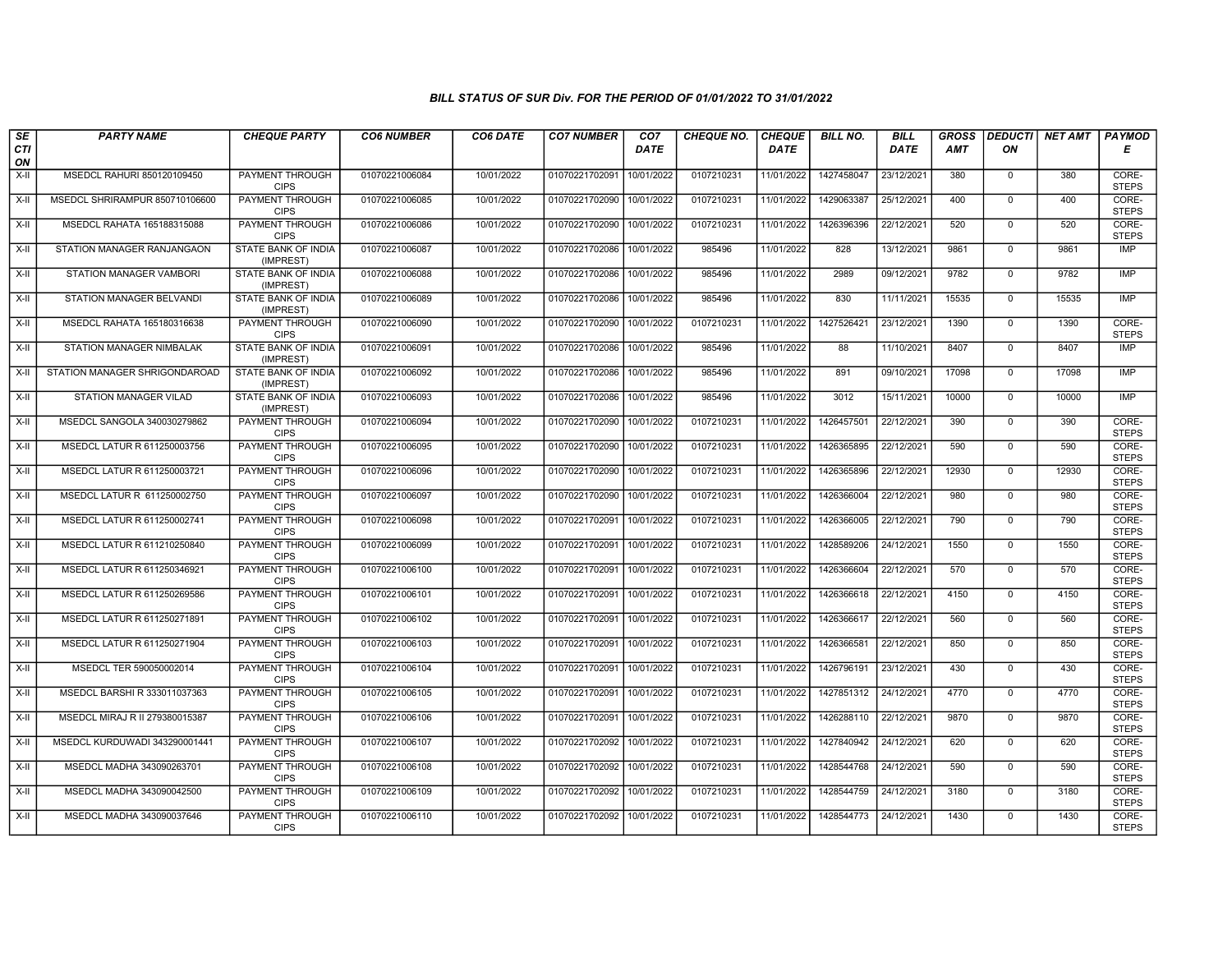| $\sqrt{SE}$ | <b>PARTY NAME</b>              | <b>CHEQUE PARTY</b>                     | <b>CO6 NUMBER</b> | CO6 DATE   | <b>CO7 NUMBER</b>         | CO <sub>7</sub> | <b>CHEQUE NO.</b> | <b>CHEQUE</b> | <b>BILL NO.</b> | <b>BILL</b> | <b>GROSS</b> | <b>DEDUCTI</b> | <b>NET AMT</b> | PAYMOD                |
|-------------|--------------------------------|-----------------------------------------|-------------------|------------|---------------------------|-----------------|-------------------|---------------|-----------------|-------------|--------------|----------------|----------------|-----------------------|
| CTI<br>ON   |                                |                                         |                   |            |                           | <b>DATE</b>     |                   | <b>DATE</b>   |                 | <b>DATE</b> | <b>AMT</b>   | ΟN             |                | Е                     |
| X-II        | MSEDCL RAHURI 850120109450     | PAYMENT THROUGH<br><b>CIPS</b>          | 01070221006084    | 10/01/2022 | 01070221702091            | 10/01/2022      | 0107210231        | 11/01/2022    | 1427458047      | 23/12/2021  | 380          | $\mathbf{0}$   | 380            | CORE-<br><b>STEPS</b> |
| X-II        | MSEDCL SHRIRAMPUR 850710106600 | PAYMENT THROUGH<br><b>CIPS</b>          | 01070221006085    | 10/01/2022 | 01070221702090            | 10/01/2022      | 0107210231        | 11/01/2022    | 1429063387      | 25/12/2021  | 400          | $\Omega$       | 400            | CORE-<br><b>STEPS</b> |
| X-II        | MSEDCL RAHATA 165188315088     | PAYMENT THROUGH<br><b>CIPS</b>          | 01070221006086    | 10/01/2022 | 01070221702090            | 10/01/2022      | 0107210231        | 11/01/2022    | 1426396396      | 22/12/2021  | 520          | $\mathbf 0$    | 520            | CORE-<br><b>STEPS</b> |
| X-II        | STATION MANAGER RANJANGAON     | STATE BANK OF INDIA<br>(IMPREST)        | 01070221006087    | 10/01/2022 | 01070221702086            | 10/01/2022      | 985496            | 11/01/2022    | 828             | 13/12/2021  | 9861         | $\overline{0}$ | 9861           | <b>IMP</b>            |
| X-II        | STATION MANAGER VAMBORI        | STATE BANK OF INDIA<br>(IMPREST)        | 01070221006088    | 10/01/2022 | 01070221702086            | 10/01/2022      | 985496            | 11/01/2022    | 2989            | 09/12/2021  | 9782         | $\mathbf{0}$   | 9782           | <b>IMP</b>            |
| X-II        | STATION MANAGER BELVANDI       | STATE BANK OF INDIA<br>(IMPREST)        | 01070221006089    | 10/01/2022 | 01070221702086            | 10/01/2022      | 985496            | 11/01/2022    | 830             | 11/11/2021  | 15535        | $\mathbf{0}$   | 15535          | <b>IMP</b>            |
| X-II        | MSEDCL RAHATA 165180316638     | PAYMENT THROUGH<br><b>CIPS</b>          | 01070221006090    | 10/01/2022 | 01070221702090            | 10/01/2022      | 0107210231        | 11/01/2022    | 1427526421      | 23/12/2021  | 1390         | $\Omega$       | 1390           | CORE-<br><b>STEPS</b> |
| X-II        | STATION MANAGER NIMBALAK       | STATE BANK OF INDIA<br>(IMPREST)        | 01070221006091    | 10/01/2022 | 01070221702086            | 10/01/2022      | 985496            | 11/01/2022    | 88              | 11/10/2021  | 8407         | $\mathbf{0}$   | 8407           | <b>IMP</b>            |
| $X-II$      | STATION MANAGER SHRIGONDAROAD  | <b>STATE BANK OF INDIA</b><br>(IMPREST) | 01070221006092    | 10/01/2022 | 01070221702086            | 10/01/2022      | 985496            | 11/01/2022    | 891             | 09/10/2021  | 17098        | $\overline{0}$ | 17098          | IMP                   |
| X-II        | <b>STATION MANAGER VILAD</b>   | STATE BANK OF INDIA<br>(IMPREST)        | 01070221006093    | 10/01/2022 | 01070221702086            | 10/01/2022      | 985496            | 11/01/2022    | 3012            | 15/11/2021  | 10000        | $\mathbf{0}$   | 10000          | <b>IMP</b>            |
| X-II        | MSEDCL SANGOLA 340030279862    | PAYMENT THROUGH<br><b>CIPS</b>          | 01070221006094    | 10/01/2022 | 01070221702090            | 10/01/2022      | 0107210231        | 11/01/2022    | 1426457501      | 22/12/2021  | 390          | $\mathbf 0$    | 390            | CORE-<br><b>STEPS</b> |
| X-II        | MSEDCL LATUR R 611250003756    | PAYMENT THROUGH<br><b>CIPS</b>          | 01070221006095    | 10/01/2022 | 01070221702090            | 10/01/2022      | 0107210231        | 11/01/2022    | 1426365895      | 22/12/2021  | 590          | $\Omega$       | 590            | CORE-<br><b>STEPS</b> |
| X-II        | MSEDCL LATUR R 611250003721    | <b>PAYMENT THROUGH</b><br><b>CIPS</b>   | 01070221006096    | 10/01/2022 | 01070221702090            | 10/01/2022      | 0107210231        | 11/01/2022    | 1426365896      | 22/12/2021  | 12930        | $\mathbf 0$    | 12930          | CORE-<br><b>STEPS</b> |
| $X-H$       | MSEDCL LATUR R 611250002750    | <b>PAYMENT THROUGH</b><br><b>CIPS</b>   | 01070221006097    | 10/01/2022 | 01070221702090            | 10/01/2022      | 0107210231        | 11/01/2022    | 1426366004      | 22/12/2021  | 980          | $\overline{0}$ | 980            | CORE-<br><b>STEPS</b> |
| X-II        | MSEDCL LATUR R 611250002741    | PAYMENT THROUGH<br><b>CIPS</b>          | 01070221006098    | 10/01/2022 | 01070221702091            | 10/01/2022      | 0107210231        | 11/01/2022    | 1426366005      | 22/12/2021  | 790          | $\Omega$       | 790            | CORE-<br><b>STEPS</b> |
| $X-H$       | MSEDCL LATUR R 611210250840    | PAYMENT THROUGH<br><b>CIPS</b>          | 01070221006099    | 10/01/2022 | 01070221702091            | 10/01/2022      | 0107210231        | 11/01/2022    | 1428589206      | 24/12/2021  | 1550         | $\overline{0}$ | 1550           | CORE-<br><b>STEPS</b> |
| X-II        | MSEDCL LATUR R 611250346921    | <b>PAYMENT THROUGH</b><br><b>CIPS</b>   | 01070221006100    | 10/01/2022 | 01070221702091            | 10/01/2022      | 0107210231        | 11/01/2022    | 1426366604      | 22/12/2021  | 570          | $\Omega$       | 570            | CORE-<br><b>STEPS</b> |
| X-II        | MSEDCL LATUR R 611250269586    | <b>PAYMENT THROUGH</b><br><b>CIPS</b>   | 01070221006101    | 10/01/2022 | 01070221702091            | 10/01/2022      | 0107210231        | 11/01/2022    | 1426366618      | 22/12/2021  | 4150         | $\mathbf{0}$   | 4150           | CORE-<br><b>STEPS</b> |
| X-II        | MSEDCL LATUR R 611250271891    | PAYMENT THROUGH<br><b>CIPS</b>          | 01070221006102    | 10/01/2022 | 01070221702091            | 10/01/2022      | 0107210231        | 11/01/2022    | 1426366617      | 22/12/2021  | 560          | $\Omega$       | 560            | CORE-<br><b>STEPS</b> |
| X-II        | MSEDCL LATUR R 611250271904    | PAYMENT THROUGH<br><b>CIPS</b>          | 01070221006103    | 10/01/2022 | 01070221702091            | 10/01/2022      | 0107210231        | 11/01/2022    | 1426366581      | 22/12/2021  | 850          | $\mathbf{0}$   | 850            | CORE-<br><b>STEPS</b> |
| X-II        | MSEDCL TER 590050002014        | <b>PAYMENT THROUGH</b><br><b>CIPS</b>   | 01070221006104    | 10/01/2022 | 01070221702091            | 10/01/2022      | 0107210231        | 11/01/2022    | 1426796191      | 23/12/2021  | 430          | $\overline{0}$ | 430            | CORE-<br><b>STEPS</b> |
| X-II        | MSEDCL BARSHI R 333011037363   | PAYMENT THROUGH<br><b>CIPS</b>          | 01070221006105    | 10/01/2022 | 01070221702091 10/01/2022 |                 | 0107210231        | 11/01/2022    | 1427851312      | 24/12/2021  | 4770         | $\Omega$       | 4770           | CORE-<br><b>STEPS</b> |
| X-II        | MSEDCL MIRAJ R II 279380015387 | PAYMENT THROUGH<br><b>CIPS</b>          | 01070221006106    | 10/01/2022 | 01070221702091            | 10/01/2022      | 0107210231        | 11/01/2022    | 1426288110      | 22/12/2021  | 9870         | $\mathbf{0}$   | 9870           | CORE-<br><b>STEPS</b> |
| X-II        | MSEDCL KURDUWADI 343290001441  | PAYMENT THROUGH<br><b>CIPS</b>          | 01070221006107    | 10/01/2022 | 01070221702092            | 10/01/2022      | 0107210231        | 11/01/2022    | 1427840942      | 24/12/2021  | 620          | $\mathbf{0}$   | 620            | CORE-<br><b>STEPS</b> |
| X-II        | MSEDCL MADHA 343090263701      | PAYMENT THROUGH<br><b>CIPS</b>          | 01070221006108    | 10/01/2022 | 01070221702092            | 10/01/2022      | 0107210231        | 11/01/2022    | 1428544768      | 24/12/2021  | 590          | $\Omega$       | 590            | CORE-<br><b>STEPS</b> |
| X-II        | MSEDCL MADHA 343090042500      | <b>PAYMENT THROUGH</b><br><b>CIPS</b>   | 01070221006109    | 10/01/2022 | 01070221702092            | 10/01/2022      | 0107210231        | 11/01/2022    | 1428544759      | 24/12/2021  | 3180         | $\mathbf 0$    | 3180           | CORE-<br><b>STEPS</b> |
| X-II        | MSEDCL MADHA 343090037646      | PAYMENT THROUGH<br><b>CIPS</b>          | 01070221006110    | 10/01/2022 | 01070221702092            | 10/01/2022      | 0107210231        | 11/01/2022    | 1428544773      | 24/12/2021  | 1430         | $\mathbf{0}$   | 1430           | CORE-<br><b>STEPS</b> |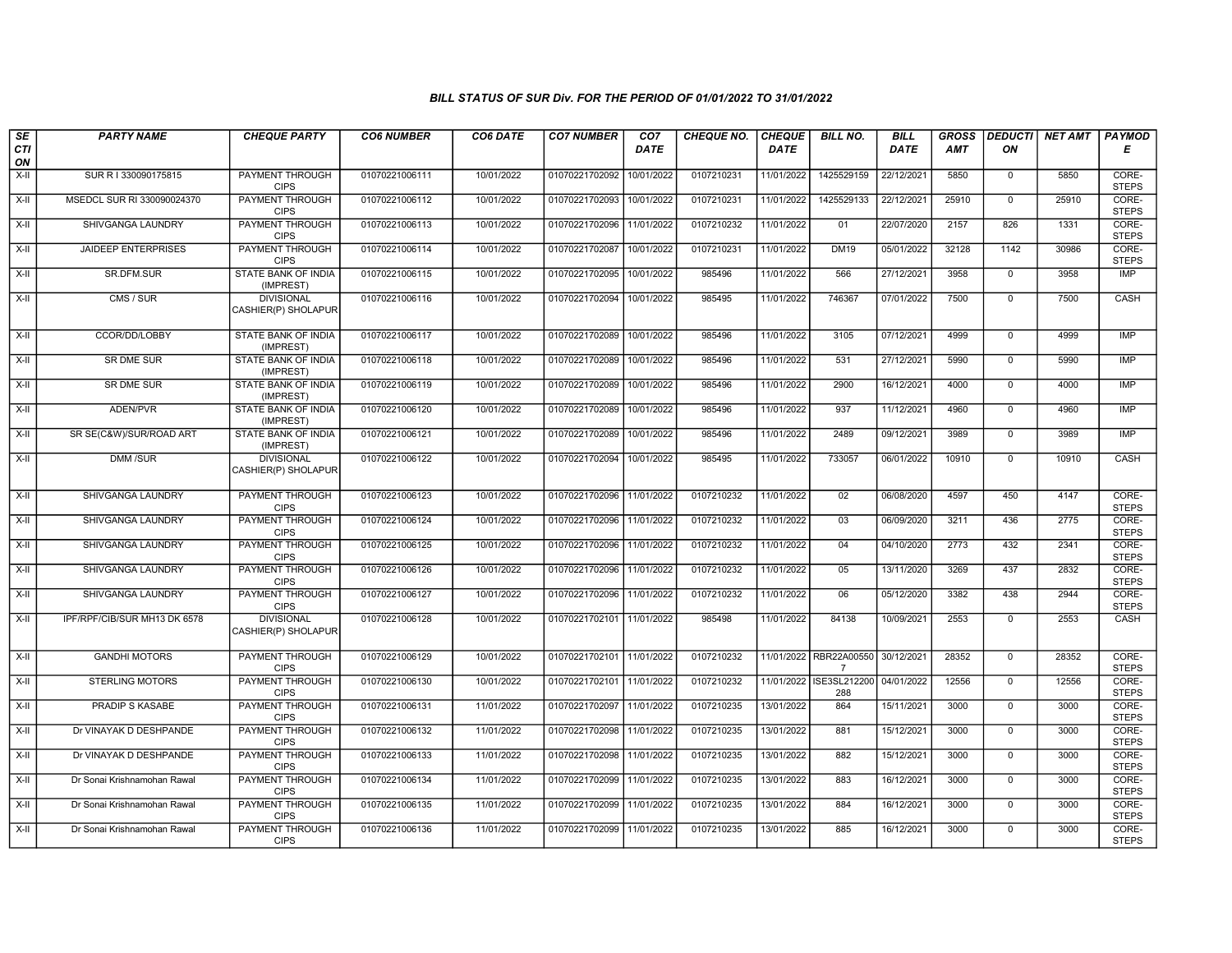| SE               | <b>PARTY NAME</b>            | <b>CHEQUE PARTY</b>                      | <b>CO6 NUMBER</b> | CO6 DATE   | <b>CO7 NUMBER</b>         | CO <sub>7</sub> | <b>CHEQUE NO.</b> | <b>CHEQUE</b> | <b>BILL NO.</b>                          | <b>BILL</b> | <b>GROSS</b> |                | DEDUCTI NET AMT | <b>PAYMOD</b>         |
|------------------|------------------------------|------------------------------------------|-------------------|------------|---------------------------|-----------------|-------------------|---------------|------------------------------------------|-------------|--------------|----------------|-----------------|-----------------------|
| <b>CTI</b><br>ON |                              |                                          |                   |            |                           | <b>DATE</b>     |                   | <b>DATE</b>   |                                          | <b>DATE</b> | AMT          | ON             |                 | Е                     |
| $X-H$            | SUR R I 330090175815         | <b>PAYMENT THROUGH</b><br><b>CIPS</b>    | 01070221006111    | 10/01/2022 | 01070221702092            | 10/01/2022      | 0107210231        | 11/01/2022    | 1425529159                               | 22/12/2021  | 5850         | $\mathbf 0$    | 5850            | CORE-<br><b>STEPS</b> |
| $X-H$            | MSEDCL SUR RI 330090024370   | <b>PAYMENT THROUGH</b><br><b>CIPS</b>    | 01070221006112    | 10/01/2022 | 01070221702093            | 10/01/2022      | 0107210231        | 11/01/2022    | 1425529133                               | 22/12/2021  | 25910        | $\Omega$       | 25910           | CORE-<br><b>STEPS</b> |
| X-II             | SHIVGANGA LAUNDRY            | PAYMENT THROUGH<br><b>CIPS</b>           | 01070221006113    | 10/01/2022 | 01070221702096            | 11/01/2022      | 0107210232        | 11/01/2022    | 01                                       | 22/07/2020  | 2157         | 826            | 1331            | CORE-<br><b>STEPS</b> |
| X-II             | <b>JAIDEEP ENTERPRISES</b>   | PAYMENT THROUGH<br><b>CIPS</b>           | 01070221006114    | 10/01/2022 | 01070221702087            | 10/01/2022      | 0107210231        | 11/01/2022    | <b>DM19</b>                              | 05/01/2022  | 32128        | 1142           | 30986           | CORE-<br><b>STEPS</b> |
| $X-H$            | <b>SR.DFM.SUR</b>            | <b>STATE BANK OF INDIA</b><br>(IMPREST)  | 01070221006115    | 10/01/2022 | 01070221702095            | 10/01/2022      | 985496            | 11/01/2022    | 566                                      | 27/12/2021  | 3958         | $\mathbf 0$    | 3958            | <b>IMP</b>            |
| X-II             | $\overline{CMS / SUB}$       | <b>DIVISIONAL</b><br>CASHIER(P) SHOLAPUR | 01070221006116    | 10/01/2022 | 01070221702094 10/01/2022 |                 | 985495            | 11/01/2022    | 746367                                   | 07/01/2022  | 7500         | $\Omega$       | 7500            | CASH                  |
| $X-H$            | CCOR/DD/LOBBY                | <b>STATE BANK OF INDIA</b><br>(IMPREST)  | 01070221006117    | 10/01/2022 | 01070221702089            | 10/01/2022      | 985496            | 11/01/2022    | 3105                                     | 07/12/2021  | 4999         | $\mathbf{0}$   | 4999            | <b>IMP</b>            |
| $X-H$            | <b>SR DME SUR</b>            | <b>STATE BANK OF INDIA</b><br>(IMPREST)  | 01070221006118    | 10/01/2022 | 01070221702089            | 10/01/2022      | 985496            | 11/01/2022    | 531                                      | 27/12/2021  | 5990         | $\mathbf 0$    | 5990            | <b>IMP</b>            |
| X-II             | <b>SR DME SUR</b>            | STATE BANK OF INDIA<br>(IMPREST)         | 01070221006119    | 10/01/2022 | 01070221702089            | 10/01/2022      | 985496            | 11/01/2022    | 2900                                     | 16/12/2021  | 4000         | $\mathbf 0$    | 4000            | IMP                   |
| $X-H$            | ADEN/PVR                     | STATE BANK OF INDIA<br>(IMPREST)         | 01070221006120    | 10/01/2022 | 01070221702089            | 10/01/2022      | 985496            | 11/01/2022    | 937                                      | 11/12/2021  | 4960         | $\mathbf 0$    | 4960            | <b>IMP</b>            |
| X-II             | SR SE(C&W)/SUR/ROAD ART      | <b>STATE BANK OF INDIA</b><br>(IMPREST)  | 01070221006121    | 10/01/2022 | 01070221702089            | 10/01/2022      | 985496            | 11/01/2022    | 2489                                     | 09/12/2021  | 3989         | $\mathbf 0$    | 3989            | <b>IMP</b>            |
| $X-H$            | <b>DMM/SUR</b>               | <b>DIVISIONAL</b><br>CASHIER(P) SHOLAPUR | 01070221006122    | 10/01/2022 | 01070221702094            | 10/01/2022      | 985495            | 11/01/2022    | 733057                                   | 06/01/2022  | 10910        | $\overline{0}$ | 10910           | CASH                  |
| $X-H$            | SHIVGANGA LAUNDRY            | <b>PAYMENT THROUGH</b><br><b>CIPS</b>    | 01070221006123    | 10/01/2022 | 01070221702096 11/01/2022 |                 | 0107210232        | 11/01/2022    | 02                                       | 06/08/2020  | 4597         | 450            | 4147            | CORE-<br><b>STEPS</b> |
| $X-H$            | SHIVGANGA LAUNDRY            | <b>PAYMENT THROUGH</b><br><b>CIPS</b>    | 01070221006124    | 10/01/2022 | 01070221702096            | 11/01/2022      | 0107210232        | 11/01/2022    | 03                                       | 06/09/2020  | 3211         | 436            | 2775            | CORE-<br><b>STEPS</b> |
| $X-H$            | SHIVGANGA LAUNDRY            | <b>PAYMENT THROUGH</b><br><b>CIPS</b>    | 01070221006125    | 10/01/2022 | 01070221702096            | 11/01/2022      | 0107210232        | 11/01/2022    | 04                                       | 04/10/2020  | 2773         | 432            | 2341            | CORE-<br><b>STEPS</b> |
| X-II             | SHIVGANGA LAUNDRY            | PAYMENT THROUGH<br><b>CIPS</b>           | 01070221006126    | 10/01/2022 | 01070221702096            | 11/01/2022      | 0107210232        | 11/01/2022    | 05                                       | 13/11/2020  | 3269         | 437            | 2832            | CORE-<br><b>STEPS</b> |
| $X-H$            | SHIVGANGA LAUNDRY            | <b>PAYMENT THROUGH</b><br><b>CIPS</b>    | 01070221006127    | 10/01/2022 | 01070221702096            | 11/01/2022      | 0107210232        | 11/01/2022    | 06                                       | 05/12/2020  | 3382         | 438            | 2944            | CORE-<br><b>STEPS</b> |
| $X-II$           | IPF/RPF/CIB/SUR MH13 DK 6578 | <b>DIVISIONAL</b><br>CASHIER(P) SHOLAPUR | 01070221006128    | 10/01/2022 | 01070221702101 11/01/2022 |                 | 985498            | 11/01/2022    | 84138                                    | 10/09/2021  | 2553         | $\mathbf{0}$   | 2553            | CASH                  |
| $X-H$            | <b>GANDHI MOTORS</b>         | PAYMENT THROUGH<br><b>CIPS</b>           | 01070221006129    | 10/01/2022 | 01070221702101 11/01/2022 |                 | 0107210232        |               | 11/01/2022 RBR22A00550<br>$\overline{7}$ | 30/12/2021  | 28352        | $\overline{0}$ | 28352           | CORE-<br><b>STEPS</b> |
| $X-II$           | <b>STERLING MOTORS</b>       | PAYMENT THROUGH<br><b>CIPS</b>           | 01070221006130    | 10/01/2022 | 01070221702101 11/01/2022 |                 | 0107210232        |               | 11/01/2022 ISE3SL212200<br>288           | 04/01/2022  | 12556        | $\mathbf 0$    | 12556           | CORE-<br><b>STEPS</b> |
| X-II             | <b>PRADIP S KASABE</b>       | <b>PAYMENT THROUGH</b><br><b>CIPS</b>    | 01070221006131    | 11/01/2022 | 01070221702097 11/01/2022 |                 | 0107210235        | 13/01/2022    | 864                                      | 15/11/2021  | 3000         | $\mathbf 0$    | 3000            | CORE-<br><b>STEPS</b> |
| X-II             | Dr VINAYAK D DESHPANDE       | PAYMENT THROUGH<br><b>CIPS</b>           | 01070221006132    | 11/01/2022 | 01070221702098            | 11/01/2022      | 0107210235        | 13/01/2022    | 881                                      | 15/12/2021  | 3000         | $\mathsf 0$    | 3000            | CORE-<br><b>STEPS</b> |
| $X-H$            | Dr VINAYAK D DESHPANDE       | PAYMENT THROUGH<br><b>CIPS</b>           | 01070221006133    | 11/01/2022 | 01070221702098            | 11/01/2022      | 0107210235        | 13/01/2022    | 882                                      | 15/12/2021  | 3000         | $\overline{0}$ | 3000            | CORE-<br><b>STEPS</b> |
| X-II             | Dr Sonai Krishnamohan Rawal  | PAYMENT THROUGH<br><b>CIPS</b>           | 01070221006134    | 11/01/2022 | 01070221702099 11/01/2022 |                 | 0107210235        | 13/01/2022    | 883                                      | 16/12/2021  | 3000         | $\mathbf 0$    | 3000            | CORE-<br><b>STEPS</b> |
| X-II             | Dr Sonai Krishnamohan Rawal  | <b>PAYMENT THROUGH</b><br><b>CIPS</b>    | 01070221006135    | 11/01/2022 | 01070221702099            | 11/01/2022      | 0107210235        | 13/01/2022    | 884                                      | 16/12/2021  | 3000         | $\mathbf 0$    | 3000            | CORE-<br><b>STEPS</b> |
| X-II             | Dr Sonai Krishnamohan Rawal  | <b>PAYMENT THROUGH</b><br><b>CIPS</b>    | 01070221006136    | 11/01/2022 | 01070221702099            | 11/01/2022      | 0107210235        | 13/01/2022    | 885                                      | 16/12/2021  | 3000         | $\mathsf{O}$   | 3000            | CORE-<br><b>STEPS</b> |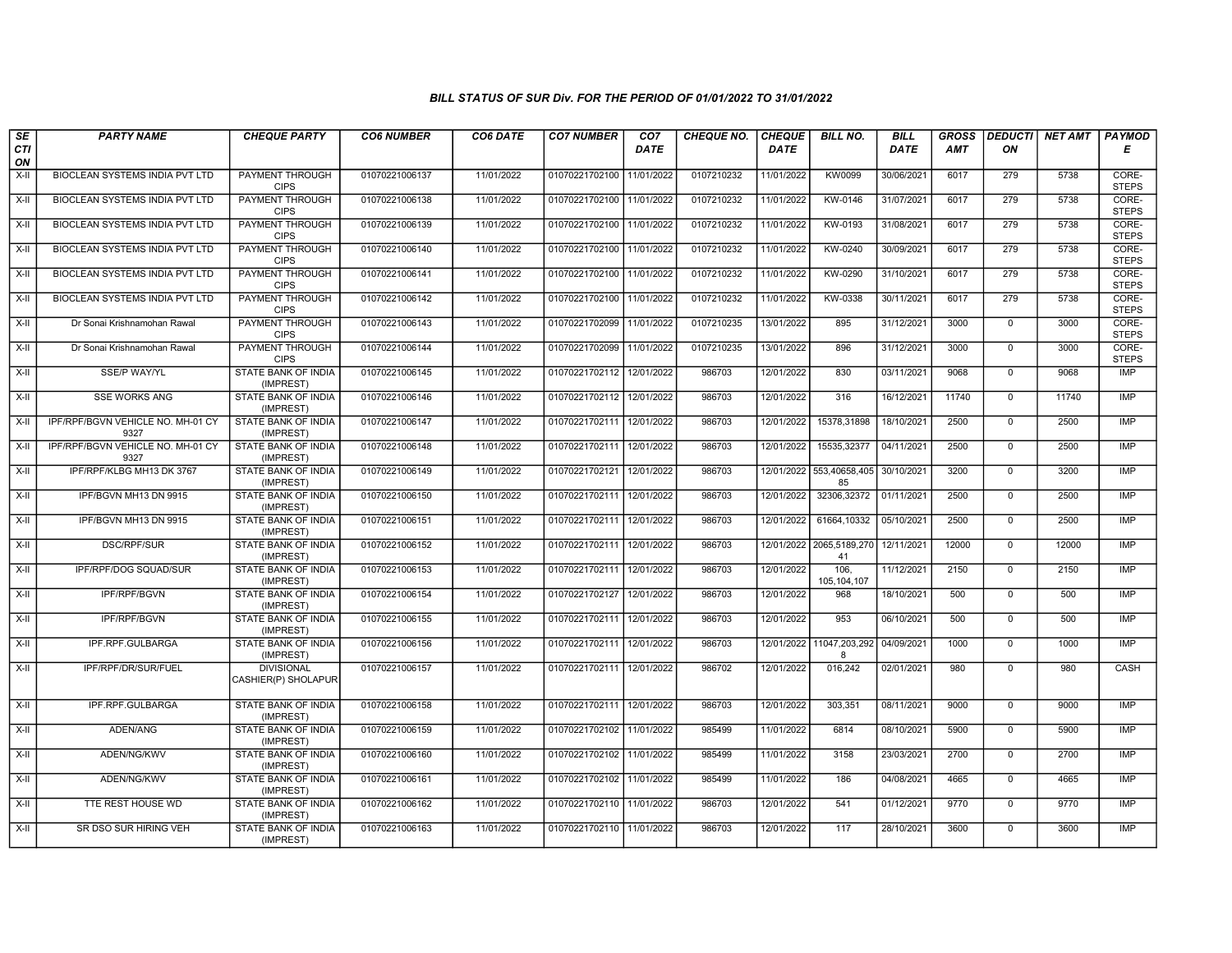| SE               | <b>PARTY NAME</b>                         | <b>CHEQUE PARTY</b>                      | <b>CO6 NUMBER</b> | CO6 DATE   | <b>CO7 NUMBER</b>         | CO <sub>7</sub> | <b>CHEQUE NO.</b> | <b>CHEQUE</b> | <b>BILL NO.</b>                | <b>BILL</b> | <b>GROSS</b> |              | <b>DEDUCTI</b> NET AMT | <b>PAYMOD</b>         |
|------------------|-------------------------------------------|------------------------------------------|-------------------|------------|---------------------------|-----------------|-------------------|---------------|--------------------------------|-------------|--------------|--------------|------------------------|-----------------------|
| <b>CTI</b><br>ON |                                           |                                          |                   |            |                           | <b>DATE</b>     |                   | <b>DATE</b>   |                                | DATE        | AMT          | ON           |                        | Е                     |
| X-II             | BIOCLEAN SYSTEMS INDIA PVT LTD            | <b>PAYMENT THROUGH</b><br><b>CIPS</b>    | 01070221006137    | 11/01/2022 | 01070221702100            | 11/01/2022      | 0107210232        | 11/01/2022    | <b>KW0099</b>                  | 30/06/2021  | 6017         | 279          | 5738                   | CORE-<br><b>STEPS</b> |
| X-II             | <b>BIOCLEAN SYSTEMS INDIA PVT LTD</b>     | <b>PAYMENT THROUGH</b><br><b>CIPS</b>    | 01070221006138    | 11/01/2022 | 01070221702100 11/01/2022 |                 | 0107210232        | 11/01/2022    | KW-0146                        | 31/07/2021  | 6017         | 279          | 5738                   | CORE-<br><b>STEPS</b> |
| $X-H$            | BIOCLEAN SYSTEMS INDIA PVT LTD            | PAYMENT THROUGH<br><b>CIPS</b>           | 01070221006139    | 11/01/2022 | 01070221702100            | 11/01/2022      | 0107210232        | 11/01/2022    | KW-0193                        | 31/08/2021  | 6017         | 279          | 5738                   | CORE-<br><b>STEPS</b> |
| X-II             | BIOCLEAN SYSTEMS INDIA PVT LTD            | PAYMENT THROUGH<br><b>CIPS</b>           | 01070221006140    | 11/01/2022 | 01070221702100            | 11/01/2022      | 0107210232        | 11/01/2022    | KW-0240                        | 30/09/2021  | 6017         | 279          | 5738                   | CORE-<br><b>STEPS</b> |
| X-II             | <b>BIOCLEAN SYSTEMS INDIA PVT LTD</b>     | <b>PAYMENT THROUGH</b><br><b>CIPS</b>    | 01070221006141    | 11/01/2022 | 01070221702100 11/01/2022 |                 | 0107210232        | 11/01/2022    | KW-0290                        | 31/10/2021  | 6017         | 279          | 5738                   | CORE-<br><b>STEPS</b> |
| X-II             | <b>BIOCLEAN SYSTEMS INDIA PVT LTD</b>     | <b>PAYMENT THROUGH</b><br><b>CIPS</b>    | 01070221006142    | 11/01/2022 | 01070221702100 11/01/2022 |                 | 0107210232        | 11/01/2022    | KW-0338                        | 30/11/2021  | 6017         | 279          | 5738                   | CORE-<br><b>STEPS</b> |
| $X-H$            | Dr Sonai Krishnamohan Rawal               | PAYMENT THROUGH<br><b>CIPS</b>           | 01070221006143    | 11/01/2022 | 01070221702099            | 11/01/2022      | 0107210235        | 13/01/2022    | 895                            | 31/12/2021  | 3000         | $\mathsf 0$  | 3000                   | CORE-<br><b>STEPS</b> |
| X-II             | Dr Sonai Krishnamohan Rawal               | PAYMENT THROUGH<br><b>CIPS</b>           | 01070221006144    | 11/01/2022 | 01070221702099            | 11/01/2022      | 0107210235        | 13/01/2022    | 896                            | 31/12/2021  | 3000         | $\mathbf{0}$ | 3000                   | CORE-<br><b>STEPS</b> |
| X-II             | <b>SSE/P WAY/YL</b>                       | <b>STATE BANK OF INDIA</b><br>(IMPREST)  | 01070221006145    | 11/01/2022 | 01070221702112 12/01/2022 |                 | 986703            | 12/01/2022    | 830                            | 03/11/2021  | 9068         | $\mathbf{0}$ | 9068                   | <b>IMP</b>            |
| X-II             | <b>SSE WORKS ANG</b>                      | <b>STATE BANK OF INDIA</b><br>(IMPREST)  | 01070221006146    | 11/01/2022 | 01070221702112 12/01/2022 |                 | 986703            | 12/01/2022    | 316                            | 16/12/2021  | 11740        | $\Omega$     | 11740                  | <b>IMP</b>            |
| $X-II$           | IPF/RPF/BGVN VEHICLE NO. MH-01 CY<br>9327 | <b>STATE BANK OF INDIA</b><br>(IMPREST)  | 01070221006147    | 11/01/2022 | 01070221702111            | 12/01/2022      | 986703            | 12/01/2022    | 15378,31898                    | 18/10/2021  | 2500         | $\mathbf{0}$ | 2500                   | <b>IMP</b>            |
| X-II             | IPF/RPF/BGVN VEHICLE NO. MH-01 CY<br>9327 | STATE BANK OF INDIA<br>(IMPREST)         | 01070221006148    | 11/01/2022 | 01070221702111            | 12/01/2022      | 986703            | 12/01/2022    | 15535,32377                    | 04/11/2021  | 2500         | $\mathbf{0}$ | 2500                   | <b>IMP</b>            |
| X-II             | IPF/RPF/KLBG MH13 DK 3767                 | <b>STATE BANK OF INDIA</b><br>(IMPREST)  | 01070221006149    | 11/01/2022 | 01070221702121            | 12/01/2022      | 986703            | 12/01/2022    | 553,40658,405<br>85            | 30/10/2021  | 3200         | $\mathbf 0$  | 3200                   | <b>IMP</b>            |
| X-II             | IPF/BGVN MH13 DN 9915                     | <b>STATE BANK OF INDIA</b><br>(IMPREST)  | 01070221006150    | 11/01/2022 | 01070221702111 12/01/2022 |                 | 986703            | 12/01/2022    | 32306,32372                    | 01/11/2021  | 2500         | $\mathbf{0}$ | 2500                   | <b>IMP</b>            |
| $X-II$           | IPF/BGVN MH13 DN 9915                     | <b>STATE BANK OF INDIA</b><br>(IMPREST)  | 01070221006151    | 11/01/2022 | 01070221702111            | 12/01/2022      | 986703            | 12/01/2022    | 61664,10332                    | 05/10/2021  | 2500         | $\mathbf{0}$ | 2500                   | IMP                   |
| X-II             | <b>DSC/RPF/SUR</b>                        | STATE BANK OF INDIA<br>(IMPREST)         | 01070221006152    | 11/01/2022 | 01070221702111            | 12/01/2022      | 986703            |               | 12/01/2022 2065,5189,270<br>41 | 12/11/2021  | 12000        | $\mathbf 0$  | 12000                  | <b>IMP</b>            |
| $X-II$           | IPF/RPF/DOG SQUAD/SUR                     | STATE BANK OF INDIA<br>(IMPREST)         | 01070221006153    | 11/01/2022 | 01070221702111 12/01/2022 |                 | 986703            | 12/01/2022    | 106.<br>105, 104, 107          | 11/12/2021  | 2150         | $\mathbf 0$  | 2150                   | <b>IMP</b>            |
| X-II             | IPF/RPF/BGVN                              | STATE BANK OF INDIA<br>(IMPREST)         | 01070221006154    | 11/01/2022 | 01070221702127 12/01/2022 |                 | 986703            | 12/01/2022    | 968                            | 18/10/2021  | 500          | $\mathbf 0$  | 500                    | <b>IMP</b>            |
| X-II             | IPF/RPF/BGVN                              | <b>STATE BANK OF INDIA</b><br>(IMPREST)  | 01070221006155    | 11/01/2022 | 01070221702111            | 12/01/2022      | 986703            | 12/01/2022    | 953                            | 06/10/2021  | 500          | $\mathbf{0}$ | 500                    | IMP                   |
| X-II             | IPF.RPF.GULBARGA                          | STATE BANK OF INDIA<br>(IMPREST)         | 01070221006156    | 11/01/2022 | 01070221702111            | 12/01/2022      | 986703            | 12/01/2022    | 11047,203,292<br>8             | 04/09/2021  | 1000         | $\mathbf{0}$ | 1000                   | <b>IMP</b>            |
| X-II             | IPF/RPF/DR/SUR/FUEL                       | <b>DIVISIONAL</b><br>CASHIER(P) SHOLAPUR | 01070221006157    | 11/01/2022 | 01070221702111 12/01/2022 |                 | 986702            | 12/01/2022    | 016,242                        | 02/01/2021  | 980          | $\mathbf 0$  | 980                    | <b>CASH</b>           |
| X-II             | IPF.RPF.GULBARGA                          | STATE BANK OF INDIA<br>(IMPREST)         | 01070221006158    | 11/01/2022 | 01070221702111 12/01/2022 |                 | 986703            | 12/01/2022    | 303,351                        | 08/11/2021  | 9000         | $\mathbf 0$  | 9000                   | <b>IMP</b>            |
| X-II             | ADEN/ANG                                  | STATE BANK OF INDIA<br>(IMPREST)         | 01070221006159    | 11/01/2022 | 01070221702102            | 11/01/2022      | 985499            | 11/01/2022    | 6814                           | 08/10/2021  | 5900         | $\mathbf 0$  | 5900                   | <b>IMP</b>            |
| X-II             | ADEN/NG/KWV                               | <b>STATE BANK OF INDIA</b><br>(IMPREST)  | 01070221006160    | 11/01/2022 | 01070221702102 11/01/2022 |                 | 985499            | 11/01/2022    | 3158                           | 23/03/2021  | 2700         | $\mathbf 0$  | 2700                   | <b>IMP</b>            |
| X-II             | ADEN/NG/KWV                               | STATE BANK OF INDIA<br>(IMPREST)         | 01070221006161    | 11/01/2022 | 01070221702102 11/01/2022 |                 | 985499            | 11/01/2022    | 186                            | 04/08/2021  | 4665         | $\mathbf 0$  | 4665                   | <b>IMP</b>            |
| X-II             | TTE REST HOUSE WD                         | STATE BANK OF INDIA<br>(IMPREST)         | 01070221006162    | 11/01/2022 | 01070221702110 11/01/2022 |                 | 986703            | 12/01/2022    | 541                            | 01/12/2021  | 9770         | $\mathbf 0$  | 9770                   | <b>IMP</b>            |
| $X-H$            | SR DSO SUR HIRING VEH                     | STATE BANK OF INDIA<br>(IMPREST)         | 01070221006163    | 11/01/2022 | 01070221702110 11/01/2022 |                 | 986703            | 12/01/2022    | 117                            | 28/10/2021  | 3600         | $\mathbf 0$  | 3600                   | <b>IMP</b>            |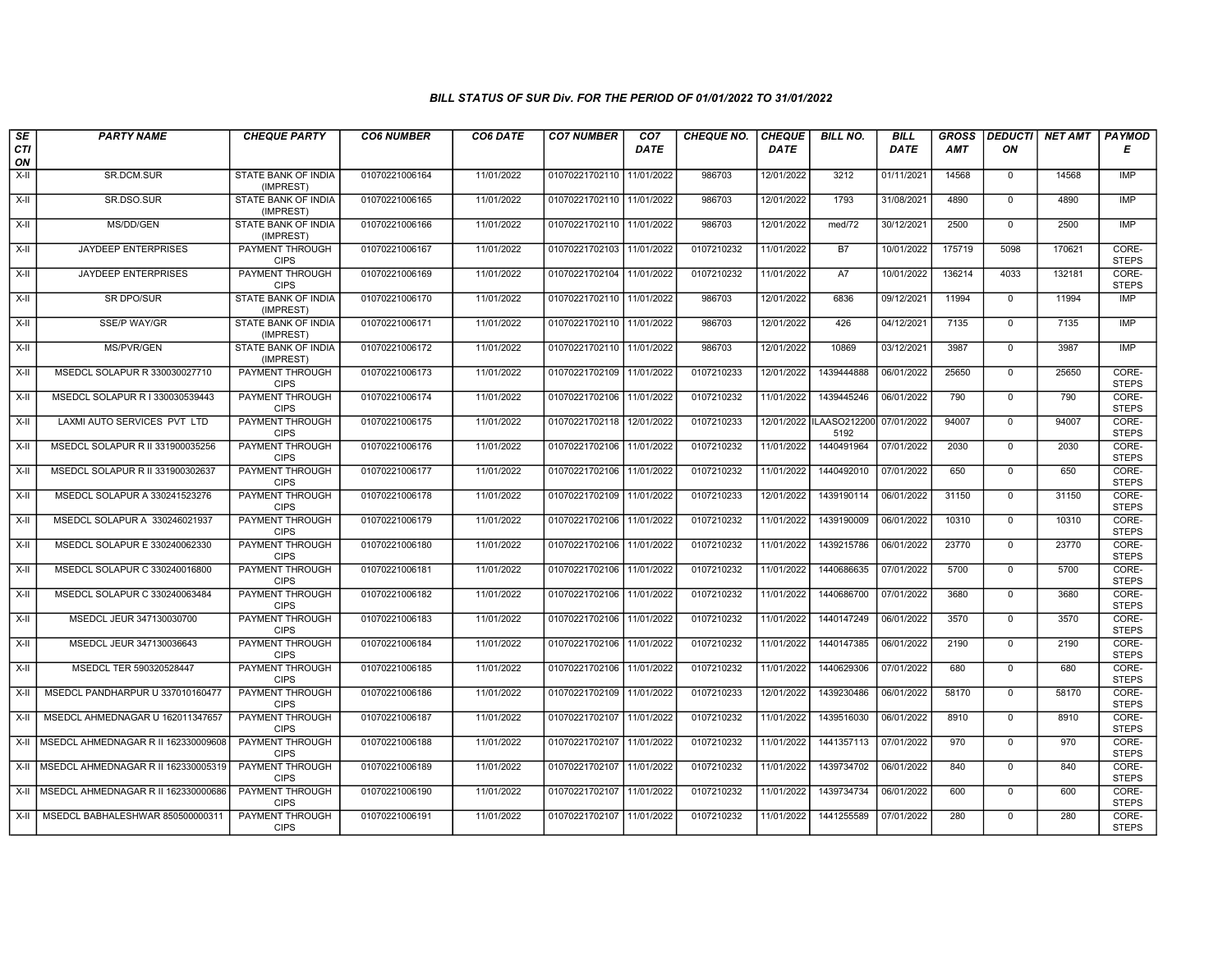| SE<br><b>CTI</b>   | <b>PARTY NAME</b>                          | <b>CHEQUE PARTY</b>                     | <b>CO6 NUMBER</b> | CO6 DATE   | <b>CO7 NUMBER</b>         | CO <sub>7</sub><br><b>DATE</b> | <b>CHEQUE NO.</b> | <b>CHEQUE</b><br><b>DATE</b> | <b>BILL NO.</b>                 | <b>BILL</b><br><b>DATE</b> | <b>GROSS</b><br><b>AMT</b> | <b>DEDUCTI</b><br>ΟN | NET AMT | <b>PAYMOD</b><br>Е    |
|--------------------|--------------------------------------------|-----------------------------------------|-------------------|------------|---------------------------|--------------------------------|-------------------|------------------------------|---------------------------------|----------------------------|----------------------------|----------------------|---------|-----------------------|
| ON                 |                                            |                                         |                   |            |                           |                                |                   |                              |                                 |                            |                            |                      |         |                       |
| X-II               | SR.DCM.SUR                                 | STATE BANK OF INDIA<br>(IMPREST)        | 01070221006164    | 11/01/2022 | 01070221702110 11/01/2022 |                                | 986703            | 12/01/2022                   | 3212                            | 01/11/2021                 | 14568                      | $\mathbf 0$          | 14568   | IMP                   |
| $X-H$              | SR.DSO.SUR                                 | <b>STATE BANK OF INDIA</b><br>(IMPREST) | 01070221006165    | 11/01/2022 | 01070221702110 11/01/2022 |                                | 986703            | 12/01/2022                   | 1793                            | 31/08/2021                 | 4890                       | $\overline{0}$       | 4890    | <b>IMP</b>            |
| X-II               | MS/DD/GEN                                  | STATE BANK OF INDIA<br>(IMPREST)        | 01070221006166    | 11/01/2022 | 01070221702110 11/01/2022 |                                | 986703            | 12/01/2022                   | med/72                          | 30/12/2021                 | 2500                       | $\mathbf 0$          | 2500    | <b>IMP</b>            |
| $X-H$              | JAYDEEP ENTERPRISES                        | PAYMENT THROUGH<br><b>CIPS</b>          | 01070221006167    | 11/01/2022 | 01070221702103 11/01/2022 |                                | 0107210232        | 11/01/2022                   | <b>B7</b>                       | 10/01/2022                 | 175719                     | 5098                 | 170621  | CORE-<br><b>STEPS</b> |
| $X-H$              | <b>JAYDEEP ENTERPRISES</b>                 | <b>PAYMENT THROUGH</b><br><b>CIPS</b>   | 01070221006169    | 11/01/2022 | 01070221702104 11/01/2022 |                                | 0107210232        | 11/01/2022                   | A7                              | 10/01/2022                 | 136214                     | 4033                 | 132181  | CORE-<br><b>STEPS</b> |
| $X-H$              | <b>SR DPO/SUR</b>                          | <b>STATE BANK OF INDIA</b><br>(IMPREST) | 01070221006170    | 11/01/2022 | 01070221702110 11/01/2022 |                                | 986703            | 12/01/2022                   | 6836                            | 09/12/2021                 | 11994                      | $\overline{0}$       | 11994   | <b>IMP</b>            |
| $X-II$             | <b>SSE/P WAY/GR</b>                        | STATE BANK OF INDIA<br>(IMPREST)        | 01070221006171    | 11/01/2022 | 01070221702110 11/01/2022 |                                | 986703            | 12/01/2022                   | 426                             | 04/12/2021                 | 7135                       | $\mathbf{0}$         | 7135    | IMP                   |
| X-II               | <b>MS/PVR/GEN</b>                          | STATE BANK OF INDIA<br>(IMPREST)        | 01070221006172    | 11/01/2022 | 01070221702110 11/01/2022 |                                | 986703            | 12/01/2022                   | 10869                           | 03/12/2021                 | 3987                       | $\mathbf 0$          | 3987    | <b>IMP</b>            |
| X-II               | MSEDCL SOLAPUR R 330030027710              | PAYMENT THROUGH<br><b>CIPS</b>          | 01070221006173    | 11/01/2022 | 01070221702109 11/01/2022 |                                | 0107210233        | 12/01/2022                   | 1439444888                      | 06/01/2022                 | 25650                      | $\mathbf 0$          | 25650   | CORE-<br><b>STEPS</b> |
| $\overline{x}$ -II | MSEDCL SOLAPUR R I 330030539443            | <b>PAYMENT THROUGH</b><br><b>CIPS</b>   | 01070221006174    | 11/01/2022 | 01070221702106 11/01/2022 |                                | 0107210232        | 11/01/2022                   | 1439445246                      | 06/01/2022                 | 790                        | $\mathbf 0$          | 790     | CORE-<br><b>STEPS</b> |
| X-II               | LAXMI AUTO SERVICES PVT LTD                | PAYMENT THROUGH<br><b>CIPS</b>          | 01070221006175    | 11/01/2022 | 01070221702118            | 12/01/2022                     | 0107210233        |                              | 12/01/2022 ILAASO212200<br>5192 | 07/01/2022                 | 94007                      | $\mathsf 0$          | 94007   | CORE-<br><b>STEPS</b> |
| $X-H$              | MSEDCL SOLAPUR R II 331900035256           | PAYMENT THROUGH<br><b>CIPS</b>          | 01070221006176    | 11/01/2022 | 01070221702106 11/01/2022 |                                | 0107210232        | 11/01/2022                   | 1440491964                      | 07/01/2022                 | 2030                       | $\mathbf{0}$         | 2030    | CORE-<br><b>STEPS</b> |
| X-II               | MSEDCL SOLAPUR R II 331900302637           | <b>PAYMENT THROUGH</b><br><b>CIPS</b>   | 01070221006177    | 11/01/2022 | 01070221702106 11/01/2022 |                                | 0107210232        | 11/01/2022                   | 1440492010                      | 07/01/2022                 | 650                        | $\mathbf 0$          | 650     | CORE-<br><b>STEPS</b> |
| X-II               | MSEDCL SOLAPUR A 330241523276              | <b>PAYMENT THROUGH</b><br><b>CIPS</b>   | 01070221006178    | 11/01/2022 | 01070221702109 11/01/2022 |                                | 0107210233        | 12/01/2022                   | 1439190114                      | 06/01/2022                 | 31150                      | $\mathbf{0}$         | 31150   | CORE-<br><b>STEPS</b> |
| $X-II$             | MSEDCL SOLAPUR A 330246021937              | PAYMENT THROUGH<br><b>CIPS</b>          | 01070221006179    | 11/01/2022 | 01070221702106 11/01/2022 |                                | 0107210232        | 11/01/2022                   | 1439190009                      | 06/01/2022                 | 10310                      | $\mathbf{0}$         | 10310   | CORE-<br><b>STEPS</b> |
| X-II               | MSEDCL SOLAPUR E 330240062330              | PAYMENT THROUGH<br><b>CIPS</b>          | 01070221006180    | 11/01/2022 | 01070221702106 11/01/2022 |                                | 0107210232        | 11/01/2022                   | 1439215786                      | 06/01/2022                 | 23770                      | $\overline{0}$       | 23770   | CORE-<br><b>STEPS</b> |
| $X-H$              | MSEDCL SOLAPUR C 330240016800              | PAYMENT THROUGH<br><b>CIPS</b>          | 01070221006181    | 11/01/2022 | 01070221702106 11/01/2022 |                                | 0107210232        | 11/01/2022                   | 1440686635                      | 07/01/2022                 | 5700                       | $\overline{0}$       | 5700    | CORE-<br><b>STEPS</b> |
| X-II               | MSEDCL SOLAPUR C 330240063484              | <b>PAYMENT THROUGH</b><br><b>CIPS</b>   | 01070221006182    | 11/01/2022 | 01070221702106 11/01/2022 |                                | 0107210232        | 11/01/2022                   | 1440686700                      | 07/01/2022                 | 3680                       | $\mathbf 0$          | 3680    | CORE-<br><b>STEPS</b> |
| X-II               | MSEDCL JEUR 347130030700                   | PAYMENT THROUGH<br><b>CIPS</b>          | 01070221006183    | 11/01/2022 | 01070221702106 11/01/2022 |                                | 0107210232        | 11/01/2022                   | 1440147249                      | 06/01/2022                 | 3570                       | $\mathbf 0$          | 3570    | CORE-<br><b>STEPS</b> |
| X-II               | MSEDCL JEUR 347130036643                   | PAYMENT THROUGH<br><b>CIPS</b>          | 01070221006184    | 11/01/2022 | 01070221702106 11/01/2022 |                                | 0107210232        | 11/01/2022                   | 1440147385                      | 06/01/2022                 | 2190                       | $\mathbf{0}$         | 2190    | CORE-<br><b>STEPS</b> |
| $X-H$              | MSEDCL TER 590320528447                    | <b>PAYMENT THROUGH</b><br><b>CIPS</b>   | 01070221006185    | 11/01/2022 | 01070221702106 11/01/2022 |                                | 0107210232        | 11/01/2022                   | 1440629306                      | 07/01/2022                 | 680                        | $\overline{0}$       | 680     | CORE-<br><b>STEPS</b> |
| X-II               | MSEDCL PANDHARPUR U 337010160477           | <b>PAYMENT THROUGH</b><br><b>CIPS</b>   | 01070221006186    | 11/01/2022 | 01070221702109 11/01/2022 |                                | 0107210233        | 12/01/2022                   | 1439230486                      | 06/01/2022                 | 58170                      | $\mathbf 0$          | 58170   | CORE-<br><b>STEPS</b> |
| X-II               | MSEDCL AHMEDNAGAR U 162011347657           | PAYMENT THROUGH<br><b>CIPS</b>          | 01070221006187    | 11/01/2022 | 01070221702107            | 11/01/2022                     | 0107210232        | 11/01/2022                   | 1439516030                      | 06/01/2022                 | 8910                       | $\mathbf 0$          | 8910    | CORE-<br><b>STEPS</b> |
| $X-II$             | I MSEDCL AHMEDNAGAR R II 162330009608      | PAYMENT THROUGH<br><b>CIPS</b>          | 01070221006188    | 11/01/2022 | 01070221702107            | 11/01/2022                     | 0107210232        | 11/01/2022                   | 1441357113                      | 07/01/2022                 | 970                        | $\mathbf{0}$         | 970     | CORE-<br><b>STEPS</b> |
|                    | X-II   MSEDCL AHMEDNAGAR R II 162330005319 | <b>PAYMENT THROUGH</b><br><b>CIPS</b>   | 01070221006189    | 11/01/2022 | 01070221702107 11/01/2022 |                                | 0107210232        | 11/01/2022                   | 1439734702                      | 06/01/2022                 | 840                        | $\mathbf 0$          | 840     | CORE-<br><b>STEPS</b> |
| $X-I$              | MSEDCL AHMEDNAGAR R II 162330000686        | <b>PAYMENT THROUGH</b><br><b>CIPS</b>   | 01070221006190    | 11/01/2022 | 01070221702107 11/01/2022 |                                | 0107210232        | 11/01/2022                   | 1439734734                      | 06/01/2022                 | 600                        | $\mathbf{0}$         | 600     | CORE-<br><b>STEPS</b> |
|                    | X-II   MSEDCL BABHALESHWAR 850500000311    | PAYMENT THROUGH<br><b>CIPS</b>          | 01070221006191    | 11/01/2022 | 01070221702107 11/01/2022 |                                | 0107210232        | 11/01/2022                   | 1441255589                      | 07/01/2022                 | 280                        | $\mathbf 0$          | 280     | CORE-<br><b>STEPS</b> |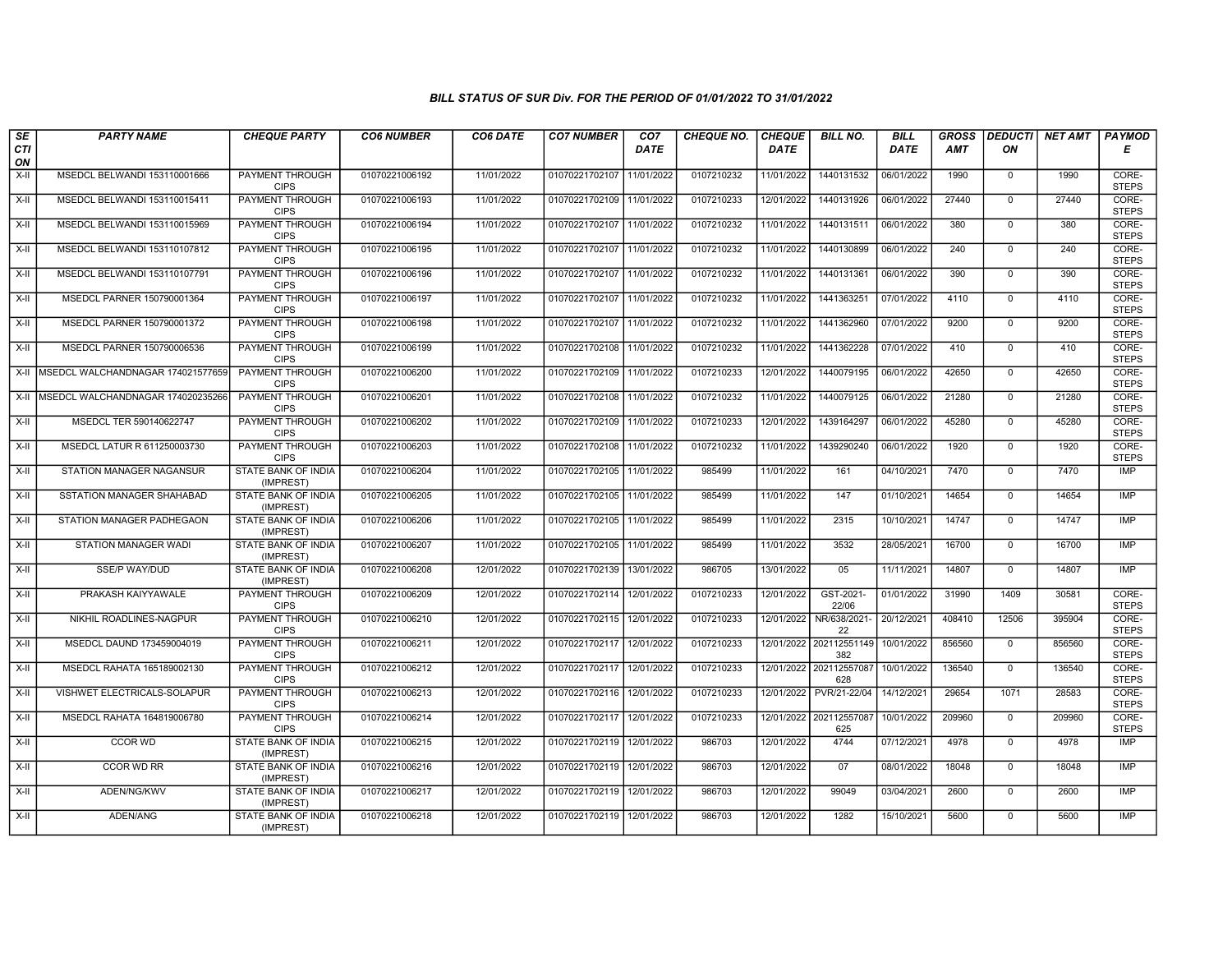| SE               | <b>PARTY NAME</b>                        | <b>CHEQUE PARTY</b>                     | <b>CO6 NUMBER</b> | CO6 DATE   | <b>CO7 NUMBER</b>         | CO <sub>7</sub> | <b>CHEQUE NO.</b> | <b>CHEQUE</b> | <b>BILL NO.</b>                | <b>BILL</b> | <b>GROSS</b> | <b>DEDUCTI</b> | NET AMT | <b>PAYMOD</b>         |
|------------------|------------------------------------------|-----------------------------------------|-------------------|------------|---------------------------|-----------------|-------------------|---------------|--------------------------------|-------------|--------------|----------------|---------|-----------------------|
| <b>CTI</b><br>ON |                                          |                                         |                   |            |                           | <b>DATE</b>     |                   | <b>DATE</b>   |                                | <b>DATE</b> | <b>AMT</b>   | ON             |         | Е                     |
| $X-H$            | MSEDCL BELWANDI 153110001666             | <b>PAYMENT THROUGH</b><br><b>CIPS</b>   | 01070221006192    | 11/01/2022 | 01070221702107            | 11/01/2022      | 0107210232        | 11/01/2022    | 1440131532                     | 06/01/2022  | 1990         | $\mathbf 0$    | 1990    | CORE-<br><b>STEPS</b> |
| $X-H$            | MSEDCL BELWANDI 153110015411             | PAYMENT THROUGH<br><b>CIPS</b>          | 01070221006193    | 11/01/2022 | 01070221702109            | 11/01/2022      | 0107210233        | 12/01/2022    | 1440131926                     | 06/01/2022  | 27440        | $\Omega$       | 27440   | CORE-<br><b>STEPS</b> |
| X-II             | MSEDCL BELWANDI 153110015969             | PAYMENT THROUGH<br><b>CIPS</b>          | 01070221006194    | 11/01/2022 | 01070221702107            | 11/01/2022      | 0107210232        | 11/01/2022    | 1440131511                     | 06/01/2022  | 380          | $\mathbf 0$    | 380     | CORE-<br><b>STEPS</b> |
| $X-H$            | MSEDCL BELWANDI 153110107812             | PAYMENT THROUGH<br><b>CIPS</b>          | 01070221006195    | 11/01/2022 | 01070221702107            | 11/01/2022      | 0107210232        | 11/01/2022    | 1440130899                     | 06/01/2022  | 240          | $\mathbf 0$    | 240     | CORE-<br><b>STEPS</b> |
| $X-H$            | MSEDCL BELWANDI 153110107791             | PAYMENT THROUGH<br><b>CIPS</b>          | 01070221006196    | 11/01/2022 | 01070221702107 11/01/2022 |                 | 0107210232        | 11/01/2022    | 1440131361                     | 06/01/2022  | 390          | $\mathbf 0$    | 390     | CORE-<br><b>STEPS</b> |
| $X-H$            | MSEDCL PARNER 150790001364               | <b>PAYMENT THROUGH</b><br><b>CIPS</b>   | 01070221006197    | 11/01/2022 | 01070221702107            | 11/01/2022      | 0107210232        | 11/01/2022    | 1441363251                     | 07/01/2022  | 4110         | $\Omega$       | 4110    | CORE-<br><b>STEPS</b> |
| X-II             | MSEDCL PARNER 150790001372               | PAYMENT THROUGH<br><b>CIPS</b>          | 01070221006198    | 11/01/2022 | 01070221702107            | 11/01/2022      | 0107210232        | 11/01/2022    | 1441362960                     | 07/01/2022  | 9200         | $\mathbf{0}$   | 9200    | CORE-<br><b>STEPS</b> |
| $X-H$            | MSEDCL PARNER 150790006536               | PAYMENT THROUGH<br><b>CIPS</b>          | 01070221006199    | 11/01/2022 | 01070221702108            | 11/01/2022      | 0107210232        | 11/01/2022    | 1441362228                     | 07/01/2022  | 410          | $\overline{0}$ | 410     | CORE-<br><b>STEPS</b> |
|                  | X-II   MSEDCL WALCHANDNAGAR 174021577659 | <b>PAYMENT THROUGH</b><br><b>CIPS</b>   | 01070221006200    | 11/01/2022 | 01070221702109            | 11/01/2022      | 0107210233        | 12/01/2022    | 1440079195                     | 06/01/2022  | 42650        | $\mathbf 0$    | 42650   | CORE-<br><b>STEPS</b> |
|                  | X-II MSEDCL WALCHANDNAGAR 174020235266   | <b>PAYMENT THROUGH</b><br><b>CIPS</b>   | 01070221006201    | 11/01/2022 | 01070221702108            | 11/01/2022      | 0107210232        | 11/01/2022    | 1440079125                     | 06/01/2022  | 21280        | $\mathbf 0$    | 21280   | CORE-<br><b>STEPS</b> |
| $X-II$           | MSEDCL TER 590140622747                  | PAYMENT THROUGH<br><b>CIPS</b>          | 01070221006202    | 11/01/2022 | 01070221702109            | 11/01/2022      | 0107210233        | 12/01/2022    | 1439164297                     | 06/01/2022  | 45280        | $\mathbf{0}$   | 45280   | CORE-<br><b>STEPS</b> |
| X-II             | MSEDCL LATUR R 611250003730              | PAYMENT THROUGH<br><b>CIPS</b>          | 01070221006203    | 11/01/2022 | 01070221702108            | 11/01/2022      | 0107210232        | 11/01/2022    | 1439290240                     | 06/01/2022  | 1920         | $\mathbf 0$    | 1920    | CORE-<br><b>STEPS</b> |
| $X-H$            | <b>STATION MANAGER NAGANSUR</b>          | <b>STATE BANK OF INDIA</b><br>(IMPREST) | 01070221006204    | 11/01/2022 | 01070221702105            | 11/01/2022      | 985499            | 11/01/2022    | 161                            | 04/10/2021  | 7470         | $\mathbf 0$    | 7470    | <b>IMP</b>            |
| $X-H$            | SSTATION MANAGER SHAHABAD                | STATE BANK OF INDIA<br>(IMPREST)        | 01070221006205    | 11/01/2022 | 01070221702105            | 11/01/2022      | 985499            | 11/01/2022    | 147                            | 01/10/2021  | 14654        | $\mathbf 0$    | 14654   | IMP                   |
| X-II             | STATION MANAGER PADHEGAON                | STATE BANK OF INDIA<br>(IMPREST)        | 01070221006206    | 11/01/2022 | 01070221702105            | 11/01/2022      | 985499            | 11/01/2022    | 2315                           | 10/10/2021  | 14747        | $\Omega$       | 14747   | <b>IMP</b>            |
| $X-II$           | STATION MANAGER WADI                     | STATE BANK OF INDIA<br>(IMPREST)        | 01070221006207    | 11/01/2022 | 01070221702105            | 11/01/2022      | 985499            | 11/01/2022    | 3532                           | 28/05/2021  | 16700        | $\mathbf{0}$   | 16700   | <b>IMP</b>            |
| X-II             | <b>SSE/P WAY/DUD</b>                     | STATE BANK OF INDIA<br>(IMPREST)        | 01070221006208    | 12/01/2022 | 01070221702139            | 13/01/2022      | 986705            | 13/01/2022    | 05                             | 11/11/2021  | 14807        | $\mathbf 0$    | 14807   | <b>IMP</b>            |
| X-II             | PRAKASH KAIYYAWALE                       | <b>PAYMENT THROUGH</b><br><b>CIPS</b>   | 01070221006209    | 12/01/2022 | 01070221702114            | 12/01/2022      | 0107210233        | 12/01/2022    | GST-2021<br>22/06              | 01/01/2022  | 31990        | 1409           | 30581   | CORE-<br><b>STEPS</b> |
| $X-II$           | NIKHIL ROADLINES-NAGPUR                  | <b>PAYMENT THROUGH</b><br><b>CIPS</b>   | 01070221006210    | 12/01/2022 | 01070221702115            | 12/01/2022      | 0107210233        | 12/01/2022    | NR/638/2021-<br>22             | 20/12/2021  | 408410       | 12506          | 395904  | CORE-<br><b>STEPS</b> |
| $X-H$            | MSEDCL DAUND 173459004019                | PAYMENT THROUGH<br><b>CIPS</b>          | 01070221006211    | 12/01/2022 | 01070221702117            | 12/01/2022      | 0107210233        |               | 12/01/2022 202112551149<br>382 | 10/01/2022  | 856560       | $\mathbf 0$    | 856560  | CORE-<br><b>STEPS</b> |
| X-II             | MSEDCL RAHATA 165189002130               | PAYMENT THROUGH<br><b>CIPS</b>          | 01070221006212    | 12/01/2022 | 01070221702117            | 12/01/2022      | 0107210233        |               | 12/01/2022 202112557087<br>628 | 10/01/2022  | 136540       | $\mathbf{0}$   | 136540  | CORE-<br><b>STEPS</b> |
| X-II             | VISHWET ELECTRICALS-SOLAPUR              | PAYMENT THROUGH<br><b>CIPS</b>          | 01070221006213    | 12/01/2022 | 01070221702116            | 12/01/2022      | 0107210233        | 12/01/2022    | PVR/21-22/04                   | 14/12/2021  | 29654        | 1071           | 28583   | CORE-<br><b>STEPS</b> |
| X-II             | MSEDCL RAHATA 164819006780               | PAYMENT THROUGH<br><b>CIPS</b>          | 01070221006214    | 12/01/2022 | 01070221702117            | 12/01/2022      | 0107210233        |               | 12/01/2022 202112557087<br>625 | 10/01/2022  | 209960       | $\mathbf 0$    | 209960  | CORE-<br><b>STEPS</b> |
| $X-H$            | CCOR WD                                  | STATE BANK OF INDIA<br>(IMPREST)        | 01070221006215    | 12/01/2022 | 01070221702119            | 12/01/2022      | 986703            | 12/01/2022    | 4744                           | 07/12/2021  | 4978         | $\Omega$       | 4978    | <b>IMP</b>            |
| X-II             | <b>CCOR WD RR</b>                        | <b>STATE BANK OF INDIA</b><br>(IMPREST) | 01070221006216    | 12/01/2022 | 01070221702119            | 12/01/2022      | 986703            | 12/01/2022    | 07                             | 08/01/2022  | 18048        | $\Omega$       | 18048   | <b>IMP</b>            |
| $X-H$            | ADEN/NG/KWV                              | <b>STATE BANK OF INDIA</b><br>(IMPREST) | 01070221006217    | 12/01/2022 | 01070221702119            | 12/01/2022      | 986703            | 12/01/2022    | 99049                          | 03/04/2021  | 2600         | $\mathbf 0$    | 2600    | <b>IMP</b>            |
| X-II             | ADEN/ANG                                 | STATE BANK OF INDIA<br>(IMPREST)        | 01070221006218    | 12/01/2022 | 01070221702119 12/01/2022 |                 | 986703            | 12/01/2022    | 1282                           | 15/10/2021  | 5600         | $\mathbf{0}$   | 5600    | <b>IMP</b>            |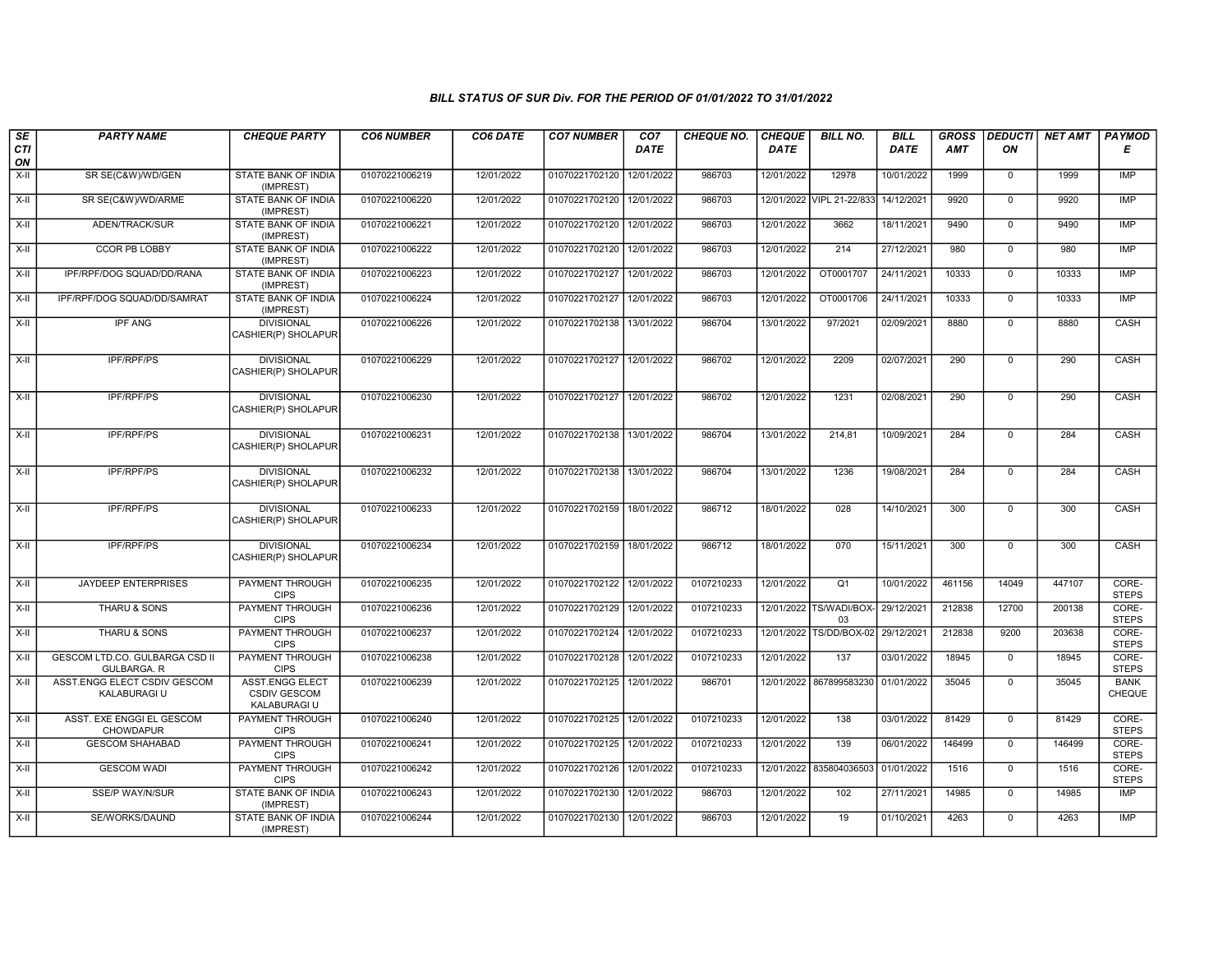| SE        | <b>PARTY NAME</b>                             | <b>CHEQUE PARTY</b>                                           | <b>CO6 NUMBER</b> | CO6 DATE   | <b>CO7 NUMBER</b>         | CO <sub>7</sub> | CHEQUE NO. | <b>CHEQUE</b> | <b>BILL NO.</b>               | <b>BILL</b> | <b>GROSS</b> | <b>DEDUCTI</b> | NET AMT | PAYMOD                |
|-----------|-----------------------------------------------|---------------------------------------------------------------|-------------------|------------|---------------------------|-----------------|------------|---------------|-------------------------------|-------------|--------------|----------------|---------|-----------------------|
| CTI<br>ON |                                               |                                                               |                   |            |                           | <b>DATE</b>     |            | <b>DATE</b>   |                               | DATE        | AMT          | ON             |         | Е                     |
| $X-II$    | SR SE(C&W)/WD/GEN                             | <b>STATE BANK OF INDIA</b><br>(IMPREST)                       | 01070221006219    | 12/01/2022 | 01070221702120            | 12/01/2022      | 986703     | 12/01/2022    | 12978                         | 10/01/2022  | 1999         | $\mathsf{O}$   | 1999    | <b>IMP</b>            |
| $X-H$     | SR SE(C&W)/WD/ARME                            | STATE BANK OF INDIA<br>(IMPREST)                              | 01070221006220    | 12/01/2022 | 01070221702120 12/01/2022 |                 | 986703     |               | 12/01/2022 VIPL 21-22/833     | 14/12/2021  | 9920         | $\overline{0}$ | 9920    | <b>IMP</b>            |
| X-II      | ADEN/TRACK/SUR                                | STATE BANK OF INDIA<br>(IMPREST)                              | 01070221006221    | 12/01/2022 | 01070221702120            | 12/01/2022      | 986703     | 12/01/2022    | 3662                          | 18/11/2021  | 9490         | $\mathbf{0}$   | 9490    | IMP                   |
| X-II      | <b>CCOR PB LOBBY</b>                          | STATE BANK OF INDIA<br>(IMPREST)                              | 01070221006222    | 12/01/2022 | 01070221702120 12/01/2022 |                 | 986703     | 12/01/2022    | 214                           | 27/12/2021  | 980          | $\overline{0}$ | 980     | <b>IMP</b>            |
| $X-H$     | IPF/RPF/DOG SQUAD/DD/RANA                     | <b>STATE BANK OF INDIA</b><br>(IMPREST)                       | 01070221006223    | 12/01/2022 | 01070221702127 12/01/2022 |                 | 986703     | 12/01/2022    | OT0001707                     | 24/11/2021  | 10333        | $\overline{0}$ | 10333   | IMP                   |
| X-II      | IPF/RPF/DOG SQUAD/DD/SAMRAT                   | <b>STATE BANK OF INDIA</b><br>(IMPREST)                       | 01070221006224    | 12/01/2022 | 01070221702127 12/01/2022 |                 | 986703     | 12/01/2022    | OT0001706                     | 24/11/2021  | 10333        | $\overline{0}$ | 10333   | <b>IMP</b>            |
| X-II      | <b>IPF ANG</b>                                | <b>DIVISIONAL</b><br>CASHIER(P) SHOLAPUR                      | 01070221006226    | 12/01/2022 | 01070221702138 13/01/2022 |                 | 986704     | 13/01/2022    | 97/2021                       | 02/09/2021  | 8880         | $\mathbf 0$    | 8880    | CASH                  |
| $X-H$     | <b>IPF/RPF/PS</b>                             | <b>DIVISIONAL</b><br>CASHIER(P) SHOLAPUR                      | 01070221006229    | 12/01/2022 | 01070221702127 12/01/2022 |                 | 986702     | 12/01/2022    | 2209                          | 02/07/2021  | 290          | $\mathbf{0}$   | 290     | CASH                  |
| $X-H$     | <b>IPF/RPF/PS</b>                             | <b>DIVISIONAL</b><br>CASHIER(P) SHOLAPUR                      | 01070221006230    | 12/01/2022 | 01070221702127 12/01/2022 |                 | 986702     | 12/01/2022    | 1231                          | 02/08/2021  | 290          | $\overline{0}$ | 290     | CASH                  |
| X-II      | IPF/RPF/PS                                    | <b>DIVISIONAL</b><br>CASHIER(P) SHOLAPUR                      | 01070221006231    | 12/01/2022 | 01070221702138 13/01/2022 |                 | 986704     | 13/01/2022    | 214,81                        | 10/09/2021  | 284          | $\mathbf 0$    | 284     | CASH                  |
| $X-H$     | <b>IPF/RPF/PS</b>                             | <b>DIVISIONAL</b><br>CASHIER(P) SHOLAPUR                      | 01070221006232    | 12/01/2022 | 01070221702138 13/01/2022 |                 | 986704     | 13/01/2022    | 1236                          | 19/08/2021  | 284          | $\mathbf 0$    | 284     | CASH                  |
| $X-H$     | <b>IPF/RPF/PS</b>                             | <b>DIVISIONAL</b><br>CASHIER(P) SHOLAPUR                      | 01070221006233    | 12/01/2022 | 01070221702159            | 18/01/2022      | 986712     | 18/01/2022    | $\overline{028}$              | 14/10/2021  | 300          | $\overline{0}$ | 300     | CASH                  |
| X-II      | IPF/RPF/PS                                    | <b>DIVISIONAL</b><br>CASHIER(P) SHOLAPUR                      | 01070221006234    | 12/01/2022 | 01070221702159            | 18/01/2022      | 986712     | 18/01/2022    | 070                           | 15/11/2021  | 300          | $\overline{0}$ | 300     | CASH                  |
| $X-H$     | <b>JAYDEEP ENTERPRISES</b>                    | PAYMENT THROUGH<br><b>CIPS</b>                                | 01070221006235    | 12/01/2022 | 01070221702122 12/01/2022 |                 | 0107210233 | 12/01/2022    | Q1                            | 10/01/2022  | 461156       | 14049          | 447107  | CORE-<br><b>STEPS</b> |
| X-II      | THARU & SONS                                  | PAYMENT THROUGH<br><b>CIPS</b>                                | 01070221006236    | 12/01/2022 | 01070221702129            | 12/01/2022      | 0107210233 |               | 12/01/2022 TS/WADI/BOX-<br>03 | 29/12/2021  | 212838       | 12700          | 200138  | CORE-<br><b>STEPS</b> |
| X-II      | THARU & SONS                                  | <b>PAYMENT THROUGH</b><br><b>CIPS</b>                         | 01070221006237    | 12/01/2022 | 01070221702124            | 12/01/2022      | 0107210233 |               | 12/01/2022 TS/DD/BOX-02       | 29/12/2021  | 212838       | 9200           | 203638  | CORE-<br><b>STEPS</b> |
| $X-H$     | GESCOM LTD.CO. GULBARGA CSD II<br>GULBARGA. R | PAYMENT THROUGH<br><b>CIPS</b>                                | 01070221006238    | 12/01/2022 | 01070221702128 12/01/2022 |                 | 0107210233 | 12/01/2022    | 137                           | 03/01/2022  | 18945        | $\overline{0}$ | 18945   | CORE-<br><b>STEPS</b> |
| $X-H$     | ASST.ENGG ELECT CSDIV GESCOM<br>KALABURAGI U  | <b>ASST.ENGG ELECT</b><br><b>CSDIV GESCOM</b><br>KALABURAGI U | 01070221006239    | 12/01/2022 | 01070221702125 12/01/2022 |                 | 986701     |               | 12/01/2022 867899583230       | 01/01/2022  | 35045        | $\overline{0}$ | 35045   | <b>BANK</b><br>CHEQUE |
| $X-II$    | ASST. EXE ENGGI EL GESCOM<br>CHOWDAPUR        | PAYMENT THROUGH<br><b>CIPS</b>                                | 01070221006240    | 12/01/2022 | 01070221702125 12/01/2022 |                 | 0107210233 | 12/01/2022    | 138                           | 03/01/2022  | 81429        | $\overline{0}$ | 81429   | CORE-<br><b>STEPS</b> |
| $X-H$     | <b>GESCOM SHAHABAD</b>                        | <b>PAYMENT THROUGH</b><br><b>CIPS</b>                         | 01070221006241    | 12/01/2022 | 01070221702125 12/01/2022 |                 | 0107210233 | 12/01/2022    | 139                           | 06/01/2022  | 146499       | $\overline{0}$ | 146499  | CORE-<br><b>STEPS</b> |
| $X-II$    | <b>GESCOM WADI</b>                            | PAYMENT THROUGH<br><b>CIPS</b>                                | 01070221006242    | 12/01/2022 | 01070221702126            | 12/01/2022      | 0107210233 |               | 12/01/2022 835804036503       | 01/01/2022  | 1516         | $\mathbf 0$    | 1516    | CORE-<br><b>STEPS</b> |
| X-II      | SSE/P WAY/N/SUR                               | STATE BANK OF INDIA<br>(IMPREST)                              | 01070221006243    | 12/01/2022 | 01070221702130 12/01/2022 |                 | 986703     | 12/01/2022    | 102                           | 27/11/2021  | 14985        | $\overline{0}$ | 14985   | <b>IMP</b>            |
| X-II      | SE/WORKS/DAUND                                | STATE BANK OF INDIA<br>(IMPREST)                              | 01070221006244    | 12/01/2022 | 01070221702130 12/01/2022 |                 | 986703     | 12/01/2022    | 19                            | 01/10/2021  | 4263         | $\mathbf{0}$   | 4263    | IMP                   |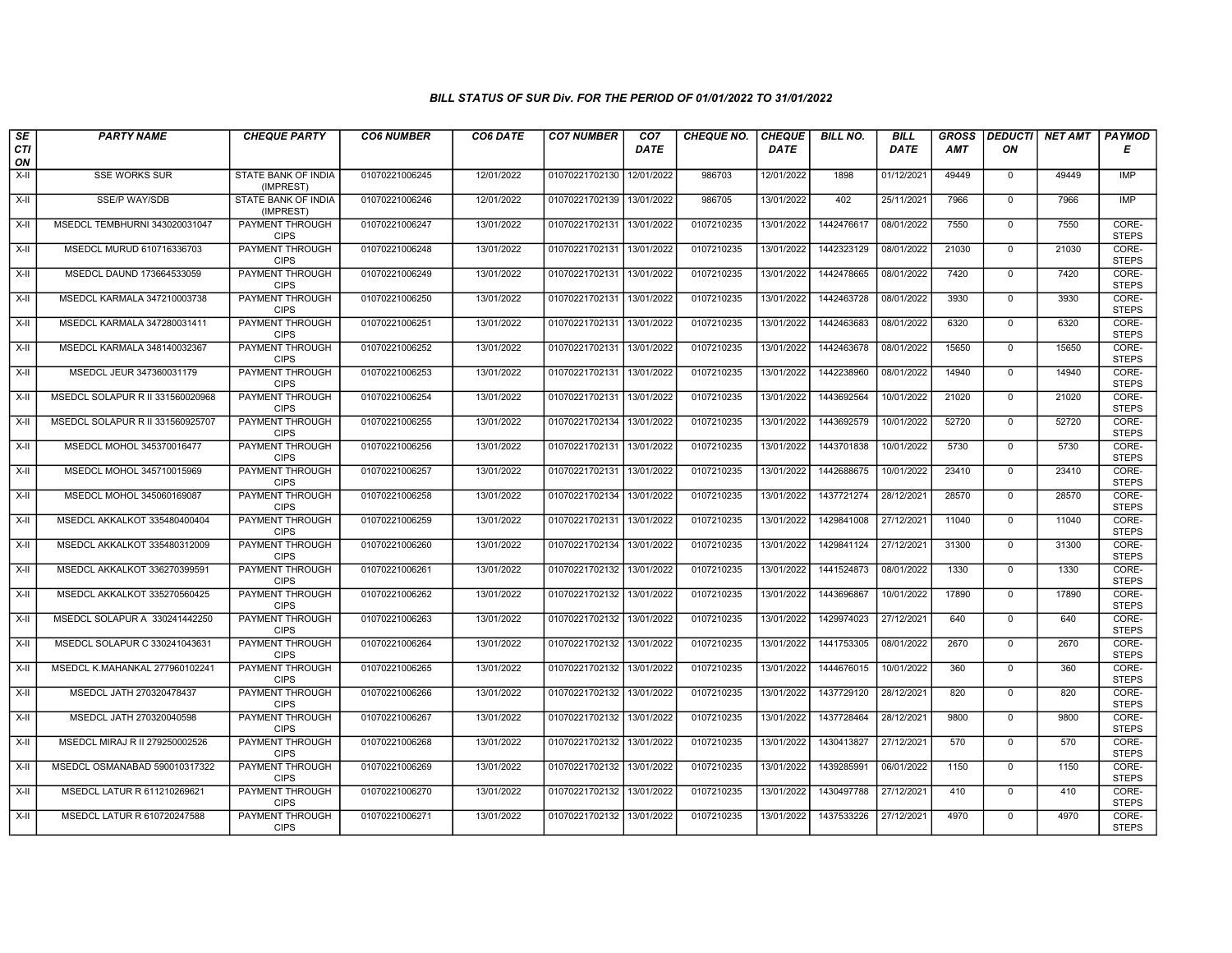| SE               | <b>PARTY NAME</b>                | <b>CHEQUE PARTY</b>                     | <b>CO6 NUMBER</b> | CO6 DATE   | <b>CO7 NUMBER</b>         | CO <sub>7</sub> | <b>CHEQUE NO.</b> | <b>CHEQUE</b> | <b>BILL NO.</b> | <b>BILL</b> | <b>GROSS</b> | <b>DEDUCTI</b> | NET AMT | <b>PAYMOD</b>         |
|------------------|----------------------------------|-----------------------------------------|-------------------|------------|---------------------------|-----------------|-------------------|---------------|-----------------|-------------|--------------|----------------|---------|-----------------------|
| <b>CTI</b><br>ON |                                  |                                         |                   |            |                           | <b>DATE</b>     |                   | <b>DATE</b>   |                 | <b>DATE</b> | <b>AMT</b>   | ΟN             |         | Е                     |
| X-II             | <b>SSE WORKS SUR</b>             | STATE BANK OF INDIA<br>(IMPREST)        | 01070221006245    | 12/01/2022 | 01070221702130            | 12/01/2022      | 986703            | 12/01/2022    | 1898            | 01/12/2021  | 49449        | $\mathbf{0}$   | 49449   | IMP                   |
| $X-H$            | <b>SSE/P WAY/SDB</b>             | <b>STATE BANK OF INDIA</b><br>(IMPREST) | 01070221006246    | 12/01/2022 | 01070221702139 13/01/2022 |                 | 986705            | 13/01/2022    | 402             | 25/11/2021  | 7966         | $\overline{0}$ | 7966    | IMP                   |
| X-II             | MSEDCL TEMBHURNI 343020031047    | PAYMENT THROUGH<br><b>CIPS</b>          | 01070221006247    | 13/01/2022 | 01070221702131            | 13/01/2022      | 0107210235        | 13/01/2022    | 1442476617      | 08/01/2022  | 7550         | $\mathbf 0$    | 7550    | CORE-<br><b>STEPS</b> |
| $X-H$            | MSEDCL MURUD 610716336703        | PAYMENT THROUGH<br><b>CIPS</b>          | 01070221006248    | 13/01/2022 | 01070221702131            | 13/01/2022      | 0107210235        | 13/01/2022    | 1442323129      | 08/01/2022  | 21030        | $\overline{0}$ | 21030   | CORE-<br><b>STEPS</b> |
| $X-H$            | MSEDCL DAUND 173664533059        | <b>PAYMENT THROUGH</b><br><b>CIPS</b>   | 01070221006249    | 13/01/2022 | 01070221702131            | 13/01/2022      | 0107210235        | 13/01/2022    | 1442478665      | 08/01/2022  | 7420         | $\overline{0}$ | 7420    | CORE-<br><b>STEPS</b> |
| $X-H$            | MSEDCL KARMALA 347210003738      | <b>PAYMENT THROUGH</b><br><b>CIPS</b>   | 01070221006250    | 13/01/2022 | 01070221702131            | 13/01/2022      | 0107210235        | 13/01/2022    | 1442463728      | 08/01/2022  | 3930         | $\overline{0}$ | 3930    | CORE-<br><b>STEPS</b> |
| X-II             | MSEDCL KARMALA 347280031411      | PAYMENT THROUGH<br><b>CIPS</b>          | 01070221006251    | 13/01/2022 | 01070221702131            | 13/01/2022      | 0107210235        | 13/01/2022    | 1442463683      | 08/01/2022  | 6320         | $\mathbf{0}$   | 6320    | CORE-<br><b>STEPS</b> |
| X-II             | MSEDCL KARMALA 348140032367      | PAYMENT THROUGH<br><b>CIPS</b>          | 01070221006252    | 13/01/2022 | 01070221702131            | 13/01/2022      | 0107210235        | 13/01/2022    | 1442463678      | 08/01/2022  | 15650        | $\mathbf 0$    | 15650   | CORE-<br><b>STEPS</b> |
| $X-H$            | MSEDCL JEUR 347360031179         | <b>PAYMENT THROUGH</b><br><b>CIPS</b>   | 01070221006253    | 13/01/2022 | 01070221702131            | 13/01/2022      | 0107210235        | 13/01/2022    | 1442238960      | 08/01/2022  | 14940        | $\Omega$       | 14940   | CORE-<br><b>STEPS</b> |
| $X-H$            | MSEDCL SOLAPUR R II 331560020968 | <b>PAYMENT THROUGH</b><br><b>CIPS</b>   | 01070221006254    | 13/01/2022 | 01070221702131            | 13/01/2022      | 0107210235        | 13/01/2022    | 1443692564      | 10/01/2022  | 21020        | $\mathbf 0$    | 21020   | CORE-<br><b>STEPS</b> |
| X-II             | MSEDCL SOLAPUR R II 331560925707 | PAYMENT THROUGH<br><b>CIPS</b>          | 01070221006255    | 13/01/2022 | 01070221702134            | 13/01/2022      | 0107210235        | 13/01/2022    | 1443692579      | 10/01/2022  | 52720        | $\mathbf 0$    | 52720   | CORE-<br><b>STEPS</b> |
| $X-H$            | MSEDCL MOHOL 345370016477        | PAYMENT THROUGH<br><b>CIPS</b>          | 01070221006256    | 13/01/2022 | 01070221702131            | 13/01/2022      | 0107210235        | 13/01/2022    | 1443701838      | 10/01/2022  | 5730         | $\overline{0}$ | 5730    | CORE-<br><b>STEPS</b> |
| X-II             | MSEDCL MOHOL 345710015969        | <b>PAYMENT THROUGH</b><br><b>CIPS</b>   | 01070221006257    | 13/01/2022 | 01070221702131 13/01/2022 |                 | 0107210235        | 13/01/2022    | 1442688675      | 10/01/2022  | 23410        | $\mathbf 0$    | 23410   | CORE-<br><b>STEPS</b> |
| $X-H$            | MSEDCL MOHOL 345060169087        | <b>PAYMENT THROUGH</b><br><b>CIPS</b>   | 01070221006258    | 13/01/2022 | 01070221702134            | 13/01/2022      | 0107210235        | 13/01/2022    | 1437721274      | 28/12/2021  | 28570        | $\mathbf{0}$   | 28570   | CORE-<br><b>STEPS</b> |
| X-II             | MSEDCL AKKALKOT 335480400404     | PAYMENT THROUGH<br><b>CIPS</b>          | 01070221006259    | 13/01/2022 | 01070221702131            | 13/01/2022      | 0107210235        | 13/01/2022    | 1429841008      | 27/12/2021  | 11040        | $\mathbf{0}$   | 11040   | CORE-<br><b>STEPS</b> |
| X-II             | MSEDCL AKKALKOT 335480312009     | PAYMENT THROUGH<br><b>CIPS</b>          | 01070221006260    | 13/01/2022 | 01070221702134 13/01/2022 |                 | 0107210235        | 13/01/2022    | 1429841124      | 27/12/2021  | 31300        | $\overline{0}$ | 31300   | CORE-<br><b>STEPS</b> |
| $X-H$            | MSEDCL AKKALKOT 336270399591     | PAYMENT THROUGH<br><b>CIPS</b>          | 01070221006261    | 13/01/2022 | 01070221702132            | 13/01/2022      | 0107210235        | 13/01/2022    | 1441524873      | 08/01/2022  | 1330         | $\mathbf{0}$   | 1330    | CORE-<br><b>STEPS</b> |
| X-II             | MSEDCL AKKALKOT 335270560425     | <b>PAYMENT THROUGH</b><br><b>CIPS</b>   | 01070221006262    | 13/01/2022 | 01070221702132 13/01/2022 |                 | 0107210235        | 13/01/2022    | 1443696867      | 10/01/2022  | 17890        | $\mathbf 0$    | 17890   | CORE-<br><b>STEPS</b> |
| X-II             | MSEDCL SOLAPUR A 330241442250    | PAYMENT THROUGH<br><b>CIPS</b>          | 01070221006263    | 13/01/2022 | 01070221702132 13/01/2022 |                 | 0107210235        | 13/01/2022    | 1429974023      | 27/12/2021  | 640          | $\Omega$       | 640     | CORE-<br><b>STEPS</b> |
| $X-II$           | MSEDCL SOLAPUR C 330241043631    | PAYMENT THROUGH<br><b>CIPS</b>          | 01070221006264    | 13/01/2022 | 01070221702132            | 13/01/2022      | 0107210235        | 13/01/2022    | 1441753305      | 08/01/2022  | 2670         | $\mathbf{0}$   | 2670    | CORE-<br><b>STEPS</b> |
| $X-H$            | MSEDCL K.MAHANKAL 277960102241   | <b>PAYMENT THROUGH</b><br><b>CIPS</b>   | 01070221006265    | 13/01/2022 | 01070221702132            | 13/01/2022      | 0107210235        | 13/01/2022    | 1444676015      | 10/01/2022  | 360          | $\overline{0}$ | 360     | CORE-<br><b>STEPS</b> |
| X-II             | MSEDCL JATH 270320478437         | <b>PAYMENT THROUGH</b><br><b>CIPS</b>   | 01070221006266    | 13/01/2022 | 01070221702132            | 13/01/2022      | 0107210235        | 13/01/2022    | 1437729120      | 28/12/2021  | 820          | $\Omega$       | 820     | CORE-<br><b>STEPS</b> |
| X-II             | MSEDCL JATH 270320040598         | PAYMENT THROUGH<br><b>CIPS</b>          | 01070221006267    | 13/01/2022 | 01070221702132            | 13/01/2022      | 0107210235        | 13/01/2022    | 1437728464      | 28/12/2021  | 9800         | $\mathbf 0$    | 9800    | CORE-<br><b>STEPS</b> |
| $X-H$            | MSEDCL MIRAJ R II 279250002526   | PAYMENT THROUGH<br><b>CIPS</b>          | 01070221006268    | 13/01/2022 | 01070221702132 13/01/2022 |                 | 0107210235        | 13/01/2022    | 1430413827      | 27/12/2021  | 570          | $\mathbf{0}$   | 570     | CORE-<br><b>STEPS</b> |
| $X-H$            | MSEDCL OSMANABAD 590010317322    | <b>PAYMENT THROUGH</b><br><b>CIPS</b>   | 01070221006269    | 13/01/2022 | 01070221702132 13/01/2022 |                 | 0107210235        | 13/01/2022    | 1439285991      | 06/01/2022  | 1150         | $\mathbf 0$    | 1150    | CORE-<br><b>STEPS</b> |
| $X-H$            | MSEDCL LATUR R 611210269621      | <b>PAYMENT THROUGH</b><br><b>CIPS</b>   | 01070221006270    | 13/01/2022 | 01070221702132 13/01/2022 |                 | 0107210235        | 13/01/2022    | 1430497788      | 27/12/2021  | 410          | $\mathbf{0}$   | 410     | CORE-<br><b>STEPS</b> |
| X-II             | MSEDCL LATUR R 610720247588      | PAYMENT THROUGH<br><b>CIPS</b>          | 01070221006271    | 13/01/2022 | 01070221702132 13/01/2022 |                 | 0107210235        | 13/01/2022    | 1437533226      | 27/12/2021  | 4970         | $\mathbf 0$    | 4970    | CORE-<br><b>STEPS</b> |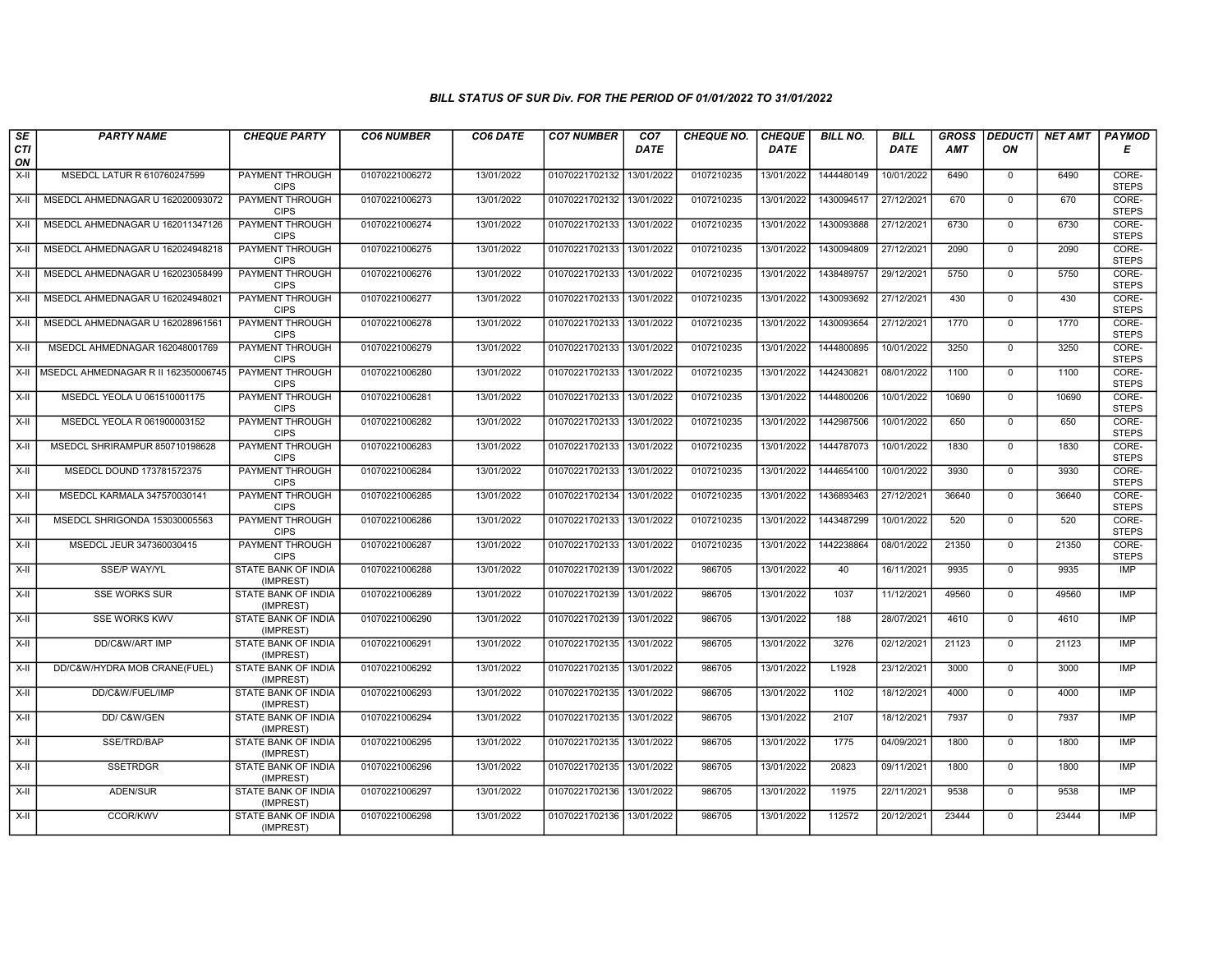| SE                 | <b>PARTY NAME</b>                   | <b>CHEQUE PARTY</b>                     | <b>CO6 NUMBER</b> | CO6 DATE   | <b>CO7 NUMBER</b>         | CO <sub>7</sub> | <b>CHEQUE NO.</b> | <b>CHEQUE</b> | <b>BILL NO.</b> | <b>BILL</b> | <b>GROSS</b> |                | <b>DEDUCTI</b> NET AMT | <b>PAYMOD</b>         |
|--------------------|-------------------------------------|-----------------------------------------|-------------------|------------|---------------------------|-----------------|-------------------|---------------|-----------------|-------------|--------------|----------------|------------------------|-----------------------|
| <b>CTI</b><br>ON   |                                     |                                         |                   |            |                           | <b>DATE</b>     |                   | <b>DATE</b>   |                 | <b>DATE</b> | <b>AMT</b>   | ON             |                        | Е                     |
| $X-H$              | MSEDCL LATUR R 610760247599         | PAYMENT THROUGH<br><b>CIPS</b>          | 01070221006272    | 13/01/2022 | 01070221702132            | 13/01/2022      | 0107210235        | 13/01/2022    | 1444480149      | 10/01/2022  | 6490         | $\mathbf 0$    | 6490                   | CORE-<br><b>STEPS</b> |
| $X-H$              | MSEDCL AHMEDNAGAR U 162020093072    | PAYMENT THROUGH<br><b>CIPS</b>          | 01070221006273    | 13/01/2022 | 01070221702132            | 13/01/2022      | 0107210235        | 13/01/2022    | 1430094517      | 27/12/2021  | 670          | $\Omega$       | 670                    | CORE-<br><b>STEPS</b> |
| X-II               | MSEDCL AHMEDNAGAR U 162011347126    | <b>PAYMENT THROUGH</b><br><b>CIPS</b>   | 01070221006274    | 13/01/2022 | 01070221702133            | 13/01/2022      | 0107210235        | 13/01/2022    | 1430093888      | 27/12/2021  | 6730         | $\mathbf 0$    | 6730                   | CORE-<br><b>STEPS</b> |
| X-II               | MSEDCL AHMEDNAGAR U 162024948218    | PAYMENT THROUGH<br><b>CIPS</b>          | 01070221006275    | 13/01/2022 | 01070221702133            | 13/01/2022      | 0107210235        | 13/01/2022    | 1430094809      | 27/12/2021  | 2090         | $\mathbf 0$    | 2090                   | CORE-<br><b>STEPS</b> |
| $X-H$              | MSEDCL AHMEDNAGAR U 162023058499    | <b>PAYMENT THROUGH</b><br><b>CIPS</b>   | 01070221006276    | 13/01/2022 | 01070221702133            | 13/01/2022      | 0107210235        | 13/01/2022    | 1438489757      | 29/12/2021  | 5750         | $\mathbf 0$    | 5750                   | CORE-<br><b>STEPS</b> |
| $X-II$             | MSEDCL AHMEDNAGAR U 162024948021    | <b>PAYMENT THROUGH</b><br><b>CIPS</b>   | 01070221006277    | 13/01/2022 | 01070221702133            | 13/01/2022      | 0107210235        | 13/01/2022    | 1430093692      | 27/12/2021  | 430          | $\Omega$       | 430                    | CORE-<br><b>STEPS</b> |
| $X-H$              | MSEDCL AHMEDNAGAR U 162028961561    | PAYMENT THROUGH<br><b>CIPS</b>          | 01070221006278    | 13/01/2022 | 01070221702133            | 13/01/2022      | 0107210235        | 13/01/2022    | 1430093654      | 27/12/2021  | 1770         | $\mathbf{0}$   | 1770                   | CORE-<br><b>STEPS</b> |
| $X-H$              | MSEDCL AHMEDNAGAR 162048001769      | <b>PAYMENT THROUGH</b><br><b>CIPS</b>   | 01070221006279    | 13/01/2022 | 01070221702133            | 13/01/2022      | 0107210235        | 13/01/2022    | 1444800895      | 10/01/2022  | 3250         | $\overline{0}$ | 3250                   | CORE-<br><b>STEPS</b> |
| X-II               | MSEDCL AHMEDNAGAR R II 162350006745 | <b>PAYMENT THROUGH</b><br><b>CIPS</b>   | 01070221006280    | 13/01/2022 | 01070221702133            | 13/01/2022      | 0107210235        | 13/01/2022    | 1442430821      | 08/01/2022  | 1100         | $\mathbf 0$    | 1100                   | CORE-<br><b>STEPS</b> |
| $\overline{x}$ -II | MSEDCL YEOLA U 061510001175         | <b>PAYMENT THROUGH</b><br><b>CIPS</b>   | 01070221006281    | 13/01/2022 | 01070221702133 13/01/2022 |                 | 0107210235        | 13/01/2022    | 1444800206      | 10/01/2022  | 10690        | $\mathbf 0$    | 10690                  | CORE-<br><b>STEPS</b> |
| X-II               | MSEDCL YEOLA R 061900003152         | PAYMENT THROUGH<br><b>CIPS</b>          | 01070221006282    | 13/01/2022 | 01070221702133            | 13/01/2022      | 0107210235        | 13/01/2022    | 1442987506      | 10/01/2022  | 650          | $\mathbf{0}$   | 650                    | CORE-<br><b>STEPS</b> |
| X-II               | MSEDCL SHRIRAMPUR 850710198628      | PAYMENT THROUGH<br><b>CIPS</b>          | 01070221006283    | 13/01/2022 | 01070221702133            | 13/01/2022      | 0107210235        | 13/01/2022    | 1444787073      | 10/01/2022  | 1830         | $\mathbf 0$    | 1830                   | CORE-<br><b>STEPS</b> |
| $X-H$              | MSEDCL DOUND 173781572375           | <b>PAYMENT THROUGH</b><br><b>CIPS</b>   | 01070221006284    | 13/01/2022 | 01070221702133            | 13/01/2022      | 0107210235        | 13/01/2022    | 1444654100      | 10/01/2022  | 3930         | $\mathbf 0$    | 3930                   | CORE-<br><b>STEPS</b> |
| $X-H$              | MSEDCL KARMALA 347570030141         | PAYMENT THROUGH<br><b>CIPS</b>          | 01070221006285    | 13/01/2022 | 01070221702134            | 13/01/2022      | 0107210235        | 13/01/2022    | 1436893463      | 27/12/2021  | 36640        | $\mathbf 0$    | 36640                  | CORE-<br><b>STEPS</b> |
| X-II               | MSEDCL SHRIGONDA 153030005563       | PAYMENT THROUGH<br><b>CIPS</b>          | 01070221006286    | 13/01/2022 | 01070221702133            | 13/01/2022      | 0107210235        | 13/01/2022    | 1443487299      | 10/01/2022  | 520          | $\Omega$       | 520                    | CORE-<br><b>STEPS</b> |
| $X-II$             | MSEDCL JEUR 347360030415            | PAYMENT THROUGH<br><b>CIPS</b>          | 01070221006287    | 13/01/2022 | 01070221702133            | 13/01/2022      | 0107210235        | 13/01/2022    | 1442238864      | 08/01/2022  | 21350        | $\mathbf{0}$   | 21350                  | CORE-<br><b>STEPS</b> |
| $X-II$             | <b>SSE/P WAY/YL</b>                 | <b>STATE BANK OF INDIA</b><br>(IMPREST) | 01070221006288    | 13/01/2022 | 01070221702139            | 13/01/2022      | 986705            | 13/01/2022    | 40              | 16/11/2021  | 9935         | $\mathbf 0$    | 9935                   | IMP                   |
| X-II               | <b>SSE WORKS SUR</b>                | <b>STATE BANK OF INDIA</b><br>(IMPREST) | 01070221006289    | 13/01/2022 | 01070221702139            | 13/01/2022      | 986705            | 13/01/2022    | 1037            | 11/12/2021  | 49560        | $\mathbf 0$    | 49560                  | <b>IMP</b>            |
| X-II               | <b>SSE WORKS KWV</b>                | STATE BANK OF INDIA<br>(IMPREST)        | 01070221006290    | 13/01/2022 | 01070221702139            | 13/01/2022      | 986705            | 13/01/2022    | 188             | 28/07/2021  | 4610         | $\mathbf 0$    | 4610                   | IMP                   |
| $X-H$              | DD/C&W/ART IMP                      | STATE BANK OF INDIA<br>(IMPREST)        | 01070221006291    | 13/01/2022 | 01070221702135            | 13/01/2022      | 986705            | 13/01/2022    | 3276            | 02/12/2021  | 21123        | $\Omega$       | 21123                  | <b>IMP</b>            |
| X-II               | DD/C&W/HYDRA MOB CRANE(FUEL)        | STATE BANK OF INDIA<br>(IMPREST)        | 01070221006292    | 13/01/2022 | 01070221702135            | 13/01/2022      | 986705            | 13/01/2022    | L1928           | 23/12/2021  | 3000         | $\mathbf{0}$   | 3000                   | <b>IMP</b>            |
| X-II               | DD/C&W/FUEL/IMP                     | STATE BANK OF INDIA<br>(IMPREST)        | 01070221006293    | 13/01/2022 | 01070221702135 13/01/2022 |                 | 986705            | 13/01/2022    | 1102            | 18/12/2021  | 4000         | $\Omega$       | 4000                   | <b>IMP</b>            |
| $X-II$             | DD/ C&W/GEN                         | STATE BANK OF INDIA<br>(IMPREST)        | 01070221006294    | 13/01/2022 | 01070221702135            | 13/01/2022      | 986705            | 13/01/2022    | 2107            | 18/12/2021  | 7937         | $\mathbf 0$    | 7937                   | <b>IMP</b>            |
| $X-II$             | SSE/TRD/BAP                         | STATE BANK OF INDIA<br>(IMPREST)        | 01070221006295    | 13/01/2022 | 01070221702135            | 13/01/2022      | 986705            | 13/01/2022    | 1775            | 04/09/2021  | 1800         | $\Omega$       | 1800                   | <b>IMP</b>            |
| X-II               | <b>SSETRDGR</b>                     | STATE BANK OF INDIA<br>(IMPREST)        | 01070221006296    | 13/01/2022 | 01070221702135            | 13/01/2022      | 986705            | 13/01/2022    | 20823           | 09/11/2021  | 1800         | $\Omega$       | 1800                   | IMP                   |
| $X-H$              | ADEN/SUR                            | <b>STATE BANK OF INDIA</b><br>(IMPREST) | 01070221006297    | 13/01/2022 | 01070221702136            | 13/01/2022      | 986705            | 13/01/2022    | 11975           | 22/11/2021  | 9538         | $\mathbf 0$    | 9538                   | <b>IMP</b>            |
| X-II               | <b>CCOR/KWV</b>                     | STATE BANK OF INDIA<br>(IMPREST)        | 01070221006298    | 13/01/2022 | 01070221702136 13/01/2022 |                 | 986705            | 13/01/2022    | 112572          | 20/12/2021  | 23444        | $\mathbf 0$    | 23444                  | IMP                   |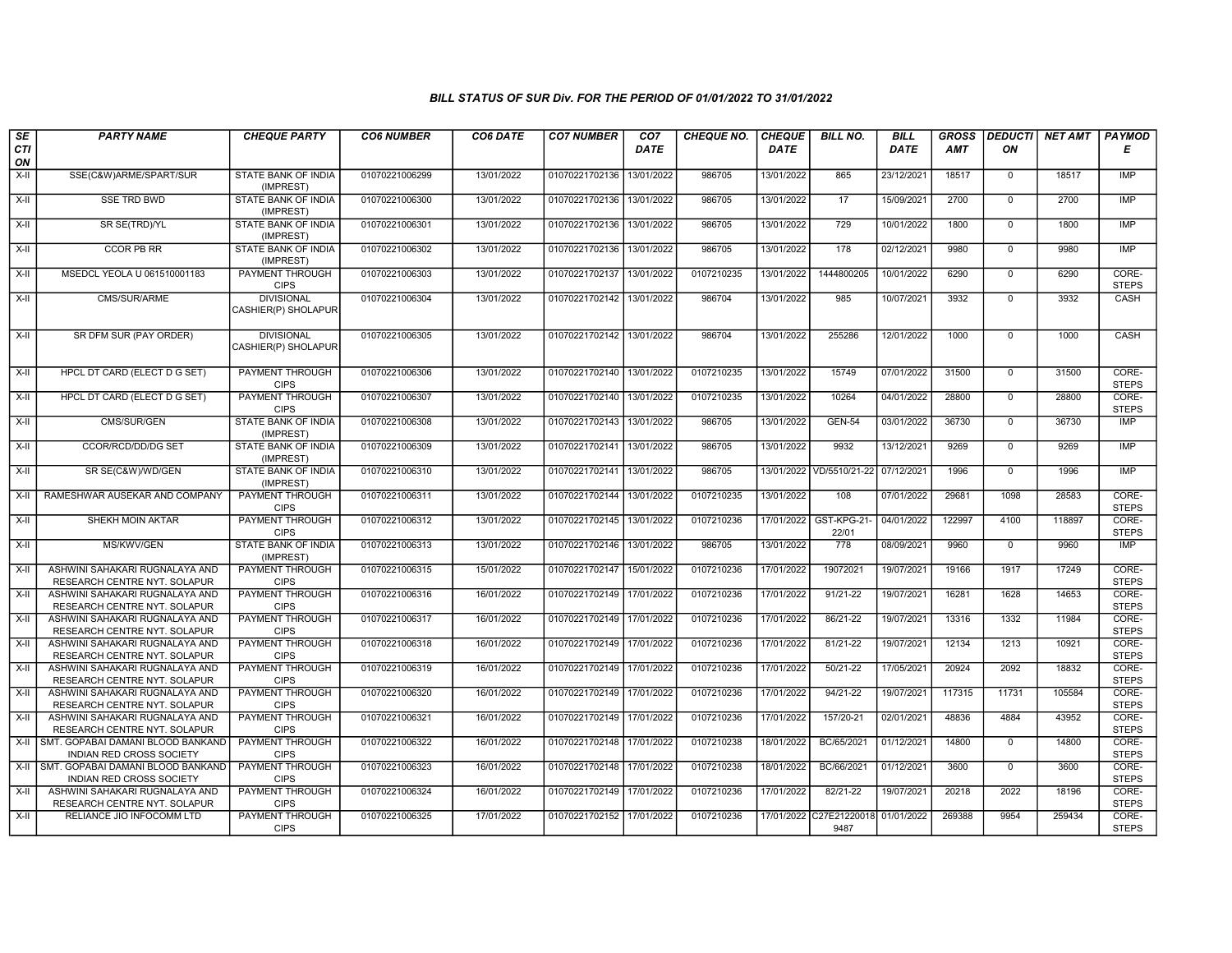| SE<br>CTI | <b>PARTY NAME</b>                                              | <b>CHEQUE PARTY</b>                      | <b>CO6 NUMBER</b> | CO6 DATE   | <b>CO7 NUMBER</b>         | CO <sub>7</sub><br><b>DATE</b> | <b>CHEQUE NO.</b> | <b>CHEQUE</b><br><b>DATE</b> | <b>BILL NO.</b>                 | <b>BILL</b><br>DATE | <b>GROSS</b><br>AMT | <b>DEDUCTI</b><br>ON | <b>NET AMT</b> | <b>PAYMOD</b><br>Е    |
|-----------|----------------------------------------------------------------|------------------------------------------|-------------------|------------|---------------------------|--------------------------------|-------------------|------------------------------|---------------------------------|---------------------|---------------------|----------------------|----------------|-----------------------|
| ON        |                                                                |                                          |                   |            |                           |                                |                   |                              |                                 |                     |                     |                      |                |                       |
| X-II      | SSE(C&W)ARME/SPART/SUR                                         | <b>STATE BANK OF INDIA</b><br>(IMPREST)  | 01070221006299    | 13/01/2022 | 01070221702136            | 13/01/2022                     | 986705            | 13/01/2022                   | 865                             | 23/12/2021          | 18517               | $\mathbf 0$          | 18517          | IMP                   |
| $X-H$     | <b>SSE TRD BWD</b>                                             | <b>STATE BANK OF INDIA</b><br>(IMPREST)  | 01070221006300    | 13/01/2022 | 01070221702136            | 13/01/2022                     | 986705            | 13/01/2022                   | 17                              | 15/09/2021          | 2700                | $\mathbf{0}$         | 2700           | <b>IMP</b>            |
| X-II      | SR SE(TRD)/YL                                                  | STATE BANK OF INDIA<br>(IMPREST)         | 01070221006301    | 13/01/2022 | 01070221702136            | 13/01/2022                     | 986705            | 13/01/2022                   | 729                             | 10/01/2022          | 1800                | $\mathbf 0$          | 1800           | <b>IMP</b>            |
| X-II      | <b>CCOR PB RR</b>                                              | STATE BANK OF INDIA<br>(IMPREST)         | 01070221006302    | 13/01/2022 | 01070221702136            | 13/01/2022                     | 986705            | 13/01/2022                   | 178                             | 02/12/2021          | 9980                | $\mathbf{0}$         | 9980           | <b>IMP</b>            |
| $X-H$     | MSEDCL YEOLA U 061510001183                                    | <b>PAYMENT THROUGH</b><br><b>CIPS</b>    | 01070221006303    | 13/01/2022 | 01070221702137 13/01/2022 |                                | 0107210235        | 13/01/2022                   | 1444800205                      | 10/01/2022          | 6290                | $\mathbf{0}$         | 6290           | CORE-<br><b>STEPS</b> |
| X-II      | CMS/SUR/ARME                                                   | <b>DIVISIONAL</b><br>CASHIER(P) SHOLAPUR | 01070221006304    | 13/01/2022 | 01070221702142            | 13/01/2022                     | 986704            | 13/01/2022                   | 985                             | 10/07/2021          | 3932                | $\mathbf 0$          | 3932           | CASH                  |
| $X-H$     | SR DFM SUR (PAY ORDER)                                         | <b>DIVISIONAL</b><br>CASHIER(P) SHOLAPUR | 01070221006305    | 13/01/2022 | 01070221702142 13/01/2022 |                                | 986704            | 13/01/2022                   | 255286                          | 12/01/2022          | 1000                | $\mathbf 0$          | 1000           | CASH                  |
| $X-II$    | HPCL DT CARD (ELECT D G SET)                                   | PAYMENT THROUGH<br><b>CIPS</b>           | 01070221006306    | 13/01/2022 | 01070221702140 13/01/2022 |                                | 0107210235        | 13/01/2022                   | 15749                           | 07/01/2022          | 31500               | $\mathbf 0$          | 31500          | CORE-<br><b>STEPS</b> |
| X-II      | HPCL DT CARD (ELECT D G SET)                                   | PAYMENT THROUGH<br><b>CIPS</b>           | 01070221006307    | 13/01/2022 | 01070221702140            | 13/01/2022                     | 0107210235        | 13/01/2022                   | 10264                           | 04/01/2022          | 28800               | $\mathbf{0}$         | 28800          | CORE-<br><b>STEPS</b> |
| X-II      | <b>CMS/SUR/GEN</b>                                             | <b>STATE BANK OF INDIA</b><br>(IMPREST)  | 01070221006308    | 13/01/2022 | 01070221702143            | 13/01/2022                     | 986705            | 13/01/2022                   | <b>GEN-54</b>                   | 03/01/2022          | 36730               | $\overline{0}$       | 36730          | IMP                   |
| X-II      | CCOR/RCD/DD/DG SET                                             | <b>STATE BANK OF INDIA</b><br>(IMPREST)  | 01070221006309    | 13/01/2022 | 01070221702141            | 13/01/2022                     | 986705            | 13/01/2022                   | 9932                            | 13/12/2021          | 9269                | $\mathbf 0$          | 9269           | <b>IMP</b>            |
| X-II      | SR SE(C&W)/WD/GEN                                              | STATE BANK OF INDIA<br>(IMPREST)         | 01070221006310    | 13/01/2022 | 01070221702141            | 13/01/2022                     | 986705            | 13/01/2022                   | VD/5510/21-22                   | 07/12/2021          | 1996                | $\mathbf 0$          | 1996           | <b>IMP</b>            |
| $X-II$    | RAMESHWAR AUSEKAR AND COMPANY                                  | PAYMENT THROUGH<br><b>CIPS</b>           | 01070221006311    | 13/01/2022 | 01070221702144            | 13/01/2022                     | 0107210235        | 13/01/2022                   | 108                             | 07/01/2022          | 29681               | 1098                 | 28583          | CORE-<br><b>STEPS</b> |
| $X-H$     | SHEKH MOIN AKTAR                                               | <b>PAYMENT THROUGH</b><br><b>CIPS</b>    | 01070221006312    | 13/01/2022 | 01070221702145 13/01/2022 |                                | 0107210236        |                              | 17/01/2022 GST-KPG-21-<br>22/01 | 04/01/2022          | 122997              | 4100                 | 118897         | CORE-<br><b>STEPS</b> |
| X-II      | MS/KWV/GEN                                                     | <b>STATE BANK OF INDIA</b><br>(IMPREST)  | 01070221006313    | 13/01/2022 | 01070221702146            | 13/01/2022                     | 986705            | 13/01/2022                   | 778                             | 08/09/2021          | 9960                | $\mathbf{0}$         | 9960           | IMP                   |
| $X-II$    | ASHWINI SAHAKARI RUGNALAYA AND<br>RESEARCH CENTRE NYT. SOLAPUR | PAYMENT THROUGH<br><b>CIPS</b>           | 01070221006315    | 15/01/2022 | 01070221702147            | 15/01/2022                     | 0107210236        | 17/01/2022                   | 19072021                        | 19/07/2021          | 19166               | 1917                 | 17249          | CORE-<br><b>STEPS</b> |
| $X-II$    | ASHWINI SAHAKARI RUGNALAYA AND<br>RESEARCH CENTRE NYT. SOLAPUR | PAYMENT THROUGH<br><b>CIPS</b>           | 01070221006316    | 16/01/2022 | 01070221702149            | 17/01/2022                     | 0107210236        | 17/01/2022                   | 91/21-22                        | 19/07/2021          | 16281               | 1628                 | 14653          | CORE-<br><b>STEPS</b> |
| X-II      | ASHWINI SAHAKARI RUGNALAYA AND<br>RESEARCH CENTRE NYT. SOLAPUR | <b>PAYMENT THROUGH</b><br><b>CIPS</b>    | 01070221006317    | 16/01/2022 | 01070221702149 17/01/2022 |                                | 0107210236        | 17/01/2022                   | 86/21-22                        | 19/07/2021          | 13316               | 1332                 | 11984          | CORE-<br><b>STEPS</b> |
| $X-H$     | ASHWINI SAHAKARI RUGNALAYA AND<br>RESEARCH CENTRE NYT. SOLAPUR | <b>PAYMENT THROUGH</b><br><b>CIPS</b>    | 01070221006318    | 16/01/2022 | 01070221702149 17/01/2022 |                                | 0107210236        | 17/01/2022                   | 81/21-22                        | 19/07/2021          | 12134               | 1213                 | 10921          | CORE-<br><b>STEPS</b> |
| $X-II$    | ASHWINI SAHAKARI RUGNALAYA AND<br>RESEARCH CENTRE NYT. SOLAPUR | PAYMENT THROUGH<br><b>CIPS</b>           | 01070221006319    | 16/01/2022 | 01070221702149            | 17/01/2022                     | 0107210236        | 17/01/2022                   | 50/21-22                        | 17/05/2021          | 20924               | 2092                 | 18832          | CORE-<br><b>STEPS</b> |
| X-II      | ASHWINI SAHAKARI RUGNALAYA AND<br>RESEARCH CENTRE NYT. SOLAPUR | PAYMENT THROUGH<br><b>CIPS</b>           | 01070221006320    | 16/01/2022 | 01070221702149 17/01/2022 |                                | 0107210236        | 17/01/2022                   | 94/21-22                        | 19/07/2021          | 117315              | 11731                | 105584         | CORE-<br><b>STEPS</b> |
| X-II      | ASHWINI SAHAKARI RUGNALAYA AND<br>RESEARCH CENTRE NYT. SOLAPUR | PAYMENT THROUGH<br><b>CIPS</b>           | 01070221006321    | 16/01/2022 | 01070221702149 17/01/2022 |                                | 0107210236        | 17/01/2022                   | 157/20-21                       | 02/01/2021          | 48836               | 4884                 | 43952          | CORE-<br><b>STEPS</b> |
| $X-II$    | SMT. GOPABAI DAMANI BLOOD BANKAND<br>INDIAN RED CROSS SOCIETY  | <b>PAYMENT THROUGH</b><br><b>CIPS</b>    | 01070221006322    | 16/01/2022 | 01070221702148 17/01/2022 |                                | 0107210238        | 18/01/2022                   | BC/65/2021                      | 01/12/2021          | 14800               | $\mathbf{0}$         | 14800          | CORE-<br><b>STEPS</b> |
| X-II      | SMT. GOPABAI DAMANI BLOOD BANKAND<br>INDIAN RED CROSS SOCIETY  | PAYMENT THROUGH<br><b>CIPS</b>           | 01070221006323    | 16/01/2022 | 01070221702148 17/01/2022 |                                | 0107210238        | 18/01/2022                   | BC/66/2021                      | 01/12/2021          | 3600                | $\mathbf{0}$         | 3600           | CORE-<br><b>STEPS</b> |
| $X-II$    | ASHWINI SAHAKARI RUGNALAYA AND<br>RESEARCH CENTRE NYT. SOLAPUR | PAYMENT THROUGH<br><b>CIPS</b>           | 01070221006324    | 16/01/2022 | 01070221702149 17/01/2022 |                                | 0107210236        | 17/01/2022                   | 82/21-22                        | 19/07/2021          | 20218               | 2022                 | 18196          | CORE-<br><b>STEPS</b> |
| X-II      | RELIANCE JIO INFOCOMM LTD                                      | <b>PAYMENT THROUGH</b><br><b>CIPS</b>    | 01070221006325    | 17/01/2022 | 01070221702152 17/01/2022 |                                | 0107210236        | 17/01/2022                   | C27E21220018<br>9487            | 01/01/2022          | 269388              | 9954                 | 259434         | CORE-<br><b>STEPS</b> |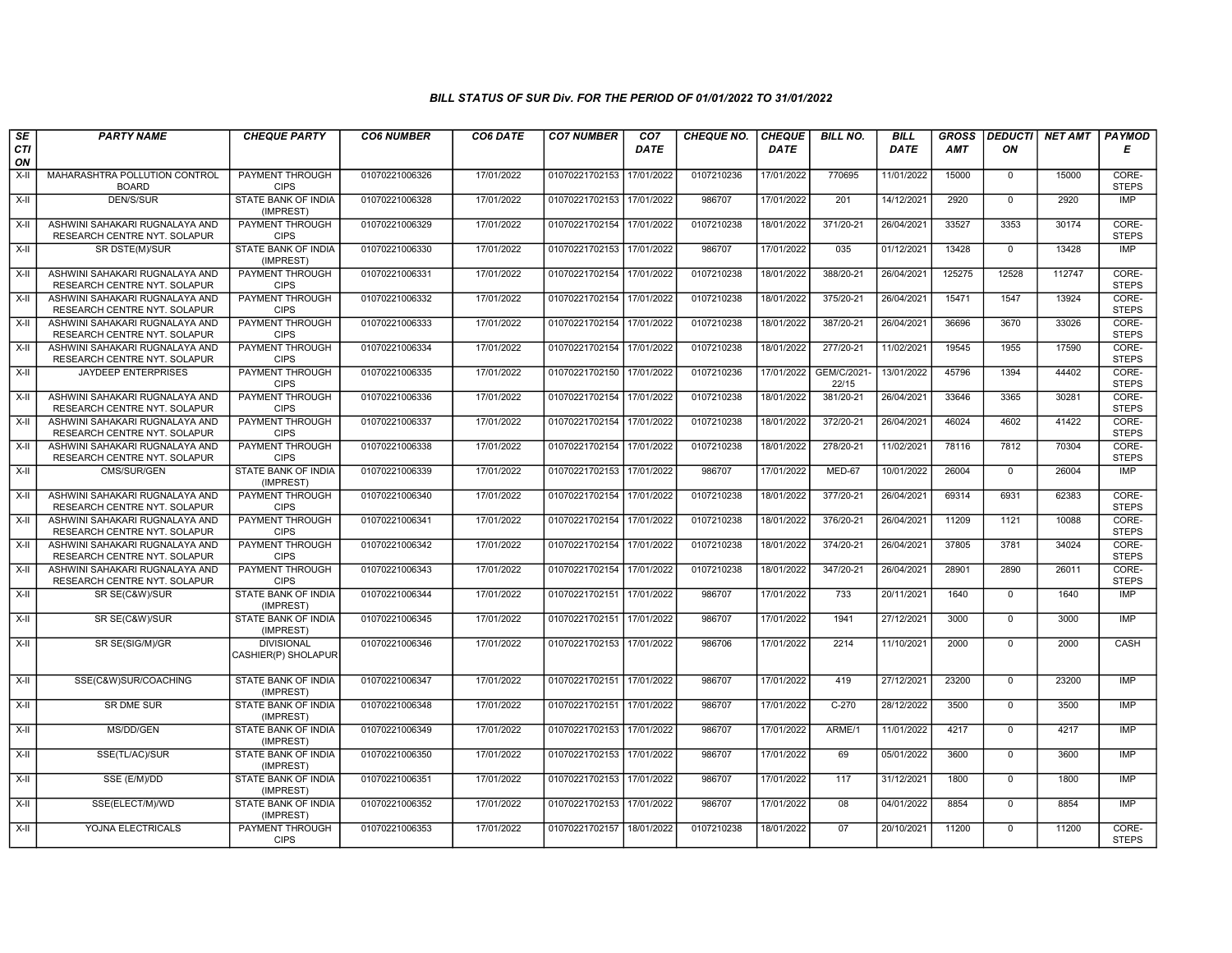| SE        | <b>PARTY NAME</b>                                                     | <b>CHEQUE PARTY</b>                      | <b>CO6 NUMBER</b> | CO6 DATE   | <b>CO7 NUMBER</b>         | CO7         | <b>CHEQUE NO.</b> | <b>CHEQUE</b> | <b>BILL NO.</b>      | <b>BILL</b> | <b>GROSS</b> | <b>DEDUCTI</b> | <b>NET AMT</b> | <b>PAYMOD</b>         |
|-----------|-----------------------------------------------------------------------|------------------------------------------|-------------------|------------|---------------------------|-------------|-------------------|---------------|----------------------|-------------|--------------|----------------|----------------|-----------------------|
| CTI<br>ON |                                                                       |                                          |                   |            |                           | <b>DATE</b> |                   | <b>DATE</b>   |                      | DATE        | AMT          | ON             |                | Е                     |
| $X-II$    | MAHARASHTRA POLLUTION CONTROL<br><b>BOARD</b>                         | <b>PAYMENT THROUGH</b><br><b>CIPS</b>    | 01070221006326    | 17/01/2022 | 01070221702153            | 17/01/2022  | 0107210236        | 17/01/2022    | 770695               | 11/01/2022  | 15000        | $\mathbf 0$    | 15000          | CORE-<br><b>STEPS</b> |
| $X-H$     | <b>DEN/S/SUR</b>                                                      | <b>STATE BANK OF INDIA</b><br>(IMPREST)  | 01070221006328    | 17/01/2022 | 01070221702153 17/01/2022 |             | 986707            | 17/01/2022    | 201                  | 14/12/2021  | 2920         | $\overline{0}$ | 2920           | IMP                   |
| X-II      | ASHWINI SAHAKARI RUGNALAYA AND<br>RESEARCH CENTRE NYT. SOLAPUR        | PAYMENT THROUGH<br><b>CIPS</b>           | 01070221006329    | 17/01/2022 | 01070221702154 17/01/2022 |             | 0107210238        | 18/01/2022    | 371/20-21            | 26/04/2021  | 33527        | 3353           | 30174          | CORE-<br><b>STEPS</b> |
| X-II      | SR DSTE(M)/SUR                                                        | STATE BANK OF INDIA<br>(IMPREST)         | 01070221006330    | 17/01/2022 | 01070221702153            | 17/01/2022  | 986707            | 17/01/2022    | 035                  | 01/12/2021  | 13428        | $\mathbf{0}$   | 13428          | IMP                   |
| $X-H$     | ASHWINI SAHAKARI RUGNALAYA AND<br><b>RESEARCH CENTRE NYT. SOLAPUR</b> | <b>PAYMENT THROUGH</b><br><b>CIPS</b>    | 01070221006331    | 17/01/2022 | 01070221702154 17/01/2022 |             | 0107210238        | 18/01/2022    | 388/20-21            | 26/04/2021  | 125275       | 12528          | 112747         | CORE-<br><b>STEPS</b> |
| $X-H$     | ASHWINI SAHAKARI RUGNALAYA AND<br>RESEARCH CENTRE NYT. SOLAPUR        | <b>PAYMENT THROUGH</b><br><b>CIPS</b>    | 01070221006332    | 17/01/2022 | 01070221702154 17/01/2022 |             | 0107210238        | 18/01/2022    | 375/20-21            | 26/04/2021  | 15471        | 1547           | 13924          | CORE-<br><b>STEPS</b> |
| X-II      | ASHWINI SAHAKARI RUGNALAYA AND<br>RESEARCH CENTRE NYT. SOLAPUR        | PAYMENT THROUGH<br><b>CIPS</b>           | 01070221006333    | 17/01/2022 | 01070221702154            | 17/01/2022  | 0107210238        | 18/01/2022    | 387/20-21            | 26/04/2021  | 36696        | 3670           | 33026          | CORE-<br><b>STEPS</b> |
| $X-II$    | ASHWINI SAHAKARI RUGNALAYA AND<br>RESEARCH CENTRE NYT. SOLAPUR        | PAYMENT THROUGH<br><b>CIPS</b>           | 01070221006334    | 17/01/2022 | 01070221702154 17/01/2022 |             | 0107210238        | 18/01/2022    | 277/20-21            | 11/02/2021  | 19545        | 1955           | 17590          | CORE-<br><b>STEPS</b> |
| $X-H$     | <b>JAYDEEP ENTERPRISES</b>                                            | <b>PAYMENT THROUGH</b><br><b>CIPS</b>    | 01070221006335    | 17/01/2022 | 01070221702150 17/01/2022 |             | 0107210236        | 17/01/2022    | GEM/C/2021-<br>22/15 | 13/01/2022  | 45796        | 1394           | 44402          | CORE-<br><b>STEPS</b> |
| $X-H$     | ASHWINI SAHAKARI RUGNALAYA AND<br>RESEARCH CENTRE NYT. SOLAPUR        | <b>PAYMENT THROUGH</b><br><b>CIPS</b>    | 01070221006336    | 17/01/2022 | 01070221702154            | 17/01/2022  | 0107210238        | 18/01/2022    | 381/20-21            | 26/04/2021  | 33646        | 3365           | 30281          | CORE-<br><b>STEPS</b> |
| X-II      | ASHWINI SAHAKARI RUGNALAYA AND<br>RESEARCH CENTRE NYT. SOLAPUR        | PAYMENT THROUGH<br><b>CIPS</b>           | 01070221006337    | 17/01/2022 | 01070221702154            | 17/01/2022  | 0107210238        | 18/01/2022    | 372/20-21            | 26/04/2021  | 46024        | 4602           | 41422          | CORE-<br><b>STEPS</b> |
| $X-II$    | ASHWINI SAHAKARI RUGNALAYA AND<br>RESEARCH CENTRE NYT. SOLAPUR        | <b>PAYMENT THROUGH</b><br><b>CIPS</b>    | 01070221006338    | 17/01/2022 | 01070221702154            | 17/01/2022  | 0107210238        | 18/01/2022    | 278/20-21            | 11/02/2021  | 78116        | 7812           | 70304          | CORE-<br><b>STEPS</b> |
| $X-H$     | CMS/SUR/GEN                                                           | <b>STATE BANK OF INDIA</b><br>(IMPREST)  | 01070221006339    | 17/01/2022 | 01070221702153 17/01/2022 |             | 986707            | 17/01/2022    | MED-67               | 10/01/2022  | 26004        | $\mathbf 0$    | 26004          | IMP                   |
| $X-II$    | ASHWINI SAHAKARI RUGNALAYA AND<br>RESEARCH CENTRE NYT. SOLAPUR        | <b>PAYMENT THROUGH</b><br><b>CIPS</b>    | 01070221006340    | 17/01/2022 | 01070221702154 17/01/2022 |             | 0107210238        | 18/01/2022    | 377/20-21            | 26/04/2021  | 69314        | 6931           | 62383          | CORE-<br><b>STEPS</b> |
| $X-II$    | ASHWINI SAHAKARI RUGNALAYA AND<br>RESEARCH CENTRE NYT. SOLAPUR        | PAYMENT THROUGH<br><b>CIPS</b>           | 01070221006341    | 17/01/2022 | 01070221702154            | 17/01/2022  | 0107210238        | 18/01/2022    | 376/20-21            | 26/04/2021  | 11209        | 1121           | 10088          | CORE-<br><b>STEPS</b> |
| $X-II$    | ASHWINI SAHAKARI RUGNALAYA AND<br>RESEARCH CENTRE NYT. SOLAPUR        | <b>PAYMENT THROUGH</b><br><b>CIPS</b>    | 01070221006342    | 17/01/2022 | 01070221702154            | 17/01/2022  | 0107210238        | 18/01/2022    | 374/20-21            | 26/04/2021  | 37805        | 3781           | 34024          | CORE-<br><b>STEPS</b> |
| $X-H$     | ASHWINI SAHAKARI RUGNALAYA AND<br>RESEARCH CENTRE NYT. SOLAPUR        | PAYMENT THROUGH<br><b>CIPS</b>           | 01070221006343    | 17/01/2022 | 01070221702154 17/01/2022 |             | 0107210238        | 18/01/2022    | 347/20-21            | 26/04/2021  | 28901        | 2890           | 26011          | CORE-<br><b>STEPS</b> |
| X-II      | SR SE(C&W)/SUR                                                        | <b>STATE BANK OF INDIA</b><br>(IMPREST)  | 01070221006344    | 17/01/2022 | 01070221702151 17/01/2022 |             | 986707            | 17/01/2022    | 733                  | 20/11/2021  | 1640         | $\mathbf{0}$   | 1640           | <b>IMP</b>            |
| $X-II$    | SR SE(C&W)/SUR                                                        | STATE BANK OF INDIA<br>(IMPREST)         | 01070221006345    | 17/01/2022 | 01070221702151            | 17/01/2022  | 986707            | 17/01/2022    | 1941                 | 27/12/2021  | 3000         | $\mathbf 0$    | 3000           | IMP                   |
| X-II      | SR SE(SIG/M)/GR                                                       | <b>DIVISIONAL</b><br>CASHIER(P) SHOLAPUR | 01070221006346    | 17/01/2022 | 01070221702153 17/01/2022 |             | 986706            | 17/01/2022    | 2214                 | 11/10/2021  | 2000         | $\overline{0}$ | 2000           | CASH                  |
| $X-H$     | SSE(C&W)SUR/COACHING                                                  | <b>STATE BANK OF INDIA</b><br>(IMPREST)  | 01070221006347    | 17/01/2022 | 01070221702151 17/01/2022 |             | 986707            | 17/01/2022    | 419                  | 27/12/2021  | 23200        | $\mathbf{0}$   | 23200          | <b>IMP</b>            |
| X-II      | SR DME SUR                                                            | STATE BANK OF INDIA<br>(IMPREST)         | 01070221006348    | 17/01/2022 | 01070221702151            | 17/01/2022  | 986707            | 17/01/2022    | $C-270$              | 28/12/2022  | 3500         | $\mathbf 0$    | 3500           | <b>IMP</b>            |
| X-II      | MS/DD/GEN                                                             | STATE BANK OF INDIA<br>(IMPREST)         | 01070221006349    | 17/01/2022 | 01070221702153 17/01/2022 |             | 986707            | 17/01/2022    | ARME/1               | 11/01/2022  | 4217         | $\overline{0}$ | 4217           | <b>IMP</b>            |
| $X-H$     | SSE(TL/AC)/SUR                                                        | <b>STATE BANK OF INDIA</b><br>(IMPREST)  | 01070221006350    | 17/01/2022 | 01070221702153 17/01/2022 |             | 986707            | 17/01/2022    | 69                   | 05/01/2022  | 3600         | $\overline{0}$ | 3600           | IMP                   |
| X-II      | SSE (E/M)/DD                                                          | STATE BANK OF INDIA<br>(IMPREST)         | 01070221006351    | 17/01/2022 | 01070221702153 17/01/2022 |             | 986707            | 17/01/2022    | 117                  | 31/12/2021  | 1800         | $\mathbf 0$    | 1800           | <b>IMP</b>            |
| X-II      | SSE(ELECT/M)/WD                                                       | STATE BANK OF INDIA<br>(IMPREST)         | 01070221006352    | 17/01/2022 | 01070221702153 17/01/2022 |             | 986707            | 17/01/2022    | 08                   | 04/01/2022  | 8854         | $\Omega$       | 8854           | <b>IMP</b>            |
| $X-II$    | YOJNA ELECTRICALS                                                     | PAYMENT THROUGH<br><b>CIPS</b>           | 01070221006353    | 17/01/2022 | 01070221702157 18/01/2022 |             | 0107210238        | 18/01/2022    | 07                   | 20/10/2021  | 11200        | $\overline{0}$ | 11200          | CORE-<br><b>STEPS</b> |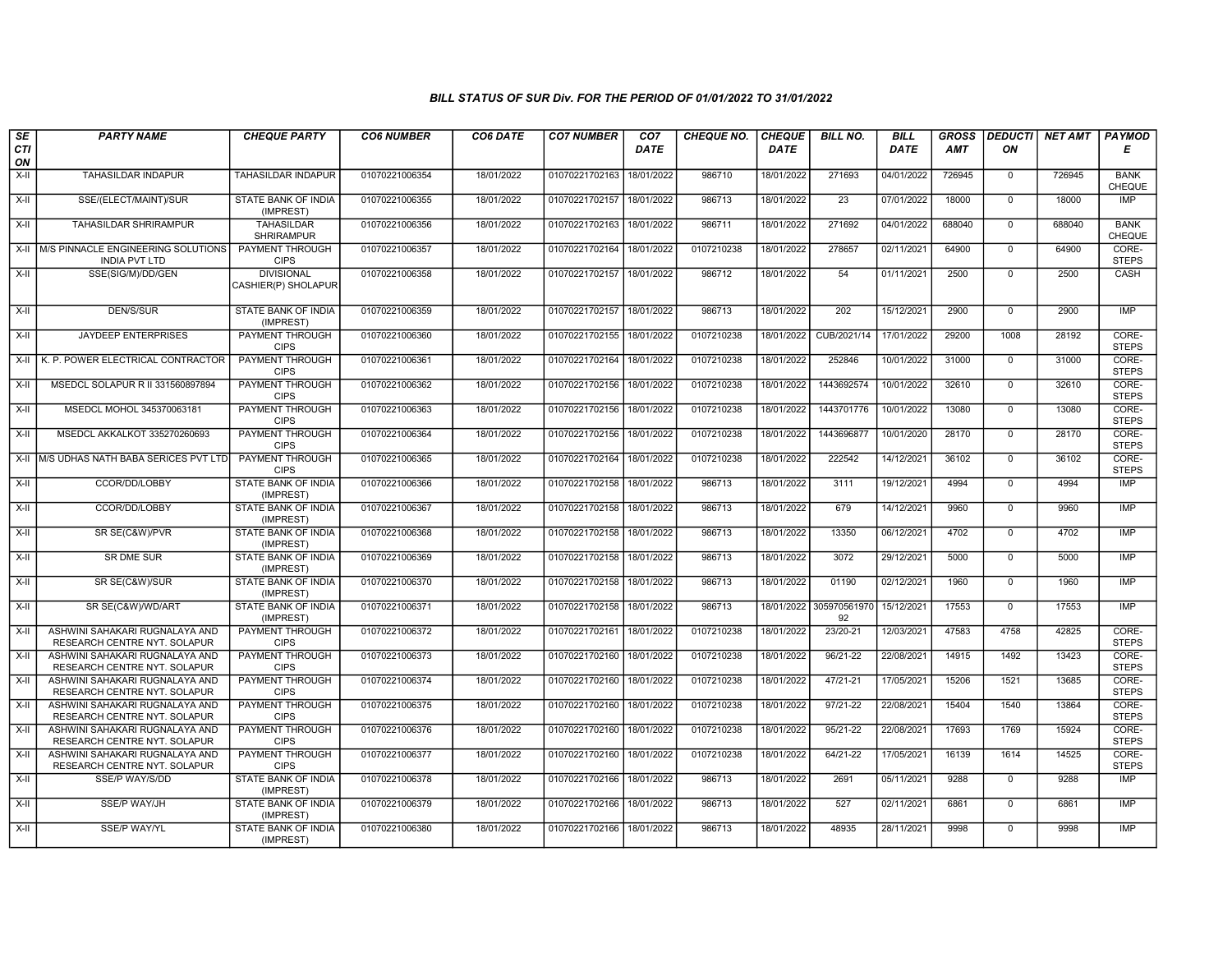| SE        | <b>PARTY NAME</b>                                              | <b>CHEQUE PARTY</b>                      | <b>CO6 NUMBER</b> | CO6 DATE   | <b>CO7 NUMBER</b>         | CO <sub>7</sub> | <b>CHEQUE NO.</b> | <b>CHEQUE</b> | <b>BILL NO.</b>    | <b>BILL</b> | <b>GROSS</b> | <b>DEDUCTI</b> | <b>NET AMT</b> | <b>PAYMOD</b>                |
|-----------|----------------------------------------------------------------|------------------------------------------|-------------------|------------|---------------------------|-----------------|-------------------|---------------|--------------------|-------------|--------------|----------------|----------------|------------------------------|
| CTI<br>ON |                                                                |                                          |                   |            |                           | <b>DATE</b>     |                   | <b>DATE</b>   |                    | <b>DATE</b> | AMT          | ON             |                | E                            |
| $X-H$     | <b>TAHASILDAR INDAPUR</b>                                      | <b>TAHASILDAR INDAPUR</b>                | 01070221006354    | 18/01/2022 | 01070221702163            | 18/01/2022      | 986710            | 18/01/2022    | 271693             | 04/01/2022  | 726945       | $\Omega$       | 726945         | <b>BANK</b><br>CHEQUE        |
| $X-H$     | SSE/(ELECT/MAINT)/SUR                                          | <b>STATE BANK OF INDIA</b><br>(IMPREST)  | 01070221006355    | 18/01/2022 | 01070221702157            | 18/01/2022      | 986713            | 18/01/2022    | 23                 | 07/01/2022  | 18000        | $\mathbf 0$    | 18000          | <b>IMP</b>                   |
| X-II      | TAHASILDAR SHRIRAMPUR                                          | TAHASILDAR<br><b>SHRIRAMPUR</b>          | 01070221006356    | 18/01/2022 | 01070221702163            | 18/01/2022      | 986711            | 18/01/2022    | 271692             | 04/01/2022  | 688040       | $\mathbf{0}$   | 688040         | <b>BANK</b><br><b>CHEQUE</b> |
| $X-H$     | M/S PINNACLE ENGINEERING SOLUTIONS<br><b>INDIA PVT LTD</b>     | PAYMENT THROUGH<br><b>CIPS</b>           | 01070221006357    | 18/01/2022 | 01070221702164 18/01/2022 |                 | 0107210238        | 18/01/2022    | 278657             | 02/11/2021  | 64900        | $\mathbf{0}$   | 64900          | CORE-<br><b>STEPS</b>        |
| X-II      | SSE(SIG/M)/DD/GEN                                              | <b>DIVISIONAL</b><br>CASHIER(P) SHOLAPUR | 01070221006358    | 18/01/2022 | 01070221702157            | 18/01/2022      | 986712            | 18/01/2022    | 54                 | 01/11/2021  | 2500         | $\Omega$       | 2500           | CASH                         |
| $X-II$    | <b>DEN/S/SUR</b>                                               | STATE BANK OF INDIA<br>(IMPREST)         | 01070221006359    | 18/01/2022 | 01070221702157            | 18/01/2022      | 986713            | 18/01/2022    | 202                | 15/12/2021  | 2900         | $\Omega$       | 2900           | <b>IMP</b>                   |
| $X-H$     | <b>JAYDEEP ENTERPRISES</b>                                     | <b>PAYMENT THROUGH</b><br><b>CIPS</b>    | 01070221006360    | 18/01/2022 | 01070221702155 18/01/2022 |                 | 0107210238        | 18/01/2022    | CUB/2021/14        | 17/01/2022  | 29200        | 1008           | 28192          | CORE-<br><b>STEPS</b>        |
| $X-II$    | K. P. POWER ELECTRICAL CONTRACTOR                              | <b>PAYMENT THROUGH</b><br><b>CIPS</b>    | 01070221006361    | 18/01/2022 | 01070221702164 18/01/2022 |                 | 0107210238        | 18/01/2022    | 252846             | 10/01/2022  | 31000        | $\mathbf 0$    | 31000          | CORE-<br><b>STEPS</b>        |
| X-II      | MSEDCL SOLAPUR R II 331560897894                               | PAYMENT THROUGH<br><b>CIPS</b>           | 01070221006362    | 18/01/2022 | 01070221702156            | 18/01/2022      | 0107210238        | 18/01/2022    | 1443692574         | 10/01/2022  | 32610        | $\Omega$       | 32610          | CORE-<br><b>STEPS</b>        |
| X-II      | MSEDCL MOHOL 345370063181                                      | PAYMENT THROUGH<br><b>CIPS</b>           | 01070221006363    | 18/01/2022 | 01070221702156            | 18/01/2022      | 0107210238        | 18/01/2022    | 1443701776         | 10/01/2022  | 13080        | $\mathbf 0$    | 13080          | CORE-<br><b>STEPS</b>        |
| $X-H$     | MSEDCL AKKALKOT 335270260693                                   | <b>PAYMENT THROUGH</b><br><b>CIPS</b>    | 01070221006364    | 18/01/2022 | 01070221702156            | 18/01/2022      | 0107210238        | 18/01/2022    | 1443696877         | 10/01/2020  | 28170        | $\overline{0}$ | 28170          | CORE-<br><b>STEPS</b>        |
|           | X-II M/S UDHAS NATH BABA SERICES PVT LTD                       | <b>PAYMENT THROUGH</b><br><b>CIPS</b>    | 01070221006365    | 18/01/2022 | 01070221702164            | 18/01/2022      | 0107210238        | 18/01/2022    | 222542             | 14/12/2021  | 36102        | $\mathbf 0$    | 36102          | CORE-<br><b>STEPS</b>        |
| X-II      | CCOR/DD/LOBBY                                                  | STATE BANK OF INDIA<br>(IMPREST)         | 01070221006366    | 18/01/2022 | 01070221702158            | 18/01/2022      | 986713            | 18/01/2022    | 3111               | 19/12/2021  | 4994         | $\Omega$       | 4994           | <b>IMP</b>                   |
| X-II      | CCOR/DD/LOBBY                                                  | STATE BANK OF INDIA<br>(IMPREST)         | 01070221006367    | 18/01/2022 | 01070221702158            | 18/01/2022      | 986713            | 18/01/2022    | 679                | 14/12/2021  | 9960         | $\overline{0}$ | 9960           | <b>IMP</b>                   |
| X-II      | SR SE(C&W)/PVR                                                 | STATE BANK OF INDIA<br>(IMPREST)         | 01070221006368    | 18/01/2022 | 01070221702158            | 18/01/2022      | 986713            | 18/01/2022    | 13350              | 06/12/2021  | 4702         | $\mathbf{0}$   | 4702           | <b>IMP</b>                   |
| X-II      | <b>SR DME SUR</b>                                              | STATE BANK OF INDIA<br>(IMPREST)         | 01070221006369    | 18/01/2022 | 01070221702158            | 18/01/2022      | 986713            | 18/01/2022    | 3072               | 29/12/2021  | 5000         | $\mathbf{0}$   | 5000           | <b>IMP</b>                   |
| X-II      | SR SE(C&W)/SUR                                                 | <b>STATE BANK OF INDIA</b><br>(IMPREST)  | 01070221006370    | 18/01/2022 | 01070221702158            | 18/01/2022      | 986713            | 18/01/2022    | 01190              | 02/12/2021  | 1960         | $\mathbf 0$    | 1960           | <b>IMP</b>                   |
| X-II      | SR SE(C&W)/WD/ART                                              | STATE BANK OF INDIA<br>(IMPREST)         | 01070221006371    | 18/01/2022 | 01070221702158            | 18/01/2022      | 986713            | 18/01/2022    | 305970561970<br>92 | 15/12/2021  | 17553        | $\mathbf 0$    | 17553          | <b>IMP</b>                   |
| $X-II$    | ASHWINI SAHAKARI RUGNALAYA AND<br>RESEARCH CENTRE NYT. SOLAPUR | PAYMENT THROUGH<br><b>CIPS</b>           | 01070221006372    | 18/01/2022 | 01070221702161            | 18/01/2022      | 0107210238        | 18/01/2022    | 23/20-21           | 12/03/2021  | 47583        | 4758           | 42825          | CORE-<br><b>STEPS</b>        |
| $X-H$     | ASHWINI SAHAKARI RUGNALAYA AND<br>RESEARCH CENTRE NYT. SOLAPUR | <b>PAYMENT THROUGH</b><br><b>CIPS</b>    | 01070221006373    | 18/01/2022 | 01070221702160            | 18/01/2022      | 0107210238        | 18/01/2022    | 96/21-22           | 22/08/2021  | 14915        | 1492           | 13423          | CORE-<br><b>STEPS</b>        |
| $X-H$     | ASHWINI SAHAKARI RUGNALAYA AND<br>RESEARCH CENTRE NYT. SOLAPUR | <b>PAYMENT THROUGH</b><br><b>CIPS</b>    | 01070221006374    | 18/01/2022 | 01070221702160            | 18/01/2022      | 0107210238        | 18/01/2022    | 47/21-21           | 17/05/2021  | 15206        | 1521           | 13685          | CORE-<br><b>STEPS</b>        |
| $X-II$    | ASHWINI SAHAKARI RUGNALAYA AND<br>RESEARCH CENTRE NYT. SOLAPUR | PAYMENT THROUGH<br><b>CIPS</b>           | 01070221006375    | 18/01/2022 | 01070221702160            | 18/01/2022      | 0107210238        | 18/01/2022    | 97/21-22           | 22/08/2021  | 15404        | 1540           | 13864          | CORE-<br><b>STEPS</b>        |
| X-II      | ASHWINI SAHAKARI RUGNALAYA AND<br>RESEARCH CENTRE NYT. SOLAPUR | PAYMENT THROUGH<br><b>CIPS</b>           | 01070221006376    | 18/01/2022 | 01070221702160            | 18/01/2022      | 0107210238        | 18/01/2022    | 95/21-22           | 22/08/2021  | 17693        | 1769           | 15924          | CORE-<br><b>STEPS</b>        |
| $X-H$     | ASHWINI SAHAKARI RUGNALAYA AND<br>RESEARCH CENTRE NYT. SOLAPUR | <b>PAYMENT THROUGH</b><br><b>CIPS</b>    | 01070221006377    | 18/01/2022 | 01070221702160            | 18/01/2022      | 0107210238        | 18/01/2022    | $64/21-22$         | 17/05/2021  | 16139        | 1614           | 14525          | CORE-<br><b>STEPS</b>        |
| X-II      | SSE/P WAY/S/DD                                                 | STATE BANK OF INDIA<br>(IMPREST)         | 01070221006378    | 18/01/2022 | 01070221702166 18/01/2022 |                 | 986713            | 18/01/2022    | 2691               | 05/11/2021  | 9288         | $\mathbf{0}$   | 9288           | <b>IMP</b>                   |
| X-II      | <b>SSE/P WAY/JH</b>                                            | STATE BANK OF INDIA<br>(IMPREST)         | 01070221006379    | 18/01/2022 | 01070221702166 18/01/2022 |                 | 986713            | 18/01/2022    | 527                | 02/11/2021  | 6861         | $\mathbf 0$    | 6861           | <b>IMP</b>                   |
| $X-II$    | SSE/P WAY/YL                                                   | STATE BANK OF INDIA<br>(IMPREST)         | 01070221006380    | 18/01/2022 | 01070221702166 18/01/2022 |                 | 986713            | 18/01/2022    | 48935              | 28/11/2021  | 9998         | $\mathbf 0$    | 9998           | <b>IMP</b>                   |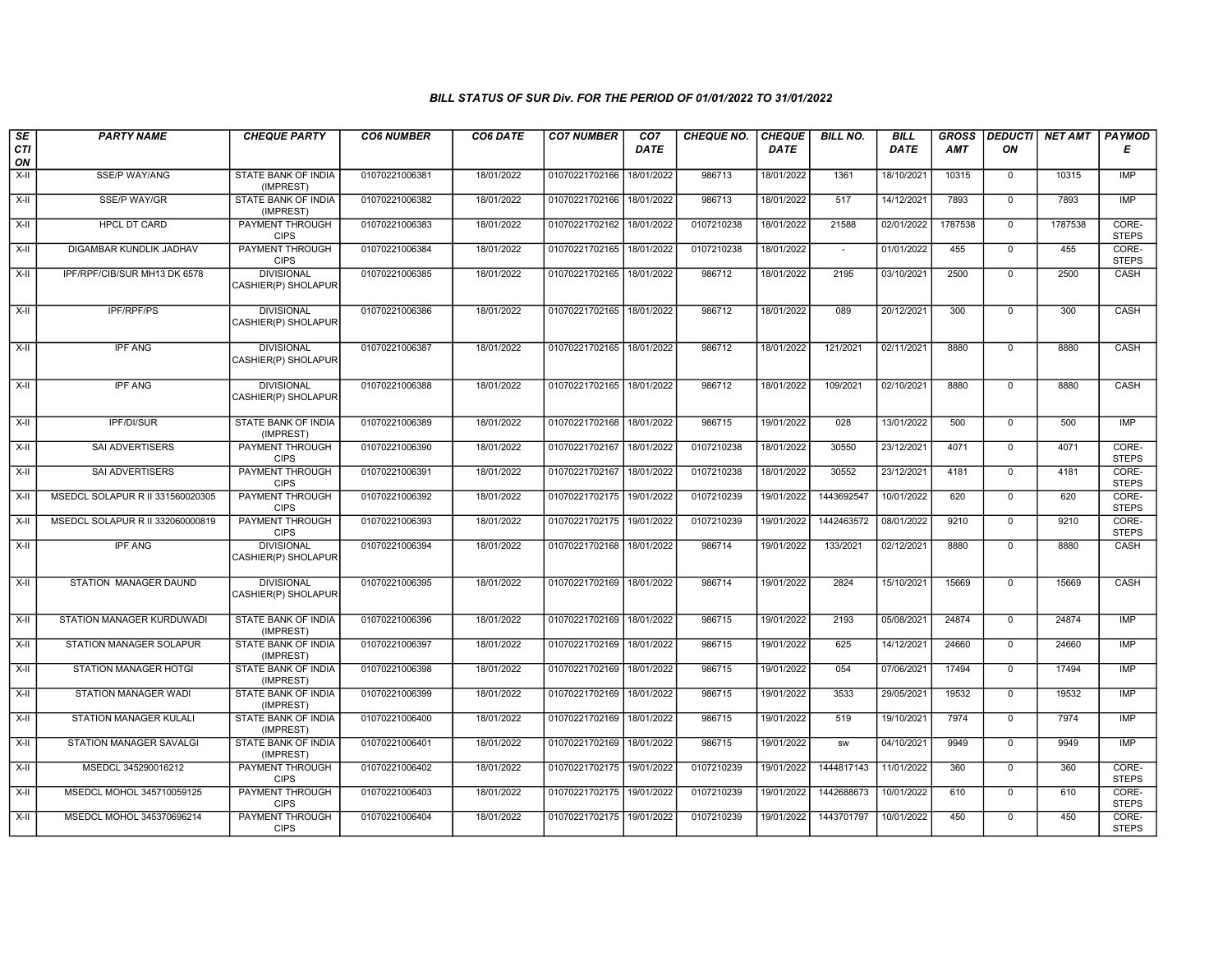| SE        | <b>PARTY NAME</b>                | <b>CHEQUE PARTY</b>                      | <b>CO6 NUMBER</b> | CO6 DATE   | <b>CO7 NUMBER</b>         | CO7         | <b>CHEQUE NO.</b> | <b>CHEQUE</b> | <b>BILL NO.</b> | <b>BILL</b> | <b>GROSS</b> | <b>DEDUCTI</b> | <b>NET AMT</b> | PAYMOD                |
|-----------|----------------------------------|------------------------------------------|-------------------|------------|---------------------------|-------------|-------------------|---------------|-----------------|-------------|--------------|----------------|----------------|-----------------------|
| CTI<br>ON |                                  |                                          |                   |            |                           | <b>DATE</b> |                   | <b>DATE</b>   |                 | DATE        | <b>AMT</b>   | ON             |                | Е                     |
| $X-H$     | SSE/P WAY/ANG                    | <b>STATE BANK OF INDIA</b><br>(IMPREST)  | 01070221006381    | 18/01/2022 | 01070221702166            | 18/01/2022  | 986713            | 18/01/2022    | 1361            | 18/10/2021  | 10315        | $\mathbf 0$    | 10315          | IMP                   |
| $X-H$     | <b>SSE/P WAY/GR</b>              | <b>STATE BANK OF INDIA</b><br>(IMPREST)  | 01070221006382    | 18/01/2022 | 01070221702166            | 18/01/2022  | 986713            | 18/01/2022    | 517             | 14/12/2021  | 7893         | $\mathbf 0$    | 7893           | <b>IMP</b>            |
| X-II      | <b>HPCL DT CARD</b>              | PAYMENT THROUGH<br><b>CIPS</b>           | 01070221006383    | 18/01/2022 | 01070221702162            | 18/01/2022  | 0107210238        | 18/01/2022    | 21588           | 02/01/2022  | 1787538      | $\mathbf 0$    | 1787538        | CORE-<br><b>STEPS</b> |
| $X-II$    | DIGAMBAR KUNDLIK JADHAV          | <b>PAYMENT THROUGH</b><br><b>CIPS</b>    | 01070221006384    | 18/01/2022 | 01070221702165            | 18/01/2022  | 0107210238        | 18/01/2022    | $\sim$          | 01/01/2022  | 455          | $\mathbf 0$    | 455            | CORE-<br><b>STEPS</b> |
| $X-H$     | IPF/RPF/CIB/SUR MH13 DK 6578     | <b>DIVISIONAL</b><br>CASHIER(P) SHOLAPUR | 01070221006385    | 18/01/2022 | 01070221702165 18/01/2022 |             | 986712            | 18/01/2022    | 2195            | 03/10/2021  | 2500         | $\mathsf{O}$   | 2500           | CASH                  |
| $X-H$     | <b>IPF/RPF/PS</b>                | <b>DIVISIONAL</b><br>CASHIER(P) SHOLAPUR | 01070221006386    | 18/01/2022 | 01070221702165            | 18/01/2022  | 986712            | 18/01/2022    | 089             | 20/12/2021  | 300          | $\overline{0}$ | 300            | CASH                  |
| $X-II$    | <b>IPF ANG</b>                   | <b>DIVISIONAL</b><br>CASHIER(P) SHOLAPUR | 01070221006387    | 18/01/2022 | 01070221702165            | 18/01/2022  | 986712            | 18/01/2022    | 121/2021        | 02/11/2021  | 8880         | $\mathbf 0$    | 8880           | CASH                  |
| $X-H$     | <b>IPF ANG</b>                   | <b>DIVISIONAL</b><br>CASHIER(P) SHOLAPUR | 01070221006388    | 18/01/2022 | 01070221702165 18/01/2022 |             | 986712            | 18/01/2022    | 109/2021        | 02/10/2021  | 8880         | $\mathbf 0$    | 8880           | CASH                  |
| $X-H$     | <b>IPF/DI/SUR</b>                | STATE BANK OF INDIA<br>(IMPREST)         | 01070221006389    | 18/01/2022 | 01070221702168 18/01/2022 |             | 986715            | 19/01/2022    | 028             | 13/01/2022  | 500          | $\overline{0}$ | 500            | IMP                   |
| X-II      | <b>SAI ADVERTISERS</b>           | <b>PAYMENT THROUGH</b><br><b>CIPS</b>    | 01070221006390    | 18/01/2022 | 01070221702167            | 18/01/2022  | 0107210238        | 18/01/2022    | 30550           | 23/12/2021  | 4071         | $\mathbf 0$    | 4071           | CORE-<br><b>STEPS</b> |
| X-II      | SAI ADVERTISERS                  | <b>PAYMENT THROUGH</b><br><b>CIPS</b>    | 01070221006391    | 18/01/2022 | 01070221702167            | 18/01/2022  | 0107210238        | 18/01/2022    | 30552           | 23/12/2021  | 4181         | $\mathbf 0$    | 4181           | CORE-<br><b>STEPS</b> |
| $X-H$     | MSEDCL SOLAPUR R II 331560020305 | <b>PAYMENT THROUGH</b><br><b>CIPS</b>    | 01070221006392    | 18/01/2022 | 01070221702175            | 19/01/2022  | 0107210239        | 19/01/2022    | 1443692547      | 10/01/2022  | 620          | $\mathbf 0$    | 620            | CORE-<br><b>STEPS</b> |
| $X-II$    | MSEDCL SOLAPUR R II 332060000819 | PAYMENT THROUGH<br><b>CIPS</b>           | 01070221006393    | 18/01/2022 | 01070221702175            | 19/01/2022  | 0107210239        | 19/01/2022    | 1442463572      | 08/01/2022  | 9210         | $\Omega$       | 9210           | CORE-<br><b>STEPS</b> |
| X-II      | <b>IPF ANG</b>                   | <b>DIVISIONAL</b><br>CASHIER(P) SHOLAPUR | 01070221006394    | 18/01/2022 | 01070221702168            | 18/01/2022  | 986714            | 19/01/2022    | 133/2021        | 02/12/2021  | 8880         | $\mathsf{O}$   | 8880           | CASH                  |
| X-II      | STATION MANAGER DAUND            | <b>DIVISIONAL</b><br>CASHIER(P) SHOLAPUR | 01070221006395    | 18/01/2022 | 01070221702169            | 18/01/2022  | 986714            | 19/01/2022    | 2824            | 15/10/2021  | 15669        | $\mathbf 0$    | 15669          | CASH                  |
| X-II      | STATION MANAGER KURDUWADI        | STATE BANK OF INDIA<br>(IMPREST)         | 01070221006396    | 18/01/2022 | 01070221702169 18/01/2022 |             | 986715            | 19/01/2022    | 2193            | 05/08/2021  | 24874        | 0              | 24874          | IMP                   |
| X-II      | <b>STATION MANAGER SOLAPUR</b>   | STATE BANK OF INDIA<br>(IMPREST)         | 01070221006397    | 18/01/2022 | 01070221702169            | 18/01/2022  | 986715            | 19/01/2022    | 625             | 14/12/2021  | 24660        | $\mathbf 0$    | 24660          | <b>IMP</b>            |
| $X-II$    | <b>STATION MANAGER HOTGI</b>     | <b>STATE BANK OF INDIA</b><br>(IMPREST)  | 01070221006398    | 18/01/2022 | 01070221702169            | 18/01/2022  | 986715            | 19/01/2022    | 054             | 07/06/2021  | 17494        | $\mathbf 0$    | 17494          | <b>IMP</b>            |
| X-II      | STATION MANAGER WADI             | STATE BANK OF INDIA<br>(IMPREST)         | 01070221006399    | 18/01/2022 | 01070221702169            | 18/01/2022  | 986715            | 19/01/2022    | 3533            | 29/05/2021  | 19532        | $\mathbf 0$    | 19532          | IMP                   |
| $X-H$     | <b>STATION MANAGER KULALI</b>    | <b>STATE BANK OF INDIA</b><br>(IMPREST)  | 01070221006400    | 18/01/2022 | 01070221702169            | 18/01/2022  | 986715            | 19/01/2022    | 519             | 19/10/2021  | 7974         | $\overline{0}$ | 7974           | <b>IMP</b>            |
| X-II      | STATION MANAGER SAVALGI          | STATE BANK OF INDIA<br>(IMPREST)         | 01070221006401    | 18/01/2022 | 01070221702169            | 18/01/2022  | 986715            | 19/01/2022    | <b>SW</b>       | 04/10/2021  | 9949         | $\mathbf 0$    | 9949           | <b>IMP</b>            |
| X-II      | MSEDCL 345290016212              | PAYMENT THROUGH<br><b>CIPS</b>           | 01070221006402    | 18/01/2022 | 01070221702175            | 19/01/2022  | 0107210239        | 19/01/2022    | 1444817143      | 11/01/2022  | 360          | $\mathbf 0$    | 360            | CORE-<br><b>STEPS</b> |
| $X-H$     | MSEDCL MOHOL 345710059125        | <b>PAYMENT THROUGH</b><br><b>CIPS</b>    | 01070221006403    | 18/01/2022 | 01070221702175            | 19/01/2022  | 0107210239        | 19/01/2022    | 1442688673      | 10/01/2022  | 610          | $\mathbf 0$    | 610            | CORE-<br><b>STEPS</b> |
| X-II      | MSEDCL MOHOL 345370696214        | PAYMENT THROUGH<br><b>CIPS</b>           | 01070221006404    | 18/01/2022 | 01070221702175 19/01/2022 |             | 0107210239        | 19/01/2022    | 1443701797      | 10/01/2022  | 450          | $\mathbf 0$    | 450            | CORE-<br><b>STEPS</b> |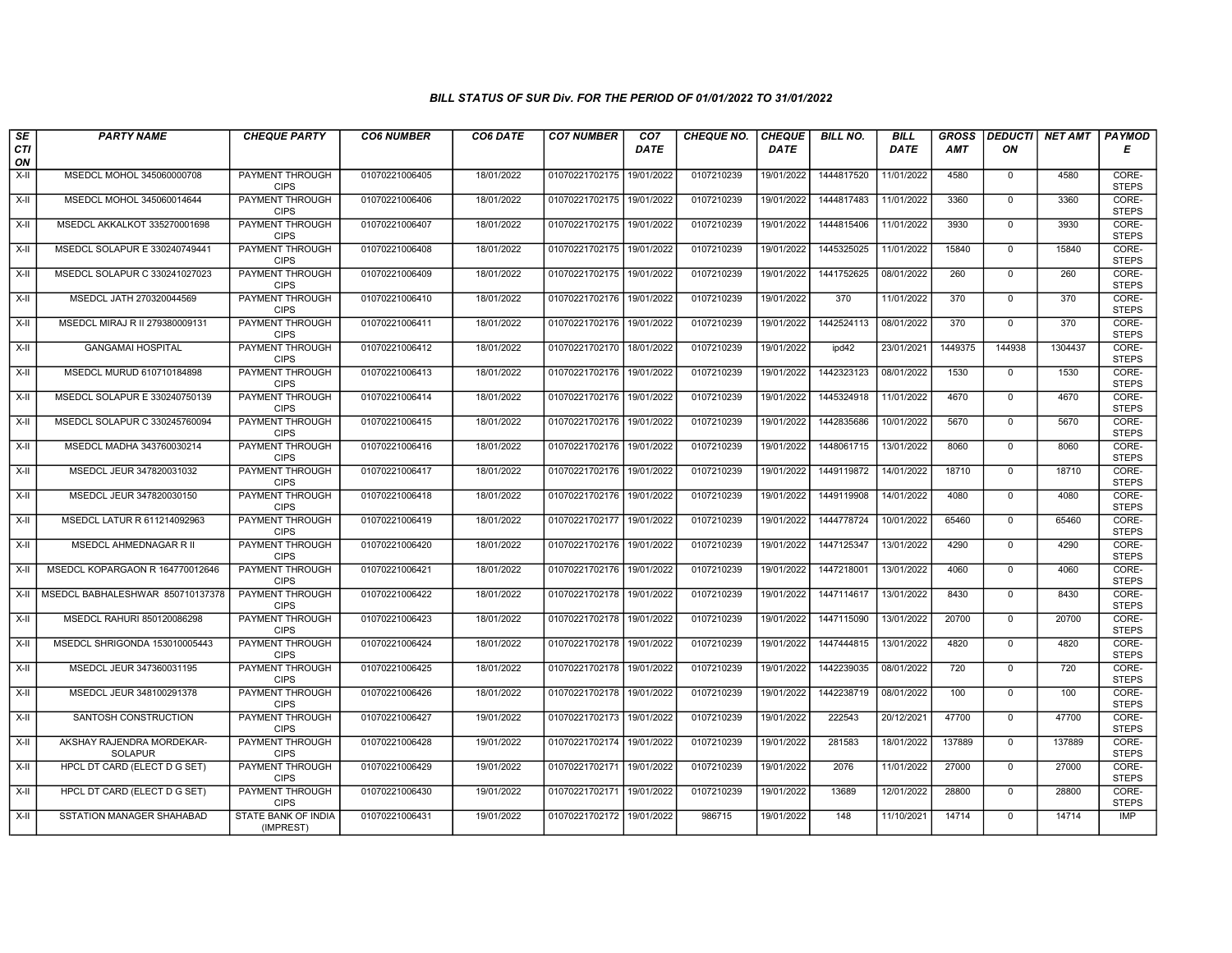| $\sqrt{SE}$ | <b>PARTY NAME</b>                           | <b>CHEQUE PARTY</b>                     | <b>CO6 NUMBER</b> | CO6 DATE   | <b>CO7 NUMBER</b>         | CO <sub>7</sub> | <b>CHEQUE NO.</b> | <b>CHEQUE</b> | <b>BILL NO.</b> | <b>BILL</b> | <b>GROSS</b> |                | <b>DEDUCTI NET AMT</b> | <b>PAYMOD</b>         |
|-------------|---------------------------------------------|-----------------------------------------|-------------------|------------|---------------------------|-----------------|-------------------|---------------|-----------------|-------------|--------------|----------------|------------------------|-----------------------|
| CTI<br>ON   |                                             |                                         |                   |            |                           | <b>DATE</b>     |                   | <b>DATE</b>   |                 | <b>DATE</b> | <b>AMT</b>   | ON             |                        | Е                     |
| $X-H$       | MSEDCL MOHOL 345060000708                   | <b>PAYMENT THROUGH</b><br><b>CIPS</b>   | 01070221006405    | 18/01/2022 | 01070221702175            | 19/01/2022      | 0107210239        | 19/01/2022    | 1444817520      | 11/01/2022  | 4580         | $\mathbf{0}$   | 4580                   | CORE-<br><b>STEPS</b> |
| X-II        | MSEDCL MOHOL 345060014644                   | <b>PAYMENT THROUGH</b><br><b>CIPS</b>   | 01070221006406    | 18/01/2022 | 01070221702175            | 19/01/2022      | 0107210239        | 19/01/2022    | 1444817483      | 11/01/2022  | 3360         | $\Omega$       | 3360                   | CORE-<br><b>STEPS</b> |
| X-II        | MSEDCL AKKALKOT 335270001698                | PAYMENT THROUGH<br><b>CIPS</b>          | 01070221006407    | 18/01/2022 | 01070221702175            | 19/01/2022      | 0107210239        | 19/01/2022    | 1444815406      | 11/01/2022  | 3930         | $\mathbf 0$    | 3930                   | CORE-<br><b>STEPS</b> |
| X-II        | MSEDCL SOLAPUR E 330240749441               | <b>PAYMENT THROUGH</b><br><b>CIPS</b>   | 01070221006408    | 18/01/2022 | 01070221702175            | 19/01/2022      | 0107210239        | 19/01/2022    | 1445325025      | 11/01/2022  | 15840        | $\mathbf{0}$   | 15840                  | CORE-<br><b>STEPS</b> |
| X-II        | MSEDCL SOLAPUR C 330241027023               | <b>PAYMENT THROUGH</b><br><b>CIPS</b>   | 01070221006409    | 18/01/2022 | 01070221702175            | 19/01/2022      | 0107210239        | 19/01/2022    | 1441752625      | 08/01/2022  | 260          | $\mathbf 0$    | 260                    | CORE-<br><b>STEPS</b> |
| X-II        | MSEDCL JATH 270320044569                    | <b>PAYMENT THROUGH</b><br><b>CIPS</b>   | 01070221006410    | 18/01/2022 | 01070221702176            | 19/01/2022      | 0107210239        | 19/01/2022    | 370             | 11/01/2022  | 370          | $\Omega$       | 370                    | CORE-<br><b>STEPS</b> |
| X-II        | MSEDCL MIRAJ R II 279380009131              | <b>PAYMENT THROUGH</b><br><b>CIPS</b>   | 01070221006411    | 18/01/2022 | 01070221702176            | 19/01/2022      | 0107210239        | 19/01/2022    | 1442524113      | 08/01/2022  | 370          | $\mathbf 0$    | 370                    | CORE-<br><b>STEPS</b> |
| X-II        | <b>GANGAMAI HOSPITAL</b>                    | <b>PAYMENT THROUGH</b><br><b>CIPS</b>   | 01070221006412    | 18/01/2022 | 01070221702170            | 18/01/2022      | 0107210239        | 19/01/2022    | ipd42           | 23/01/2021  | 1449375      | 144938         | 1304437                | CORE-<br><b>STEPS</b> |
| X-II        | MSEDCL MURUD 610710184898                   | <b>PAYMENT THROUGH</b><br><b>CIPS</b>   | 01070221006413    | 18/01/2022 | 01070221702176            | 19/01/2022      | 0107210239        | 19/01/2022    | 1442323123      | 08/01/2022  | 1530         | $\mathbf{0}$   | 1530                   | CORE-<br><b>STEPS</b> |
| X-II        | MSEDCL SOLAPUR E 330240750139               | <b>PAYMENT THROUGH</b><br><b>CIPS</b>   | 01070221006414    | 18/01/2022 | 01070221702176            | 19/01/2022      | 0107210239        | 19/01/2022    | 1445324918      | 11/01/2022  | 4670         | $\overline{0}$ | 4670                   | CORE-<br><b>STEPS</b> |
| X-II        | MSEDCL SOLAPUR C 330245760094               | <b>PAYMENT THROUGH</b><br><b>CIPS</b>   | 01070221006415    | 18/01/2022 | 01070221702176            | 19/01/2022      | 0107210239        | 19/01/2022    | 1442835686      | 10/01/2022  | 5670         | $\mathbf 0$    | 5670                   | CORE-<br><b>STEPS</b> |
| X-II        | MSEDCL MADHA 343760030214                   | PAYMENT THROUGH<br><b>CIPS</b>          | 01070221006416    | 18/01/2022 | 01070221702176            | 19/01/2022      | 0107210239        | 19/01/2022    | 1448061715      | 13/01/2022  | 8060         | $\mathbf 0$    | 8060                   | CORE-<br><b>STEPS</b> |
| $X-H$       | MSEDCL JEUR 347820031032                    | <b>PAYMENT THROUGH</b><br><b>CIPS</b>   | 01070221006417    | 18/01/2022 | 01070221702176            | 19/01/2022      | 0107210239        | 19/01/2022    | 1449119872      | 14/01/2022  | 18710        | $\Omega$       | 18710                  | CORE-<br><b>STEPS</b> |
| X-II        | MSEDCL JEUR 347820030150                    | <b>PAYMENT THROUGH</b><br><b>CIPS</b>   | 01070221006418    | 18/01/2022 | 01070221702176            | 19/01/2022      | 0107210239        | 19/01/2022    | 1449119908      | 14/01/2022  | 4080         | $\mathbf{0}$   | 4080                   | CORE-<br><b>STEPS</b> |
| X-II        | MSEDCL LATUR R 611214092963                 | PAYMENT THROUGH<br><b>CIPS</b>          | 01070221006419    | 18/01/2022 | 01070221702177            | 19/01/2022      | 0107210239        | 19/01/2022    | 1444778724      | 10/01/2022  | 65460        | $\Omega$       | 65460                  | CORE-<br><b>STEPS</b> |
| X-II        | MSEDCL AHMEDNAGAR R II                      | PAYMENT THROUGH<br><b>CIPS</b>          | 01070221006420    | 18/01/2022 | 01070221702176            | 19/01/2022      | 0107210239        | 19/01/2022    | 1447125347      | 13/01/2022  | 4290         | $\mathbf 0$    | 4290                   | CORE-<br><b>STEPS</b> |
| X-II        | MSEDCL KOPARGAON R 164770012646             | PAYMENT THROUGH<br><b>CIPS</b>          | 01070221006421    | 18/01/2022 | 01070221702176            | 19/01/2022      | 0107210239        | 19/01/2022    | 1447218001      | 13/01/2022  | 4060         | $\mathbf 0$    | 4060                   | CORE-<br><b>STEPS</b> |
| X-II        | MSEDCL BABHALESHWAR 850710137378            | <b>PAYMENT THROUGH</b><br><b>CIPS</b>   | 01070221006422    | 18/01/2022 | 01070221702178            | 19/01/2022      | 0107210239        | 19/01/2022    | 1447114617      | 13/01/2022  | 8430         | $\mathbf 0$    | 8430                   | CORE-<br><b>STEPS</b> |
| X-II        | MSEDCL RAHURI 850120086298                  | <b>PAYMENT THROUGH</b><br><b>CIPS</b>   | 01070221006423    | 18/01/2022 | 01070221702178            | 19/01/2022      | 0107210239        | 19/01/2022    | 1447115090      | 13/01/2022  | 20700        | $\mathbf 0$    | 20700                  | CORE-<br><b>STEPS</b> |
| X-II        | MSEDCL SHRIGONDA 153010005443               | PAYMENT THROUGH<br><b>CIPS</b>          | 01070221006424    | 18/01/2022 | 01070221702178            | 19/01/2022      | 0107210239        | 19/01/2022    | 1447444815      | 13/01/2022  | 4820         | $\Omega$       | 4820                   | CORE-<br><b>STEPS</b> |
| X-II        | MSEDCL JEUR 347360031195                    | <b>PAYMENT THROUGH</b><br><b>CIPS</b>   | 01070221006425    | 18/01/2022 | 01070221702178            | 19/01/2022      | 0107210239        | 19/01/2022    | 1442239035      | 08/01/2022  | 720          | $\mathbf 0$    | 720                    | CORE-<br><b>STEPS</b> |
| X-II        | MSEDCL JEUR 348100291378                    | PAYMENT THROUGH<br><b>CIPS</b>          | 01070221006426    | 18/01/2022 | 01070221702178            | 19/01/2022      | 0107210239        | 19/01/2022    | 1442238719      | 08/01/2022  | 100          | $\Omega$       | 100                    | CORE-<br><b>STEPS</b> |
| X-II        | SANTOSH CONSTRUCTION                        | PAYMENT THROUGH<br><b>CIPS</b>          | 01070221006427    | 19/01/2022 | 01070221702173            | 19/01/2022      | 0107210239        | 19/01/2022    | 222543          | 20/12/2021  | 47700        | $\mathbf 0$    | 47700                  | CORE-<br><b>STEPS</b> |
| X-II        | AKSHAY RAJENDRA MORDEKAR-<br><b>SOLAPUR</b> | PAYMENT THROUGH<br><b>CIPS</b>          | 01070221006428    | 19/01/2022 | 01070221702174            | 19/01/2022      | 0107210239        | 19/01/2022    | 281583          | 18/01/2022  | 137889       | $\Omega$       | 137889                 | CORE-<br><b>STEPS</b> |
| X-II        | HPCL DT CARD (ELECT D G SET)                | <b>PAYMENT THROUGH</b><br><b>CIPS</b>   | 01070221006429    | 19/01/2022 | 01070221702171            | 19/01/2022      | 0107210239        | 19/01/2022    | 2076            | 11/01/2022  | 27000        | $\Omega$       | 27000                  | CORE-<br><b>STEPS</b> |
| X-II        | HPCL DT CARD (ELECT D G SET)                | <b>PAYMENT THROUGH</b><br><b>CIPS</b>   | 01070221006430    | 19/01/2022 | 01070221702171 19/01/2022 |                 | 0107210239        | 19/01/2022    | 13689           | 12/01/2022  | 28800        | $\mathsf{O}$   | 28800                  | CORE-<br><b>STEPS</b> |
| X-II        | SSTATION MANAGER SHAHABAD                   | <b>STATE BANK OF INDIA</b><br>(IMPREST) | 01070221006431    | 19/01/2022 | 01070221702172            | 19/01/2022      | 986715            | 19/01/2022    | 148             | 11/10/2021  | 14714        | $\mathbf 0$    | 14714                  | IMP                   |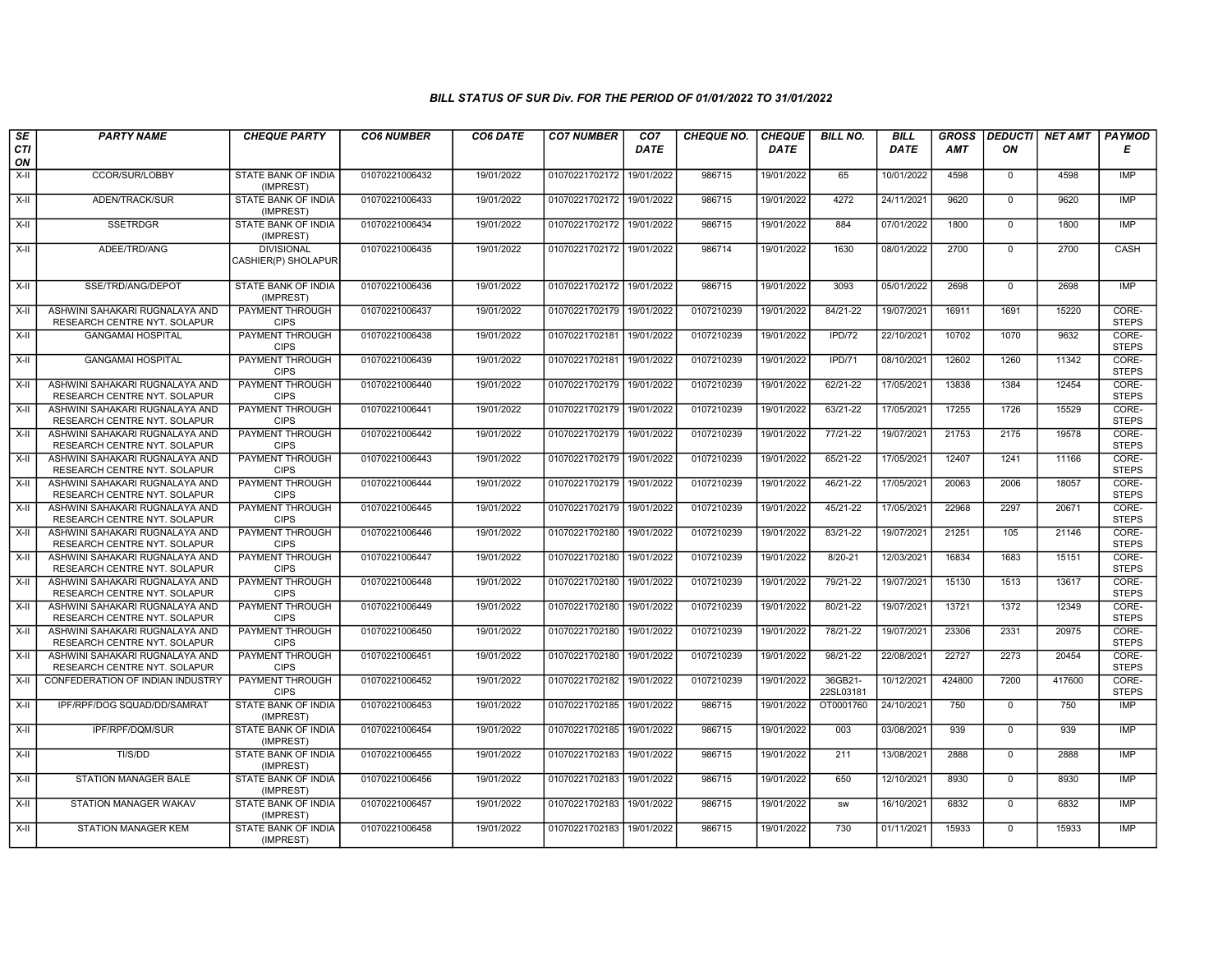| SE        | <b>PARTY NAME</b>                                              | <b>CHEQUE PARTY</b>                      | <b>CO6 NUMBER</b> | CO6 DATE   | <b>CO7 NUMBER</b>         | CO <sub>7</sub> | <b>CHEQUE NO.</b> | <b>CHEQUE</b> | <b>BILL NO.</b>      | <b>BILL</b> | <b>GROSS</b> | <b>DEDUCTI</b> | <b>NET AMT</b> | <b>PAYMOD</b>         |
|-----------|----------------------------------------------------------------|------------------------------------------|-------------------|------------|---------------------------|-----------------|-------------------|---------------|----------------------|-------------|--------------|----------------|----------------|-----------------------|
| CTI<br>ON |                                                                |                                          |                   |            |                           | <b>DATE</b>     |                   | DATE          |                      | <b>DATE</b> | <b>AMT</b>   | ON             |                | Е                     |
| X-II      | CCOR/SUR/LOBBY                                                 | STATE BANK OF INDIA<br>(IMPREST)         | 01070221006432    | 19/01/2022 | 01070221702172            | 19/01/2022      | 986715            | 19/01/2022    | 65                   | 10/01/2022  | 4598         | $\mathbf{0}$   | 4598           | IMP                   |
| $X-H$     | <b>ADEN/TRACK/SUR</b>                                          | STATE BANK OF INDIA<br>(IMPREST)         | 01070221006433    | 19/01/2022 | 01070221702172 19/01/2022 |                 | 986715            | 19/01/2022    | 4272                 | 24/11/2021  | 9620         | $\Omega$       | 9620           | <b>IMP</b>            |
| X-II      | <b>SSETRDGR</b>                                                | STATE BANK OF INDIA<br>(IMPREST)         | 01070221006434    | 19/01/2022 | 01070221702172            | 19/01/2022      | 986715            | 19/01/2022    | 884                  | 07/01/2022  | 1800         | 0              | 1800           | <b>IMP</b>            |
| $X-H$     | ADEE/TRD/ANG                                                   | <b>DIVISIONAL</b><br>CASHIER(P) SHOLAPUR | 01070221006435    | 19/01/2022 | 01070221702172 19/01/2022 |                 | 986714            | 19/01/2022    | 1630                 | 08/01/2022  | 2700         | $\overline{0}$ | 2700           | CASH                  |
| X-II      | SSE/TRD/ANG/DEPOT                                              | STATE BANK OF INDIA<br>(IMPREST)         | 01070221006436    | 19/01/2022 | 01070221702172 19/01/2022 |                 | 986715            | 19/01/2022    | 3093                 | 05/01/2022  | 2698         | $\mathbf 0$    | 2698           | IMP                   |
| $X-II$    | ASHWINI SAHAKARI RUGNALAYA AND<br>RESEARCH CENTRE NYT. SOLAPUR | <b>PAYMENT THROUGH</b><br><b>CIPS</b>    | 01070221006437    | 19/01/2022 | 01070221702179            | 19/01/2022      | 0107210239        | 19/01/2022    | 84/21-22             | 19/07/2021  | 16911        | 1691           | 15220          | CORE-<br><b>STEPS</b> |
| X-II      | <b>GANGAMAI HOSPITAL</b>                                       | PAYMENT THROUGH<br><b>CIPS</b>           | 01070221006438    | 19/01/2022 | 01070221702181            | 19/01/2022      | 0107210239        | 19/01/2022    | IPD/72               | 22/10/2021  | 10702        | 1070           | 9632           | CORE-<br><b>STEPS</b> |
| X-II      | <b>GANGAMAI HOSPITAL</b>                                       | <b>PAYMENT THROUGH</b><br><b>CIPS</b>    | 01070221006439    | 19/01/2022 | 01070221702181            | 19/01/2022      | 0107210239        | 19/01/2022    | IPD/71               | 08/10/2021  | 12602        | 1260           | 11342          | CORE-<br><b>STEPS</b> |
| X-II      | ASHWINI SAHAKARI RUGNALAYA AND<br>RESEARCH CENTRE NYT. SOLAPUR | PAYMENT THROUGH<br><b>CIPS</b>           | 01070221006440    | 19/01/2022 | 01070221702179            | 19/01/2022      | 0107210239        | 19/01/2022    | 62/21-22             | 17/05/2021  | 13838        | 1384           | 12454          | CORE-<br><b>STEPS</b> |
| $X-II$    | ASHWINI SAHAKARI RUGNALAYA AND<br>RESEARCH CENTRE NYT. SOLAPUR | <b>PAYMENT THROUGH</b><br><b>CIPS</b>    | 01070221006441    | 19/01/2022 | 01070221702179            | 19/01/2022      | 0107210239        | 19/01/2022    | 63/21-22             | 17/05/2021  | 17255        | 1726           | 15529          | CORE-<br><b>STEPS</b> |
| X-II      | ASHWINI SAHAKARI RUGNALAYA AND<br>RESEARCH CENTRE NYT. SOLAPUR | <b>PAYMENT THROUGH</b><br><b>CIPS</b>    | 01070221006442    | 19/01/2022 | 01070221702179 19/01/2022 |                 | 0107210239        | 19/01/2022    | 77/21-22             | 19/07/2021  | 21753        | 2175           | 19578          | CORE-<br><b>STEPS</b> |
| X-II      | ASHWINI SAHAKARI RUGNALAYA AND<br>RESEARCH CENTRE NYT. SOLAPUR | <b>PAYMENT THROUGH</b><br><b>CIPS</b>    | 01070221006443    | 19/01/2022 | 01070221702179            | 19/01/2022      | 0107210239        | 19/01/2022    | 65/21-22             | 17/05/2021  | 12407        | 1241           | 11166          | CORE-<br><b>STEPS</b> |
| $X-II$    | ASHWINI SAHAKARI RUGNALAYA AND<br>RESEARCH CENTRE NYT. SOLAPUR | PAYMENT THROUGH<br><b>CIPS</b>           | 01070221006444    | 19/01/2022 | 01070221702179            | 19/01/2022      | 0107210239        | 19/01/2022    | 46/21-22             | 17/05/2021  | 20063        | 2006           | 18057          | CORE-<br><b>STEPS</b> |
| X-II      | ASHWINI SAHAKARI RUGNALAYA AND<br>RESEARCH CENTRE NYT. SOLAPUR | PAYMENT THROUGH<br><b>CIPS</b>           | 01070221006445    | 19/01/2022 | 01070221702179            | 19/01/2022      | 0107210239        | 19/01/2022    | 45/21-22             | 17/05/2021  | 22968        | 2297           | 20671          | CORE-<br><b>STEPS</b> |
| X-II      | ASHWINI SAHAKARI RUGNALAYA AND<br>RESEARCH CENTRE NYT. SOLAPUR | <b>PAYMENT THROUGH</b><br><b>CIPS</b>    | 01070221006446    | 19/01/2022 | 01070221702180            | 19/01/2022      | 0107210239        | 19/01/2022    | 83/21-22             | 19/07/2021  | 21251        | 105            | 21146          | CORE-<br><b>STEPS</b> |
| X-II      | ASHWINI SAHAKARI RUGNALAYA AND<br>RESEARCH CENTRE NYT. SOLAPUR | PAYMENT THROUGH<br><b>CIPS</b>           | 01070221006447    | 19/01/2022 | 01070221702180            | 19/01/2022      | 0107210239        | 19/01/2022    | $8/20 - 21$          | 12/03/2021  | 16834        | 1683           | 15151          | CORE-<br><b>STEPS</b> |
| X-II      | ASHWINI SAHAKARI RUGNALAYA AND<br>RESEARCH CENTRE NYT. SOLAPUR | PAYMENT THROUGH<br><b>CIPS</b>           | 01070221006448    | 19/01/2022 | 01070221702180            | 19/01/2022      | 0107210239        | 19/01/2022    | 79/21-22             | 19/07/2021  | 15130        | 1513           | 13617          | CORE-<br><b>STEPS</b> |
| $X-II$    | ASHWINI SAHAKARI RUGNALAYA AND<br>RESEARCH CENTRE NYT. SOLAPUR | PAYMENT THROUGH<br><b>CIPS</b>           | 01070221006449    | 19/01/2022 | 01070221702180            | 19/01/2022      | 0107210239        | 19/01/2022    | 80/21-22             | 19/07/2021  | 13721        | 1372           | 12349          | CORE-<br><b>STEPS</b> |
| $X-II$    | ASHWINI SAHAKARI RUGNALAYA AND<br>RESEARCH CENTRE NYT. SOLAPUR | <b>PAYMENT THROUGH</b><br><b>CIPS</b>    | 01070221006450    | 19/01/2022 | 01070221702180            | 19/01/2022      | 0107210239        | 19/01/2022    | 78/21-22             | 19/07/2021  | 23306        | 2331           | 20975          | CORE-<br><b>STEPS</b> |
| X-II      | ASHWINI SAHAKARI RUGNALAYA AND<br>RESEARCH CENTRE NYT. SOLAPUR | PAYMENT THROUGH<br><b>CIPS</b>           | 01070221006451    | 19/01/2022 | 01070221702180            | 19/01/2022      | 0107210239        | 19/01/2022    | 98/21-22             | 22/08/2021  | 22727        | 2273           | 20454          | CORE-<br><b>STEPS</b> |
| X-II      | CONFEDERATION OF INDIAN INDUSTRY                               | <b>PAYMENT THROUGH</b><br><b>CIPS</b>    | 01070221006452    | 19/01/2022 | 01070221702182            | 19/01/2022      | 0107210239        | 19/01/2022    | 36GB21-<br>22SL03181 | 10/12/2021  | 424800       | 7200           | 417600         | CORE-<br><b>STEPS</b> |
| X-II      | IPF/RPF/DOG SQUAD/DD/SAMRAT                                    | STATE BANK OF INDIA<br>(IMPREST)         | 01070221006453    | 19/01/2022 | 01070221702185            | 19/01/2022      | 986715            | 19/01/2022    | OT0001760            | 24/10/2021  | 750          | $\mathsf 0$    | 750            | <b>IMP</b>            |
| $X-II$    | IPF/RPF/DQM/SUR                                                | STATE BANK OF INDIA<br>(IMPREST)         | 01070221006454    | 19/01/2022 | 01070221702185            | 19/01/2022      | 986715            | 19/01/2022    | 003                  | 03/08/2021  | 939          | $\overline{0}$ | 939            | IMP                   |
| X-II      | TI/S/DD                                                        | STATE BANK OF INDIA<br>(IMPREST)         | 01070221006455    | 19/01/2022 | 01070221702183            | 19/01/2022      | 986715            | 19/01/2022    | 211                  | 13/08/2021  | 2888         | $\mathbf{0}$   | 2888           | <b>IMP</b>            |
| $X-H$     | <b>STATION MANAGER BALE</b>                                    | STATE BANK OF INDIA<br>(IMPREST)         | 01070221006456    | 19/01/2022 | 01070221702183 19/01/2022 |                 | 986715            | 19/01/2022    | 650                  | 12/10/2021  | 8930         | $\mathbf{0}$   | 8930           | IMP                   |
| $X-II$    | STATION MANAGER WAKAV                                          | STATE BANK OF INDIA<br>(IMPREST)         | 01070221006457    | 19/01/2022 | 01070221702183            | 19/01/2022      | 986715            | 19/01/2022    | <b>SW</b>            | 16/10/2021  | 6832         | $\mathbf 0$    | 6832           | IMP                   |
| $X-II$    | <b>STATION MANAGER KEM</b>                                     | STATE BANK OF INDIA<br>(IMPREST)         | 01070221006458    | 19/01/2022 | 01070221702183 19/01/2022 |                 | 986715            | 19/01/2022    | 730                  | 01/11/2021  | 15933        | $\overline{0}$ | 15933          | IMP                   |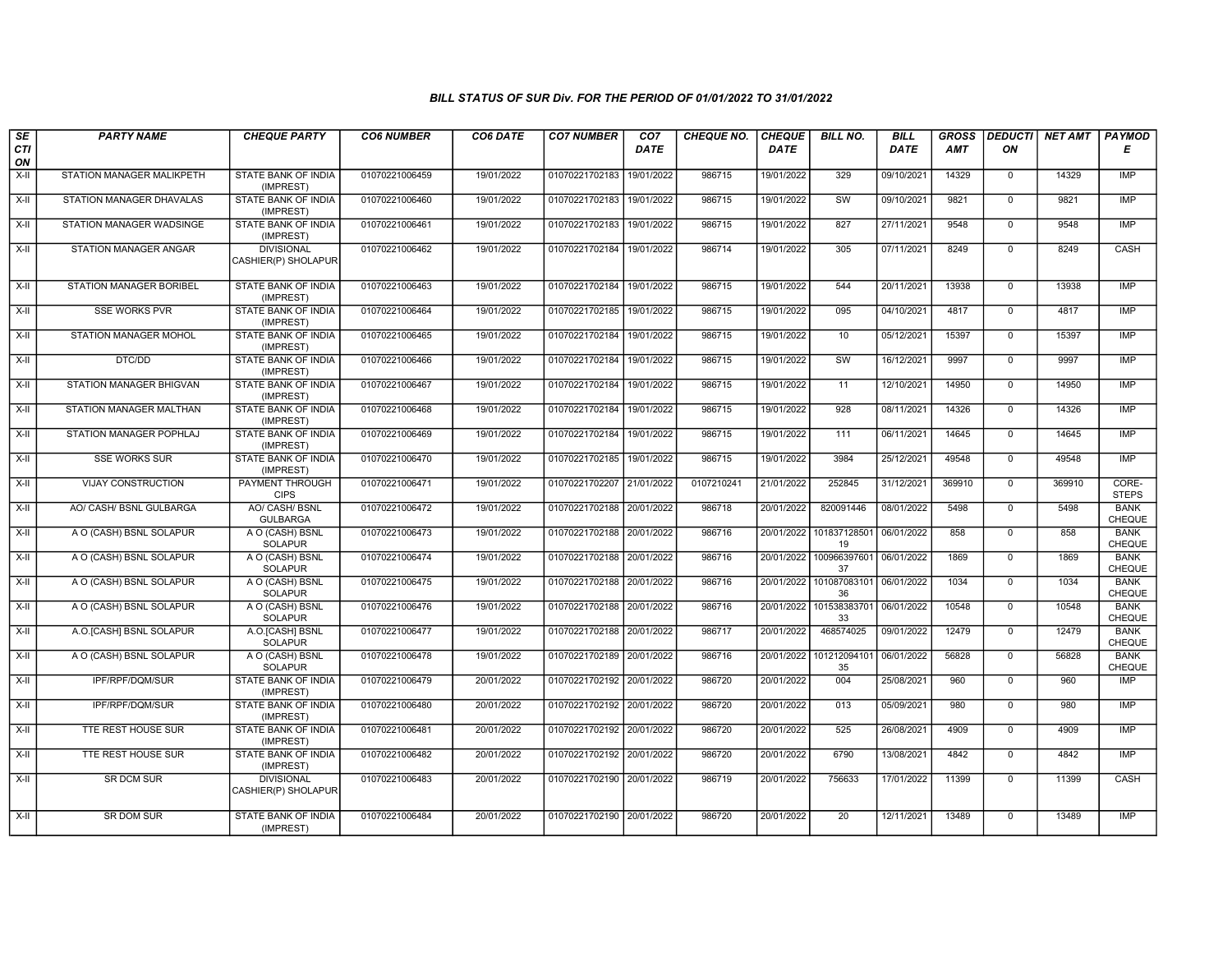| SE               | <b>PARTY NAME</b>               | <b>CHEQUE PARTY</b>                      | <b>CO6 NUMBER</b> | CO6 DATE   | <b>CO7 NUMBER</b>         | CO7         | <b>CHEQUE NO.</b> | <b>CHEQUE</b> | <b>BILL NO.</b>               | <b>BILL</b> | <b>GROSS</b> |                | <b>DEDUCTI NET AMT</b> | <b>PAYMOD</b>                |
|------------------|---------------------------------|------------------------------------------|-------------------|------------|---------------------------|-------------|-------------------|---------------|-------------------------------|-------------|--------------|----------------|------------------------|------------------------------|
| <b>CTI</b><br>ON |                                 |                                          |                   |            |                           | <b>DATE</b> |                   | <b>DATE</b>   |                               | DATE        | AMT          | ON             |                        | Е                            |
| $X-H$            | STATION MANAGER MALIKPETH       | <b>STATE BANK OF INDIA</b><br>(IMPREST)  | 01070221006459    | 19/01/2022 | 01070221702183            | 19/01/2022  | 986715            | 19/01/2022    | 329                           | 09/10/2021  | 14329        | $\mathbf 0$    | 14329                  | IMP                          |
| $X-H$            | <b>STATION MANAGER DHAVALAS</b> | <b>STATE BANK OF INDIA</b><br>(IMPREST)  | 01070221006460    | 19/01/2022 | 01070221702183            | 19/01/2022  | 986715            | 19/01/2022    | SW                            | 09/10/2021  | 9821         | $\Omega$       | 9821                   | IMP                          |
| X-II             | STATION MANAGER WADSINGE        | STATE BANK OF INDIA<br>(IMPREST)         | 01070221006461    | 19/01/2022 | 01070221702183            | 19/01/2022  | 986715            | 19/01/2022    | 827                           | 27/11/2021  | 9548         | $\mathbf 0$    | 9548                   | <b>IMP</b>                   |
| $X-H$            | STATION MANAGER ANGAR           | <b>DIVISIONAL</b><br>CASHIER(P) SHOLAPUR | 01070221006462    | 19/01/2022 | 01070221702184            | 19/01/2022  | 986714            | 19/01/2022    | 305                           | 07/11/2021  | 8249         | $\overline{0}$ | 8249                   | CASH                         |
| $X-H$            | <b>STATION MANAGER BORIBEL</b>  | <b>STATE BANK OF INDIA</b><br>(IMPREST)  | 01070221006463    | 19/01/2022 | 01070221702184            | 19/01/2022  | 986715            | 19/01/2022    | 544                           | 20/11/2021  | 13938        | $\Omega$       | 13938                  | <b>IMP</b>                   |
| $X-II$           | <b>SSE WORKS PVR</b>            | STATE BANK OF INDIA<br>(IMPREST)         | 01070221006464    | 19/01/2022 | 01070221702185            | 19/01/2022  | 986715            | 19/01/2022    | 095                           | 04/10/2021  | 4817         | $\overline{0}$ | 4817                   | IMP                          |
| $X-II$           | STATION MANAGER MOHOL           | <b>STATE BANK OF INDIA</b><br>(IMPREST)  | 01070221006465    | 19/01/2022 | 01070221702184 19/01/2022 |             | 986715            | 19/01/2022    | 10                            | 05/12/2021  | 15397        | $\overline{0}$ | 15397                  | <b>IMP</b>                   |
| $X-H$            | DTC/DD                          | <b>STATE BANK OF INDIA</b><br>(IMPREST)  | 01070221006466    | 19/01/2022 | 01070221702184            | 19/01/2022  | 986715            | 19/01/2022    | $\overline{\text{sw}}$        | 16/12/2021  | 9997         | $\overline{0}$ | 9997                   | IMP                          |
| X-II             | STATION MANAGER BHIGVAN         | <b>STATE BANK OF INDIA</b><br>(IMPREST)  | 01070221006467    | 19/01/2022 | 01070221702184 19/01/2022 |             | 986715            | 19/01/2022    | 11                            | 12/10/2021  | 14950        | $\mathbf 0$    | 14950                  | <b>IMP</b>                   |
| $X-II$           | STATION MANAGER MALTHAN         | <b>STATE BANK OF INDIA</b><br>(IMPREST)  | 01070221006468    | 19/01/2022 | 01070221702184            | 19/01/2022  | 986715            | 19/01/2022    | 928                           | 08/11/2021  | 14326        | $\overline{0}$ | 14326                  | <b>IMP</b>                   |
| $X-II$           | STATION MANAGER POPHLAJ         | <b>STATE BANK OF INDIA</b><br>(IMPREST)  | 01070221006469    | 19/01/2022 | 01070221702184            | 19/01/2022  | 986715            | 19/01/2022    | 111                           | 06/11/2021  | 14645        | $\mathbf 0$    | 14645                  | <b>IMP</b>                   |
| $X-H$            | <b>SSE WORKS SUR</b>            | <b>STATE BANK OF INDIA</b><br>(IMPREST)  | 01070221006470    | 19/01/2022 | 01070221702185 19/01/2022 |             | 986715            | 19/01/2022    | 3984                          | 25/12/2021  | 49548        | $\overline{0}$ | 49548                  | IMP                          |
| $X-H$            | <b>VIJAY CONSTRUCTION</b>       | <b>PAYMENT THROUGH</b><br><b>CIPS</b>    | 01070221006471    | 19/01/2022 | 01070221702207 21/01/2022 |             | 0107210241        | 21/01/2022    | 252845                        | 31/12/2021  | 369910       | $\Omega$       | 369910                 | CORE-<br><b>STEPS</b>        |
| X-II             | AO/ CASH/ BSNL GULBARGA         | <b>AO/ CASH/ BSNL</b><br><b>GULBARGA</b> | 01070221006472    | 19/01/2022 | 01070221702188 20/01/2022 |             | 986718            | 20/01/2022    | 820091446                     | 08/01/2022  | 5498         | $\mathbf 0$    | 5498                   | <b>BANK</b><br>CHEQUE        |
| $X-II$           | A O (CASH) BSNL SOLAPUR         | A O (CASH) BSNL<br>SOLAPUR               | 01070221006473    | 19/01/2022 | 01070221702188 20/01/2022 |             | 986716            | 20/01/2022    | 101837128501<br>19            | 06/01/2022  | 858          | $\overline{0}$ | 858                    | <b>BANK</b><br>CHEQUE        |
| $X-H$            | A O (CASH) BSNL SOLAPUR         | A O (CASH) BSNL<br><b>SOLAPUR</b>        | 01070221006474    | 19/01/2022 | 01070221702188 20/01/2022 |             | 986716            |               | 20/01/2022 100966397601<br>37 | 06/01/2022  | 1869         | $\overline{0}$ | 1869                   | <b>BANK</b><br><b>CHEQUE</b> |
| $X-H$            | A O (CASH) BSNL SOLAPUR         | A O (CASH) BSNL<br><b>SOLAPUR</b>        | 01070221006475    | 19/01/2022 | 01070221702188 20/01/2022 |             | 986716            | 20/01/2022    | 101087083101<br>36            | 06/01/2022  | 1034         | $\Omega$       | 1034                   | <b>BANK</b><br><b>CHEQUE</b> |
| X-II             | A O (CASH) BSNL SOLAPUR         | A O (CASH) BSNL<br><b>SOLAPUR</b>        | 01070221006476    | 19/01/2022 | 01070221702188 20/01/2022 |             | 986716            | 20/01/2022    | 101538383701<br>33            | 06/01/2022  | 10548        | $\mathbf{0}$   | 10548                  | <b>BANK</b><br><b>CHEQUE</b> |
| $X-II$           | A.O. [CASH] BSNL SOLAPUR        | A.O.[CASH] BSNL<br><b>SOLAPUR</b>        | 01070221006477    | 19/01/2022 | 01070221702188 20/01/2022 |             | 986717            | 20/01/2022    | 468574025                     | 09/01/2022  | 12479        | $\overline{0}$ | 12479                  | <b>BANK</b><br><b>CHEQUE</b> |
| $X-H$            | A O (CASH) BSNL SOLAPUR         | A O (CASH) BSNL<br>SOLAPUR               | 01070221006478    | 19/01/2022 | 01070221702189 20/01/2022 |             | 986716            | 20/01/2022    | 101212094101<br>35            | 06/01/2022  | 56828        | $\mathbf 0$    | 56828                  | <b>BANK</b><br>CHEQUE        |
| $X-H$            | <b>IPF/RPF/DQM/SUR</b>          | <b>STATE BANK OF INDIA</b><br>(IMPREST)  | 01070221006479    | 20/01/2022 | 01070221702192 20/01/2022 |             | 986720            | 20/01/2022    | 004                           | 25/08/2021  | 960          | $\overline{0}$ | 960                    | IMP                          |
| X-II             | IPF/RPF/DQM/SUR                 | <b>STATE BANK OF INDIA</b><br>(IMPREST)  | 01070221006480    | 20/01/2022 | 01070221702192 20/01/2022 |             | 986720            | 20/01/2022    | 013                           | 05/09/2021  | 980          | $\Omega$       | 980                    | <b>IMP</b>                   |
| $X-II$           | <b>TTE REST HOUSE SUR</b>       | STATE BANK OF INDIA<br>(IMPREST)         | 01070221006481    | 20/01/2022 | 01070221702192 20/01/2022 |             | 986720            | 20/01/2022    | 525                           | 26/08/2021  | 4909         | $\mathbf 0$    | 4909                   | <b>IMP</b>                   |
| $X-H$            | <b>TTE REST HOUSE SUR</b>       | <b>STATE BANK OF INDIA</b><br>(IMPREST)  | 01070221006482    | 20/01/2022 | 01070221702192 20/01/2022 |             | 986720            | 20/01/2022    | 6790                          | 13/08/2021  | 4842         | $\overline{0}$ | 4842                   | IMP                          |
| $X-H$            | <b>SR DCM SUR</b>               | <b>DIVISIONAL</b><br>CASHIER(P) SHOLAPUR | 01070221006483    | 20/01/2022 | 01070221702190 20/01/2022 |             | 986719            | 20/01/2022    | 756633                        | 17/01/2022  | 11399        | $\mathbf{0}$   | 11399                  | <b>CASH</b>                  |
| $X-H$            | <b>SR DOM SUR</b>               | <b>STATE BANK OF INDIA</b><br>(IMPREST)  | 01070221006484    | 20/01/2022 | 01070221702190 20/01/2022 |             | 986720            | 20/01/2022    | $\overline{20}$               | 12/11/2021  | 13489        | $\mathbf 0$    | 13489                  | <b>IMP</b>                   |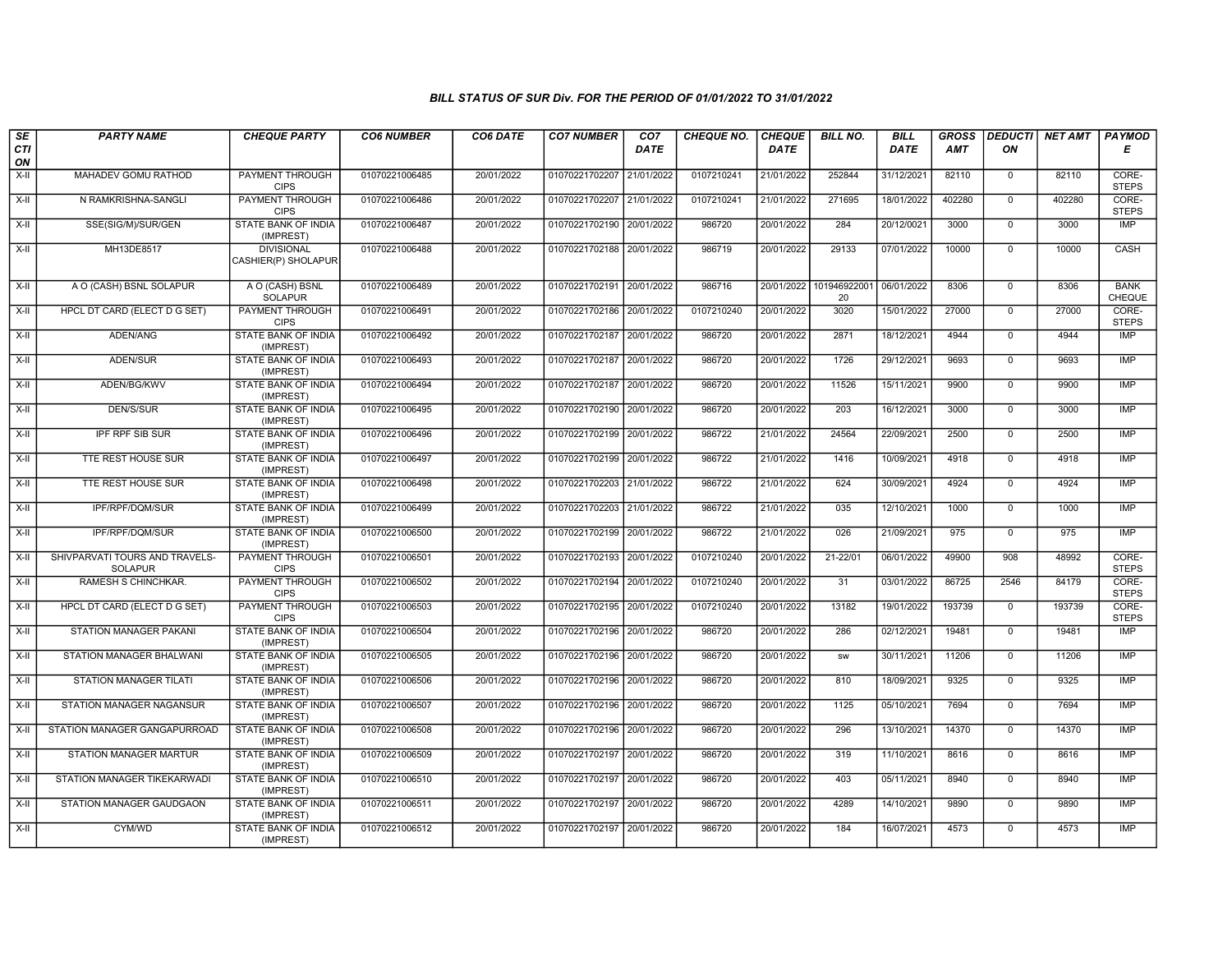| SE        | <b>PARTY NAME</b>                                | <b>CHEQUE PARTY</b>                      | <b>CO6 NUMBER</b> | CO6 DATE   | <b>CO7 NUMBER</b>         | CO7         | <b>CHEQUE NO.</b> | <b>CHEQUE</b> | <b>BILL NO.</b>    | <b>BILL</b> | <b>GROSS</b> | <b>DEDUCTI</b> | <b>NET AMT</b> | <b>PAYMOD</b>                |
|-----------|--------------------------------------------------|------------------------------------------|-------------------|------------|---------------------------|-------------|-------------------|---------------|--------------------|-------------|--------------|----------------|----------------|------------------------------|
| CTI<br>ON |                                                  |                                          |                   |            |                           | <b>DATE</b> |                   | <b>DATE</b>   |                    | <b>DATE</b> | <b>AMT</b>   | ON             |                | Е                            |
| $X-H$     | MAHADEV GOMU RATHOD                              | <b>PAYMENT THROUGH</b><br><b>CIPS</b>    | 01070221006485    | 20/01/2022 | 01070221702207 21/01/2022 |             | 0107210241        | 21/01/2022    | 252844             | 31/12/2021  | 82110        | $\Omega$       | 82110          | CORE-<br><b>STEPS</b>        |
| $X-H$     | N RAMKRISHNA-SANGLI                              | <b>PAYMENT THROUGH</b><br><b>CIPS</b>    | 01070221006486    | 20/01/2022 | 01070221702207 21/01/2022 |             | 0107210241        | 21/01/2022    | 271695             | 18/01/2022  | 402280       | $\overline{0}$ | 402280         | CORE-<br><b>STEPS</b>        |
| X-II      | SSE(SIG/M)/SUR/GEN                               | STATE BANK OF INDIA<br>(IMPREST)         | 01070221006487    | 20/01/2022 | 01070221702190 20/01/2022 |             | 986720            | 20/01/2022    | 284                | 20/12/0021  | 3000         | $\mathbf{0}$   | 3000           | IMP                          |
| X-II      | MH13DE8517                                       | <b>DIVISIONAL</b><br>CASHIER(P) SHOLAPUR | 01070221006488    | 20/01/2022 | 01070221702188 20/01/2022 |             | 986719            | 20/01/2022    | 29133              | 07/01/2022  | 10000        | $\mathbf 0$    | 10000          | CASH                         |
| X-II      | A O (CASH) BSNL SOLAPUR                          | A O (CASH) BSNL<br><b>SOLAPUR</b>        | 01070221006489    | 20/01/2022 | 01070221702191 20/01/2022 |             | 986716            | 20/01/2022    | 101946922001<br>20 | 06/01/2022  | 8306         | $\mathbf 0$    | 8306           | <b>BANK</b><br><b>CHEQUE</b> |
| $X-II$    | HPCL DT CARD (ELECT D G SET)                     | <b>PAYMENT THROUGH</b><br><b>CIPS</b>    | 01070221006491    | 20/01/2022 | 01070221702186 20/01/2022 |             | 0107210240        | 20/01/2022    | 3020               | 15/01/2022  | 27000        | $\mathbf{0}$   | 27000          | CORE-<br><b>STEPS</b>        |
| $X-H$     | ADEN/ANG                                         | <b>STATE BANK OF INDIA</b><br>(IMPREST)  | 01070221006492    | 20/01/2022 | 01070221702187 20/01/2022 |             | 986720            | 20/01/2022    | 2871               | 18/12/2021  | 4944         | $\overline{0}$ | 4944           | IMP                          |
| X-II      | ADEN/SUR                                         | <b>STATE BANK OF INDIA</b><br>(IMPREST)  | 01070221006493    | 20/01/2022 | 01070221702187 20/01/2022 |             | 986720            | 20/01/2022    | 1726               | 29/12/2021  | 9693         | $\mathbf 0$    | 9693           | <b>IMP</b>                   |
| X-II      | ADEN/BG/KWV                                      | STATE BANK OF INDIA<br>(IMPREST)         | 01070221006494    | 20/01/2022 | 01070221702187 20/01/2022 |             | 986720            | 20/01/2022    | 11526              | 15/11/2021  | 9900         | $\Omega$       | 9900           | <b>IMP</b>                   |
| $X-II$    | DEN/S/SUR                                        | STATE BANK OF INDIA<br>(IMPREST)         | 01070221006495    | 20/01/2022 | 01070221702190 20/01/2022 |             | 986720            | 20/01/2022    | 203                | 16/12/2021  | 3000         | $\mathbf 0$    | 3000           | <b>IMP</b>                   |
| $X-II$    | <b>IPF RPF SIB SUR</b>                           | <b>STATE BANK OF INDIA</b><br>(IMPREST)  | 01070221006496    | 20/01/2022 | 01070221702199 20/01/2022 |             | 986722            | 21/01/2022    | 24564              | 22/09/2021  | 2500         | $\overline{0}$ | 2500           | IMP                          |
| $X-H$     | TTE REST HOUSE SUR                               | <b>STATE BANK OF INDIA</b><br>(IMPREST)  | 01070221006497    | 20/01/2022 | 01070221702199 20/01/2022 |             | 986722            | 21/01/2022    | 1416               | 10/09/2021  | 4918         | $\mathbf 0$    | 4918           | <b>IMP</b>                   |
| $X-II$    | TTE REST HOUSE SUR                               | STATE BANK OF INDIA<br>(IMPREST)         | 01070221006498    | 20/01/2022 | 01070221702203 21/01/2022 |             | 986722            | 21/01/2022    | 624                | 30/09/2021  | 4924         | $\Omega$       | 4924           | <b>IMP</b>                   |
| X-II      | IPF/RPF/DQM/SUR                                  | <b>STATE BANK OF INDIA</b><br>(IMPREST)  | 01070221006499    | 20/01/2022 | 01070221702203 21/01/2022 |             | 986722            | 21/01/2022    | 035                | 12/10/2021  | 1000         | $\overline{0}$ | 1000           | <b>IMP</b>                   |
| X-II      | IPF/RPF/DQM/SUR                                  | STATE BANK OF INDIA<br>(IMPREST)         | 01070221006500    | 20/01/2022 | 01070221702199 20/01/2022 |             | 986722            | 21/01/2022    | 026                | 21/09/2021  | 975          | $\mathbf{0}$   | 975            | <b>IMP</b>                   |
| $X-H$     | SHIVPARVATI TOURS AND TRAVELS-<br><b>SOLAPUR</b> | <b>PAYMENT THROUGH</b><br><b>CIPS</b>    | 01070221006501    | 20/01/2022 | 01070221702193 20/01/2022 |             | 0107210240        | 20/01/2022    | 21-22/01           | 06/01/2022  | 49900        | 908            | 48992          | CORE-<br><b>STEPS</b>        |
| $X-II$    | RAMESH S CHINCHKAR.                              | <b>PAYMENT THROUGH</b><br><b>CIPS</b>    | 01070221006502    | 20/01/2022 | 01070221702194 20/01/2022 |             | 0107210240        | 20/01/2022    | 31                 | 03/01/2022  | 86725        | 2546           | 84179          | CORE-<br><b>STEPS</b>        |
| X-II      | HPCL DT CARD (ELECT D G SET)                     | PAYMENT THROUGH<br><b>CIPS</b>           | 01070221006503    | 20/01/2022 | 01070221702195 20/01/2022 |             | 0107210240        | 20/01/2022    | 13182              | 19/01/2022  | 193739       | $\mathbf 0$    | 193739         | CORE-<br><b>STEPS</b>        |
| $X-II$    | STATION MANAGER PAKANI                           | <b>STATE BANK OF INDIA</b><br>(IMPREST)  | 01070221006504    | 20/01/2022 | 01070221702196 20/01/2022 |             | 986720            | 20/01/2022    | 286                | 02/12/2021  | 19481        | $\mathbf 0$    | 19481          | <b>IMP</b>                   |
| $X-H$     | STATION MANAGER BHALWANI                         | <b>STATE BANK OF INDIA</b><br>(IMPREST)  | 01070221006505    | 20/01/2022 | 01070221702196 20/01/2022 |             | 986720            | 20/01/2022    | <b>SW</b>          | 30/11/2021  | 11206        | $\overline{0}$ | 11206          | <b>IMP</b>                   |
| $X-H$     | <b>STATION MANAGER TILATI</b>                    | <b>STATE BANK OF INDIA</b><br>(IMPREST)  | 01070221006506    | 20/01/2022 | 01070221702196 20/01/2022 |             | 986720            | 20/01/2022    | 810                | 18/09/2021  | 9325         | $\mathbf 0$    | 9325           | IMP                          |
| X-II      | STATION MANAGER NAGANSUR                         | STATE BANK OF INDIA<br>(IMPREST)         | 01070221006507    | 20/01/2022 | 01070221702196 20/01/2022 |             | 986720            | 20/01/2022    | 1125               | 05/10/2021  | 7694         | $\Omega$       | 7694           | <b>IMP</b>                   |
| X-II      | STATION MANAGER GANGAPURROAD                     | STATE BANK OF INDIA<br>(IMPREST)         | 01070221006508    | 20/01/2022 | 01070221702196 20/01/2022 |             | 986720            | 20/01/2022    | 296                | 13/10/2021  | 14370        | $\overline{0}$ | 14370          | <b>IMP</b>                   |
| $X-H$     | STATION MANAGER MARTUR                           | <b>STATE BANK OF INDIA</b><br>(IMPREST)  | 01070221006509    | 20/01/2022 | 01070221702197 20/01/2022 |             | 986720            | 20/01/2022    | 319                | 11/10/2021  | 8616         | $\overline{0}$ | 8616           | IMP                          |
| X-II      | STATION MANAGER TIKEKARWAD                       | STATE BANK OF INDIA<br>(IMPREST)         | 01070221006510    | 20/01/2022 | 01070221702197 20/01/2022 |             | 986720            | 20/01/2022    | 403                | 05/11/2021  | 8940         | $\mathbf{0}$   | 8940           | <b>IMP</b>                   |
| X-II      | STATION MANAGER GAUDGAON                         | STATE BANK OF INDIA<br>(IMPREST)         | 01070221006511    | 20/01/2022 | 01070221702197 20/01/2022 |             | 986720            | 20/01/2022    | 4289               | 14/10/2021  | 9890         | $\Omega$       | 9890           | <b>IMP</b>                   |
| $X-II$    | CYM/WD                                           | STATE BANK OF INDIA<br>(IMPREST)         | 01070221006512    | 20/01/2022 | 01070221702197 20/01/2022 |             | 986720            | 20/01/2022    | 184                | 16/07/2021  | 4573         | $\mathbf 0$    | 4573           | <b>IMP</b>                   |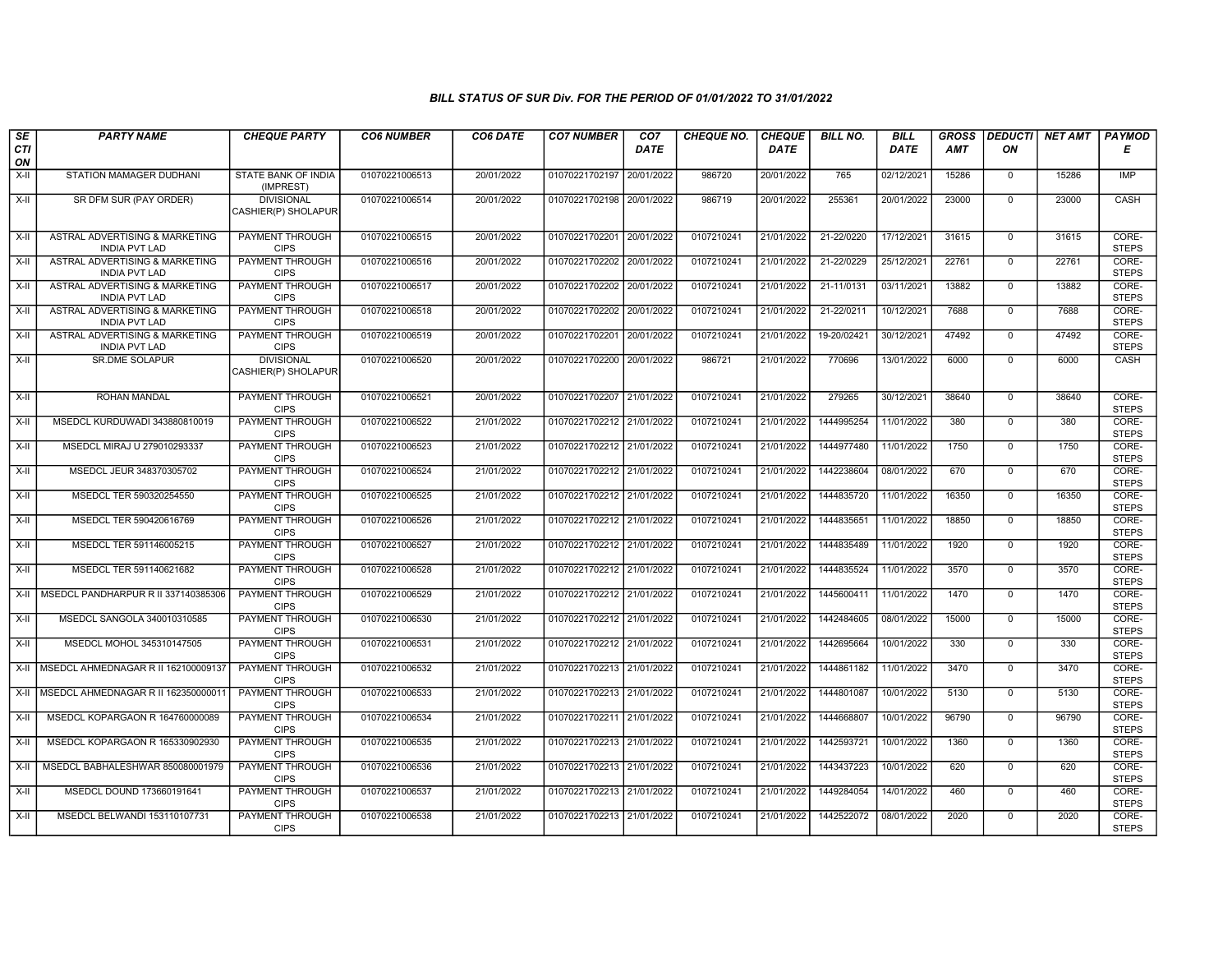| SE               | <b>PARTY NAME</b>                                      | <b>CHEQUE PARTY</b>                      | <b>CO6 NUMBER</b> | CO6 DATE   | <b>CO7 NUMBER</b>         | CO7         | <b>CHEQUE NO.</b> | <b>CHEQUE</b> | <b>BILL NO.</b> | <b>BILL</b> | <b>GROSS</b> | <b>DEDUCTI</b> | <b>NET AMT</b> | PAYMOD                |
|------------------|--------------------------------------------------------|------------------------------------------|-------------------|------------|---------------------------|-------------|-------------------|---------------|-----------------|-------------|--------------|----------------|----------------|-----------------------|
| <b>CTI</b><br>ON |                                                        |                                          |                   |            |                           | <b>DATE</b> |                   | <b>DATE</b>   |                 | DATE        | <b>AMT</b>   | ON             |                | Е                     |
| X-II             | STATION MAMAGER DUDHANI                                | <b>STATE BANK OF INDIA</b><br>(IMPREST)  | 01070221006513    | 20/01/2022 | 01070221702197            | 20/01/2022  | 986720            | 20/01/2022    | 765             | 02/12/2021  | 15286        | $\mathbf{0}$   | 15286          | <b>IMP</b>            |
| $X-H$            | SR DFM SUR (PAY ORDER)                                 | <b>DIVISIONAL</b><br>CASHIER(P) SHOLAPUR | 01070221006514    | 20/01/2022 | 01070221702198 20/01/2022 |             | 986719            | 20/01/2022    | 255361          | 20/01/2022  | 23000        | $\mathbf 0$    | 23000          | CASH                  |
| $X-II$           | ASTRAL ADVERTISING & MARKETING<br><b>INDIA PVT LAD</b> | <b>PAYMENT THROUGH</b><br><b>CIPS</b>    | 01070221006515    | 20/01/2022 | 01070221702201 20/01/2022 |             | 0107210241        | 21/01/2022    | 21-22/0220      | 17/12/2021  | 31615        | $\mathbf{0}$   | 31615          | CORE-<br><b>STEPS</b> |
| $X-H$            | ASTRAL ADVERTISING & MARKETING<br><b>INDIA PVT LAD</b> | <b>PAYMENT THROUGH</b><br><b>CIPS</b>    | 01070221006516    | 20/01/2022 | 01070221702202 20/01/2022 |             | 0107210241        | 21/01/2022    | 21-22/0229      | 25/12/2021  | 22761        | $\mathbf 0$    | 22761          | CORE-<br><b>STEPS</b> |
| $X-II$           | ASTRAL ADVERTISING & MARKETING<br><b>INDIA PVT LAD</b> | PAYMENT THROUGH<br><b>CIPS</b>           | 01070221006517    | 20/01/2022 | 01070221702202            | 20/01/2022  | 0107210241        | 21/01/2022    | 21-11/0131      | 03/11/2021  | 13882        | $\mathbf{0}$   | 13882          | CORE-<br><b>STEPS</b> |
| $X-II$           | ASTRAL ADVERTISING & MARKETING<br><b>INDIA PVT LAD</b> | <b>PAYMENT THROUGH</b><br><b>CIPS</b>    | 01070221006518    | 20/01/2022 | 01070221702202 20/01/2022 |             | 0107210241        | 21/01/2022    | 21-22/0211      | 10/12/2021  | 7688         | $\overline{0}$ | 7688           | CORE-<br><b>STEPS</b> |
| X-II             | ASTRAL ADVERTISING & MARKETING<br><b>INDIA PVT LAD</b> | <b>PAYMENT THROUGH</b><br><b>CIPS</b>    | 01070221006519    | 20/01/2022 | 01070221702201 20/01/2022 |             | 0107210241        | 21/01/2022    | 19-20/02421     | 30/12/2021  | 47492        | $\mathbf 0$    | 47492          | CORE-<br><b>STEPS</b> |
| X-II             | <b>SR.DME SOLAPUR</b>                                  | <b>DIVISIONAL</b><br>CASHIER(P) SHOLAPUR | 01070221006520    | 20/01/2022 | 01070221702200 20/01/2022 |             | 986721            | 21/01/2022    | 770696          | 13/01/2022  | 6000         | $\mathbf{0}$   | 6000           | <b>CASH</b>           |
| X-II             | ROHAN MANDAL                                           | PAYMENT THROUGH<br><b>CIPS</b>           | 01070221006521    | 20/01/2022 | 01070221702207 21/01/2022 |             | 0107210241        | 21/01/2022    | 279265          | 30/12/2021  | 38640        | $\mathbf{0}$   | 38640          | CORE-<br><b>STEPS</b> |
| X-II             | MSEDCL KURDUWADI 343880810019                          | <b>PAYMENT THROUGH</b><br><b>CIPS</b>    | 01070221006522    | 21/01/2022 | 01070221702212 21/01/2022 |             | 0107210241        | 21/01/2022    | 1444995254      | 11/01/2022  | 380          | $\overline{0}$ | 380            | CORE-<br><b>STEPS</b> |
| $X-H$            | MSEDCL MIRAJ U 279010293337                            | PAYMENT THROUGH<br><b>CIPS</b>           | 01070221006523    | 21/01/2022 | 01070221702212            | 21/01/2022  | 0107210241        | 21/01/2022    | 1444977480      | 11/01/2022  | 1750         | $\mathbf{0}$   | 1750           | CORE-<br><b>STEPS</b> |
| X-II             | MSEDCL JEUR 348370305702                               | PAYMENT THROUGH<br><b>CIPS</b>           | 01070221006524    | 21/01/2022 | 01070221702212 21/01/2022 |             | 0107210241        | 21/01/2022    | 1442238604      | 08/01/2022  | 670          | $\mathbf{0}$   | 670            | CORE-<br><b>STEPS</b> |
| $X-H$            | MSEDCL TER 590320254550                                | <b>PAYMENT THROUGH</b><br><b>CIPS</b>    | 01070221006525    | 21/01/2022 | 01070221702212 21/01/2022 |             | 0107210241        | 21/01/2022    | 1444835720      | 11/01/2022  | 16350        | $\overline{0}$ | 16350          | CORE-<br><b>STEPS</b> |
| $X-H$            | MSEDCL TER 590420616769                                | <b>PAYMENT THROUGH</b><br><b>CIPS</b>    | 01070221006526    | 21/01/2022 | 01070221702212 21/01/2022 |             | 0107210241        | 21/01/2022    | 1444835651      | 11/01/2022  | 18850        | $\Omega$       | 18850          | CORE-<br><b>STEPS</b> |
| X-II             | MSEDCL TER 591146005215                                | <b>PAYMENT THROUGH</b><br><b>CIPS</b>    | 01070221006527    | 21/01/2022 | 01070221702212 21/01/2022 |             | 0107210241        | 21/01/2022    | 1444835489      | 11/01/2022  | 1920         | $\mathbf 0$    | 1920           | CORE-<br><b>STEPS</b> |
| $X-H$            | MSEDCL TER 591140621682                                | PAYMENT THROUGH<br><b>CIPS</b>           | 01070221006528    | 21/01/2022 | 01070221702212 21/01/2022 |             | 0107210241        | 21/01/2022    | 1444835524      | 11/01/2022  | 3570         | $\Omega$       | 3570           | CORE-<br><b>STEPS</b> |
| $X-H$            | MSEDCL PANDHARPUR R II 337140385306                    | PAYMENT THROUGH<br><b>CIPS</b>           | 01070221006529    | 21/01/2022 | 01070221702212 21/01/2022 |             | 0107210241        | 21/01/2022    | 1445600411      | 11/01/2022  | 1470         | $\mathbf{0}$   | 1470           | CORE-<br><b>STEPS</b> |
| X-II             | MSEDCL SANGOLA 340010310585                            | <b>PAYMENT THROUGH</b><br><b>CIPS</b>    | 01070221006530    | 21/01/2022 | 01070221702212 21/01/2022 |             | 0107210241        | 21/01/2022    | 1442484605      | 08/01/2022  | 15000        | $\mathbf 0$    | 15000          | CORE-<br><b>STEPS</b> |
| $X-H$            | MSEDCL MOHOL 345310147505                              | <b>PAYMENT THROUGH</b><br><b>CIPS</b>    | 01070221006531    | 21/01/2022 | 01070221702212 21/01/2022 |             | 0107210241        | 21/01/2022    | 1442695664      | 10/01/2022  | 330          | $\Omega$       | 330            | CORE-<br><b>STEPS</b> |
| X-II             | MSEDCL AHMEDNAGAR R II 162100009137                    | PAYMENT THROUGH<br><b>CIPS</b>           | 01070221006532    | 21/01/2022 | 01070221702213 21/01/2022 |             | 0107210241        | 21/01/2022    | 1444861182      | 11/01/2022  | 3470         | $\mathbf{0}$   | 3470           | CORE-<br><b>STEPS</b> |
| X-II             | MSEDCL AHMEDNAGAR R II 16235000001                     | PAYMENT THROUGH<br><b>CIPS</b>           | 01070221006533    | 21/01/2022 | 01070221702213 21/01/2022 |             | 0107210241        | 21/01/2022    | 1444801087      | 10/01/2022  | 5130         | $\mathbf{0}$   | 5130           | CORE-<br><b>STEPS</b> |
| $X-H$            | MSEDCL KOPARGAON R 164760000089                        | PAYMENT THROUGH<br><b>CIPS</b>           | 01070221006534    | 21/01/2022 | 01070221702211 21/01/2022 |             | 0107210241        | 21/01/2022    | 1444668807      | 10/01/2022  | 96790        | $\Omega$       | 96790          | CORE-<br><b>STEPS</b> |
| X-II             | MSEDCL KOPARGAON R 165330902930                        | <b>PAYMENT THROUGH</b><br><b>CIPS</b>    | 01070221006535    | 21/01/2022 | 01070221702213 21/01/2022 |             | 0107210241        | 21/01/2022    | 1442593721      | 10/01/2022  | 1360         | $\mathbf 0$    | 1360           | CORE-<br><b>STEPS</b> |
| X-II             | MSEDCL BABHALESHWAR 850080001979                       | <b>PAYMENT THROUGH</b><br><b>CIPS</b>    | 01070221006536    | 21/01/2022 | 01070221702213 21/01/2022 |             | 0107210241        | 21/01/2022    | 1443437223      | 10/01/2022  | 620          | $\mathbf{0}$   | 620            | CORE-<br><b>STEPS</b> |
| X-II             | MSEDCL DOUND 173660191641                              | PAYMENT THROUGH<br><b>CIPS</b>           | 01070221006537    | 21/01/2022 | 01070221702213 21/01/2022 |             | 0107210241        | 21/01/2022    | 1449284054      | 14/01/2022  | 460          | $\mathbf 0$    | 460            | CORE-<br><b>STEPS</b> |
| X-II             | MSEDCL BELWANDI 153110107731                           | PAYMENT THROUGH<br><b>CIPS</b>           | 01070221006538    | 21/01/2022 | 01070221702213 21/01/2022 |             | 0107210241        | 21/01/2022    | 1442522072      | 08/01/2022  | 2020         | 0              | 2020           | CORE-<br><b>STEPS</b> |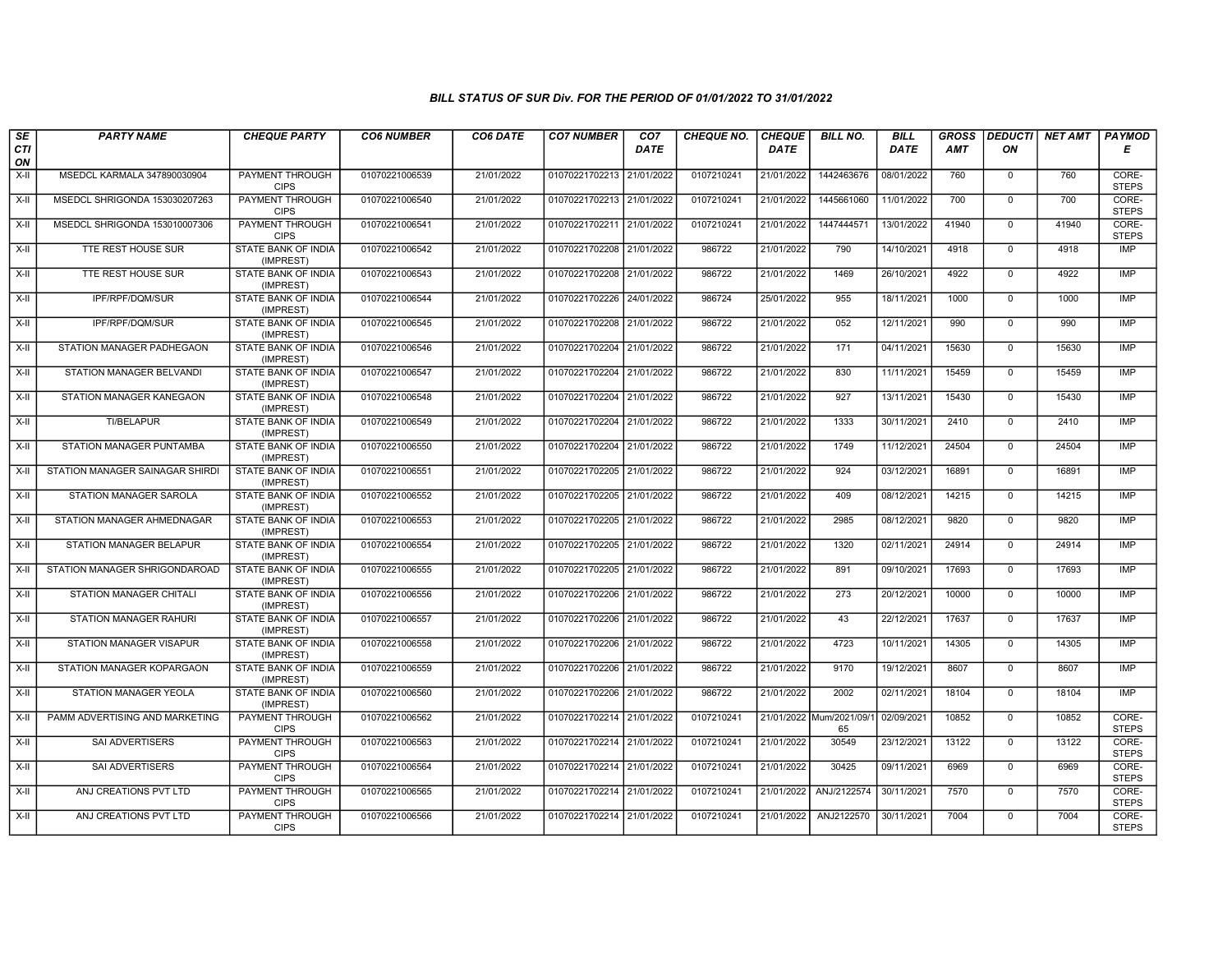| SE                 | <b>PARTY NAME</b>               | <b>CHEQUE PARTY</b>                     | <b>CO6 NUMBER</b> | CO6 DATE   | <b>CO7 NUMBER</b>         | CO <sub>7</sub> | <b>CHEQUE NO.</b> | <b>CHEQUE</b> | <b>BILL NO.</b>               | <b>BILL</b> | <b>GROSS</b> |                | DEDUCTI  NET AMT | <b>PAYMOD</b>         |
|--------------------|---------------------------------|-----------------------------------------|-------------------|------------|---------------------------|-----------------|-------------------|---------------|-------------------------------|-------------|--------------|----------------|------------------|-----------------------|
| <b>CTI</b><br>ON   |                                 |                                         |                   |            |                           | <b>DATE</b>     |                   | <b>DATE</b>   |                               | <b>DATE</b> | AMT          | ON             |                  | Е                     |
| X-II               | MSEDCL KARMALA 347890030904     | <b>PAYMENT THROUGH</b><br><b>CIPS</b>   | 01070221006539    | 21/01/2022 | 01070221702213            | 21/01/2022      | 0107210241        | 21/01/2022    | 1442463676                    | 08/01/2022  | 760          | $\mathbf 0$    | 760              | CORE-<br><b>STEPS</b> |
| X-II               | MSEDCL SHRIGONDA 153030207263   | PAYMENT THROUGH<br><b>CIPS</b>          | 01070221006540    | 21/01/2022 | 01070221702213 21/01/2022 |                 | 0107210241        | 21/01/2022    | 1445661060                    | 11/01/2022  | 700          | $\mathbf{0}$   | 700              | CORE-<br><b>STEPS</b> |
| $X-II$             | MSEDCL SHRIGONDA 153010007306   | PAYMENT THROUGH<br><b>CIPS</b>          | 01070221006541    | 21/01/2022 | 01070221702211 21/01/2022 |                 | 0107210241        | 21/01/2022    | 1447444571                    | 13/01/2022  | 41940        | $\mathbf 0$    | 41940            | CORE-<br><b>STEPS</b> |
| $X-H$              | TTE REST HOUSE SUR              | <b>STATE BANK OF INDIA</b><br>(IMPREST) | 01070221006542    | 21/01/2022 | 01070221702208            | 21/01/2022      | 986722            | 21/01/2022    | 790                           | 14/10/2021  | 4918         | $\mathbf{0}$   | 4918             | <b>IMP</b>            |
| $X-II$             | TTE REST HOUSE SUR              | STATE BANK OF INDIA<br>(IMPREST)        | 01070221006543    | 21/01/2022 | 01070221702208 21/01/2022 |                 | 986722            | 21/01/2022    | 1469                          | 26/10/2021  | 4922         | $\mathbf 0$    | 4922             | IMP                   |
| $X-H$              | IPF/RPF/DQM/SUR                 | <b>STATE BANK OF INDIA</b><br>(IMPREST) | 01070221006544    | 21/01/2022 | 01070221702226 24/01/2022 |                 | 986724            | 25/01/2022    | 955                           | 18/11/2021  | 1000         | $\Omega$       | 1000             | IMP                   |
| X-II               | IPF/RPF/DQM/SUR                 | <b>STATE BANK OF INDIA</b><br>(IMPREST) | 01070221006545    | 21/01/2022 | 01070221702208            | 21/01/2022      | 986722            | 21/01/2022    | 052                           | 12/11/2021  | 990          | $\Omega$       | 990              | IMP                   |
| $X-H$              | STATION MANAGER PADHEGAON       | STATE BANK OF INDIA<br>(IMPREST)        | 01070221006546    | 21/01/2022 | 01070221702204            | 21/01/2022      | 986722            | 21/01/2022    | 171                           | 04/11/2021  | 15630        | $\overline{0}$ | 15630            | <b>IMP</b>            |
| $X-H$              | STATION MANAGER BELVANDI        | STATE BANK OF INDIA<br>(IMPREST)        | 01070221006547    | 21/01/2022 | 01070221702204 21/01/2022 |                 | 986722            | 21/01/2022    | 830                           | 11/11/2021  | 15459        | $\Omega$       | 15459            | <b>IMP</b>            |
| X-II               | STATION MANAGER KANEGAON        | STATE BANK OF INDIA<br>(IMPREST)        | 01070221006548    | 21/01/2022 | 01070221702204 21/01/2022 |                 | 986722            | 21/01/2022    | 927                           | 13/11/2021  | 15430        | $\mathbf 0$    | 15430            | IMP                   |
| $\overline{X}$ -II | <b>TI/BELAPUR</b>               | STATE BANK OF INDIA<br>(IMPREST)        | 01070221006549    | 21/01/2022 | 01070221702204 21/01/2022 |                 | 986722            | 21/01/2022    | 1333                          | 30/11/2021  | 2410         | $\mathbf 0$    | 2410             | <b>IMP</b>            |
| X-II               | STATION MANAGER PUNTAMBA        | STATE BANK OF INDIA<br>(IMPREST)        | 01070221006550    | 21/01/2022 | 01070221702204 21/01/2022 |                 | 986722            | 21/01/2022    | 1749                          | 11/12/2021  | 24504        | $\mathbf 0$    | 24504            | IMP                   |
| $X-II$             | STATION MANAGER SAINAGAR SHIRDI | <b>STATE BANK OF INDIA</b><br>(IMPREST) | 01070221006551    | 21/01/2022 | 01070221702205 21/01/2022 |                 | 986722            | 21/01/2022    | 924                           | 03/12/2021  | 16891        | $\mathbf 0$    | 16891            | <b>IMP</b>            |
| $\overline{X}$ -II | STATION MANAGER SAROLA          | STATE BANK OF INDIA<br>(IMPREST)        | 01070221006552    | 21/01/2022 | 01070221702205 21/01/2022 |                 | 986722            | 21/01/2022    | 409                           | 08/12/2021  | 14215        | $^{\circ}$     | 14215            | IMP                   |
| X-II               | STATION MANAGER AHMEDNAGAR      | STATE BANK OF INDIA<br>(IMPREST)        | 01070221006553    | 21/01/2022 | 01070221702205            | 21/01/2022      | 986722            | 21/01/2022    | 2985                          | 08/12/2021  | 9820         | $\Omega$       | 9820             | <b>IMP</b>            |
| $X-II$             | <b>STATION MANAGER BELAPUR</b>  | STATE BANK OF INDIA<br>(IMPREST)        | 01070221006554    | 21/01/2022 | 01070221702205 21/01/2022 |                 | 986722            | 21/01/2022    | 1320                          | 02/11/2021  | 24914        | $\mathbf 0$    | 24914            | IMP                   |
| X-II               | STATION MANAGER SHRIGONDAROAD   | STATE BANK OF INDIA<br>(IMPREST)        | 01070221006555    | 21/01/2022 | 01070221702205 21/01/2022 |                 | 986722            | 21/01/2022    | 891                           | 09/10/2021  | 17693        | $\overline{0}$ | 17693            | <b>IMP</b>            |
| $X-H$              | <b>STATION MANAGER CHITALI</b>  | <b>STATE BANK OF INDIA</b><br>(IMPREST) | 01070221006556    | 21/01/2022 | 01070221702206 21/01/2022 |                 | 986722            | 21/01/2022    | 273                           | 20/12/2021  | 10000        | $\mathbf 0$    | 10000            | IMP                   |
| X-II               | STATION MANAGER RAHURI          | STATE BANK OF INDIA<br>(IMPREST)        | 01070221006557    | 21/01/2022 | 01070221702206 21/01/2022 |                 | 986722            | 21/01/2022    | 43                            | 22/12/2021  | 17637        | $\mathbf{0}$   | 17637            | IMP                   |
| $X-H$              | STATION MANAGER VISAPUR         | STATE BANK OF INDIA<br>(IMPREST)        | 01070221006558    | 21/01/2022 | 01070221702206 21/01/2022 |                 | 986722            | 21/01/2022    | 4723                          | 10/11/2021  | 14305        | $\mathbf 0$    | 14305            | <b>IMP</b>            |
| X-II               | STATION MANAGER KOPARGAON       | STATE BANK OF INDIA<br>(IMPREST)        | 01070221006559    | 21/01/2022 | 01070221702206 21/01/2022 |                 | 986722            | 21/01/2022    | 9170                          | 19/12/2021  | 8607         | $\mathbf 0$    | 8607             | IMP                   |
| X-II               | STATION MANAGER YEOLA           | <b>STATE BANK OF INDIA</b><br>(IMPREST) | 01070221006560    | 21/01/2022 | 01070221702206 21/01/2022 |                 | 986722            | 21/01/2022    | 2002                          | 02/11/2021  | 18104        | $\Omega$       | 18104            | IMP                   |
| $X-II$             | PAMM ADVERTISING AND MARKETING  | PAYMENT THROUGH<br><b>CIPS</b>          | 01070221006562    | 21/01/2022 | 01070221702214            | 21/01/2022      | 0107210241        |               | 21/01/2022 Mum/2021/09/<br>65 | 02/09/2021  | 10852        | $\mathbf 0$    | 10852            | CORE-<br><b>STEPS</b> |
| $X-II$             | SAI ADVERTISERS                 | PAYMENT THROUGH<br><b>CIPS</b>          | 01070221006563    | 21/01/2022 | 01070221702214 21/01/2022 |                 | 0107210241        | 21/01/2022    | 30549                         | 23/12/2021  | 13122        | $\Omega$       | 13122            | CORE-<br><b>STEPS</b> |
| $X-II$             | SAI ADVERTISERS                 | PAYMENT THROUGH<br><b>CIPS</b>          | 01070221006564    | 21/01/2022 | 01070221702214 21/01/2022 |                 | 0107210241        | 21/01/2022    | 30425                         | 09/11/2021  | 6969         | $\mathbf{0}$   | 6969             | CORE-<br><b>STEPS</b> |
| X-II               | ANJ CREATIONS PVT LTD           | <b>PAYMENT THROUGH</b><br><b>CIPS</b>   | 01070221006565    | 21/01/2022 | 01070221702214 21/01/2022 |                 | 0107210241        | 21/01/2022    | ANJ/2122574                   | 30/11/2021  | 7570         | $\mathbf 0$    | 7570             | CORE-<br><b>STEPS</b> |
| X-II               | ANJ CREATIONS PVT LTD           | <b>PAYMENT THROUGH</b><br><b>CIPS</b>   | 01070221006566    | 21/01/2022 | 01070221702214 21/01/2022 |                 | 0107210241        | 21/01/2022    | ANJ2122570                    | 30/11/2021  | 7004         | $\mathbf 0$    | 7004             | CORE-<br><b>STEPS</b> |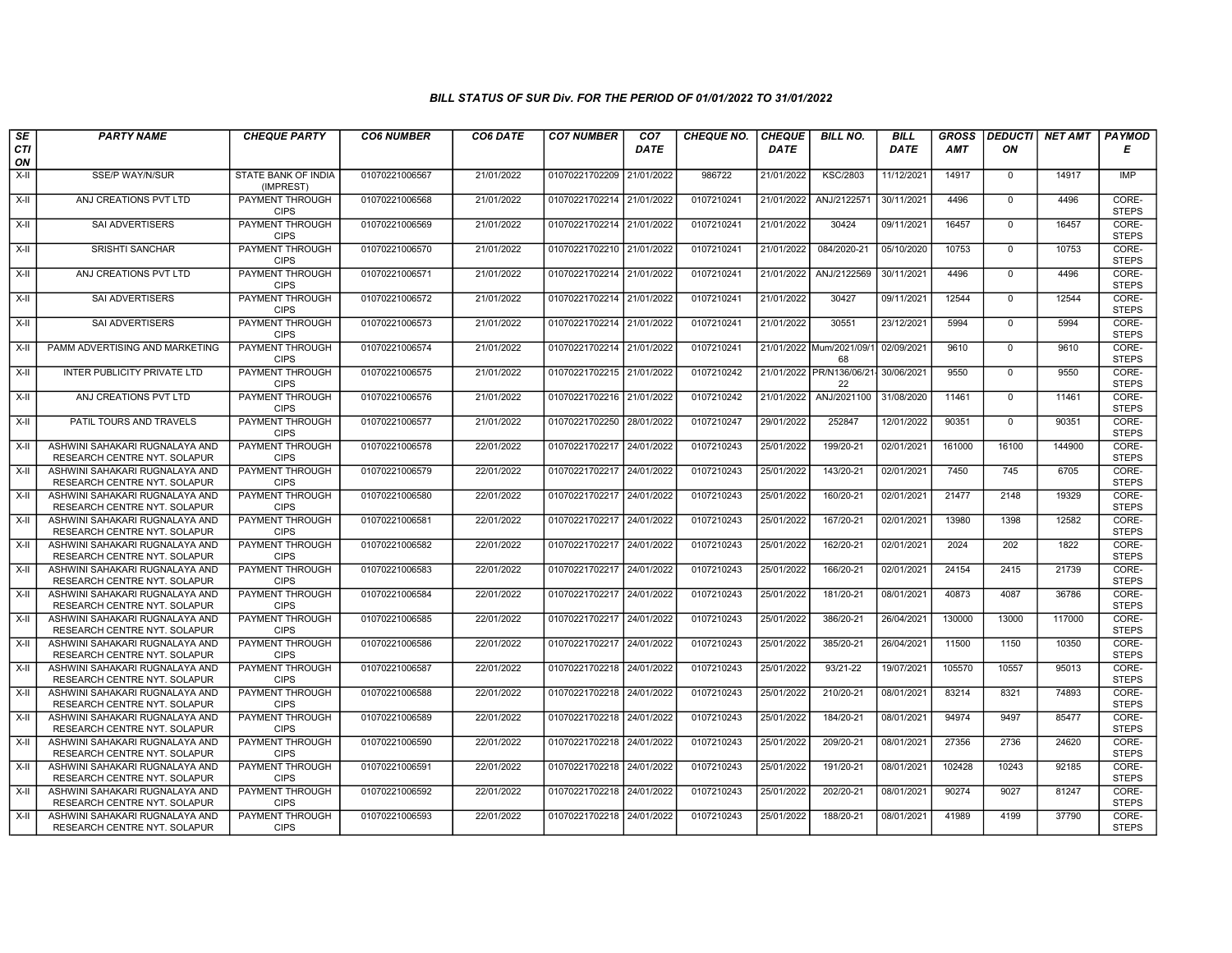| SE        | <b>PARTY NAME</b>                                              | <b>CHEQUE PARTY</b>                   | <b>CO6 NUMBER</b> | CO6 DATE   | <b>CO7 NUMBER</b>         | CO <sub>7</sub> | <b>CHEQUE NO.</b> | <b>CHEQUE</b> | <b>BILL NO.</b>                 | <b>BILL</b> | <b>GROSS</b> | <b>DEDUCTI</b> | NET AMT | <b>PAYMOD</b>         |
|-----------|----------------------------------------------------------------|---------------------------------------|-------------------|------------|---------------------------|-----------------|-------------------|---------------|---------------------------------|-------------|--------------|----------------|---------|-----------------------|
| CTI<br>ON |                                                                |                                       |                   |            |                           | <b>DATE</b>     |                   | <b>DATE</b>   |                                 | <b>DATE</b> | <b>AMT</b>   | ΟN             |         | Е                     |
| X-II      | SSE/P WAY/N/SUR                                                | STATE BANK OF INDIA<br>(IMPREST)      | 01070221006567    | 21/01/2022 | 01070221702209            | 21/01/2022      | 986722            | 21/01/2022    | <b>KSC/2803</b>                 | 11/12/2021  | 14917        | $\mathbf{0}$   | 14917   | <b>IMP</b>            |
| X-II      | ANJ CREATIONS PVT LTD                                          | PAYMENT THROUGH<br><b>CIPS</b>        | 01070221006568    | 21/01/2022 | 01070221702214 21/01/2022 |                 | 0107210241        | 21/01/2022    | ANJ/2122571                     | 30/11/2021  | 4496         | $\overline{0}$ | 4496    | CORE-<br><b>STEPS</b> |
| X-II      | SAI ADVERTISERS                                                | PAYMENT THROUGH<br><b>CIPS</b>        | 01070221006569    | 21/01/2022 | 01070221702214 21/01/2022 |                 | 0107210241        | 21/01/2022    | 30424                           | 09/11/2021  | 16457        | $\mathbf{0}$   | 16457   | CORE-<br><b>STEPS</b> |
| X-II      | <b>SRISHTI SANCHAR</b>                                         | <b>PAYMENT THROUGH</b><br><b>CIPS</b> | 01070221006570    | 21/01/2022 | 01070221702210            | 21/01/2022      | 0107210241        | 21/01/2022    | 084/2020-21                     | 05/10/2020  | 10753        | $\overline{0}$ | 10753   | CORE-<br><b>STEPS</b> |
| X-II      | ANJ CREATIONS PVT LTD                                          | PAYMENT THROUGH<br><b>CIPS</b>        | 01070221006571    | 21/01/2022 | 01070221702214 21/01/2022 |                 | 0107210241        | 21/01/2022    | ANJ/2122569                     | 30/11/2021  | 4496         | $\overline{0}$ | 4496    | CORE-<br><b>STEPS</b> |
| X-II      | <b>SAI ADVERTISERS</b>                                         | PAYMENT THROUGH<br><b>CIPS</b>        | 01070221006572    | 21/01/2022 | 01070221702214 21/01/2022 |                 | 0107210241        | 21/01/2022    | 30427                           | 09/11/2021  | 12544        | $\overline{0}$ | 12544   | CORE-<br><b>STEPS</b> |
| X-II      | SAI ADVERTISERS                                                | PAYMENT THROUGH<br><b>CIPS</b>        | 01070221006573    | 21/01/2022 | 01070221702214            | 21/01/2022      | 0107210241        | 21/01/2022    | 30551                           | 23/12/2021  | 5994         | $\Omega$       | 5994    | CORE-<br><b>STEPS</b> |
| X-II      | PAMM ADVERTISING AND MARKETING                                 | PAYMENT THROUGH<br><b>CIPS</b>        | 01070221006574    | 21/01/2022 | 01070221702214 21/01/2022 |                 | 0107210241        |               | 21/01/2022 Mum/2021/09/<br>68   | 02/09/2021  | 9610         | $\mathbf{0}$   | 9610    | CORE-<br><b>STEPS</b> |
| X-II      | INTER PUBLICITY PRIVATE LTD                                    | PAYMENT THROUGH<br><b>CIPS</b>        | 01070221006575    | 21/01/2022 | 01070221702215 21/01/2022 |                 | 0107210242        |               | 21/01/2022 PR/N136/06/21-<br>22 | 30/06/2021  | 9550         | $\mathbf 0$    | 9550    | CORE-<br><b>STEPS</b> |
| X-II      | ANJ CREATIONS PVT LTD                                          | <b>PAYMENT THROUGH</b><br><b>CIPS</b> | 01070221006576    | 21/01/2022 | 01070221702216            | 21/01/2022      | 0107210242        |               | 21/01/2022 ANJ/2021100          | 31/08/2020  | 11461        | $\overline{0}$ | 11461   | CORE-<br><b>STEPS</b> |
| $X-H$     | PATIL TOURS AND TRAVELS                                        | PAYMENT THROUGH<br><b>CIPS</b>        | 01070221006577    | 21/01/2022 | 01070221702250            | 28/01/2022      | 0107210247        | 29/01/2022    | 252847                          | 12/01/2022  | 90351        | $\mathbf{0}$   | 90351   | CORE-<br><b>STEPS</b> |
| X-II      | ASHWINI SAHAKARI RUGNALAYA AND<br>RESEARCH CENTRE NYT. SOLAPUR | PAYMENT THROUGH<br><b>CIPS</b>        | 01070221006578    | 22/01/2022 | 01070221702217 24/01/2022 |                 | 0107210243        | 25/01/2022    | 199/20-21                       | 02/01/2021  | 161000       | 16100          | 144900  | CORE-<br><b>STEPS</b> |
| X-II      | ASHWINI SAHAKARI RUGNALAYA AND<br>RESEARCH CENTRE NYT. SOLAPUR | PAYMENT THROUGH<br><b>CIPS</b>        | 01070221006579    | 22/01/2022 | 01070221702217            | 24/01/2022      | 0107210243        | 25/01/2022    | 143/20-21                       | 02/01/2021  | 7450         | 745            | 6705    | CORE-<br><b>STEPS</b> |
| X-II      | ASHWINI SAHAKARI RUGNALAYA AND<br>RESEARCH CENTRE NYT. SOLAPUR | PAYMENT THROUGH<br><b>CIPS</b>        | 01070221006580    | 22/01/2022 | 01070221702217            | 24/01/2022      | 0107210243        | 25/01/2022    | 160/20-21                       | 02/01/2021  | 21477        | 2148           | 19329   | CORE-<br><b>STEPS</b> |
| X-II      | ASHWINI SAHAKARI RUGNALAYA AND<br>RESEARCH CENTRE NYT. SOLAPUR | PAYMENT THROUGH<br><b>CIPS</b>        | 01070221006581    | 22/01/2022 | 01070221702217 24/01/2022 |                 | 0107210243        | 25/01/2022    | 167/20-21                       | 02/01/2021  | 13980        | 1398           | 12582   | CORE-<br><b>STEPS</b> |
| X-II      | ASHWINI SAHAKARI RUGNALAYA AND<br>RESEARCH CENTRE NYT. SOLAPUR | PAYMENT THROUGH<br><b>CIPS</b>        | 01070221006582    | 22/01/2022 | 01070221702217            | 24/01/2022      | 0107210243        | 25/01/2022    | 162/20-21                       | 02/01/2021  | 2024         | 202            | 1822    | CORE-<br><b>STEPS</b> |
| X-II      | ASHWINI SAHAKARI RUGNALAYA AND<br>RESEARCH CENTRE NYT. SOLAPUR | PAYMENT THROUGH<br><b>CIPS</b>        | 01070221006583    | 22/01/2022 | 01070221702217 24/01/2022 |                 | 0107210243        | 25/01/2022    | 166/20-21                       | 02/01/2021  | 24154        | 2415           | 21739   | CORE-<br><b>STEPS</b> |
| X-II      | ASHWINI SAHAKARI RUGNALAYA AND<br>RESEARCH CENTRE NYT. SOLAPUR | <b>PAYMENT THROUGH</b><br><b>CIPS</b> | 01070221006584    | 22/01/2022 | 01070221702217            | 24/01/2022      | 0107210243        | 25/01/2022    | 181/20-21                       | 08/01/2021  | 40873        | 4087           | 36786   | CORE-<br><b>STEPS</b> |
| X-II      | ASHWINI SAHAKARI RUGNALAYA AND<br>RESEARCH CENTRE NYT. SOLAPUR | PAYMENT THROUGH<br><b>CIPS</b>        | 01070221006585    | 22/01/2022 | 01070221702217            | 24/01/2022      | 0107210243        | 25/01/2022    | 386/20-21                       | 26/04/2021  | 130000       | 13000          | 117000  | CORE-<br><b>STEPS</b> |
| X-II      | ASHWINI SAHAKARI RUGNALAYA AND<br>RESEARCH CENTRE NYT. SOLAPUR | PAYMENT THROUGH<br><b>CIPS</b>        | 01070221006586    | 22/01/2022 | 01070221702217 24/01/2022 |                 | 0107210243        | 25/01/2022    | 385/20-21                       | 26/04/2021  | 11500        | 1150           | 10350   | CORE-<br><b>STEPS</b> |
| X-II      | ASHWINI SAHAKARI RUGNALAYA AND<br>RESEARCH CENTRE NYT. SOLAPUR | PAYMENT THROUGH<br><b>CIPS</b>        | 01070221006587    | 22/01/2022 | 01070221702218            | 24/01/2022      | 0107210243        | 25/01/2022    | 93/21-22                        | 19/07/2021  | 105570       | 10557          | 95013   | CORE-<br><b>STEPS</b> |
| X-II      | ASHWINI SAHAKARI RUGNALAYA AND<br>RESEARCH CENTRE NYT. SOLAPUR | PAYMENT THROUGH<br><b>CIPS</b>        | 01070221006588    | 22/01/2022 | 01070221702218 24/01/2022 |                 | 0107210243        | 25/01/2022    | 210/20-21                       | 08/01/2021  | 83214        | 8321           | 74893   | CORE-<br><b>STEPS</b> |
| X-II      | ASHWINI SAHAKARI RUGNALAYA AND<br>RESEARCH CENTRE NYT. SOLAPUR | PAYMENT THROUGH<br><b>CIPS</b>        | 01070221006589    | 22/01/2022 | 01070221702218            | 24/01/2022      | 0107210243        | 25/01/2022    | 184/20-21                       | 08/01/2021  | 94974        | 9497           | 85477   | CORE-<br><b>STEPS</b> |
| X-II      | ASHWINI SAHAKARI RUGNALAYA AND<br>RESEARCH CENTRE NYT. SOLAPUR | PAYMENT THROUGH<br><b>CIPS</b>        | 01070221006590    | 22/01/2022 | 01070221702218            | 24/01/2022      | 0107210243        | 25/01/2022    | 209/20-21                       | 08/01/2021  | 27356        | 2736           | 24620   | CORE-<br><b>STEPS</b> |
| X-II      | ASHWINI SAHAKARI RUGNALAYA AND<br>RESEARCH CENTRE NYT. SOLAPUR | PAYMENT THROUGH<br><b>CIPS</b>        | 01070221006591    | 22/01/2022 | 01070221702218 24/01/2022 |                 | 0107210243        | 25/01/2022    | 191/20-21                       | 08/01/2021  | 102428       | 10243          | 92185   | CORE-<br><b>STEPS</b> |
| X-II      | ASHWINI SAHAKARI RUGNALAYA AND<br>RESEARCH CENTRE NYT. SOLAPUR | PAYMENT THROUGH<br><b>CIPS</b>        | 01070221006592    | 22/01/2022 | 01070221702218 24/01/2022 |                 | 0107210243        | 25/01/2022    | 202/20-21                       | 08/01/2021  | 90274        | 9027           | 81247   | CORE-<br><b>STEPS</b> |
| X-II      | ASHWINI SAHAKARI RUGNALAYA AND<br>RESEARCH CENTRE NYT. SOLAPUR | PAYMENT THROUGH<br><b>CIPS</b>        | 01070221006593    | 22/01/2022 | 01070221702218 24/01/2022 |                 | 0107210243        | 25/01/2022    | 188/20-21                       | 08/01/2021  | 41989        | 4199           | 37790   | CORE-<br><b>STEPS</b> |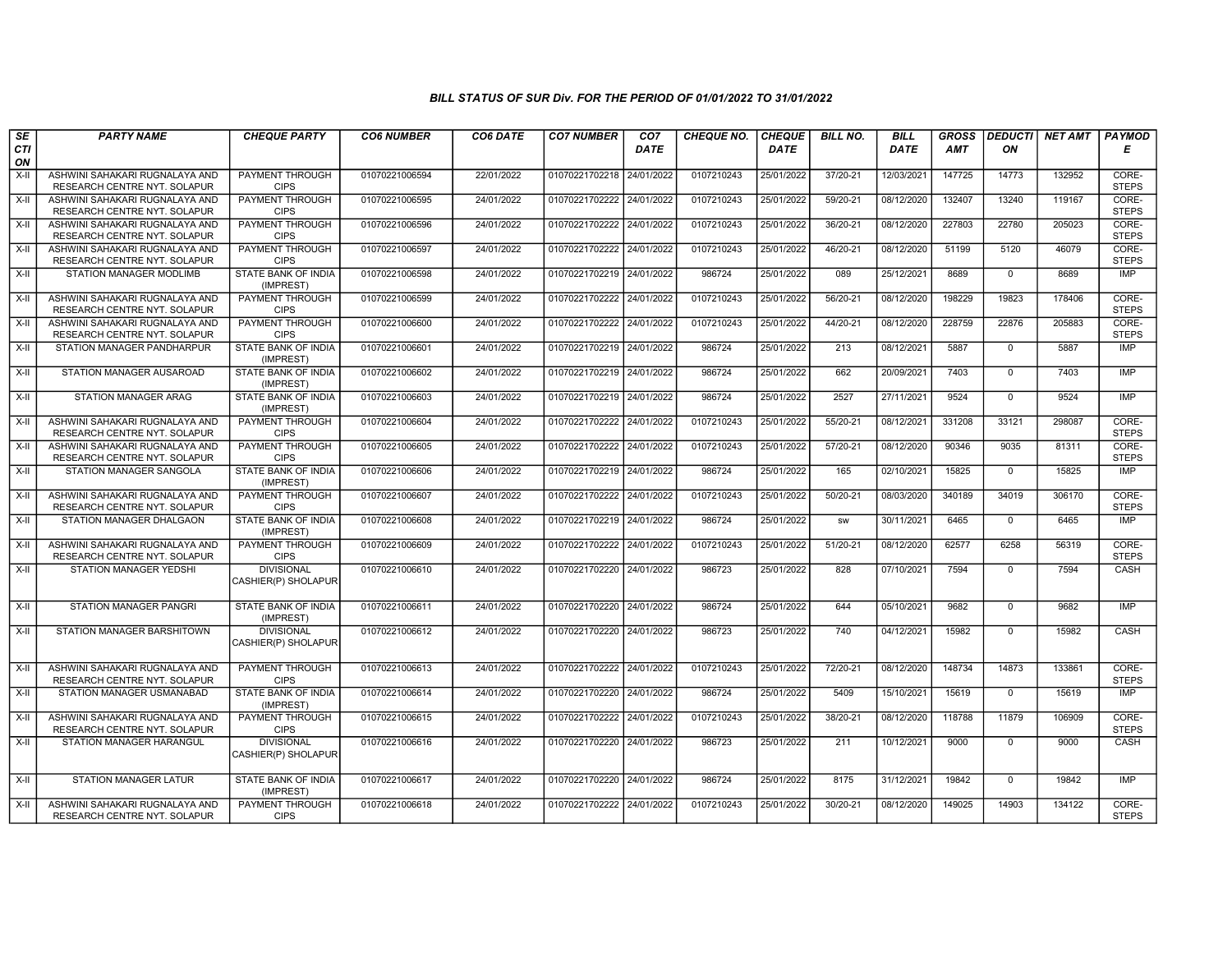| $\overline{\mathsf{SE}}$ | <b>PARTY NAME</b>                                              | <b>CHEQUE PARTY</b>                      | <b>CO6 NUMBER</b> | CO6 DATE   | <b>CO7 NUMBER</b>         | CO7         | <b>CHEQUE NO.</b> | <b>CHEQUE</b> | <b>BILL NO.</b> | <b>BILL</b> | <b>GROSS</b> |                | <b>DEDUCTI NET AMT</b> | <b>PAYMOD</b>         |
|--------------------------|----------------------------------------------------------------|------------------------------------------|-------------------|------------|---------------------------|-------------|-------------------|---------------|-----------------|-------------|--------------|----------------|------------------------|-----------------------|
| <b>CTI</b><br>ON         |                                                                |                                          |                   |            |                           | <b>DATE</b> |                   | DATE          |                 | DATE        | <b>AMT</b>   | ON             |                        | E                     |
| $X-H$                    | ASHWINI SAHAKARI RUGNALAYA AND<br>RESEARCH CENTRE NYT. SOLAPUR | <b>PAYMENT THROUGH</b><br><b>CIPS</b>    | 01070221006594    | 22/01/2022 | 01070221702218 24/01/2022 |             | 0107210243        | 25/01/2022    | 37/20-21        | 12/03/2021  | 147725       | 14773          | 132952                 | CORE-<br><b>STEPS</b> |
| X-II                     | ASHWINI SAHAKARI RUGNALAYA AND<br>RESEARCH CENTRE NYT. SOLAPUR | <b>PAYMENT THROUGH</b><br><b>CIPS</b>    | 01070221006595    | 24/01/2022 | 01070221702222 24/01/2022 |             | 0107210243        | 25/01/2022    | 59/20-21        | 08/12/2020  | 132407       | 13240          | 119167                 | CORE-<br><b>STEPS</b> |
| X-II                     | ASHWINI SAHAKARI RUGNALAYA AND<br>RESEARCH CENTRE NYT. SOLAPUR | PAYMENT THROUGH<br><b>CIPS</b>           | 01070221006596    | 24/01/2022 | 01070221702222 24/01/2022 |             | 0107210243        | 25/01/2022    | 36/20-21        | 08/12/2020  | 227803       | 22780          | 205023                 | CORE-<br><b>STEPS</b> |
| $X-II$                   | ASHWINI SAHAKARI RUGNALAYA AND<br>RESEARCH CENTRE NYT. SOLAPUR | <b>PAYMENT THROUGH</b><br><b>CIPS</b>    | 01070221006597    | 24/01/2022 | 01070221702222 24/01/2022 |             | 0107210243        | 25/01/2022    | 46/20-21        | 08/12/2020  | 51199        | 5120           | 46079                  | CORE-<br><b>STEPS</b> |
| X-II                     | STATION MANAGER MODLIMB                                        | STATE BANK OF INDIA<br>(IMPREST)         | 01070221006598    | 24/01/2022 | 01070221702219 24/01/2022 |             | 986724            | 25/01/2022    | 089             | 25/12/2021  | 8689         | $\mathbf{0}$   | 8689                   | <b>IMP</b>            |
| $X-H$                    | ASHWINI SAHAKARI RUGNALAYA AND<br>RESEARCH CENTRE NYT. SOLAPUR | <b>PAYMENT THROUGH</b><br><b>CIPS</b>    | 01070221006599    | 24/01/2022 | 01070221702222 24/01/2022 |             | 0107210243        | 25/01/2022    | 56/20-21        | 08/12/2020  | 198229       | 19823          | 178406                 | CORE-<br><b>STEPS</b> |
| X-II                     | ASHWINI SAHAKARI RUGNALAYA AND<br>RESEARCH CENTRE NYT. SOLAPUR | PAYMENT THROUGH<br><b>CIPS</b>           | 01070221006600    | 24/01/2022 | 01070221702222 24/01/2022 |             | 0107210243        | 25/01/2022    | 44/20-21        | 08/12/2020  | 228759       | 22876          | 205883                 | CORE-<br><b>STEPS</b> |
| $X-II$                   | STATION MANAGER PANDHARPUR                                     | STATE BANK OF INDIA<br>(IMPREST)         | 01070221006601    | 24/01/2022 | 01070221702219 24/01/2022 |             | 986724            | 25/01/2022    | 213             | 08/12/2021  | 5887         | $\mathbf{0}$   | 5887                   | <b>IMP</b>            |
| $X-H$                    | STATION MANAGER AUSAROAD                                       | STATE BANK OF INDIA<br>(IMPREST)         | 01070221006602    | 24/01/2022 | 01070221702219 24/01/2022 |             | 986724            | 25/01/2022    | 662             | 20/09/2021  | 7403         | $\mathbf 0$    | 7403                   | <b>IMP</b>            |
| $X-H$                    | STATION MANAGER ARAG                                           | <b>STATE BANK OF INDIA</b><br>(IMPREST)  | 01070221006603    | 24/01/2022 | 01070221702219 24/01/2022 |             | 986724            | 25/01/2022    | 2527            | 27/11/2021  | 9524         | $\overline{0}$ | 9524                   | IMP                   |
| X-II                     | ASHWINI SAHAKARI RUGNALAYA AND<br>RESEARCH CENTRE NYT. SOLAPUR | PAYMENT THROUGH<br><b>CIPS</b>           | 01070221006604    | 24/01/2022 | 01070221702222 24/01/2022 |             | 0107210243        | 25/01/2022    | 55/20-21        | 08/12/2021  | 331208       | 33121          | 298087                 | CORE-<br><b>STEPS</b> |
| X-II                     | ASHWINI SAHAKARI RUGNALAYA AND<br>RESEARCH CENTRE NYT. SOLAPUR | <b>PAYMENT THROUGH</b><br><b>CIPS</b>    | 01070221006605    | 24/01/2022 | 01070221702222            | 24/01/2022  | 0107210243        | 25/01/2022    | 57/20-21        | 08/12/2020  | 90346        | 9035           | 81311                  | CORE-<br><b>STEPS</b> |
| $X-H$                    | STATION MANAGER SANGOLA                                        | STATE BANK OF INDIA<br>(IMPREST)         | 01070221006606    | 24/01/2022 | 01070221702219 24/01/2022 |             | 986724            | 25/01/2022    | 165             | 02/10/2021  | 15825        | $\mathbf 0$    | 15825                  | <b>IMP</b>            |
| $X-H$                    | ASHWINI SAHAKARI RUGNALAYA AND<br>RESEARCH CENTRE NYT. SOLAPUR | <b>PAYMENT THROUGH</b><br><b>CIPS</b>    | 01070221006607    | 24/01/2022 | 01070221702222 24/01/2022 |             | 0107210243        | 25/01/2022    | 50/20-21        | 08/03/2020  | 340189       | 34019          | 306170                 | CORE-<br><b>STEPS</b> |
| X-II                     | STATION MANAGER DHALGAON                                       | <b>STATE BANK OF INDIA</b><br>(IMPREST)  | 01070221006608    | 24/01/2022 | 01070221702219 24/01/2022 |             | 986724            | 25/01/2022    | <b>SW</b>       | 30/11/2021  | 6465         | $\mathbf 0$    | 6465                   | <b>IMP</b>            |
| $X-II$                   | ASHWINI SAHAKARI RUGNALAYA AND<br>RESEARCH CENTRE NYT. SOLAPUR | <b>PAYMENT THROUGH</b><br><b>CIPS</b>    | 01070221006609    | 24/01/2022 | 01070221702222 24/01/2022 |             | 0107210243        | 25/01/2022    | 51/20-21        | 08/12/2020  | 62577        | 6258           | 56319                  | CORE-<br><b>STEPS</b> |
| $X-H$                    | <b>STATION MANAGER YEDSHI</b>                                  | <b>DIVISIONAL</b><br>CASHIER(P) SHOLAPUR | 01070221006610    | 24/01/2022 | 01070221702220 24/01/2022 |             | 986723            | 25/01/2022    | 828             | 07/10/2021  | 7594         | $\Omega$       | 7594                   | CASH                  |
| X-II                     | STATION MANAGER PANGRI                                         | STATE BANK OF INDIA<br>(IMPREST)         | 01070221006611    | 24/01/2022 | 01070221702220 24/01/2022 |             | 986724            | 25/01/2022    | 644             | 05/10/2021  | 9682         | $\Omega$       | 9682                   | <b>IMP</b>            |
| $X-II$                   | STATION MANAGER BARSHITOWN                                     | <b>DIVISIONAL</b><br>CASHIER(P) SHOLAPUR | 01070221006612    | 24/01/2022 | 01070221702220 24/01/2022 |             | 986723            | 25/01/2022    | 740             | 04/12/2021  | 15982        | $\mathbf{0}$   | 15982                  | CASH                  |
| X-II                     | ASHWINI SAHAKARI RUGNALAYA AND<br>RESEARCH CENTRE NYT. SOLAPUR | PAYMENT THROUGH<br><b>CIPS</b>           | 01070221006613    | 24/01/2022 | 01070221702222 24/01/2022 |             | 0107210243        | 25/01/2022    | 72/20-21        | 08/12/2020  | 148734       | 14873          | 133861                 | CORE-<br><b>STEPS</b> |
| X-II                     | STATION MANAGER USMANABAD                                      | STATE BANK OF INDIA<br>(IMPREST)         | 01070221006614    | 24/01/2022 | 01070221702220 24/01/2022 |             | 986724            | 25/01/2022    | 5409            | 15/10/2021  | 15619        | $\mathbf{0}$   | 15619                  | IMP                   |
| $X-H$                    | ASHWINI SAHAKARI RUGNALAYA AND<br>RESEARCH CENTRE NYT. SOLAPUR | <b>PAYMENT THROUGH</b><br><b>CIPS</b>    | 01070221006615    | 24/01/2022 | 01070221702222 24/01/2022 |             | 0107210243        | 25/01/2022    | 38/20-21        | 08/12/2020  | 118788       | 11879          | 106909                 | CORE-<br><b>STEPS</b> |
| X-II                     | STATION MANAGER HARANGUL                                       | <b>DIVISIONAL</b><br>CASHIER(P) SHOLAPUR | 01070221006616    | 24/01/2022 | 01070221702220 24/01/2022 |             | 986723            | 25/01/2022    | 211             | 10/12/2021  | 9000         | $\mathbf 0$    | 9000                   | CASH                  |
| X-II                     | STATION MANAGER LATUR                                          | STATE BANK OF INDIA<br>(IMPREST)         | 01070221006617    | 24/01/2022 | 01070221702220 24/01/2022 |             | 986724            | 25/01/2022    | 8175            | 31/12/2021  | 19842        | $^{\circ}$     | 19842                  | IMP                   |
| X-II                     | ASHWINI SAHAKARI RUGNALAYA AND<br>RESEARCH CENTRE NYT. SOLAPUR | PAYMENT THROUGH<br><b>CIPS</b>           | 01070221006618    | 24/01/2022 | 01070221702222 24/01/2022 |             | 0107210243        | 25/01/2022    | 30/20-21        | 08/12/2020  | 149025       | 14903          | 134122                 | CORE-<br><b>STEPS</b> |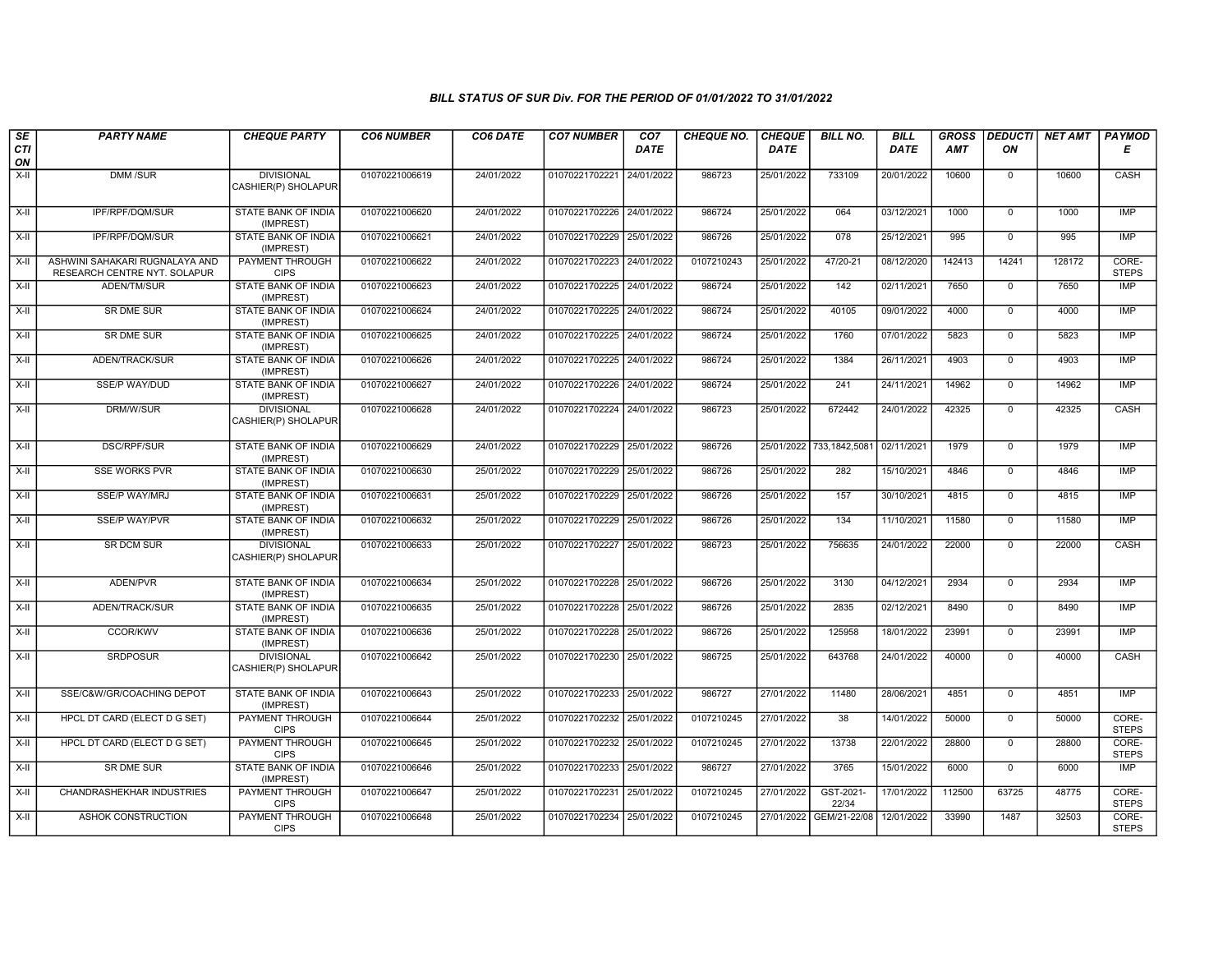| SE        | <b>PARTY NAME</b>                                              | <b>CHEQUE PARTY</b>                      | <b>CO6 NUMBER</b> | CO6 DATE   | <b>CO7 NUMBER</b>         | CO <sub>7</sub> | <b>CHEQUE NO.</b> | <b>CHEQUE</b> | <b>BILL NO.</b>          | <b>BILL</b> | <b>GROSS</b> |                | <b>DEDUCTI NET AMT</b> | <b>PAYMOD</b>         |
|-----------|----------------------------------------------------------------|------------------------------------------|-------------------|------------|---------------------------|-----------------|-------------------|---------------|--------------------------|-------------|--------------|----------------|------------------------|-----------------------|
| CTI<br>ON |                                                                |                                          |                   |            |                           | <b>DATE</b>     |                   | <b>DATE</b>   |                          | DATE        | <b>AMT</b>   | ON             |                        | Е                     |
| $X-II$    | DMM /SUR                                                       | <b>DIVISIONAL</b><br>CASHIER(P) SHOLAPUR | 01070221006619    | 24/01/2022 | 01070221702221            | 24/01/2022      | 986723            | 25/01/2022    | 733109                   | 20/01/2022  | 10600        | $\mathbf 0$    | 10600                  | CASH                  |
| $X-II$    | IPF/RPF/DQM/SUR                                                | <b>STATE BANK OF INDIA</b><br>(IMPREST)  | 01070221006620    | 24/01/2022 | 01070221702226 24/01/2022 |                 | 986724            | 25/01/2022    | 064                      | 03/12/2021  | 1000         | $\mathbf 0$    | 1000                   | <b>IMP</b>            |
| $X-H$     | IPF/RPF/DQM/SUR                                                | STATE BANK OF INDIA<br>(IMPREST)         | 01070221006621    | 24/01/2022 | 01070221702229 25/01/2022 |                 | 986726            | 25/01/2022    | 078                      | 25/12/2021  | 995          | $\overline{0}$ | 995                    | <b>IMP</b>            |
| X-II      | ASHWINI SAHAKARI RUGNALAYA AND<br>RESEARCH CENTRE NYT. SOLAPUR | <b>PAYMENT THROUGH</b><br><b>CIPS</b>    | 01070221006622    | 24/01/2022 | 01070221702223            | 24/01/2022      | 0107210243        | 25/01/2022    | 47/20-21                 | 08/12/2020  | 142413       | 14241          | 128172                 | CORE-<br><b>STEPS</b> |
| X-II      | ADEN/TM/SUR                                                    | STATE BANK OF INDIA<br>(IMPREST)         | 01070221006623    | 24/01/2022 | 01070221702225            | 24/01/2022      | 986724            | 25/01/2022    | 142                      | 02/11/2021  | 7650         | $\mathbf 0$    | 7650                   | <b>IMP</b>            |
| $X-H$     | <b>SR DME SUR</b>                                              | STATE BANK OF INDIA<br>(IMPREST)         | 01070221006624    | 24/01/2022 | 01070221702225            | 24/01/2022      | 986724            | 25/01/2022    | 40105                    | 09/01/2022  | 4000         | $\overline{0}$ | 4000                   | <b>IMP</b>            |
| $X-H$     | <b>SR DME SUR</b>                                              | <b>STATE BANK OF INDIA</b><br>(IMPREST)  | 01070221006625    | 24/01/2022 | 01070221702225 24/01/2022 |                 | 986724            | 25/01/2022    | 1760                     | 07/01/2022  | 5823         | $\mathbf 0$    | 5823                   | <b>IMP</b>            |
| X-II      | ADEN/TRACK/SUR                                                 | STATE BANK OF INDIA<br>(IMPREST)         | 01070221006626    | 24/01/2022 | 01070221702225 24/01/2022 |                 | 986724            | 25/01/2022    | 1384                     | 26/11/2021  | 4903         | $\mathbf 0$    | 4903                   | IMP                   |
| $X-H$     | SSE/P WAY/DUD                                                  | <b>STATE BANK OF INDIA</b><br>(IMPREST)  | 01070221006627    | 24/01/2022 | 01070221702226            | 24/01/2022      | 986724            | 25/01/2022    | 241                      | 24/11/2021  | 14962        | $\mathbf 0$    | 14962                  | IMP                   |
| X-II      | DRM/W/SUR                                                      | <b>DIVISIONAL</b><br>CASHIER(P) SHOLAPUR | 01070221006628    | 24/01/2022 | 01070221702224 24/01/2022 |                 | 986723            | 25/01/2022    | 672442                   | 24/01/2022  | 42325        | $\mathbf 0$    | 42325                  | CASH                  |
| X-II      | <b>DSC/RPF/SUR</b>                                             | STATE BANK OF INDIA<br>(IMPREST)         | 01070221006629    | 24/01/2022 | 01070221702229 25/01/2022 |                 | 986726            |               | 25/01/2022 733,1842,5081 | 02/11/2021  | 1979         | $\mathbf 0$    | 1979                   | <b>IMP</b>            |
| X-II      | <b>SSE WORKS PVR</b>                                           | STATE BANK OF INDIA<br>(IMPREST)         | 01070221006630    | 25/01/2022 | 01070221702229            | 25/01/2022      | 986726            | 25/01/2022    | 282                      | 15/10/2021  | 4846         | $\mathbf 0$    | 4846                   | <b>IMP</b>            |
| $X-II$    | <b>SSE/P WAY/MRJ</b>                                           | STATE BANK OF INDIA<br>(IMPREST)         | 01070221006631    | 25/01/2022 | 01070221702229            | 25/01/2022      | 986726            | 25/01/2022    | 157                      | 30/10/2021  | 4815         | $\overline{0}$ | 4815                   | <b>IMP</b>            |
| $X-H$     | <b>SSE/P WAY/PVR</b>                                           | <b>STATE BANK OF INDIA</b><br>(IMPREST)  | 01070221006632    | 25/01/2022 | 01070221702229 25/01/2022 |                 | 986726            | 25/01/2022    | 134                      | 11/10/2021  | 11580        | $\mathbf 0$    | 11580                  | IMP                   |
| X-II      | SR DCM SUR                                                     | <b>DIVISIONAL</b><br>CASHIER(P) SHOLAPUR | 01070221006633    | 25/01/2022 | 01070221702227 25/01/2022 |                 | 986723            | 25/01/2022    | 756635                   | 24/01/2022  | 22000        | $\mathbf 0$    | 22000                  | CASH                  |
| X-II      | ADEN/PVR                                                       | STATE BANK OF INDIA<br>(IMPREST)         | 01070221006634    | 25/01/2022 | 01070221702228 25/01/2022 |                 | 986726            | 25/01/2022    | 3130                     | 04/12/2021  | 2934         | $\mathbf{0}$   | 2934                   | IMP                   |
| $X-H$     | <b>ADEN/TRACK/SUR</b>                                          | <b>STATE BANK OF INDIA</b><br>(IMPREST)  | 01070221006635    | 25/01/2022 | 01070221702228 25/01/2022 |                 | 986726            | 25/01/2022    | 2835                     | 02/12/2021  | 8490         | $\overline{0}$ | 8490                   | IMP                   |
| X-II      | CCOR/KWV                                                       | STATE BANK OF INDIA<br>(IMPREST)         | 01070221006636    | 25/01/2022 | 01070221702228            | 25/01/2022      | 986726            | 25/01/2022    | 125958                   | 18/01/2022  | 23991        | $\mathbf 0$    | 23991                  | <b>IMP</b>            |
| X-II      | <b>SRDPOSUR</b>                                                | <b>DIVISIONAL</b><br>CASHIER(P) SHOLAPUR | 01070221006642    | 25/01/2022 | 01070221702230 25/01/2022 |                 | 986725            | 25/01/2022    | 643768                   | 24/01/2022  | 40000        | $\mathbf 0$    | 40000                  | CASH                  |
| X-II      | SSE/C&W/GR/COACHING DEPOT                                      | STATE BANK OF INDIA<br>(IMPREST)         | 01070221006643    | 25/01/2022 | 01070221702233 25/01/2022 |                 | 986727            | 27/01/2022    | 11480                    | 28/06/2021  | 4851         | $\mathbf{0}$   | 4851                   | IMP                   |
| X-II      | HPCL DT CARD (ELECT D G SET)                                   | PAYMENT THROUGH<br><b>CIPS</b>           | 01070221006644    | 25/01/2022 | 01070221702232            | 25/01/2022      | 0107210245        | 27/01/2022    | 38                       | 14/01/2022  | 50000        | $\overline{0}$ | 50000                  | CORE-<br><b>STEPS</b> |
| $X-II$    | HPCL DT CARD (ELECT D G SET)                                   | PAYMENT THROUGH<br><b>CIPS</b>           | 01070221006645    | 25/01/2022 | 01070221702232            | 25/01/2022      | 0107210245        | 27/01/2022    | 13738                    | 22/01/2022  | 28800        | $\mathbf{0}$   | 28800                  | CORE-<br><b>STEPS</b> |
| $X-H$     | <b>SR DME SUR</b>                                              | STATE BANK OF INDIA<br>(IMPREST)         | 01070221006646    | 25/01/2022 | 01070221702233 25/01/2022 |                 | 986727            | 27/01/2022    | 3765                     | 15/01/2022  | 6000         | $\overline{0}$ | 6000                   | <b>IMP</b>            |
| $X-II$    | CHANDRASHEKHAR INDUSTRIES                                      | <b>PAYMENT THROUGH</b><br><b>CIPS</b>    | 01070221006647    | 25/01/2022 | 01070221702231            | 25/01/2022      | 0107210245        | 27/01/2022    | GST-2021-<br>22/34       | 17/01/2022  | 112500       | 63725          | 48775                  | CORE-<br><b>STEPS</b> |
| X-II      | ASHOK CONSTRUCTION                                             | PAYMENT THROUGH<br><b>CIPS</b>           | 01070221006648    | 25/01/2022 | 01070221702234            | 25/01/2022      | 0107210245        | 27/01/2022    | GEM/21-22/08             | 12/01/2022  | 33990        | 1487           | 32503                  | CORE-<br><b>STEPS</b> |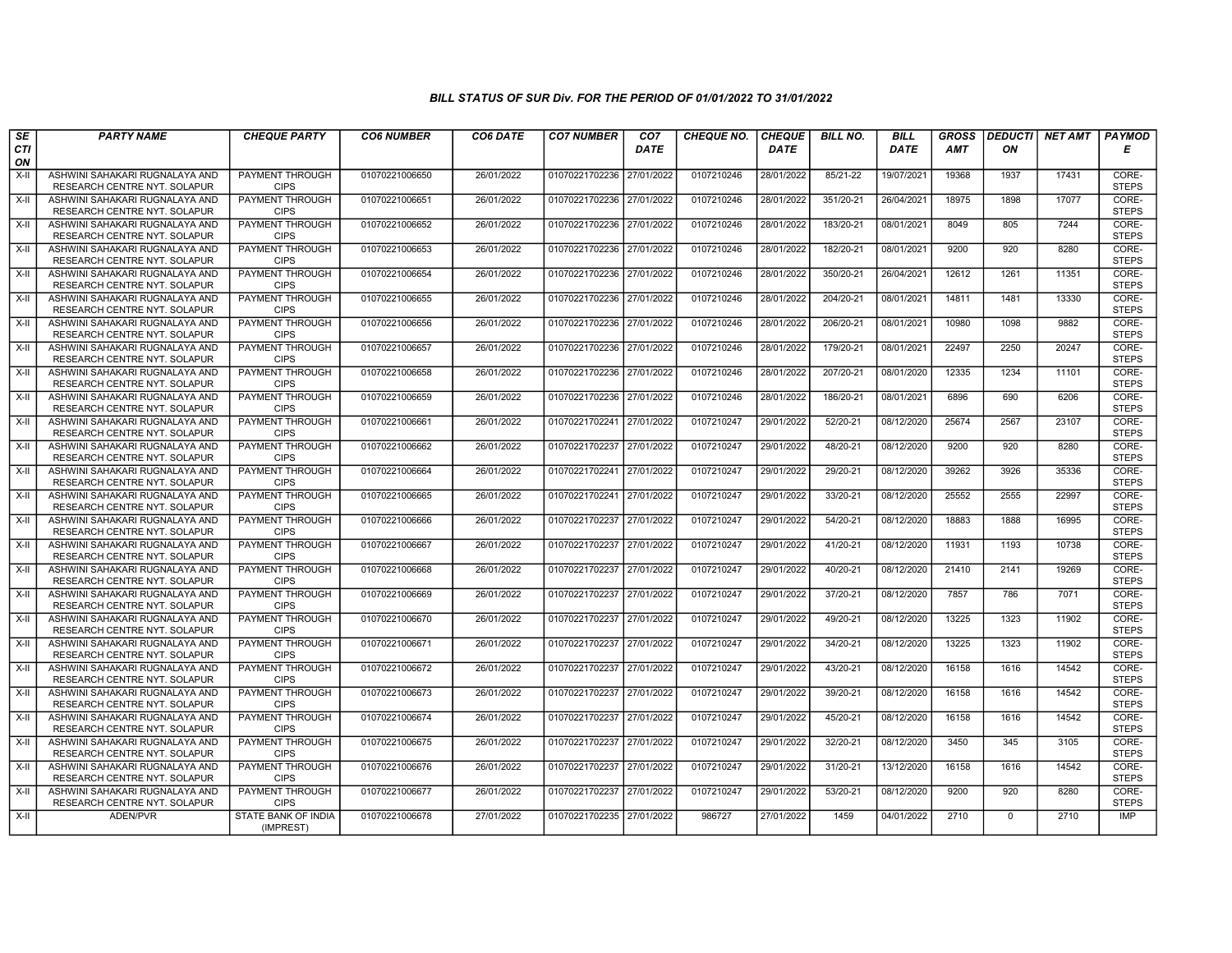| SE               | <b>PARTY NAME</b>                                              | <b>CHEQUE PARTY</b>                   | <b>CO6 NUMBER</b> | CO6 DATE   | <b>CO7 NUMBER</b>         | CO <sub>7</sub> | <b>CHEQUE NO.</b> | <b>CHEQUE</b> | <b>BILL NO.</b> | <b>BILL</b> | <b>GROSS</b> | <b>DEDUCTI</b> | <b>NET AMT</b> | <b>PAYMOD</b>         |
|------------------|----------------------------------------------------------------|---------------------------------------|-------------------|------------|---------------------------|-----------------|-------------------|---------------|-----------------|-------------|--------------|----------------|----------------|-----------------------|
| <b>CTI</b><br>ON |                                                                |                                       |                   |            |                           | <b>DATE</b>     |                   | <b>DATE</b>   |                 | <b>DATE</b> | <b>AMT</b>   | ΟN             |                | Е                     |
| X-II             | ASHWINI SAHAKARI RUGNALAYA AND<br>RESEARCH CENTRE NYT. SOLAPUR | PAYMENT THROUGH<br><b>CIPS</b>        | 01070221006650    | 26/01/2022 | 01070221702236            | 27/01/2022      | 0107210246        | 28/01/2022    | 85/21-22        | 19/07/2021  | 19368        | 1937           | 17431          | CORE-<br><b>STEPS</b> |
| X-II             | ASHWINI SAHAKARI RUGNALAYA AND<br>RESEARCH CENTRE NYT. SOLAPUR | <b>PAYMENT THROUGH</b><br><b>CIPS</b> | 01070221006651    | 26/01/2022 | 01070221702236 27/01/2022 |                 | 0107210246        | 28/01/2022    | 351/20-21       | 26/04/2021  | 18975        | 1898           | 17077          | CORE-<br><b>STEPS</b> |
| X-II             | ASHWINI SAHAKARI RUGNALAYA AND<br>RESEARCH CENTRE NYT. SOLAPUR | PAYMENT THROUGH<br><b>CIPS</b>        | 01070221006652    | 26/01/2022 | 01070221702236 27/01/2022 |                 | 0107210246        | 28/01/2022    | 183/20-21       | 08/01/2021  | 8049         | 805            | 7244           | CORE-<br><b>STEPS</b> |
| $X-H$            | ASHWINI SAHAKARI RUGNALAYA AND<br>RESEARCH CENTRE NYT. SOLAPUR | <b>PAYMENT THROUGH</b><br><b>CIPS</b> | 01070221006653    | 26/01/2022 | 01070221702236            | 27/01/2022      | 0107210246        | 28/01/2022    | 182/20-21       | 08/01/2021  | 9200         | 920            | 8280           | CORE-<br><b>STEPS</b> |
| $X-H$            | ASHWINI SAHAKARI RUGNALAYA AND<br>RESEARCH CENTRE NYT. SOLAPUR | <b>PAYMENT THROUGH</b><br><b>CIPS</b> | 01070221006654    | 26/01/2022 | 01070221702236 27/01/2022 |                 | 0107210246        | 28/01/2022    | 350/20-21       | 26/04/2021  | 12612        | 1261           | 11351          | CORE-<br><b>STEPS</b> |
| $X-II$           | ASHWINI SAHAKARI RUGNALAYA AND<br>RESEARCH CENTRE NYT. SOLAPUR | PAYMENT THROUGH<br><b>CIPS</b>        | 01070221006655    | 26/01/2022 | 01070221702236 27/01/2022 |                 | 0107210246        | 28/01/2022    | 204/20-21       | 08/01/2021  | 14811        | 1481           | 13330          | CORE-<br><b>STEPS</b> |
| X-II             | ASHWINI SAHAKARI RUGNALAYA AND<br>RESEARCH CENTRE NYT. SOLAPUR | <b>PAYMENT THROUGH</b><br><b>CIPS</b> | 01070221006656    | 26/01/2022 | 01070221702236            | 27/01/2022      | 0107210246        | 28/01/2022    | 206/20-21       | 08/01/2021  | 10980        | 1098           | 9882           | CORE-<br><b>STEPS</b> |
| X-II             | ASHWINI SAHAKARI RUGNALAYA AND<br>RESEARCH CENTRE NYT. SOLAPUR | PAYMENT THROUGH<br><b>CIPS</b>        | 01070221006657    | 26/01/2022 | 01070221702236            | 27/01/2022      | 0107210246        | 28/01/2022    | 179/20-21       | 08/01/2021  | 22497        | 2250           | 20247          | CORE-<br><b>STEPS</b> |
| $X-H$            | ASHWINI SAHAKARI RUGNALAYA AND<br>RESEARCH CENTRE NYT. SOLAPUR | <b>PAYMENT THROUGH</b><br><b>CIPS</b> | 01070221006658    | 26/01/2022 | 01070221702236 27/01/2022 |                 | 0107210246        | 28/01/2022    | 207/20-21       | 08/01/2020  | 12335        | 1234           | 11101          | CORE-<br><b>STEPS</b> |
| $X-H$            | ASHWINI SAHAKARI RUGNALAYA AND<br>RESEARCH CENTRE NYT. SOLAPUR | PAYMENT THROUGH<br><b>CIPS</b>        | 01070221006659    | 26/01/2022 | 01070221702236 27/01/2022 |                 | 0107210246        | 28/01/2022    | 186/20-21       | 08/01/2021  | 6896         | 690            | 6206           | CORE-<br><b>STEPS</b> |
| $X-II$           | ASHWINI SAHAKARI RUGNALAYA AND<br>RESEARCH CENTRE NYT. SOLAPUR | PAYMENT THROUGH<br><b>CIPS</b>        | 01070221006661    | 26/01/2022 | 01070221702241            | 27/01/2022      | 0107210247        | 29/01/2022    | 52/20-21        | 08/12/2020  | 25674        | 2567           | 23107          | CORE-<br><b>STEPS</b> |
| X-II             | ASHWINI SAHAKARI RUGNALAYA AND<br>RESEARCH CENTRE NYT. SOLAPUR | PAYMENT THROUGH<br><b>CIPS</b>        | 01070221006662    | 26/01/2022 | 01070221702237            | 27/01/2022      | 0107210247        | 29/01/2022    | 48/20-21        | 08/12/2020  | 9200         | 920            | 8280           | CORE-<br><b>STEPS</b> |
| X-II             | ASHWINI SAHAKARI RUGNALAYA AND<br>RESEARCH CENTRE NYT. SOLAPUR | <b>PAYMENT THROUGH</b><br><b>CIPS</b> | 01070221006664    | 26/01/2022 | 01070221702241            | 27/01/2022      | 0107210247        | 29/01/2022    | 29/20-21        | 08/12/2020  | 39262        | 3926           | 35336          | CORE-<br><b>STEPS</b> |
| $X-H$            | ASHWINI SAHAKARI RUGNALAYA AND<br>RESEARCH CENTRE NYT. SOLAPUR | <b>PAYMENT THROUGH</b><br><b>CIPS</b> | 01070221006665    | 26/01/2022 | 01070221702241            | 27/01/2022      | 0107210247        | 29/01/2022    | 33/20-21        | 08/12/2020  | 25552        | 2555           | 22997          | CORE-<br><b>STEPS</b> |
| X-II             | ASHWINI SAHAKARI RUGNALAYA AND<br>RESEARCH CENTRE NYT. SOLAPUR | PAYMENT THROUGH<br><b>CIPS</b>        | 01070221006666    | 26/01/2022 | 01070221702237 27/01/2022 |                 | 0107210247        | 29/01/2022    | 54/20-21        | 08/12/2020  | 18883        | 1888           | 16995          | CORE-<br><b>STEPS</b> |
| X-II             | ASHWINI SAHAKARI RUGNALAYA AND<br>RESEARCH CENTRE NYT. SOLAPUR | <b>PAYMENT THROUGH</b><br><b>CIPS</b> | 01070221006667    | 26/01/2022 | 01070221702237            | 27/01/2022      | 0107210247        | 29/01/2022    | 41/20-21        | 08/12/2020  | 11931        | 1193           | 10738          | CORE-<br><b>STEPS</b> |
| X-II             | ASHWINI SAHAKARI RUGNALAYA AND<br>RESEARCH CENTRE NYT. SOLAPUR | PAYMENT THROUGH<br><b>CIPS</b>        | 01070221006668    | 26/01/2022 | 01070221702237            | 27/01/2022      | 0107210247        | 29/01/2022    | 40/20-21        | 08/12/2020  | 21410        | 2141           | 19269          | CORE-<br><b>STEPS</b> |
| $X-II$           | ASHWINI SAHAKARI RUGNALAYA AND<br>RESEARCH CENTRE NYT. SOLAPUR | <b>PAYMENT THROUGH</b><br><b>CIPS</b> | 01070221006669    | 26/01/2022 | 01070221702237            | 27/01/2022      | 0107210247        | 29/01/2022    | 37/20-21        | 08/12/2020  | 7857         | 786            | 7071           | CORE-<br><b>STEPS</b> |
| $X-H$            | ASHWINI SAHAKARI RUGNALAYA AND<br>RESEARCH CENTRE NYT. SOLAPUR | PAYMENT THROUGH<br><b>CIPS</b>        | 01070221006670    | 26/01/2022 | 01070221702237            | 27/01/2022      | 0107210247        | 29/01/2022    | 49/20-21        | 08/12/2020  | 13225        | 1323           | 11902          | CORE-<br><b>STEPS</b> |
| X-II             | ASHWINI SAHAKARI RUGNALAYA AND<br>RESEARCH CENTRE NYT. SOLAPUR | <b>PAYMENT THROUGH</b><br><b>CIPS</b> | 01070221006671    | 26/01/2022 | 01070221702237            | 27/01/2022      | 0107210247        | 29/01/2022    | 34/20-21        | 08/12/2020  | 13225        | 1323           | 11902          | CORE-<br><b>STEPS</b> |
| $X-H$            | ASHWINI SAHAKARI RUGNALAYA AND<br>RESEARCH CENTRE NYT. SOLAPUR | <b>PAYMENT THROUGH</b><br><b>CIPS</b> | 01070221006672    | 26/01/2022 | 01070221702237            | 27/01/2022      | 0107210247        | 29/01/2022    | 43/20-21        | 08/12/2020  | 16158        | 1616           | 14542          | CORE-<br><b>STEPS</b> |
| X-II             | ASHWINI SAHAKARI RUGNALAYA AND<br>RESEARCH CENTRE NYT. SOLAPUR | PAYMENT THROUGH<br><b>CIPS</b>        | 01070221006673    | 26/01/2022 | 01070221702237            | 27/01/2022      | 0107210247        | 29/01/2022    | 39/20-21        | 08/12/2020  | 16158        | 1616           | 14542          | CORE-<br><b>STEPS</b> |
| X-II             | ASHWINI SAHAKARI RUGNALAYA AND<br>RESEARCH CENTRE NYT. SOLAPUR | PAYMENT THROUGH<br><b>CIPS</b>        | 01070221006674    | 26/01/2022 | 01070221702237            | 27/01/2022      | 0107210247        | 29/01/2022    | 45/20-21        | 08/12/2020  | 16158        | 1616           | 14542          | CORE-<br><b>STEPS</b> |
| $X-H$            | ASHWINI SAHAKARI RUGNALAYA AND<br>RESEARCH CENTRE NYT. SOLAPUR | PAYMENT THROUGH<br><b>CIPS</b>        | 01070221006675    | 26/01/2022 | 01070221702237            | 27/01/2022      | 0107210247        | 29/01/2022    | 32/20-21        | 08/12/2020  | 3450         | 345            | 3105           | CORE-<br><b>STEPS</b> |
| X-II             | ASHWINI SAHAKARI RUGNALAYA AND<br>RESEARCH CENTRE NYT. SOLAPUR | PAYMENT THROUGH<br><b>CIPS</b>        | 01070221006676    | 26/01/2022 | 01070221702237            | 27/01/2022      | 0107210247        | 29/01/2022    | 31/20-21        | 13/12/2020  | 16158        | 1616           | 14542          | CORE-<br><b>STEPS</b> |
| $X-H$            | ASHWINI SAHAKARI RUGNALAYA AND<br>RESEARCH CENTRE NYT. SOLAPUR | <b>PAYMENT THROUGH</b><br><b>CIPS</b> | 01070221006677    | 26/01/2022 | 01070221702237 27/01/2022 |                 | 0107210247        | 29/01/2022    | 53/20-21        | 08/12/2020  | 9200         | 920            | 8280           | CORE-<br><b>STEPS</b> |
| $X-H$            | ADEN/PVR                                                       | STATE BANK OF INDIA<br>(IMPREST)      | 01070221006678    | 27/01/2022 | 01070221702235 27/01/2022 |                 | 986727            | 27/01/2022    | 1459            | 04/01/2022  | 2710         | $\mathbf{0}$   | 2710           | IMP                   |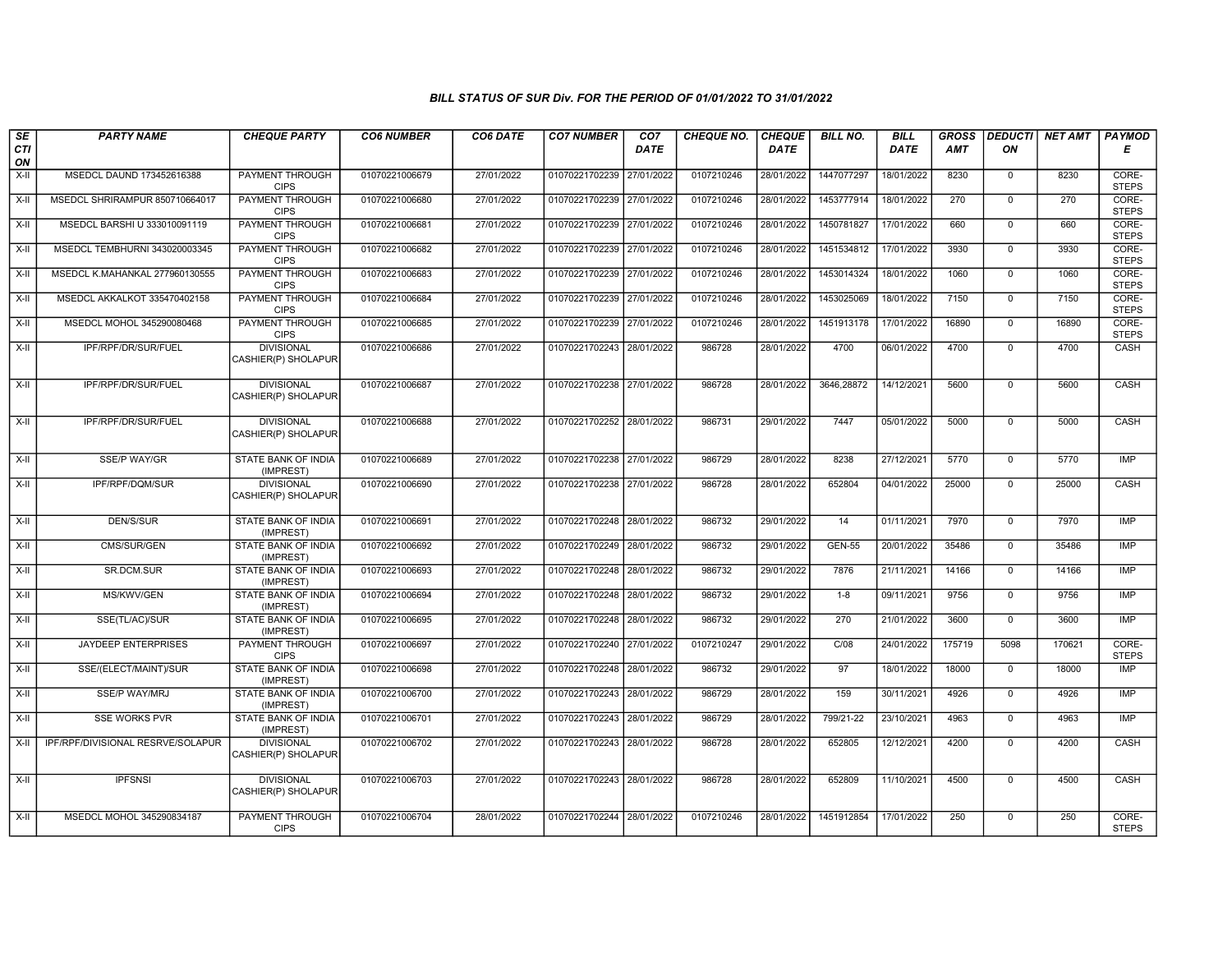| SE               | <b>PARTY NAME</b>                 | <b>CHEQUE PARTY</b>                      | <b>CO6 NUMBER</b> | CO6 DATE   | <b>CO7 NUMBER</b>         | CO <sub>7</sub> | <b>CHEQUE NO.</b> | <b>CHEQUE</b> | <b>BILL NO.</b> | <b>BILL</b> | <b>GROSS</b> | <b>DEDUCTI</b> | <b>NET AMT</b> | <b>PAYMOD</b>         |
|------------------|-----------------------------------|------------------------------------------|-------------------|------------|---------------------------|-----------------|-------------------|---------------|-----------------|-------------|--------------|----------------|----------------|-----------------------|
| <b>CTI</b><br>ON |                                   |                                          |                   |            |                           | <b>DATE</b>     |                   | <b>DATE</b>   |                 | <b>DATE</b> | <b>AMT</b>   | ON             |                | Е                     |
| X-II             | MSEDCL DAUND 173452616388         | <b>PAYMENT THROUGH</b><br><b>CIPS</b>    | 01070221006679    | 27/01/2022 | 01070221702239            | 27/01/2022      | 0107210246        | 28/01/2022    | 1447077297      | 18/01/2022  | 8230         | $\mathbf 0$    | 8230           | CORE-<br><b>STEPS</b> |
| $X-H$            | MSEDCL SHRIRAMPUR 850710664017    | <b>PAYMENT THROUGH</b><br><b>CIPS</b>    | 01070221006680    | 27/01/2022 | 01070221702239 27/01/2022 |                 | 0107210246        | 28/01/2022    | 1453777914      | 18/01/2022  | 270          | $\overline{0}$ | 270            | CORE-<br><b>STEPS</b> |
| X-II             | MSEDCL BARSHI U 333010091119      | <b>PAYMENT THROUGH</b><br><b>CIPS</b>    | 01070221006681    | 27/01/2022 | 01070221702239 27/01/2022 |                 | 0107210246        | 28/01/2022    | 1450781827      | 17/01/2022  | 660          | $\mathbf 0$    | 660            | CORE-<br><b>STEPS</b> |
| $X-H$            | MSEDCL TEMBHURNI 343020003345     | <b>PAYMENT THROUGH</b><br><b>CIPS</b>    | 01070221006682    | 27/01/2022 | 01070221702239            | 27/01/2022      | 0107210246        | 28/01/2022    | 1451534812      | 17/01/2022  | 3930         | $\overline{0}$ | 3930           | CORE-<br><b>STEPS</b> |
| $X-II$           | MSEDCL K.MAHANKAL 277960130555    | <b>PAYMENT THROUGH</b><br><b>CIPS</b>    | 01070221006683    | 27/01/2022 | 01070221702239 27/01/2022 |                 | 0107210246        | 28/01/2022    | 1453014324      | 18/01/2022  | 1060         | $\overline{0}$ | 1060           | CORE-<br><b>STEPS</b> |
| $X-H$            | MSEDCL AKKALKOT 335470402158      | <b>PAYMENT THROUGH</b><br><b>CIPS</b>    | 01070221006684    | 27/01/2022 | 01070221702239 27/01/2022 |                 | 0107210246        | 28/01/2022    | 1453025069      | 18/01/2022  | 7150         | $\overline{0}$ | 7150           | CORE-<br><b>STEPS</b> |
| X-II             | MSEDCL MOHOL 345290080468         | PAYMENT THROUGH<br><b>CIPS</b>           | 01070221006685    | 27/01/2022 | 01070221702239 27/01/2022 |                 | 0107210246        | 28/01/2022    | 1451913178      | 17/01/2022  | 16890        | $\mathbf{0}$   | 16890          | CORE-<br><b>STEPS</b> |
| $X-II$           | IPF/RPF/DR/SUR/FUEL               | <b>DIVISIONAL</b><br>CASHIER(P) SHOLAPUR | 01070221006686    | 27/01/2022 | 01070221702243 28/01/2022 |                 | 986728            | 28/01/2022    | 4700            | 06/01/2022  | 4700         | $\mathbf 0$    | 4700           | CASH                  |
| $X-II$           | IPF/RPF/DR/SUR/FUEL               | <b>DIVISIONAL</b><br>CASHIER(P) SHOLAPUR | 01070221006687    | 27/01/2022 | 01070221702238 27/01/2022 |                 | 986728            | 28/01/2022    | 3646,28872      | 14/12/2021  | 5600         | $\mathbf 0$    | 5600           | CASH                  |
| $X-H$            | IPF/RPF/DR/SUR/FUEL               | <b>DIVISIONAL</b><br>CASHIER(P) SHOLAPUR | 01070221006688    | 27/01/2022 | 01070221702252 28/01/2022 |                 | 986731            | 29/01/2022    | 7447            | 05/01/2022  | 5000         | $\overline{0}$ | 5000           | <b>CASH</b>           |
| $X-H$            | <b>SSE/P WAY/GR</b>               | <b>STATE BANK OF INDIA</b><br>(IMPREST)  | 01070221006689    | 27/01/2022 | 01070221702238 27/01/2022 |                 | 986729            | 28/01/2022    | 8238            | 27/12/2021  | 5770         | $\overline{0}$ | 5770           | IMP                   |
| $X-H$            | IPF/RPF/DQM/SUR                   | <b>DIVISIONAL</b><br>CASHIER(P) SHOLAPUR | 01070221006690    | 27/01/2022 | 01070221702238 27/01/2022 |                 | 986728            | 28/01/2022    | 652804          | 04/01/2022  | 25000        | $\overline{0}$ | 25000          | CASH                  |
| $X-H$            | DEN/S/SUR                         | STATE BANK OF INDIA<br>(IMPREST)         | 01070221006691    | 27/01/2022 | 01070221702248 28/01/2022 |                 | 986732            | 29/01/2022    | 14              | 01/11/2021  | 7970         | $\mathbf 0$    | 7970           | <b>IMP</b>            |
| $X-H$            | CMS/SUR/GEN                       | <b>STATE BANK OF INDIA</b><br>(IMPREST)  | 01070221006692    | 27/01/2022 | 01070221702249 28/01/2022 |                 | 986732            | 29/01/2022    | <b>GEN-55</b>   | 20/01/2022  | 35486        | $\overline{0}$ | 35486          | IMP                   |
| X-II             | <b>SR.DCM.SUR</b>                 | <b>STATE BANK OF INDIA</b><br>(IMPREST)  | 01070221006693    | 27/01/2022 | 01070221702248 28/01/2022 |                 | 986732            | 29/01/2022    | 7876            | 21/11/2021  | 14166        | $\mathbf{0}$   | 14166          | <b>IMP</b>            |
| X-II             | MS/KWV/GEN                        | STATE BANK OF INDIA<br>(IMPREST)         | 01070221006694    | 27/01/2022 | 01070221702248            | 28/01/2022      | 986732            | 29/01/2022    | $1 - 8$         | 09/11/2021  | 9756         | $\mathbf 0$    | 9756           | <b>IMP</b>            |
| $X-II$           | SSE(TL/AC)/SUR                    | <b>STATE BANK OF INDIA</b><br>(IMPREST)  | 01070221006695    | 27/01/2022 | 01070221702248 28/01/2022 |                 | 986732            | 29/01/2022    | 270             | 21/01/2022  | 3600         | $\overline{0}$ | 3600           | IMP                   |
| X-II             | <b>JAYDEEP ENTERPRISES</b>        | <b>PAYMENT THROUGH</b><br><b>CIPS</b>    | 01070221006697    | 27/01/2022 | 01070221702240 27/01/2022 |                 | 0107210247        | 29/01/2022    | C/08            | 24/01/2022  | 175719       | 5098           | 170621         | CORE-<br><b>STEPS</b> |
| $X-H$            | SSE/(ELECT/MAINT)/SUR             | <b>STATE BANK OF INDIA</b><br>(IMPREST)  | 01070221006698    | 27/01/2022 | 01070221702248 28/01/2022 |                 | 986732            | 29/01/2022    | 97              | 18/01/2022  | 18000        | $\overline{0}$ | 18000          | IMP                   |
| X-II             | <b>SSE/P WAY/MRJ</b>              | STATE BANK OF INDIA<br>(IMPREST)         | 01070221006700    | 27/01/2022 | 01070221702243 28/01/2022 |                 | 986729            | 28/01/2022    | 159             | 30/11/2021  | 4926         | $\mathbf 0$    | 4926           | <b>IMP</b>            |
| X-II             | <b>SSE WORKS PVR</b>              | STATE BANK OF INDIA<br>(IMPREST)         | 01070221006701    | 27/01/2022 | 01070221702243            | 28/01/2022      | 986729            | 28/01/2022    | 799/21-22       | 23/10/2021  | 4963         | $\mathbf 0$    | 4963           | <b>IMP</b>            |
| $X-H$            | IPF/RPF/DIVISIONAL RESRVE/SOLAPUR | <b>DIVISIONAL</b><br>CASHIER(P) SHOLAPUR | 01070221006702    | 27/01/2022 | 01070221702243 28/01/2022 |                 | 986728            | 28/01/2022    | 652805          | 12/12/2021  | 4200         | $\mathbf 0$    | 4200           | CASH                  |
| $X-H$            | <b>IPFSNSI</b>                    | <b>DIVISIONAL</b><br>CASHIER(P) SHOLAPUR | 01070221006703    | 27/01/2022 | 01070221702243 28/01/2022 |                 | 986728            | 28/01/2022    | 652809          | 11/10/2021  | 4500         | $\mathbf 0$    | 4500           | CASH                  |
| X-II             | MSEDCL MOHOL 345290834187         | <b>PAYMENT THROUGH</b><br><b>CIPS</b>    | 01070221006704    | 28/01/2022 | 01070221702244 28/01/2022 |                 | 0107210246        | 28/01/2022    | 1451912854      | 17/01/2022  | 250          | $\mathbf 0$    | 250            | CORE-<br><b>STEPS</b> |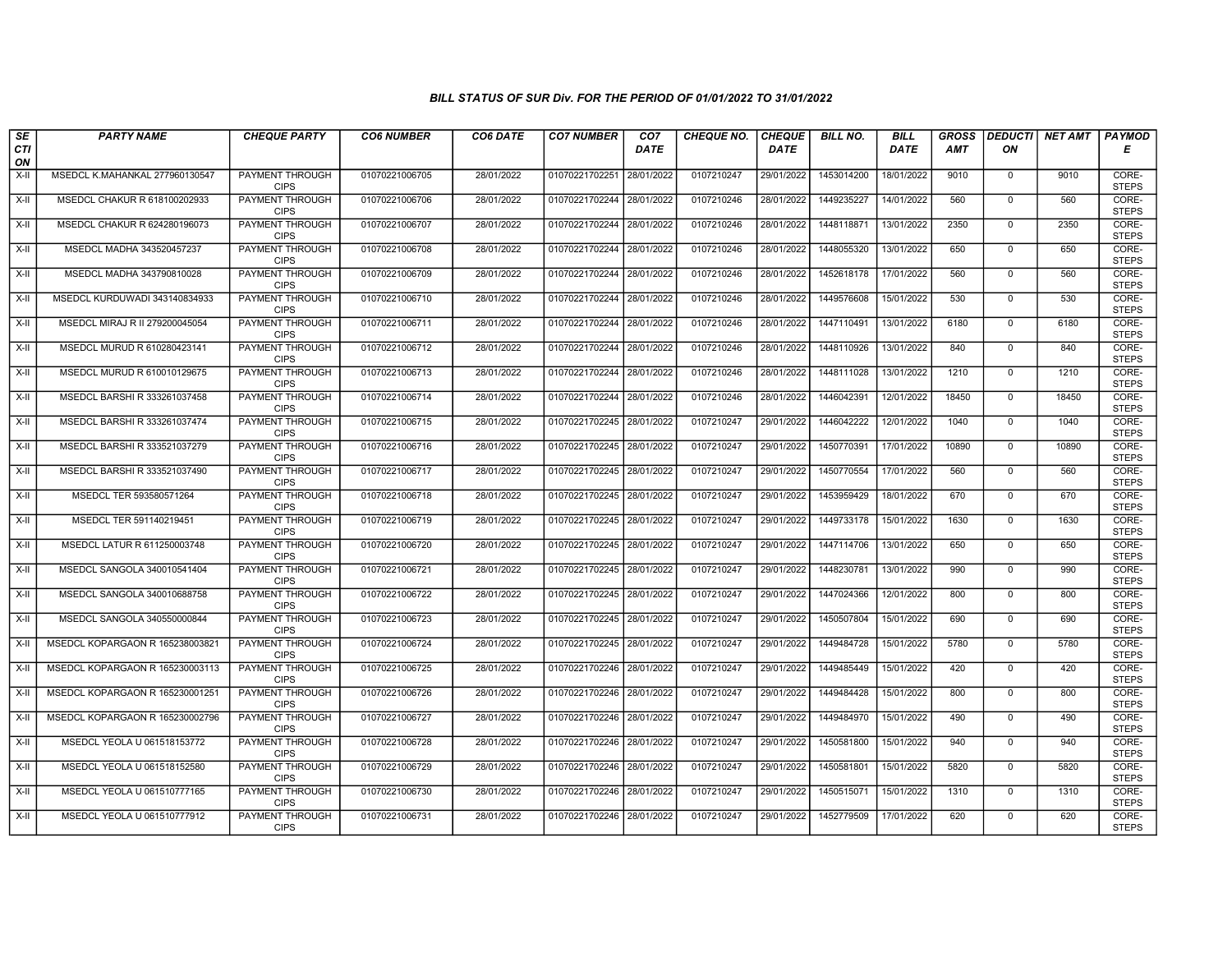| SE               | <b>PARTY NAME</b>               | <b>CHEQUE PARTY</b>                   | <b>CO6 NUMBER</b> | CO6 DATE   | <b>CO7 NUMBER</b>         | CO <sub>7</sub> | <b>CHEQUE NO.</b> | <b>CHEQUE</b> | <b>BILL NO.</b> | <b>BILL</b> | <b>GROSS</b> | <b>DEDUCTI</b> | <b>NET AMT</b> | <b>PAYMOD</b>         |
|------------------|---------------------------------|---------------------------------------|-------------------|------------|---------------------------|-----------------|-------------------|---------------|-----------------|-------------|--------------|----------------|----------------|-----------------------|
| <b>CTI</b><br>ON |                                 |                                       |                   |            |                           | <b>DATE</b>     |                   | <b>DATE</b>   |                 | <b>DATE</b> | <b>AMT</b>   | ΟN             |                | Е                     |
| $X-H$            | MSEDCL K.MAHANKAL 277960130547  | <b>PAYMENT THROUGH</b><br><b>CIPS</b> | 01070221006705    | 28/01/2022 | 01070221702251            | 28/01/2022      | 0107210247        | 29/01/2022    | 1453014200      | 18/01/2022  | 9010         | $\mathbf 0$    | 9010           | CORE-<br><b>STEPS</b> |
| $X-H$            | MSEDCL CHAKUR R 618100202933    | <b>PAYMENT THROUGH</b><br><b>CIPS</b> | 01070221006706    | 28/01/2022 | 01070221702244 28/01/2022 |                 | 0107210246        | 28/01/2022    | 1449235227      | 14/01/2022  | 560          | $\Omega$       | 560            | CORE-<br><b>STEPS</b> |
| X-II             | MSEDCL CHAKUR R 624280196073    | PAYMENT THROUGH<br><b>CIPS</b>        | 01070221006707    | 28/01/2022 | 01070221702244 28/01/2022 |                 | 0107210246        | 28/01/2022    | 1448118871      | 13/01/2022  | 2350         | $\mathbf 0$    | 2350           | CORE-<br><b>STEPS</b> |
| $X-H$            | MSEDCL MADHA 343520457237       | PAYMENT THROUGH<br><b>CIPS</b>        | 01070221006708    | 28/01/2022 | 01070221702244            | 28/01/2022      | 0107210246        | 28/01/2022    | 1448055320      | 13/01/2022  | 650          | $\mathbf{0}$   | 650            | CORE-<br><b>STEPS</b> |
| $X-H$            | MSEDCL MADHA 343790810028       | <b>PAYMENT THROUGH</b><br><b>CIPS</b> | 01070221006709    | 28/01/2022 | 01070221702244 28/01/2022 |                 | 0107210246        | 28/01/2022    | 1452618178      | 17/01/2022  | 560          | $\mathbf 0$    | 560            | CORE-<br><b>STEPS</b> |
| X-II             | MSEDCL KURDUWADI 343140834933   | PAYMENT THROUGH<br><b>CIPS</b>        | 01070221006710    | 28/01/2022 | 01070221702244 28/01/2022 |                 | 0107210246        | 28/01/2022    | 1449576608      | 15/01/2022  | 530          | $\mathbf 0$    | 530            | CORE-<br><b>STEPS</b> |
| X-II             | MSEDCL MIRAJ R II 279200045054  | PAYMENT THROUGH<br><b>CIPS</b>        | 01070221006711    | 28/01/2022 | 01070221702244            | 28/01/2022      | 0107210246        | 28/01/2022    | 1447110491      | 13/01/2022  | 6180         | $\mathbf 0$    | 6180           | CORE-<br><b>STEPS</b> |
| $X-H$            | MSEDCL MURUD R 610280423141     | <b>PAYMENT THROUGH</b><br><b>CIPS</b> | 01070221006712    | 28/01/2022 | 01070221702244 28/01/2022 |                 | 0107210246        | 28/01/2022    | 1448110926      | 13/01/2022  | 840          | $\overline{0}$ | 840            | CORE-<br><b>STEPS</b> |
| X-II             | MSEDCL MURUD R 610010129675     | <b>PAYMENT THROUGH</b><br><b>CIPS</b> | 01070221006713    | 28/01/2022 | 01070221702244 28/01/2022 |                 | 0107210246        | 28/01/2022    | 1448111028      | 13/01/2022  | 1210         | $\mathbf 0$    | 1210           | CORE-<br><b>STEPS</b> |
| $X-H$            | MSEDCL BARSHI R 333261037458    | <b>PAYMENT THROUGH</b><br><b>CIPS</b> | 01070221006714    | 28/01/2022 | 01070221702244 28/01/2022 |                 | 0107210246        | 28/01/2022    | 1446042391      | 12/01/2022  | 18450        | $\overline{0}$ | 18450          | CORE-<br><b>STEPS</b> |
| X-II             | MSEDCL BARSHI R 333261037474    | PAYMENT THROUGH<br><b>CIPS</b>        | 01070221006715    | 28/01/2022 | 01070221702245 28/01/2022 |                 | 0107210247        | 29/01/2022    | 1446042222      | 12/01/2022  | 1040         | $\mathbf{0}$   | 1040           | CORE-<br><b>STEPS</b> |
| X-II             | MSEDCL BARSHI R 333521037279    | PAYMENT THROUGH<br><b>CIPS</b>        | 01070221006716    | 28/01/2022 | 01070221702245 28/01/2022 |                 | 0107210247        | 29/01/2022    | 1450770391      | 17/01/2022  | 10890        | $\mathbf 0$    | 10890          | CORE-<br><b>STEPS</b> |
| $X-H$            | MSEDCL BARSHI R 333521037490    | PAYMENT THROUGH<br><b>CIPS</b>        | 01070221006717    | 28/01/2022 | 01070221702245 28/01/2022 |                 | 0107210247        | 29/01/2022    | 1450770554      | 17/01/2022  | 560          | $\overline{0}$ | 560            | CORE-<br><b>STEPS</b> |
| X-II             | MSEDCL TER 593580571264         | <b>PAYMENT THROUGH</b><br><b>CIPS</b> | 01070221006718    | 28/01/2022 | 01070221702245 28/01/2022 |                 | 0107210247        | 29/01/2022    | 1453959429      | 18/01/2022  | 670          | $\mathbf{0}$   | 670            | CORE-<br><b>STEPS</b> |
| X-II             | MSEDCL TER 591140219451         | PAYMENT THROUGH<br><b>CIPS</b>        | 01070221006719    | 28/01/2022 | 01070221702245 28/01/2022 |                 | 0107210247        | 29/01/2022    | 1449733178      | 15/01/2022  | 1630         | $\Omega$       | 1630           | CORE-<br><b>STEPS</b> |
| X-II             | MSEDCL LATUR R 611250003748     | PAYMENT THROUGH<br><b>CIPS</b>        | 01070221006720    | 28/01/2022 | 01070221702245 28/01/2022 |                 | 0107210247        | 29/01/2022    | 1447114706      | 13/01/2022  | 650          | $\mathbf{0}$   | 650            | CORE-<br><b>STEPS</b> |
| X-II             | MSEDCL SANGOLA 340010541404     | PAYMENT THROUGH<br><b>CIPS</b>        | 01070221006721    | 28/01/2022 | 01070221702245 28/01/2022 |                 | 0107210247        | 29/01/2022    | 1448230781      | 13/01/2022  | 990          | $\mathbf{0}$   | 990            | CORE-<br><b>STEPS</b> |
| $X-H$            | MSEDCL SANGOLA 340010688758     | <b>PAYMENT THROUGH</b><br><b>CIPS</b> | 01070221006722    | 28/01/2022 | 01070221702245 28/01/2022 |                 | 0107210247        | 29/01/2022    | 1447024366      | 12/01/2022  | 800          | $\mathbf 0$    | 800            | CORE-<br><b>STEPS</b> |
| $X-II$           | MSEDCL SANGOLA 340550000844     | <b>PAYMENT THROUGH</b><br><b>CIPS</b> | 01070221006723    | 28/01/2022 | 01070221702245 28/01/2022 |                 | 0107210247        | 29/01/2022    | 1450507804      | 15/01/2022  | 690          | $\mathbf 0$    | 690            | CORE-<br><b>STEPS</b> |
| X-II             | MSEDCL KOPARGAON R 165238003821 | PAYMENT THROUGH<br><b>CIPS</b>        | 01070221006724    | 28/01/2022 | 01070221702245 28/01/2022 |                 | 0107210247        | 29/01/2022    | 1449484728      | 15/01/2022  | 5780         | $\mathbf{0}$   | 5780           | CORE-<br><b>STEPS</b> |
| $X-II$           | MSEDCL KOPARGAON R 165230003113 | PAYMENT THROUGH<br><b>CIPS</b>        | 01070221006725    | 28/01/2022 | 01070221702246 28/01/2022 |                 | 0107210247        | 29/01/2022    | 1449485449      | 15/01/2022  | 420          | $\mathbf{0}$   | 420            | CORE-<br><b>STEPS</b> |
| X-II             | MSEDCL KOPARGAON R 165230001251 | <b>PAYMENT THROUGH</b><br><b>CIPS</b> | 01070221006726    | 28/01/2022 | 01070221702246 28/01/2022 |                 | 0107210247        | 29/01/2022    | 1449484428      | 15/01/2022  | 800          | $\Omega$       | 800            | CORE-<br><b>STEPS</b> |
| X-II             | MSEDCL KOPARGAON R 165230002796 | PAYMENT THROUGH<br><b>CIPS</b>        | 01070221006727    | 28/01/2022 | 01070221702246            | 28/01/2022      | 0107210247        | 29/01/2022    | 1449484970      | 15/01/2022  | 490          | $\mathbf 0$    | 490            | CORE-<br><b>STEPS</b> |
| $X-H$            | MSEDCL YEOLA U 061518153772     | PAYMENT THROUGH<br><b>CIPS</b>        | 01070221006728    | 28/01/2022 | 01070221702246            | 28/01/2022      | 0107210247        | 29/01/2022    | 1450581800      | 15/01/2022  | 940          | $\mathbf{0}$   | 940            | CORE-<br><b>STEPS</b> |
| X-II             | MSEDCL YEOLA U 061518152580     | PAYMENT THROUGH<br><b>CIPS</b>        | 01070221006729    | 28/01/2022 | 01070221702246 28/01/2022 |                 | 0107210247        | 29/01/2022    | 1450581801      | 15/01/2022  | 5820         | $\Omega$       | 5820           | CORE-<br><b>STEPS</b> |
| $X-II$           | MSEDCL YEOLA U 061510777165     | <b>PAYMENT THROUGH</b><br><b>CIPS</b> | 01070221006730    | 28/01/2022 | 01070221702246 28/01/2022 |                 | 0107210247        | 29/01/2022    | 1450515071      | 15/01/2022  | 1310         | $\mathbf 0$    | 1310           | CORE-<br><b>STEPS</b> |
| X-II             | MSEDCL YEOLA U 061510777912     | PAYMENT THROUGH<br><b>CIPS</b>        | 01070221006731    | 28/01/2022 | 01070221702246 28/01/2022 |                 | 0107210247        | 29/01/2022    | 1452779509      | 17/01/2022  | 620          | $\mathbf{0}$   | 620            | CORE-<br><b>STEPS</b> |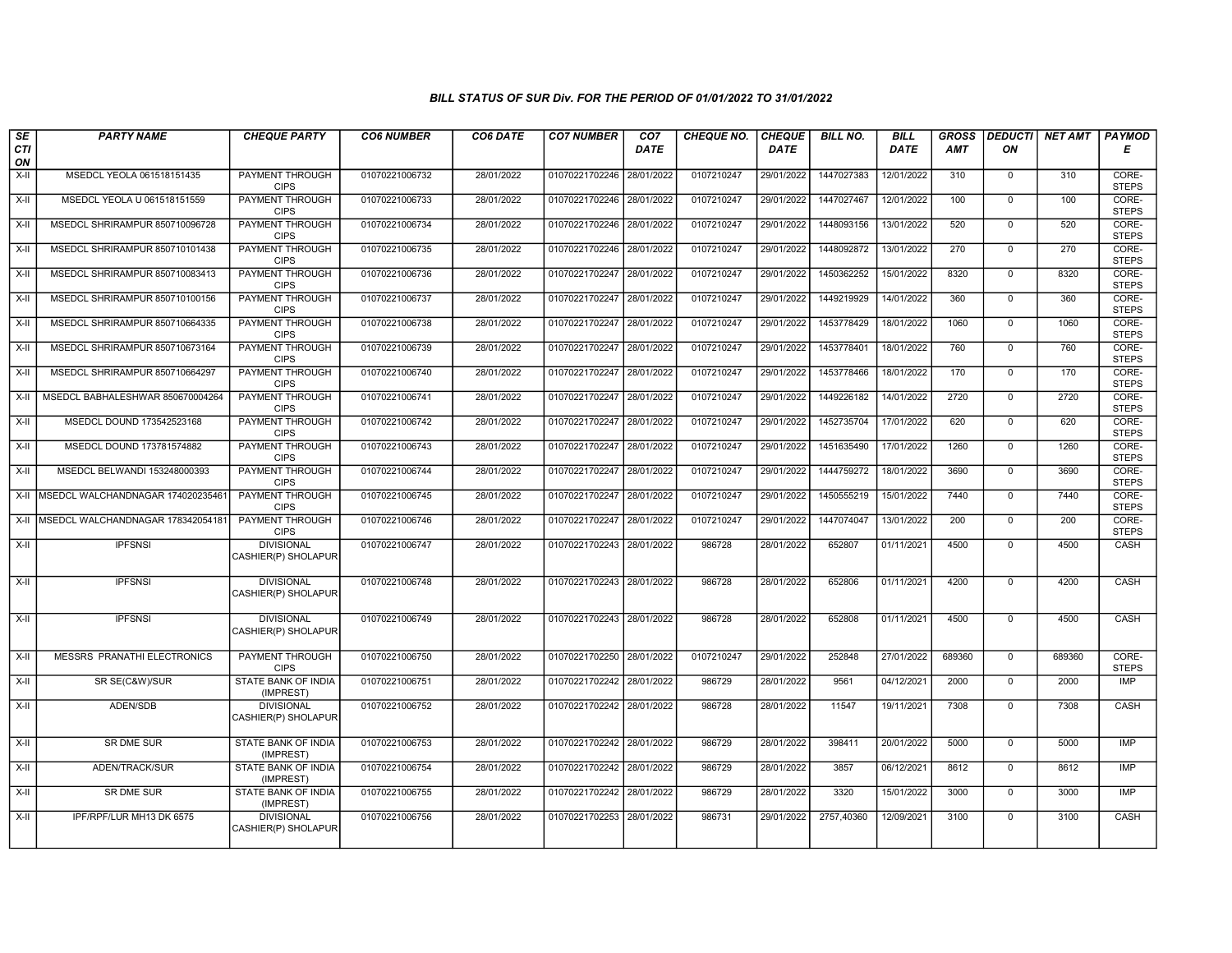| $s_E$<br><b>CTI</b> | <b>PARTY NAME</b>                      | <b>CHEQUE PARTY</b>                      | <b>CO6 NUMBER</b> | CO6 DATE   | <b>CO7 NUMBER</b>         | CO <sub>7</sub><br><b>DATE</b> | <b>CHEQUE NO.</b> | <b>CHEQUE</b><br>DATE | <b>BILL NO.</b> | <b>BILL</b><br>DATE | <b>GROSS</b><br>AMT | DEDUCTI  <br>ON | NET AMT | <b>PAYMOD</b><br>Е    |
|---------------------|----------------------------------------|------------------------------------------|-------------------|------------|---------------------------|--------------------------------|-------------------|-----------------------|-----------------|---------------------|---------------------|-----------------|---------|-----------------------|
| ON                  |                                        |                                          |                   |            |                           |                                |                   |                       |                 |                     |                     |                 |         |                       |
| X-II                | MSEDCL YEOLA 061518151435              | <b>PAYMENT THROUGH</b><br><b>CIPS</b>    | 01070221006732    | 28/01/2022 | 01070221702246            | 28/01/2022                     | 0107210247        | 29/01/2022            | 1447027383      | 12/01/2022          | 310                 | $\mathbf{0}$    | 310     | CORE-<br><b>STEPS</b> |
| X-II                | MSEDCL YEOLA U 061518151559            | PAYMENT THROUGH<br><b>CIPS</b>           | 01070221006733    | 28/01/2022 | 01070221702246 28/01/2022 |                                | 0107210247        | 29/01/2022            | 1447027467      | 12/01/2022          | 100                 | $\overline{0}$  | 100     | CORE-<br><b>STEPS</b> |
| X-II                | MSEDCL SHRIRAMPUR 850710096728         | PAYMENT THROUGH<br><b>CIPS</b>           | 01070221006734    | 28/01/2022 | 01070221702246 28/01/2022 |                                | 0107210247        | 29/01/2022            | 1448093156      | 13/01/2022          | 520                 | $\Omega$        | 520     | CORE-<br><b>STEPS</b> |
| X-II                | MSEDCL SHRIRAMPUR 850710101438         | PAYMENT THROUGH<br><b>CIPS</b>           | 01070221006735    | 28/01/2022 | 01070221702246 28/01/2022 |                                | 0107210247        | 29/01/2022            | 1448092872      | 13/01/2022          | 270                 | $\overline{0}$  | 270     | CORE-<br><b>STEPS</b> |
| $X-H$               | MSEDCL SHRIRAMPUR 850710083413         | <b>PAYMENT THROUGH</b><br><b>CIPS</b>    | 01070221006736    | 28/01/2022 | 01070221702247            | 28/01/2022                     | 0107210247        | 29/01/2022            | 1450362252      | 15/01/2022          | 8320                | $\overline{0}$  | 8320    | CORE-<br><b>STEPS</b> |
| X-II                | MSEDCL SHRIRAMPUR 850710100156         | <b>PAYMENT THROUGH</b><br><b>CIPS</b>    | 01070221006737    | 28/01/2022 | 01070221702247            | 28/01/2022                     | 0107210247        | 29/01/2022            | 1449219929      | 14/01/2022          | 360                 | $\overline{0}$  | 360     | CORE-<br><b>STEPS</b> |
| X-II                | MSEDCL SHRIRAMPUR 850710664335         | PAYMENT THROUGH<br><b>CIPS</b>           | 01070221006738    | 28/01/2022 | 01070221702247 28/01/2022 |                                | 0107210247        | 29/01/2022            | 1453778429      | 18/01/2022          | 1060                | $\mathbf{0}$    | 1060    | CORE-<br><b>STEPS</b> |
| X-II                | MSEDCL SHRIRAMPUR 850710673164         | PAYMENT THROUGH<br><b>CIPS</b>           | 01070221006739    | 28/01/2022 | 01070221702247 28/01/2022 |                                | 0107210247        | 29/01/2022            | 1453778401      | 18/01/2022          | 760                 | $\overline{0}$  | 760     | CORE-<br><b>STEPS</b> |
| X-II                | MSEDCL SHRIRAMPUR 850710664297         | PAYMENT THROUGH<br><b>CIPS</b>           | 01070221006740    | 28/01/2022 | 01070221702247            | 28/01/2022                     | 0107210247        | 29/01/2022            | 1453778466      | 18/01/2022          | 170                 | $\overline{0}$  | 170     | CORE-<br><b>STEPS</b> |
| X-II                | MSEDCL BABHALESHWAR 850670004264       | <b>PAYMENT THROUGH</b><br><b>CIPS</b>    | 01070221006741    | 28/01/2022 | 01070221702247 28/01/2022 |                                | 0107210247        | 29/01/2022            | 1449226182      | 14/01/2022          | 2720                | $\overline{0}$  | 2720    | CORE-<br><b>STEPS</b> |
| $X-II$              | MSEDCL DOUND 173542523168              | PAYMENT THROUGH<br><b>CIPS</b>           | 01070221006742    | 28/01/2022 | 01070221702247            | 28/01/2022                     | 0107210247        | 29/01/2022            | 1452735704      | 17/01/2022          | 620                 | $\mathbf{0}$    | 620     | CORE-<br><b>STEPS</b> |
| $X-II$              | MSEDCL DOUND 173781574882              | <b>PAYMENT THROUGH</b><br><b>CIPS</b>    | 01070221006743    | 28/01/2022 | 01070221702247            | 28/01/2022                     | 0107210247        | 29/01/2022            | 1451635490      | 17/01/2022          | 1260                | $\overline{0}$  | 1260    | CORE-<br><b>STEPS</b> |
| X-II                | MSEDCL BELWANDI 153248000393           | PAYMENT THROUGH<br><b>CIPS</b>           | 01070221006744    | 28/01/2022 | 01070221702247            | 28/01/2022                     | 0107210247        | 29/01/2022            | 1444759272      | 18/01/2022          | 3690                | $\overline{0}$  | 3690    | CORE-<br><b>STEPS</b> |
|                     | X-II MSEDCL WALCHANDNAGAR 174020235461 | PAYMENT THROUGH<br><b>CIPS</b>           | 01070221006745    | 28/01/2022 | 01070221702247            | 28/01/2022                     | 0107210247        | 29/01/2022            | 1450555219      | 15/01/2022          | 7440                | $\overline{0}$  | 7440    | CORE-<br><b>STEPS</b> |
| X-II                | MSEDCL WALCHANDNAGAR 178342054181      | PAYMENT THROUGH<br><b>CIPS</b>           | 01070221006746    | 28/01/2022 | 01070221702247 28/01/2022 |                                | 0107210247        | 29/01/2022            | 1447074047      | 13/01/2022          | 200                 | $\Omega$        | 200     | CORE-<br><b>STEPS</b> |
| X-II                | <b>IPFSNSI</b>                         | <b>DIVISIONAL</b><br>CASHIER(P) SHOLAPUR | 01070221006747    | 28/01/2022 | 01070221702243 28/01/2022 |                                | 986728            | 28/01/2022            | 652807          | 01/11/2021          | 4500                | $\overline{0}$  | 4500    | CASH                  |
| X-II                | <b>IPFSNSI</b>                         | <b>DIVISIONAL</b><br>CASHIER(P) SHOLAPUR | 01070221006748    | 28/01/2022 | 01070221702243 28/01/2022 |                                | 986728            | 28/01/2022            | 652806          | 01/11/2021          | 4200                | $\Omega$        | 4200    | CASH                  |
| X-II                | <b>IPFSNSI</b>                         | <b>DIVISIONAL</b><br>CASHIER(P) SHOLAPUR | 01070221006749    | 28/01/2022 | 01070221702243 28/01/2022 |                                | 986728            | 28/01/2022            | 652808          | 01/11/2021          | 4500                | $\mathbf 0$     | 4500    | CASH                  |
| X-II                | <b>MESSRS PRANATHI ELECTRONICS</b>     | <b>PAYMENT THROUGH</b><br><b>CIPS</b>    | 01070221006750    | 28/01/2022 | 01070221702250 28/01/2022 |                                | 0107210247        | 29/01/2022            | 252848          | 27/01/2022          | 689360              | $\overline{0}$  | 689360  | CORE-<br><b>STEPS</b> |
| X-II                | SR SE(C&W)/SUR                         | STATE BANK OF INDIA<br>(IMPREST)         | 01070221006751    | 28/01/2022 | 01070221702242 28/01/2022 |                                | 986729            | 28/01/2022            | 9561            | 04/12/2021          | 2000                | $\mathbf{0}$    | 2000    | IMP                   |
| X-II                | ADEN/SDB                               | <b>DIVISIONAL</b><br>CASHIER(P) SHOLAPUR | 01070221006752    | 28/01/2022 | 01070221702242 28/01/2022 |                                | 986728            | 28/01/2022            | 11547           | 19/11/2021          | 7308                | $\mathbf 0$     | 7308    | CASH                  |
| X-II                | <b>SR DME SUR</b>                      | <b>STATE BANK OF INDIA</b><br>(IMPREST)  | 01070221006753    | 28/01/2022 | 01070221702242 28/01/2022 |                                | 986729            | 28/01/2022            | 398411          | 20/01/2022          | 5000                | $\overline{0}$  | 5000    | IMP                   |
| X-II                | ADEN/TRACK/SUR                         | STATE BANK OF INDIA<br>(IMPREST)         | 01070221006754    | 28/01/2022 | 01070221702242 28/01/2022 |                                | 986729            | 28/01/2022            | 3857            | 06/12/2021          | 8612                | $\mathbf{0}$    | 8612    | <b>IMP</b>            |
| X-II                | SR DME SUR                             | STATE BANK OF INDIA<br>(IMPREST)         | 01070221006755    | 28/01/2022 | 01070221702242 28/01/2022 |                                | 986729            | 28/01/2022            | 3320            | 15/01/2022          | 3000                | $\mathbf{0}$    | 3000    | <b>IMP</b>            |
| X-II                | IPF/RPF/LUR MH13 DK 6575               | <b>DIVISIONAL</b><br>CASHIER(P) SHOLAPUR | 01070221006756    | 28/01/2022 | 01070221702253            | 28/01/2022                     | 986731            | 29/01/2022            | 2757,40360      | 12/09/2021          | 3100                | $\mathbf 0$     | 3100    | CASH                  |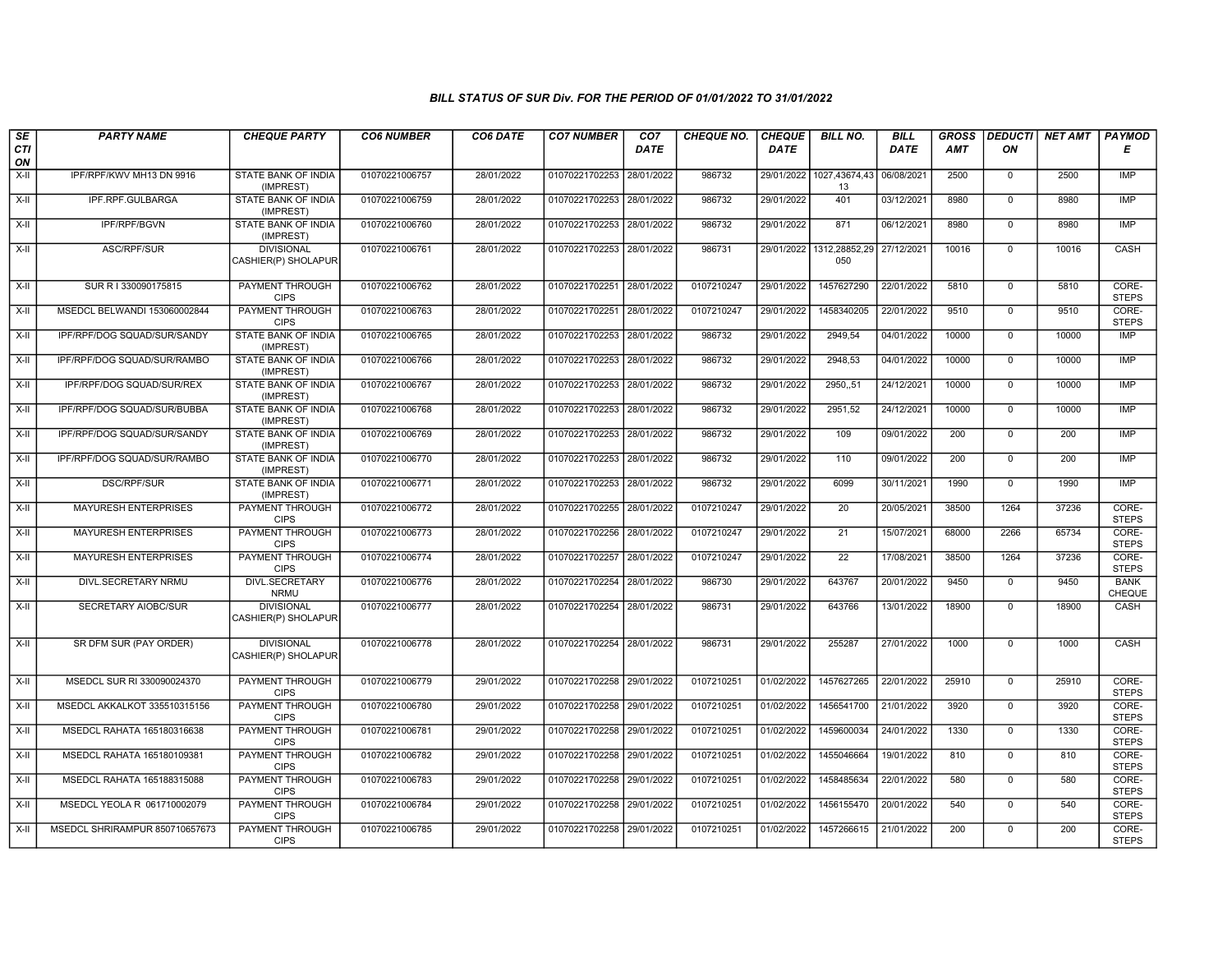| SE        | <b>PARTY NAME</b>              | <b>CHEQUE PARTY</b>                      | <b>CO6 NUMBER</b> | CO6 DATE   | <b>CO7 NUMBER</b>         | CO7         | <b>CHEQUE NO.</b> | <b>CHEQUE</b> | <b>BILL NO.</b>                | <b>BILL</b> | <b>GROSS</b> | <b>DEDUCTI</b> | <b>NET AMT</b> | <b>PAYMOD</b>                |
|-----------|--------------------------------|------------------------------------------|-------------------|------------|---------------------------|-------------|-------------------|---------------|--------------------------------|-------------|--------------|----------------|----------------|------------------------------|
| CTI<br>ON |                                |                                          |                   |            |                           | <b>DATE</b> |                   | <b>DATE</b>   |                                | DATE        | AMT          | ON             |                | Е                            |
| $X-H$     | IPF/RPF/KWV MH13 DN 9916       | <b>STATE BANK OF INDIA</b><br>(IMPREST)  | 01070221006757    | 28/01/2022 | 01070221702253            | 28/01/2022  | 986732            |               | 29/01/2022 1027,43674,43<br>13 | 06/08/2021  | 2500         | $\mathbf 0$    | 2500           | <b>IMP</b>                   |
| $X-H$     | IPF.RPF.GULBARGA               | <b>STATE BANK OF INDIA</b><br>(IMPREST)  | 01070221006759    | 28/01/2022 | 01070221702253 28/01/2022 |             | 986732            | 29/01/2022    | 401                            | 03/12/2021  | 8980         | $\mathbf{0}$   | 8980           | <b>IMP</b>                   |
| X-II      | IPF/RPF/BGVN                   | STATE BANK OF INDIA<br>(IMPREST)         | 01070221006760    | 28/01/2022 | 01070221702253 28/01/2022 |             | 986732            | 29/01/2022    | 871                            | 06/12/2021  | 8980         | $\mathbf 0$    | 8980           | <b>IMP</b>                   |
| X-II      | ASC/RPF/SUR                    | <b>DIVISIONAL</b><br>CASHIER(P) SHOLAPUR | 01070221006761    | 28/01/2022 | 01070221702253            | 28/01/2022  | 986731            | 29/01/2022    | 1312.28852.29<br>050           | 27/12/2021  | 10016        | $\mathbf 0$    | 10016          | CASH                         |
| X-II      | SUR R I 330090175815           | PAYMENT THROUGH<br><b>CIPS</b>           | 01070221006762    | 28/01/2022 | 01070221702251            | 28/01/2022  | 0107210247        | 29/01/2022    | 1457627290                     | 22/01/2022  | 5810         | $\Omega$       | 5810           | CORE-<br><b>STEPS</b>        |
| X-II      | MSEDCL BELWANDI 153060002844   | <b>PAYMENT THROUGH</b><br><b>CIPS</b>    | 01070221006763    | 28/01/2022 | 01070221702251            | 28/01/2022  | 0107210247        | 29/01/2022    | 1458340205                     | 22/01/2022  | 9510         | $\mathbf{0}$   | 9510           | CORE-<br><b>STEPS</b>        |
| $X-H$     | IPF/RPF/DOG SQUAD/SUR/SANDY    | <b>STATE BANK OF INDIA</b><br>(IMPREST)  | 01070221006765    | 28/01/2022 | 01070221702253            | 28/01/2022  | 986732            | 29/01/2022    | 2949,54                        | 04/01/2022  | 10000        | $\overline{0}$ | 10000          | IMP                          |
| X-II      | IPF/RPF/DOG SQUAD/SUR/RAMBO    | STATE BANK OF INDIA<br>(IMPREST)         | 01070221006766    | 28/01/2022 | 01070221702253 28/01/2022 |             | 986732            | 29/01/2022    | 2948,53                        | 04/01/2022  | 10000        | $\mathbf{0}$   | 10000          | IMP                          |
| X-II      | IPF/RPF/DOG SQUAD/SUR/REX      | STATE BANK OF INDIA<br>(IMPREST)         | 01070221006767    | 28/01/2022 | 01070221702253            | 28/01/2022  | 986732            | 29/01/2022    | 2950,,51                       | 24/12/2021  | 10000        | $\mathbf 0$    | 10000          | <b>IMP</b>                   |
| $X-II$    | IPF/RPF/DOG SQUAD/SUR/BUBBA    | STATE BANK OF INDIA<br>(IMPREST)         | 01070221006768    | 28/01/2022 | 01070221702253            | 28/01/2022  | 986732            | 29/01/2022    | 2951,52                        | 24/12/2021  | 10000        | $\overline{0}$ | 10000          | IMP                          |
| $X-II$    | IPF/RPF/DOG SQUAD/SUR/SANDY    | STATE BANK OF INDIA<br>(IMPREST)         | 01070221006769    | 28/01/2022 | 01070221702253 28/01/2022 |             | 986732            | 29/01/2022    | 109                            | 09/01/2022  | 200          | $\overline{0}$ | 200            | IMP                          |
| $X-H$     | IPF/RPF/DOG SQUAD/SUR/RAMBO    | STATE BANK OF INDIA<br>(IMPREST)         | 01070221006770    | 28/01/2022 | 01070221702253 28/01/2022 |             | 986732            | 29/01/2022    | 110                            | 09/01/2022  | 200          | $\mathbf 0$    | 200            | <b>IMP</b>                   |
| X-II      | DSC/RPF/SUR                    | STATE BANK OF INDIA<br>(IMPREST)         | 01070221006771    | 28/01/2022 | 01070221702253            | 28/01/2022  | 986732            | 29/01/2022    | 6099                           | 30/11/2021  | 1990         | $\mathsf 0$    | 1990           | <b>IMP</b>                   |
| X-II      | <b>MAYURESH ENTERPRISES</b>    | <b>PAYMENT THROUGH</b><br><b>CIPS</b>    | 01070221006772    | 28/01/2022 | 01070221702255            | 28/01/2022  | 0107210247        | 29/01/2022    | 20                             | 20/05/2021  | 38500        | 1264           | 37236          | CORE-<br><b>STEPS</b>        |
| X-II      | <b>MAYURESH ENTERPRISES</b>    | PAYMENT THROUGH<br><b>CIPS</b>           | 01070221006773    | 28/01/2022 | 01070221702256 28/01/2022 |             | 0107210247        | 29/01/2022    | 21                             | 15/07/2021  | 68000        | 2266           | 65734          | CORE-<br><b>STEPS</b>        |
| $X-H$     | <b>MAYURESH ENTERPRISES</b>    | <b>PAYMENT THROUGH</b><br><b>CIPS</b>    | 01070221006774    | 28/01/2022 | 01070221702257            | 28/01/2022  | 0107210247        | 29/01/2022    | $\overline{22}$                | 17/08/2021  | 38500        | 1264           | 37236          | CORE-<br><b>STEPS</b>        |
| X-II      | DIVL.SECRETARY NRMU            | <b>DIVL.SECRETARY</b><br><b>NRMU</b>     | 01070221006776    | 28/01/2022 | 01070221702254            | 28/01/2022  | 986730            | 29/01/2022    | 643767                         | 20/01/2022  | 9450         | $\mathbf 0$    | 9450           | <b>BANK</b><br><b>CHEQUE</b> |
| X-II      | SECRETARY AIOBC/SUR            | <b>DIVISIONAL</b><br>CASHIER(P) SHOLAPUR | 01070221006777    | 28/01/2022 | 01070221702254 28/01/2022 |             | 986731            | 29/01/2022    | 643766                         | 13/01/2022  | 18900        | $\mathbf{0}$   | 18900          | CASH                         |
| $X-H$     | SR DFM SUR (PAY ORDER)         | <b>DIVISIONAL</b><br>CASHIER(P) SHOLAPUR | 01070221006778    | 28/01/2022 | 01070221702254 28/01/2022 |             | 986731            | 29/01/2022    | 255287                         | 27/01/2022  | 1000         | $\overline{0}$ | 1000           | CASH                         |
| $X-H$     | MSEDCL SUR RI 330090024370     | <b>PAYMENT THROUGH</b><br><b>CIPS</b>    | 01070221006779    | 29/01/2022 | 01070221702258 29/01/2022 |             | 0107210251        | 01/02/2022    | 1457627265                     | 22/01/2022  | 25910        | $\mathbf{0}$   | 25910          | CORE-<br><b>STEPS</b>        |
| X-II      | MSEDCL AKKALKOT 335510315156   | <b>PAYMENT THROUGH</b><br><b>CIPS</b>    | 01070221006780    | 29/01/2022 | 01070221702258 29/01/2022 |             | 0107210251        | 01/02/2022    | 1456541700                     | 21/01/2022  | 3920         | $\mathbf{0}$   | 3920           | CORE-<br><b>STEPS</b>        |
| X-II      | MSEDCL RAHATA 165180316638     | PAYMENT THROUGH<br><b>CIPS</b>           | 01070221006781    | 29/01/2022 | 01070221702258            | 29/01/2022  | 0107210251        | 01/02/2022    | 1459600034                     | 24/01/2022  | 1330         | $\Omega$       | 1330           | CORE-<br><b>STEPS</b>        |
| X-II      | MSEDCL RAHATA 165180109381     | <b>PAYMENT THROUGH</b><br><b>CIPS</b>    | 01070221006782    | 29/01/2022 | 01070221702258            | 29/01/2022  | 0107210251        | 01/02/2022    | 1455046664                     | 19/01/2022  | 810          | $\mathbf 0$    | 810            | CORE-<br><b>STEPS</b>        |
| $X-H$     | MSEDCL RAHATA 165188315088     | PAYMENT THROUGH<br><b>CIPS</b>           | 01070221006783    | 29/01/2022 | 01070221702258 29/01/2022 |             | 0107210251        | 01/02/2022    | 1458485634                     | 22/01/2022  | 580          | $\mathbf{0}$   | 580            | CORE-<br><b>STEPS</b>        |
| $X-H$     | MSEDCL YEOLA R 061710002079    | <b>PAYMENT THROUGH</b><br><b>CIPS</b>    | 01070221006784    | 29/01/2022 | 01070221702258            | 29/01/2022  | 0107210251        | 01/02/2022    | 1456155470                     | 20/01/2022  | 540          | $\mathbf{0}$   | 540            | CORE-<br><b>STEPS</b>        |
| X-II      | MSEDCL SHRIRAMPUR 850710657673 | <b>PAYMENT THROUGH</b><br><b>CIPS</b>    | 01070221006785    | 29/01/2022 | 01070221702258 29/01/2022 |             | 0107210251        | 01/02/2022    | 1457266615                     | 21/01/2022  | 200          | $\mathbf 0$    | 200            | CORE-<br><b>STEPS</b>        |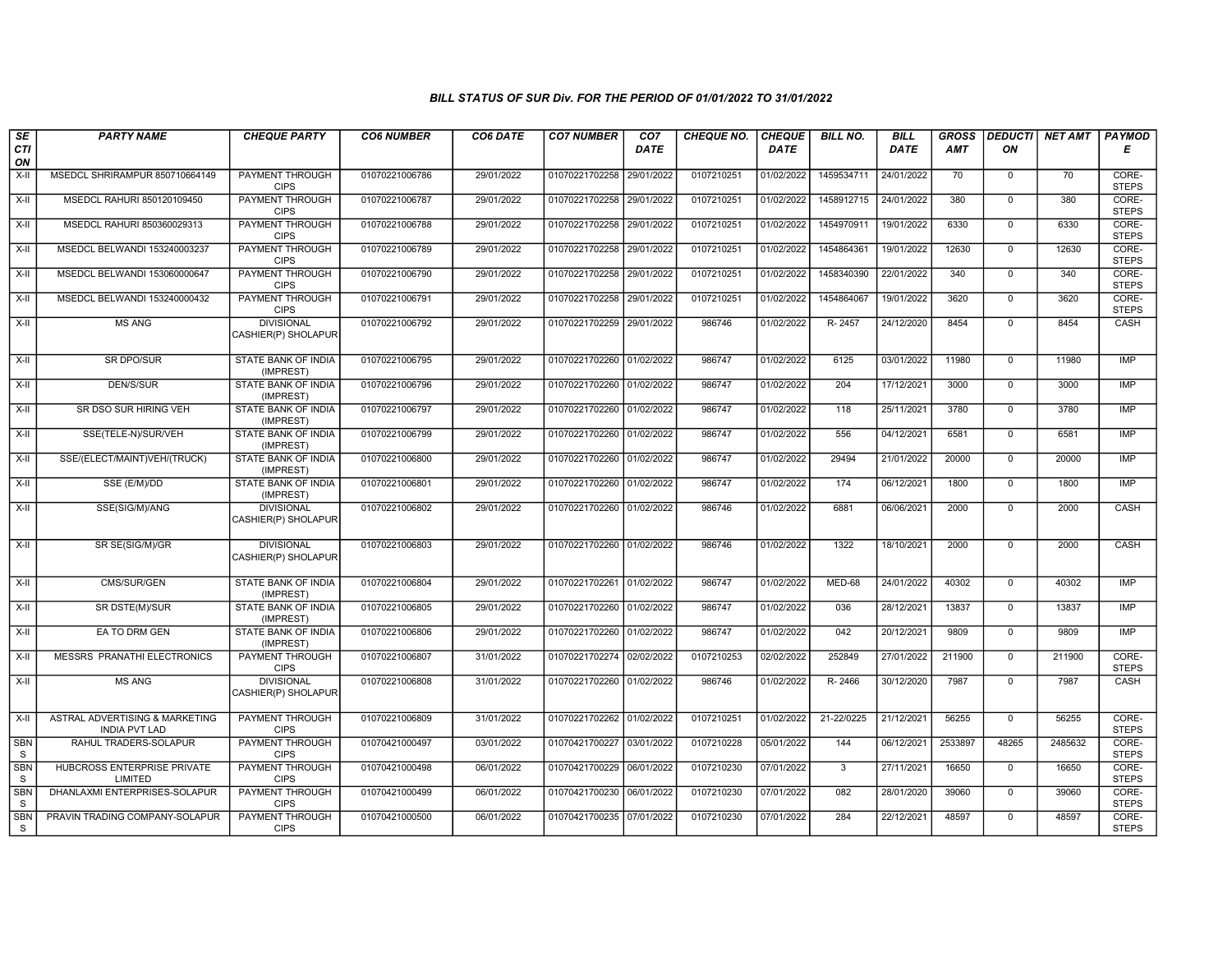| SE                         | <b>PARTY NAME</b>                                      | <b>CHEQUE PARTY</b>                      | <b>CO6 NUMBER</b> | CO6 DATE   | <b>CO7 NUMBER</b>         | CO <sub>7</sub> | <b>CHEQUE NO.</b> | <b>CHEQUE</b> | <b>BILL NO.</b>         | <b>BILL</b> | <b>GROSS</b> |                | DEDUCTI NET AMT | <b>PAYMOD</b>         |
|----------------------------|--------------------------------------------------------|------------------------------------------|-------------------|------------|---------------------------|-----------------|-------------------|---------------|-------------------------|-------------|--------------|----------------|-----------------|-----------------------|
| CTI<br>ON                  |                                                        |                                          |                   |            |                           | <b>DATE</b>     |                   | <b>DATE</b>   |                         | DATE        | <b>AMT</b>   | ON             |                 | Е                     |
| X-II                       | MSEDCL SHRIRAMPUR 850710664149                         | <b>PAYMENT THROUGH</b><br><b>CIPS</b>    | 01070221006786    | 29/01/2022 | 01070221702258            | 29/01/2022      | 0107210251        | 01/02/2022    | 1459534711              | 24/01/2022  | 70           | $\mathbf{0}$   | 70              | CORE-<br><b>STEPS</b> |
| $X-H$                      | MSEDCL RAHURI 850120109450                             | <b>PAYMENT THROUGH</b><br><b>CIPS</b>    | 01070221006787    | 29/01/2022 | 01070221702258 29/01/2022 |                 | 0107210251        | 01/02/2022    | 1458912715              | 24/01/2022  | 380          | $\overline{0}$ | 380             | CORE-<br><b>STEPS</b> |
| X-II                       | MSEDCL RAHURI 850360029313                             | <b>PAYMENT THROUGH</b><br><b>CIPS</b>    | 01070221006788    | 29/01/2022 | 01070221702258            | 29/01/2022      | 0107210251        | 01/02/2022    | 1454970911              | 19/01/2022  | 6330         | $\Omega$       | 6330            | CORE-<br><b>STEPS</b> |
| X-II                       | MSEDCL BELWANDI 153240003237                           | PAYMENT THROUGH<br><b>CIPS</b>           | 01070221006789    | 29/01/2022 | 01070221702258            | 29/01/2022      | 0107210251        | 01/02/2022    | 1454864361              | 19/01/2022  | 12630        | $\mathbf 0$    | 12630           | CORE-<br><b>STEPS</b> |
| $X-H$                      | MSEDCL BELWANDI 153060000647                           | <b>PAYMENT THROUGH</b><br><b>CIPS</b>    | 01070221006790    | 29/01/2022 | 01070221702258 29/01/2022 |                 | 0107210251        | 01/02/2022    | 1458340390              | 22/01/2022  | 340          | $\mathbf 0$    | 340             | CORE-<br><b>STEPS</b> |
| X-II                       | MSEDCL BELWANDI 153240000432                           | <b>PAYMENT THROUGH</b><br><b>CIPS</b>    | 01070221006791    | 29/01/2022 | 01070221702258 29/01/2022 |                 | 0107210251        | 01/02/2022    | 1454864067              | 19/01/2022  | 3620         | $\Omega$       | 3620            | CORE-<br><b>STEPS</b> |
| X-II                       | <b>MS ANG</b>                                          | <b>DIVISIONAL</b><br>CASHIER(P) SHOLAPUR | 01070221006792    | 29/01/2022 | 01070221702259            | 29/01/2022      | 986746            | 01/02/2022    | R-2457                  | 24/12/2020  | 8454         | $\mathbf 0$    | 8454            | CASH                  |
| $X-H$                      | <b>SR DPO/SUR</b>                                      | <b>STATE BANK OF INDIA</b><br>(IMPREST)  | 01070221006795    | 29/01/2022 | 01070221702260 01/02/2022 |                 | 986747            | 01/02/2022    | 6125                    | 03/01/2022  | 11980        | $\mathbf 0$    | 11980           | IMP                   |
| X-II                       | DEN/S/SUR                                              | STATE BANK OF INDIA<br>(IMPREST)         | 01070221006796    | 29/01/2022 | 01070221702260 01/02/2022 |                 | 986747            | 01/02/2022    | 204                     | 17/12/2021  | 3000         | $\mathbf{0}$   | 3000            | <b>IMP</b>            |
| X-II                       | SR DSO SUR HIRING VEH                                  | STATE BANK OF INDIA<br>(IMPREST)         | 01070221006797    | 29/01/2022 | 01070221702260 01/02/2022 |                 | 986747            | 01/02/2022    | 118                     | 25/11/2021  | 3780         | 0              | 3780            | IMP                   |
| $X-II$                     | SSE(TELE-N)/SUR/VEH                                    | <b>STATE BANK OF INDIA</b><br>(IMPREST)  | 01070221006799    | 29/01/2022 | 01070221702260 01/02/2022 |                 | 986747            | 01/02/2022    | 556                     | 04/12/2021  | 6581         | $\overline{0}$ | 6581            | <b>IMP</b>            |
| $X-H$                      | SSE/(ELECT/MAINT)VEH/(TRUCK)                           | <b>STATE BANK OF INDIA</b><br>(IMPREST)  | 01070221006800    | 29/01/2022 | 01070221702260 01/02/2022 |                 | 986747            | 01/02/2022    | 29494                   | 21/01/2022  | 20000        | $\mathbf 0$    | 20000           | <b>IMP</b>            |
| $X-H$                      | SSE (E/M)/DD                                           | STATE BANK OF INDIA<br>(IMPREST)         | 01070221006801    | 29/01/2022 | 01070221702260 01/02/2022 |                 | 986747            | 01/02/2022    | 174                     | 06/12/2021  | 1800         | $\mathbf 0$    | 1800            | IMP                   |
| X-II                       | SSE(SIG/M)/ANG                                         | <b>DIVISIONAL</b><br>CASHIER(P) SHOLAPUR | 01070221006802    | 29/01/2022 | 01070221702260 01/02/2022 |                 | 986746            | 01/02/2022    | 6881                    | 06/06/2021  | 2000         | $\mathbf 0$    | 2000            | CASH                  |
| X-II                       | SR SE(SIG/M)/GR                                        | <b>DIVISIONAL</b><br>CASHIER(P) SHOLAPUR | 01070221006803    | 29/01/2022 | 01070221702260 01/02/2022 |                 | 986746            | 01/02/2022    | 1322                    | 18/10/2021  | 2000         | $\mathbf 0$    | 2000            | CASH                  |
| $X-H$                      | CMS/SUR/GEN                                            | <b>STATE BANK OF INDIA</b><br>(IMPREST)  | 01070221006804    | 29/01/2022 | 01070221702261 01/02/2022 |                 | 986747            | 01/02/2022    | $MED-68$                | 24/01/2022  | 40302        | $\overline{0}$ | 40302           | IMP                   |
| $X-H$                      | SR DSTE(M)/SUR                                         | <b>STATE BANK OF INDIA</b><br>(IMPREST)  | 01070221006805    | 29/01/2022 | 01070221702260 01/02/2022 |                 | 986747            | 01/02/2022    | 036                     | 28/12/2021  | 13837        | $\mathbf 0$    | 13837           | IMP                   |
| X-II                       | EA TO DRM GEN                                          | STATE BANK OF INDIA<br>(IMPREST)         | 01070221006806    | 29/01/2022 | 01070221702260 01/02/2022 |                 | 986747            | 01/02/2022    | 042                     | 20/12/2021  | 9809         | $\mathbf 0$    | 9809            | <b>IMP</b>            |
| X-II                       | <b>MESSRS PRANATHI ELECTRONICS</b>                     | PAYMENT THROUGH<br><b>CIPS</b>           | 01070221006807    | 31/01/2022 | 01070221702274 02/02/2022 |                 | 0107210253        | 02/02/2022    | 252849                  | 27/01/2022  | 211900       | $\mathbf 0$    | 211900          | CORE-<br><b>STEPS</b> |
| $X-H$                      | <b>MS ANG</b>                                          | <b>DIVISIONAL</b><br>CASHIER(P) SHOLAPUR | 01070221006808    | 31/01/2022 | 01070221702260 01/02/2022 |                 | 986746            | 01/02/2022    | R-2466                  | 30/12/2020  | 7987         | $\mathbf 0$    | 7987            | CASH                  |
| X-II                       | ASTRAL ADVERTISING & MARKETING<br><b>INDIA PVT LAD</b> | <b>PAYMENT THROUGH</b><br><b>CIPS</b>    | 01070221006809    | 31/01/2022 | 01070221702262 01/02/2022 |                 | 0107210251        | 01/02/2022    | 21-22/0225              | 21/12/2021  | 56255        | $\mathbf 0$    | 56255           | CORE-<br><b>STEPS</b> |
| <b>SBN</b><br>S            | RAHUL TRADERS-SOLAPUR                                  | <b>PAYMENT THROUGH</b><br><b>CIPS</b>    | 01070421000497    | 03/01/2022 | 01070421700227            | 03/01/2022      | 0107210228        | 05/01/2022    | 144                     | 06/12/2021  | 2533897      | 48265          | 2485632         | CORE-<br><b>STEPS</b> |
| <b>SBN</b><br>S            | HUBCROSS ENTERPRISE PRIVATE<br>LIMITED                 | <b>PAYMENT THROUGH</b><br><b>CIPS</b>    | 01070421000498    | 06/01/2022 | 01070421700229 06/01/2022 |                 | 0107210230        | 07/01/2022    | $\overline{\mathbf{3}}$ | 27/11/2021  | 16650        | $\overline{0}$ | 16650           | CORE-<br><b>STEPS</b> |
| SBN<br>S                   | DHANLAXMI ENTERPRISES-SOLAPUR                          | <b>PAYMENT THROUGH</b><br><b>CIPS</b>    | 01070421000499    | 06/01/2022 | 01070421700230 06/01/2022 |                 | 0107210230        | 07/01/2022    | 082                     | 28/01/2020  | 39060        | $\Omega$       | 39060           | CORE-<br><b>STEPS</b> |
| <b>SBN</b><br><sub>S</sub> | PRAVIN TRADING COMPANY-SOLAPUR                         | PAYMENT THROUGH<br><b>CIPS</b>           | 01070421000500    | 06/01/2022 | 01070421700235 07/01/2022 |                 | 0107210230        | 07/01/2022    | 284                     | 22/12/2021  | 48597        | $\mathbf{0}$   | 48597           | CORE-<br><b>STEPS</b> |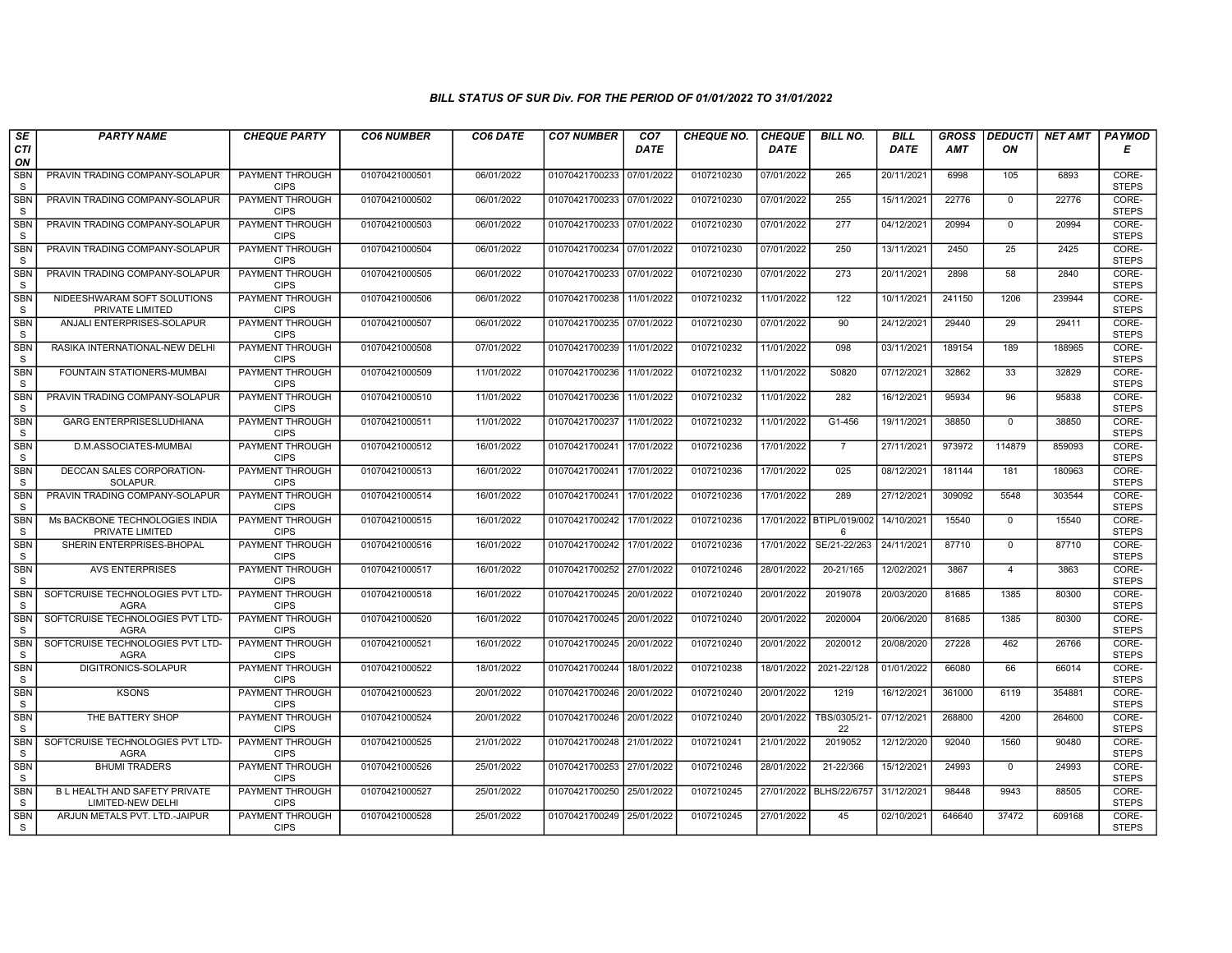| SE                   | <b>PARTY NAME</b>                                  | <b>CHEQUE PARTY</b>                   | <b>CO6 NUMBER</b> | CO6 DATE   | <b>CO7 NUMBER</b>         | CO <sub>7</sub> | <b>CHEQUE NO.</b> | <b>CHEQUE</b> | <b>BILL NO.</b>               | <b>BILL</b> | <b>GROSS</b> |                | DEDUCTI NET AMT | <b>PAYMOD</b>         |
|----------------------|----------------------------------------------------|---------------------------------------|-------------------|------------|---------------------------|-----------------|-------------------|---------------|-------------------------------|-------------|--------------|----------------|-----------------|-----------------------|
| CTI<br>ON            |                                                    |                                       |                   |            |                           | <b>DATE</b>     |                   | <b>DATE</b>   |                               | <b>DATE</b> | <b>AMT</b>   | ON             |                 | Е                     |
| SBN<br>S             | PRAVIN TRADING COMPANY-SOLAPUR                     | PAYMENT THROUGH<br><b>CIPS</b>        | 01070421000501    | 06/01/2022 | 01070421700233            | 07/01/2022      | 0107210230        | 07/01/2022    | 265                           | 20/11/2021  | 6998         | 105            | 6893            | CORE-<br><b>STEPS</b> |
| <b>SBN</b><br>S      | PRAVIN TRADING COMPANY-SOLAPUR                     | <b>PAYMENT THROUGH</b><br><b>CIPS</b> | 01070421000502    | 06/01/2022 | 01070421700233 07/01/2022 |                 | 0107210230        | 07/01/2022    | 255                           | 15/11/2021  | 22776        | $\mathbf 0$    | 22776           | CORE-<br><b>STEPS</b> |
| SBN<br>S             | PRAVIN TRADING COMPANY-SOLAPUR                     | PAYMENT THROUGH<br><b>CIPS</b>        | 01070421000503    | 06/01/2022 | 01070421700233            | 07/01/2022      | 0107210230        | 07/01/2022    | 277                           | 04/12/2021  | 20994        | $\mathbf 0$    | 20994           | CORE-<br><b>STEPS</b> |
| <b>SBN</b><br>S      | PRAVIN TRADING COMPANY-SOLAPUR                     | <b>PAYMENT THROUGH</b><br><b>CIPS</b> | 01070421000504    | 06/01/2022 | 01070421700234            | 07/01/2022      | 0107210230        | 07/01/2022    | 250                           | 13/11/2021  | 2450         | 25             | 2425            | CORE-<br><b>STEPS</b> |
| SBN<br><sub>S</sub>  | PRAVIN TRADING COMPANY-SOLAPUR                     | <b>PAYMENT THROUGH</b><br><b>CIPS</b> | 01070421000505    | 06/01/2022 | 01070421700233 07/01/2022 |                 | 0107210230        | 07/01/2022    | 273                           | 20/11/2021  | 2898         | 58             | 2840            | CORE-<br><b>STEPS</b> |
| SBN<br>S             | NIDEESHWARAM SOFT SOLUTIONS<br>PRIVATE LIMITED     | PAYMENT THROUGH<br><b>CIPS</b>        | 01070421000506    | 06/01/2022 | 01070421700238 11/01/2022 |                 | 0107210232        | 11/01/2022    | 122                           | 10/11/2021  | 241150       | 1206           | 239944          | CORE-<br><b>STEPS</b> |
| SBN<br>S             | ANJALI ENTERPRISES-SOLAPUR                         | <b>PAYMENT THROUGH</b><br><b>CIPS</b> | 01070421000507    | 06/01/2022 | 01070421700235 07/01/2022 |                 | 0107210230        | 07/01/2022    | 90                            | 24/12/2021  | 29440        | 29             | 29411           | CORE-<br><b>STEPS</b> |
| <b>SBN</b><br>S      | RASIKA INTERNATIONAL-NEW DELH                      | PAYMENT THROUGH<br><b>CIPS</b>        | 01070421000508    | 07/01/2022 | 01070421700239            | 11/01/2022      | 0107210232        | 11/01/2022    | 098                           | 03/11/2021  | 189154       | 189            | 188965          | CORE-<br><b>STEPS</b> |
| <b>SBN</b><br>S      | FOUNTAIN STATIONERS-MUMBAI                         | <b>PAYMENT THROUGH</b><br><b>CIPS</b> | 01070421000509    | 11/01/2022 | 01070421700236 11/01/2022 |                 | 0107210232        | 11/01/2022    | S0820                         | 07/12/2021  | 32862        | 33             | 32829           | CORE-<br><b>STEPS</b> |
| <b>SBN</b><br>S      | PRAVIN TRADING COMPANY-SOLAPUR                     | <b>PAYMENT THROUGH</b><br><b>CIPS</b> | 01070421000510    | 11/01/2022 | 01070421700236 11/01/2022 |                 | 0107210232        | 11/01/2022    | 282                           | 16/12/2021  | 95934        | 96             | 95838           | CORE-<br><b>STEPS</b> |
| <b>SBN</b><br>S      | <b>GARG ENTERPRISESLUDHIANA</b>                    | PAYMENT THROUGH<br><b>CIPS</b>        | 01070421000511    | 11/01/2022 | 01070421700237            | 11/01/2022      | 0107210232        | 11/01/2022    | G1-456                        | 19/11/2021  | 38850        | $\mathbf 0$    | 38850           | CORE-<br><b>STEPS</b> |
| <b>SBN</b><br>S      | D.M.ASSOCIATES-MUMBAI                              | PAYMENT THROUGH<br><b>CIPS</b>        | 01070421000512    | 16/01/2022 | 01070421700241            | 17/01/2022      | 0107210236        | 17/01/2022    | $\overline{7}$                | 27/11/2021  | 973972       | 114879         | 859093          | CORE-<br><b>STEPS</b> |
| <b>SBN</b><br>S      | DECCAN SALES CORPORATION-<br>SOLAPUR.              | PAYMENT THROUGH<br><b>CIPS</b>        | 01070421000513    | 16/01/2022 | 01070421700241            | 17/01/2022      | 0107210236        | 17/01/2022    | 025                           | 08/12/2021  | 181144       | 181            | 180963          | CORE-<br><b>STEPS</b> |
| <b>SBN</b><br>$\,$ S | PRAVIN TRADING COMPANY-SOLAPUR                     | <b>PAYMENT THROUGH</b><br><b>CIPS</b> | 01070421000514    | 16/01/2022 | 01070421700241            | 17/01/2022      | 0107210236        | 17/01/2022    | 289                           | 27/12/2021  | 309092       | 5548           | 303544          | CORE-<br><b>STEPS</b> |
| SBN<br>S             | Ms BACKBONE TECHNOLOGIES INDIA<br>PRIVATE LIMITED  | PAYMENT THROUGH<br><b>CIPS</b>        | 01070421000515    | 16/01/2022 | 01070421700242            | 17/01/2022      | 0107210236        |               | 17/01/2022 BTIPL/019/002<br>6 | 14/10/2021  | 15540        | $\mathbf 0$    | 15540           | CORE-<br><b>STEPS</b> |
| <b>SBN</b><br>S      | SHERIN ENTERPRISES-BHOPAL                          | <b>PAYMENT THROUGH</b><br><b>CIPS</b> | 01070421000516    | 16/01/2022 | 01070421700242 17/01/2022 |                 | 0107210236        | 17/01/2022    | SE/21-22/263                  | 24/11/2021  | 87710        | $\mathbf 0$    | 87710           | CORE-<br><b>STEPS</b> |
| <b>SBN</b><br>S      | <b>AVS ENTERPRISES</b>                             | <b>PAYMENT THROUGH</b><br><b>CIPS</b> | 01070421000517    | 16/01/2022 | 01070421700252            | 27/01/2022      | 0107210246        | 28/01/2022    | 20-21/165                     | 12/02/2021  | 3867         | $\overline{4}$ | 3863            | CORE-<br><b>STEPS</b> |
| SBN<br>S             | SOFTCRUISE TECHNOLOGIES PVT LTD-<br><b>AGRA</b>    | PAYMENT THROUGH<br><b>CIPS</b>        | 01070421000518    | 16/01/2022 | 01070421700245            | 20/01/2022      | 0107210240        | 20/01/2022    | 2019078                       | 20/03/2020  | 81685        | 1385           | 80300           | CORE-<br><b>STEPS</b> |
| <b>SBN</b><br>S      | SOFTCRUISE TECHNOLOGIES PVT LTD-<br><b>AGRA</b>    | PAYMENT THROUGH<br><b>CIPS</b>        | 01070421000520    | 16/01/2022 | 01070421700245 20/01/2022 |                 | 0107210240        | 20/01/2022    | 2020004                       | 20/06/2020  | 81685        | 1385           | 80300           | CORE-<br><b>STEPS</b> |
| <b>SBN</b><br>S      | SOFTCRUISE TECHNOLOGIES PVT LTD-<br><b>AGRA</b>    | <b>PAYMENT THROUGH</b><br><b>CIPS</b> | 01070421000521    | 16/01/2022 | 01070421700245            | 20/01/2022      | 0107210240        | 20/01/2022    | 2020012                       | 20/08/2020  | 27228        | 462            | 26766           | CORE-<br><b>STEPS</b> |
| <b>SBN</b><br>S      | DIGITRONICS-SOLAPUR                                | <b>PAYMENT THROUGH</b><br><b>CIPS</b> | 01070421000522    | 18/01/2022 | 01070421700244            | 18/01/2022      | 0107210238        | 18/01/2022    | 2021-22/128                   | 01/01/2022  | 66080        | 66             | 66014           | CORE-<br><b>STEPS</b> |
| <b>SBN</b><br>S      | <b>KSONS</b>                                       | PAYMENT THROUGH<br><b>CIPS</b>        | 01070421000523    | 20/01/2022 | 01070421700246 20/01/2022 |                 | 0107210240        | 20/01/2022    | 1219                          | 16/12/2021  | 361000       | 6119           | 354881          | CORE-<br><b>STEPS</b> |
| <b>SBN</b><br>S      | THE BATTERY SHOP                                   | PAYMENT THROUGH<br><b>CIPS</b>        | 01070421000524    | 20/01/2022 | 01070421700246            | 20/01/2022      | 0107210240        | 20/01/2022    | TBS/0305/21<br>22             | 07/12/2021  | 268800       | 4200           | 264600          | CORE-<br><b>STEPS</b> |
| <b>SBN</b><br>S      | SOFTCRUISE TECHNOLOGIES PVT LTD-<br><b>AGRA</b>    | PAYMENT THROUGH<br><b>CIPS</b>        | 01070421000525    | 21/01/2022 | 01070421700248            | 21/01/2022      | 0107210241        | 21/01/2022    | 2019052                       | 12/12/2020  | 92040        | 1560           | 90480           | CORE-<br><b>STEPS</b> |
| SBN<br>S             | <b>BHUMI TRADERS</b>                               | PAYMENT THROUGH<br><b>CIPS</b>        | 01070421000526    | 25/01/2022 | 01070421700253            | 27/01/2022      | 0107210246        | 28/01/2022    | 21-22/366                     | 15/12/2021  | 24993        | $\mathbf 0$    | 24993           | CORE-<br><b>STEPS</b> |
| <b>SBN</b><br>S      | B L HEALTH AND SAFETY PRIVATE<br>LIMITED-NEW DELHI | <b>PAYMENT THROUGH</b><br><b>CIPS</b> | 01070421000527    | 25/01/2022 | 01070421700250            | 25/01/2022      | 0107210245        | 27/01/2022    | <b>BLHS/22/6757</b>           | 31/12/2021  | 98448        | 9943           | 88505           | CORE-<br><b>STEPS</b> |
| <b>SBN</b><br>S      | ARJUN METALS PVT. LTD.-JAIPUR                      | PAYMENT THROUGH<br><b>CIPS</b>        | 01070421000528    | 25/01/2022 | 01070421700249            | 25/01/2022      | 0107210245        | 27/01/2022    | 45                            | 02/10/2021  | 646640       | 37472          | 609168          | CORE-<br><b>STEPS</b> |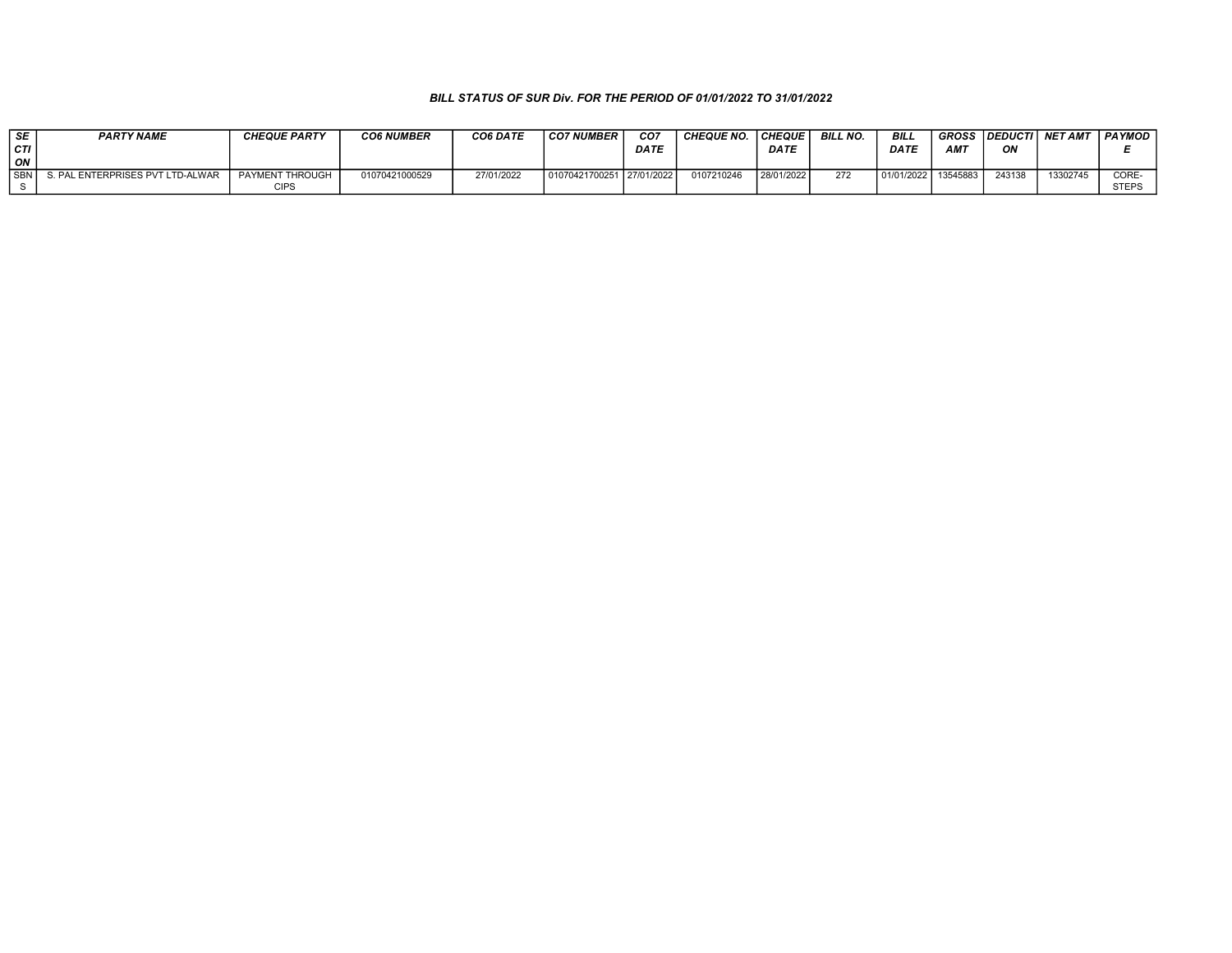| SE  | <b>PARTY NAME</b>                | <b>CHEQUE PARTY</b> | <b>CO6 NUMBER</b> | CO6 DATE   | CO7 NUMBER                | CO7  | <b>CHEQUE NO</b> | CHEQUE      | <b>BILL NO.</b> | BILL        | <b>GROSS</b> | <b>DEDUCTI</b> | <b>NET AMT</b> | <b>PAYMOD</b> |
|-----|----------------------------------|---------------------|-------------------|------------|---------------------------|------|------------------|-------------|-----------------|-------------|--------------|----------------|----------------|---------------|
| CTI |                                  |                     |                   |            |                           | DATE |                  | <b>DATE</b> |                 | <b>DATE</b> | <b>AMT</b>   | ΟN             |                |               |
| ON  |                                  |                     |                   |            |                           |      |                  |             |                 |             |              |                |                |               |
| SBN | S. PAL ENTERPRISES PVT LTD-ALWAR | PAYMENT THROUGH     | 01070421000529    | 27/01/2022 | 01070421700251 27/01/2022 |      | 0107210246       | 28/01/2022  | 272             | 01/01/2022  | 13545883     | 243138         | 13302745       | CORE-         |
|     |                                  |                     |                   |            |                           |      |                  |             |                 |             |              |                |                | <b>STEPS</b>  |